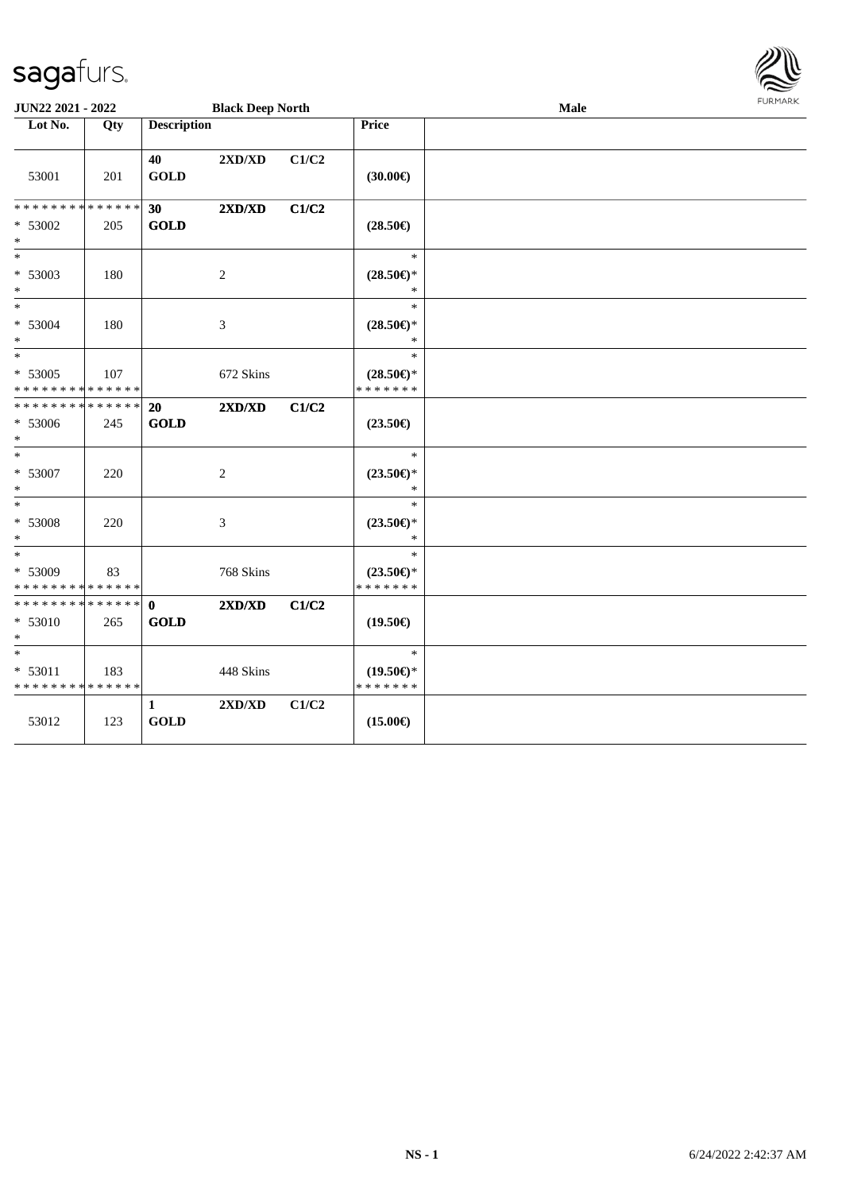

| JUN22 2021 - 2022                               |     |                             | <b>Black Deep North</b>          |       |                                                                               | Male | <b>FURMARK</b> |
|-------------------------------------------------|-----|-----------------------------|----------------------------------|-------|-------------------------------------------------------------------------------|------|----------------|
| Lot No.                                         | Qty | <b>Description</b>          |                                  |       | Price                                                                         |      |                |
| 53001                                           | 201 | 40<br><b>GOLD</b>           | $2{\bf X}{\bf D}/{\bf X}{\bf D}$ | C1/C2 | (30.00)                                                                       |      |                |
| * * * * * * * * * * * * * *<br>* 53002<br>$*$   | 205 | 30<br><b>GOLD</b>           | 2XD/XD                           | C1/C2 | $(28.50\epsilon)$                                                             |      |                |
| $\ast$<br>* 53003<br>$*$                        | 180 |                             | $\overline{c}$                   |       | $\ast$<br>$(28.50\epsilon)$ *<br>$\ast$                                       |      |                |
| $\overline{\phantom{0}}$<br>* 53004<br>$\ast$   | 180 |                             | 3                                |       | $\ast$<br>$(28.50\epsilon)$ *<br>$\ast$                                       |      |                |
| * 53005<br>* * * * * * * * * * * * * *          | 107 |                             | 672 Skins                        |       | $\ast$<br>$(28.50\mathnormal{\in}\mathcal{)^{\! \! \times}}$<br>* * * * * * * |      |                |
| * * * * * * * * * * * * * *<br>* 53006<br>$*$   | 245 | 20<br><b>GOLD</b>           | 2XD/XD                           | C1/C2 | $(23.50\epsilon)$                                                             |      |                |
| $*$<br>$* 53007$<br>$*$                         | 220 |                             | 2                                |       | $\ast$<br>$(23.50\epsilon)$ *<br>$\ast$                                       |      |                |
| $*$<br>$* 53008$<br>$*$                         | 220 |                             | $\mathfrak{Z}$                   |       | $\ast$<br>$(23.50\epsilon)$ *<br>*                                            |      |                |
| $*$<br>* 53009<br>* * * * * * * * * * * * * *   | 83  |                             | 768 Skins                        |       | $\ast$<br>$(23.50\epsilon)$ *<br>* * * * * * *                                |      |                |
| * * * * * * * * * * * * * * *<br>* 53010<br>$*$ | 265 | $\mathbf{0}$<br><b>GOLD</b> | 2XD/XD                           | C1/C2 | $(19.50\epsilon)$                                                             |      |                |
| $*$<br>* 53011<br>* * * * * * * * * * * * * *   | 183 |                             | 448 Skins                        |       | $\ast$<br>$(19.50\epsilon)$ *<br>* * * * * * *                                |      |                |
| 53012                                           | 123 | $\mathbf{1}$<br><b>GOLD</b> | 2XD/XD                           | C1/C2 | $(15.00\epsilon)$                                                             |      |                |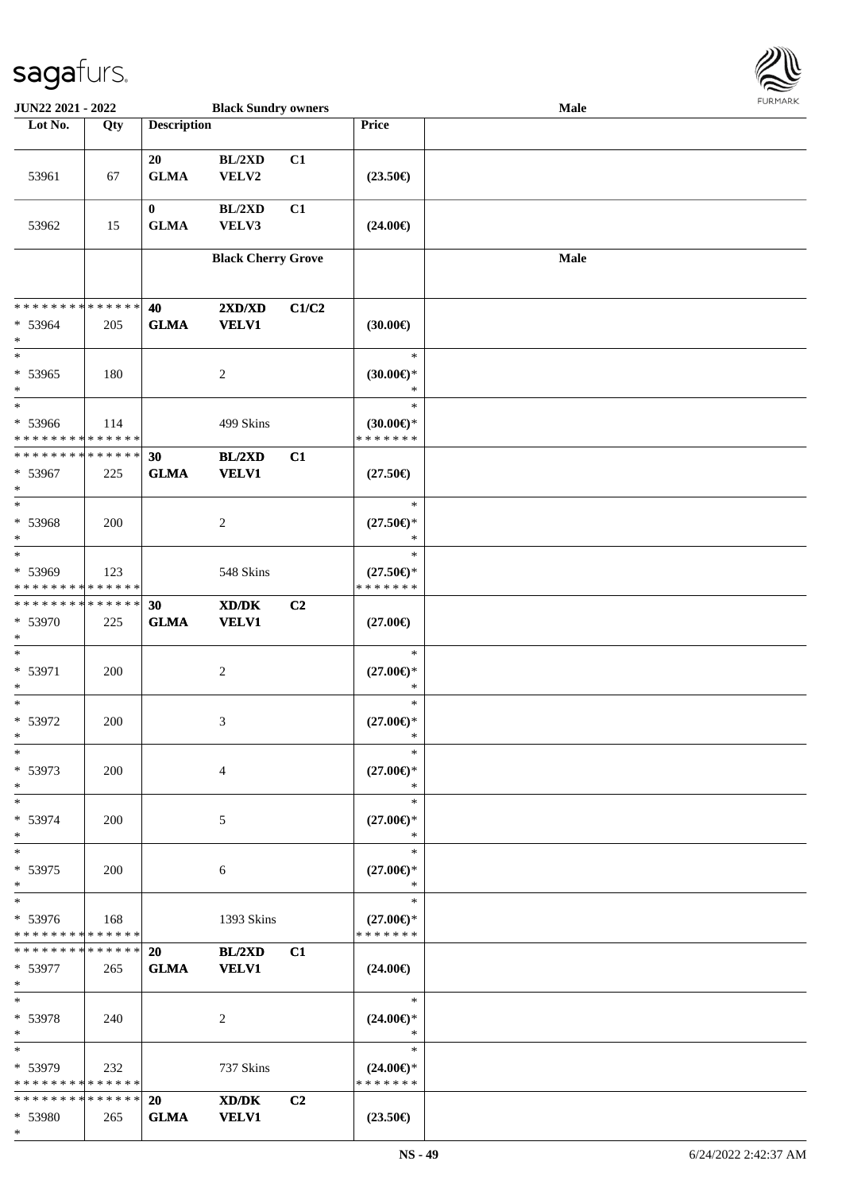

| JUN22 2021 - 2022                                |     |                         | <b>Black Sundry owners</b>                          |       |                                                | <b>Male</b> |  |
|--------------------------------------------------|-----|-------------------------|-----------------------------------------------------|-------|------------------------------------------------|-------------|--|
| Lot No.                                          | Qty | <b>Description</b>      |                                                     |       | Price                                          |             |  |
| 53961                                            | 67  | 20<br><b>GLMA</b>       | BL/2XD<br>VELV2                                     | C1    | $(23.50\epsilon)$                              |             |  |
| 53962                                            | 15  | $\bf{0}$<br><b>GLMA</b> | BL/2XD<br>VELV3                                     | C1    | $(24.00\epsilon)$                              |             |  |
|                                                  |     |                         | <b>Black Cherry Grove</b>                           |       |                                                | <b>Male</b> |  |
| * * * * * * * * * * * * * *<br>* 53964<br>$\ast$ | 205 | 40<br><b>GLMA</b>       | 2XD/XD<br><b>VELV1</b>                              | C1/C2 | $(30.00\in)$                                   |             |  |
| $*$<br>* 53965<br>$\ast$                         | 180 |                         | $\overline{c}$                                      |       | $\ast$<br>$(30.00\epsilon)$ *<br>$\ast$        |             |  |
| $*$<br>* 53966<br>* * * * * * * * * * * * * *    | 114 |                         | 499 Skins                                           |       | $\ast$<br>$(30.00\epsilon)$ *<br>* * * * * * * |             |  |
| * * * * * * * * * * * * * *<br>* 53967<br>$\ast$ | 225 | 30<br><b>GLMA</b>       | BL/2XD<br><b>VELV1</b>                              | C1    | $(27.50\epsilon)$                              |             |  |
| $\ast$<br>* 53968<br>$\ast$                      | 200 |                         | 2                                                   |       | $\ast$<br>$(27.50\epsilon)$ *<br>$\ast$        |             |  |
| $\ast$<br>* 53969<br>* * * * * * * * * * * * * * | 123 |                         | 548 Skins                                           |       | $\ast$<br>$(27.50\epsilon)$ *<br>* * * * * * * |             |  |
| * * * * * * * * * * * * * *<br>* 53970<br>$*$    | 225 | 30<br><b>GLMA</b>       | $\bold{X}\bold{D}/\bold{D}\bold{K}$<br><b>VELV1</b> | C2    | $(27.00\epsilon)$                              |             |  |
| $*$<br>* 53971<br>$*$                            | 200 |                         | $\overline{c}$                                      |       | $\ast$<br>$(27.00\epsilon)$ *<br>$\ast$        |             |  |
| $*$<br>* 53972<br>$*$                            | 200 |                         | 3                                                   |       | $\ast$<br>$(27.00\epsilon)$ *<br>*             |             |  |
| $*$<br>* 53973<br>$*$                            | 200 |                         | $\overline{4}$                                      |       | $\ast$<br>$(27.00\epsilon)$ *<br>$\ast$        |             |  |
| $*$<br>* 53974<br>$*$                            | 200 |                         | 5                                                   |       | $\ast$<br>$(27.00\epsilon)$ *<br>$\ast$        |             |  |
| $*$<br>* 53975<br>$*$                            | 200 |                         | 6                                                   |       | $\ast$<br>$(27.00\epsilon)$ *<br>$\ast$        |             |  |
| $*$<br>* 53976<br>* * * * * * * * * * * * * *    | 168 |                         | 1393 Skins                                          |       | $\ast$<br>$(27.00\epsilon)$ *<br>* * * * * * * |             |  |
| * * * * * * * * * * * * * * *<br>* 53977<br>$*$  | 265 | 20<br><b>GLMA</b>       | BL/2XD<br><b>VELV1</b>                              | C1    | $(24.00\epsilon)$                              |             |  |
| $*$<br>* 53978<br>$*$                            | 240 |                         | 2                                                   |       | $\ast$<br>$(24.00\epsilon)$ *<br>$\ast$        |             |  |
| $*$<br>* 53979<br>* * * * * * * * * * * * * *    | 232 |                         | 737 Skins                                           |       | $\ast$<br>$(24.00\epsilon)$ *<br>* * * * * * * |             |  |
| * * * * * * * * * * * * * * *                    |     | <b>20</b>               | XD/DK                                               | C2    |                                                |             |  |
| * 53980                                          | 265 | <b>GLMA</b>             | <b>VELV1</b>                                        |       | $(23.50\epsilon)$                              |             |  |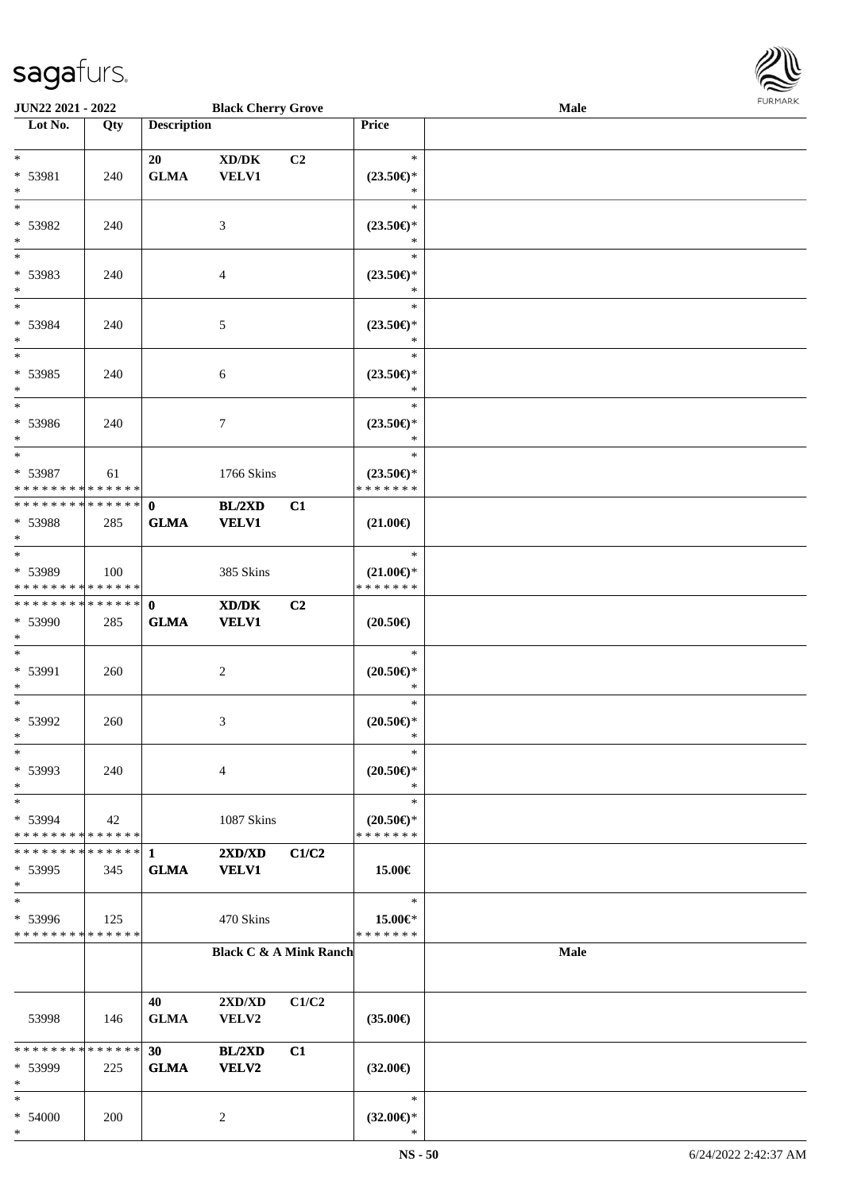

| <b>JUN22 2021 - 2022</b>                            |             |                    | <b>Black Cherry Grove</b>           |                |                                      | Male        | 101111111111 |
|-----------------------------------------------------|-------------|--------------------|-------------------------------------|----------------|--------------------------------------|-------------|--------------|
| Lot No.                                             | Qty         | <b>Description</b> |                                     |                | Price                                |             |              |
|                                                     |             |                    |                                     |                |                                      |             |              |
| $*$                                                 |             | 20                 | $\bold{X}\bold{D}/\bold{D}\bold{K}$ | C2             | $\ast$                               |             |              |
| * 53981                                             | 240         | <b>GLMA</b>        | VELV1                               |                | $(23.50\epsilon)$ *                  |             |              |
| $*$                                                 |             |                    |                                     |                | $\ast$                               |             |              |
| $*$                                                 |             |                    |                                     |                | $\ast$                               |             |              |
| * 53982                                             | 240         |                    | 3                                   |                | $(23.50\epsilon)$ *                  |             |              |
| $\ast$                                              |             |                    |                                     |                | $\ast$                               |             |              |
|                                                     |             |                    |                                     |                | $\ast$                               |             |              |
| * 53983                                             | 240         |                    | $\overline{4}$                      |                | $(23.50\epsilon)$ *                  |             |              |
| $\ast$                                              |             |                    |                                     |                | $\ast$                               |             |              |
| $*$                                                 |             |                    |                                     |                | $\ast$                               |             |              |
| * 53984                                             | 240         |                    | 5                                   |                | $(23.50\epsilon)$ *                  |             |              |
| $*$                                                 |             |                    |                                     |                | $\ast$                               |             |              |
| $\overline{\ast}$                                   |             |                    |                                     |                | $\ast$                               |             |              |
| * 53985                                             | 240         |                    | $\sqrt{6}$                          |                | $(23.50\epsilon)$ *                  |             |              |
| $*$                                                 |             |                    |                                     |                | $\ast$                               |             |              |
| $\ast$                                              |             |                    |                                     |                | $\ast$                               |             |              |
| * 53986                                             | 240         |                    | $\boldsymbol{7}$                    |                | $(23.50\epsilon)$ *                  |             |              |
| $*$<br>$*$                                          |             |                    |                                     |                | $\ast$                               |             |              |
|                                                     |             |                    |                                     |                | $\ast$                               |             |              |
| * 53987                                             | 61          |                    | 1766 Skins                          |                | $(23.50\epsilon)$ *                  |             |              |
| * * * * * * * * <mark>* * * * * * *</mark>          |             |                    |                                     |                | * * * * * * *                        |             |              |
| * * * * * * * * <mark>* * * * * * *</mark>          |             | $\mathbf{0}$       | BL/2XD                              | C1             |                                      |             |              |
| * 53988                                             | 285         | <b>GLMA</b>        | <b>VELV1</b>                        |                | $(21.00\epsilon)$                    |             |              |
| $*$                                                 |             |                    |                                     |                | $\ast$                               |             |              |
|                                                     |             |                    |                                     |                |                                      |             |              |
| * 53989<br>* * * * * * * * <mark>* * * * * *</mark> | 100         |                    | 385 Skins                           |                | $(21.00\epsilon)$ *<br>* * * * * * * |             |              |
| * * * * * * * * * * * * * * <mark>*</mark>          |             |                    |                                     |                |                                      |             |              |
|                                                     |             | $\mathbf{0}$       | XD/DK                               | C <sub>2</sub> |                                      |             |              |
| * 53990<br>$\ast$                                   | 285         | <b>GLMA</b>        | <b>VELV1</b>                        |                | $(20.50\epsilon)$                    |             |              |
| $\ast$                                              |             |                    |                                     |                | $\ast$                               |             |              |
| * 53991                                             | 260         |                    | 2                                   |                | $(20.50\epsilon)$ *                  |             |              |
| $*$                                                 |             |                    |                                     |                | $\ast$                               |             |              |
| $\ast$                                              |             |                    |                                     |                | $\ast$                               |             |              |
| * 53992                                             | 260         |                    | 3                                   |                | $(20.50\mathnormal{\infty})^*$       |             |              |
| $\ddot{\mathbf{x}}$                                 |             |                    |                                     |                | $\ast$                               |             |              |
| $\ast$                                              |             |                    |                                     |                | $\ast$                               |             |              |
| * 53993                                             | 240         |                    | $\overline{4}$                      |                | $(20.50 \in )^*$                     |             |              |
| $\ast$                                              |             |                    |                                     |                | $\ast$                               |             |              |
| $\ast$                                              |             |                    |                                     |                | $\ast$                               |             |              |
| * 53994                                             | 42          |                    | 1087 Skins                          |                | $(20.50\epsilon)$ *                  |             |              |
| * * * * * * * * <mark>* * * * * * *</mark>          |             |                    |                                     |                | * * * * * * *                        |             |              |
| * * * * * * * * * * * * * * *                       |             | $\mathbf{1}$       | 2XD/XD                              | C1/C2          |                                      |             |              |
| $* 53995$                                           | 345         | <b>GLMA</b>        | <b>VELV1</b>                        |                | 15.00€                               |             |              |
| $\ast$                                              |             |                    |                                     |                |                                      |             |              |
| $\ast$                                              |             |                    |                                     |                | $\ast$                               |             |              |
| * 53996                                             | 125         |                    | 470 Skins                           |                | 15.00€*                              |             |              |
| * * * * * * * * * * * * * *                         |             |                    |                                     |                | * * * * * * *                        |             |              |
|                                                     |             |                    | <b>Black C &amp; A Mink Ranch</b>   |                |                                      | <b>Male</b> |              |
|                                                     |             |                    |                                     |                |                                      |             |              |
|                                                     |             |                    |                                     |                |                                      |             |              |
|                                                     |             | 40                 | 2XD/XD                              | C1/C2          |                                      |             |              |
| 53998                                               | 146         | <b>GLMA</b>        | VELV2                               |                | $(35.00\epsilon)$                    |             |              |
|                                                     |             |                    |                                     |                |                                      |             |              |
| * * * * * * * *                                     | * * * * * * | 30                 | BL/2XD                              | C1             |                                      |             |              |
| * 53999                                             | 225         | <b>GLMA</b>        | VELV2                               |                | $(32.00\epsilon)$                    |             |              |
| $\ast$                                              |             |                    |                                     |                |                                      |             |              |
| $\ast$                                              |             |                    |                                     |                | $\ast$                               |             |              |
| * 54000                                             | 200         |                    | 2                                   |                | $(32.00\epsilon)$ *                  |             |              |
| $\ast$                                              |             |                    |                                     |                | ∗                                    |             |              |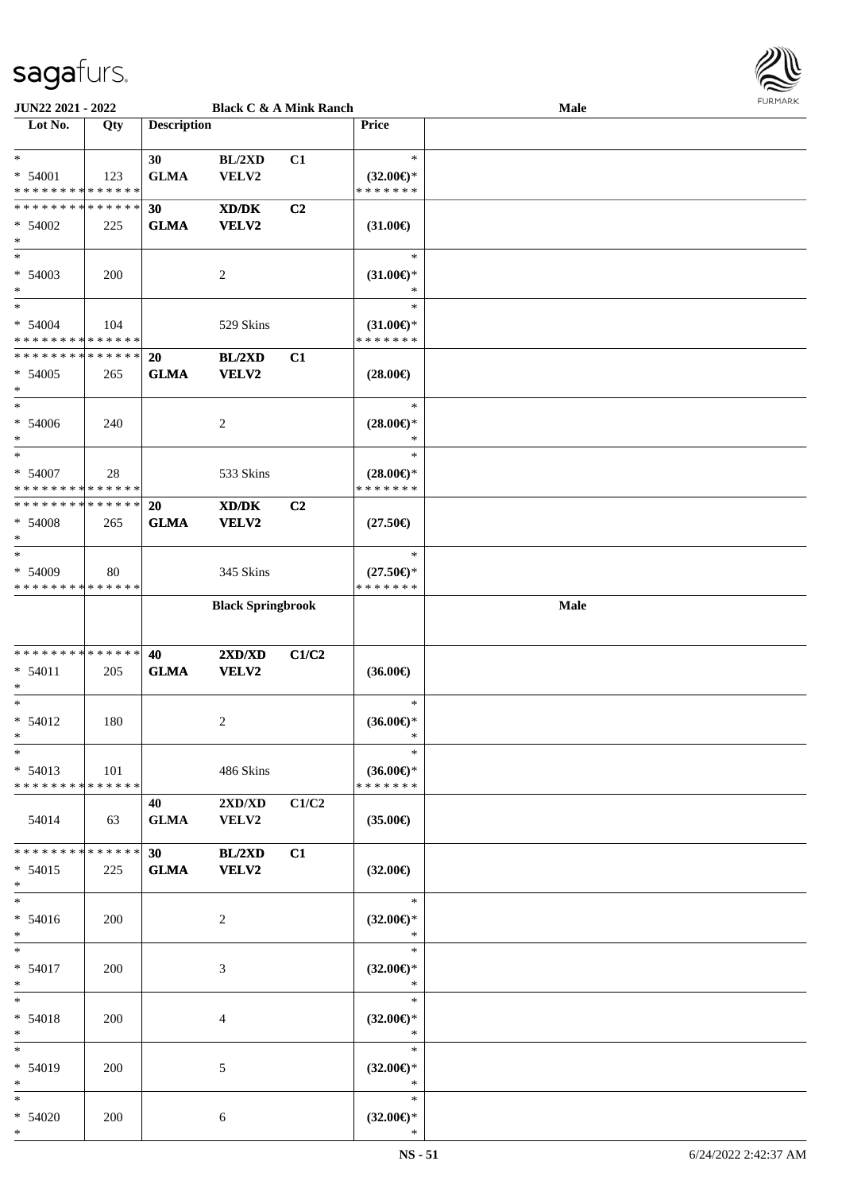

| <b>JUN22 2021 - 2022</b>                   |     |                    |                          | <b>Black C &amp; A Mink Ranch</b> |                     | Male |  |
|--------------------------------------------|-----|--------------------|--------------------------|-----------------------------------|---------------------|------|--|
| Lot No.                                    | Qty | <b>Description</b> |                          |                                   | <b>Price</b>        |      |  |
|                                            |     |                    |                          |                                   |                     |      |  |
| $\ast$                                     |     | 30                 | BL/2XD                   | C1                                | $\ast$              |      |  |
| $* 54001$                                  | 123 | <b>GLMA</b>        | VELV2                    |                                   | $(32.00\epsilon)$ * |      |  |
| * * * * * * * * <mark>* * * * * * *</mark> |     |                    |                          |                                   | * * * * * * *       |      |  |
| * * * * * * * * * * * * * * *              |     | 30                 |                          | C2                                |                     |      |  |
|                                            |     |                    | XD/DK                    |                                   |                     |      |  |
| $* 54002$                                  | 225 | <b>GLMA</b>        | VELV2                    |                                   | $(31.00\epsilon)$   |      |  |
| $\ast$                                     |     |                    |                          |                                   |                     |      |  |
| $*$                                        |     |                    |                          |                                   | $\ast$              |      |  |
| $* 54003$                                  | 200 |                    | $\overline{c}$           |                                   | $(31.00\epsilon)$ * |      |  |
| $\ast$                                     |     |                    |                          |                                   | $\ast$              |      |  |
| $\ast$                                     |     |                    |                          |                                   | $\ast$              |      |  |
| $* 54004$                                  | 104 |                    | 529 Skins                |                                   | $(31.00\epsilon)$ * |      |  |
| * * * * * * * * * * * * * *                |     |                    |                          |                                   | * * * * * * *       |      |  |
| * * * * * * * * <mark>* * * * * *</mark>   |     | 20                 | BL/2XD                   | C1                                |                     |      |  |
| $* 54005$                                  |     | <b>GLMA</b>        | VELV2                    |                                   |                     |      |  |
| $\ast$                                     | 265 |                    |                          |                                   | $(28.00\epsilon)$   |      |  |
| $\ast$                                     |     |                    |                          |                                   |                     |      |  |
|                                            |     |                    |                          |                                   | $\ast$              |      |  |
| $* 54006$                                  | 240 |                    | 2                        |                                   | $(28.00\epsilon)$ * |      |  |
| $\ast$                                     |     |                    |                          |                                   | $\ast$              |      |  |
| $\ast$                                     |     |                    |                          |                                   | $\ast$              |      |  |
| $* 54007$                                  | 28  |                    | 533 Skins                |                                   | $(28.00\epsilon)$ * |      |  |
| * * * * * * * * <mark>* * * * * *</mark>   |     |                    |                          |                                   | * * * * * * *       |      |  |
| * * * * * * * * * * * * * * *              |     | 20                 | XD/DK                    | C2                                |                     |      |  |
| $* 54008$                                  | 265 | <b>GLMA</b>        | VELV2                    |                                   | $(27.50\epsilon)$   |      |  |
| $\ast$                                     |     |                    |                          |                                   |                     |      |  |
| $\ast$                                     |     |                    |                          |                                   | $\ast$              |      |  |
| * 54009                                    | 80  |                    | 345 Skins                |                                   | $(27.50\epsilon)$ * |      |  |
| * * * * * * * * * * * * * *                |     |                    |                          |                                   | * * * * * * *       |      |  |
|                                            |     |                    |                          |                                   |                     |      |  |
|                                            |     |                    | <b>Black Springbrook</b> |                                   |                     | Male |  |
|                                            |     |                    |                          |                                   |                     |      |  |
|                                            |     |                    |                          |                                   |                     |      |  |
| * * * * * * * * <mark>* * * * * *</mark>   |     | 40                 | 2XD/XD                   | C1/C2                             |                     |      |  |
| $* 54011$                                  | 205 | <b>GLMA</b>        | VELV2                    |                                   | $(36.00\epsilon)$   |      |  |
| $\ast$                                     |     |                    |                          |                                   |                     |      |  |
| $\ast$                                     |     |                    |                          |                                   | $\ast$              |      |  |
| $* 54012$                                  | 180 |                    | 2                        |                                   | $(36.00\epsilon)$ * |      |  |
| $*$                                        |     |                    |                          |                                   | $\ast$              |      |  |
| $\ast$                                     |     |                    |                          |                                   | $\ast$              |      |  |
| $* 54013$                                  | 101 |                    | 486 Skins                |                                   | $(36.00\epsilon)$ * |      |  |
| * * * * * * * * * * * * * * *              |     |                    |                          |                                   | * * * * * * *       |      |  |
|                                            |     | 40                 | 2XD/XD                   | C1/C2                             |                     |      |  |
|                                            |     |                    |                          |                                   |                     |      |  |
| 54014                                      | 63  | <b>GLMA</b>        | <b>VELV2</b>             |                                   | $(35.00\epsilon)$   |      |  |
|                                            |     |                    |                          |                                   |                     |      |  |
| * * * * * * * * <mark>* * * * * * *</mark> |     | 30                 | BL/2XD                   | C1                                |                     |      |  |
| $* 54015$                                  | 225 | <b>GLMA</b>        | VELV2                    |                                   | $(32.00\epsilon)$   |      |  |
| $\ast$                                     |     |                    |                          |                                   |                     |      |  |
| $\ast$                                     |     |                    |                          |                                   | $*$                 |      |  |
| $* 54016$                                  | 200 |                    | 2                        |                                   | $(32.00\epsilon)$ * |      |  |
| $\ast$                                     |     |                    |                          |                                   | $\ast$              |      |  |
| $*$ $*$                                    |     |                    |                          |                                   | $\ast$              |      |  |
| $* 54017$                                  | 200 |                    | 3                        |                                   | $(32.00\epsilon)$ * |      |  |
| $\ast$                                     |     |                    |                          |                                   | $\ast$              |      |  |
| $\ddot{x}$                                 |     |                    |                          |                                   | $\ast$              |      |  |
| $* 54018$                                  | 200 |                    | $\overline{4}$           |                                   | $(32.00\epsilon)$ * |      |  |
| $\ast$                                     |     |                    |                          |                                   | *                   |      |  |
|                                            |     |                    |                          |                                   |                     |      |  |
| $\ast$                                     |     |                    |                          |                                   | $\ast$              |      |  |
| * 54019                                    | 200 |                    | 5                        |                                   | $(32.00\epsilon)$ * |      |  |
| $*$                                        |     |                    |                          |                                   | $*$                 |      |  |
| $\ast$                                     |     |                    |                          |                                   | $\ast$              |      |  |
| $* 54020$                                  | 200 |                    | 6                        |                                   | $(32.00\epsilon)$ * |      |  |
| $\ast$                                     |     |                    |                          |                                   | $\ast$              |      |  |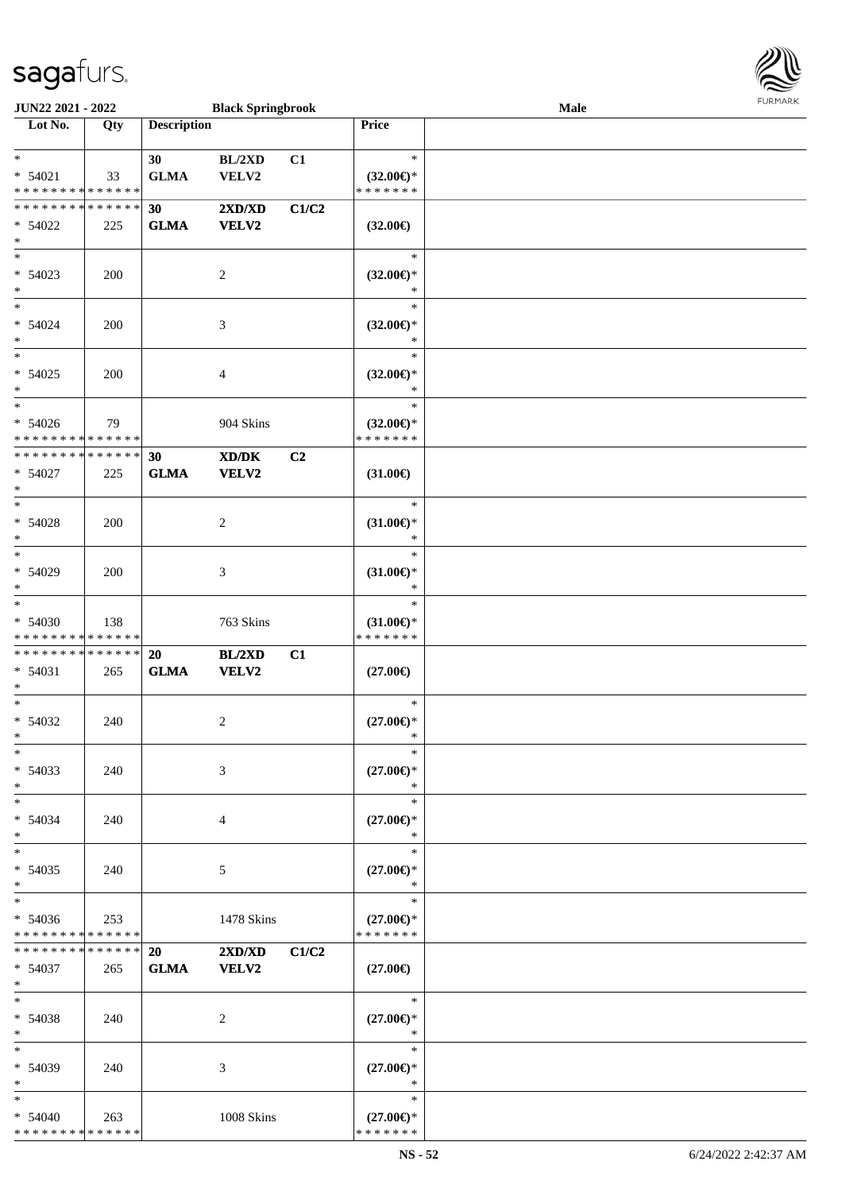

| JUN22 2021 - 2022                                      |     |                    | <b>Black Springbrook</b>                         |       |                                                   | Male |  |
|--------------------------------------------------------|-----|--------------------|--------------------------------------------------|-------|---------------------------------------------------|------|--|
| Lot No.                                                | Qty | <b>Description</b> |                                                  |       | Price                                             |      |  |
| $*$<br>$* 54021$<br>* * * * * * * * * * * * * *        | 33  | 30<br><b>GLMA</b>  | BL/2XD<br>VELV2                                  | C1    | $\ast$<br>$(32.00\epsilon)$ *<br>* * * * * * *    |      |  |
| * * * * * * * * * * * * * *<br>* 54022<br>$\ast$       | 225 | 30<br><b>GLMA</b>  | 2XD/XD<br><b>VELV2</b>                           | C1/C2 | $(32.00\epsilon)$                                 |      |  |
| $*$<br>$* 54023$<br>$\ast$<br>$\overline{\phantom{0}}$ | 200 |                    | 2                                                |       | $\ast$<br>$(32.00\epsilon)$ *<br>$\ast$           |      |  |
| $* 54024$<br>$\ast$<br>$\overline{\phantom{0}}$        | 200 |                    | $\mathfrak{Z}$                                   |       | $\ast$<br>$(32.00\epsilon)$ *<br>$\ast$           |      |  |
| $* 54025$<br>$\ast$<br>$\ast$                          | 200 |                    | $\overline{4}$                                   |       | $\ast$<br>$(32.00\epsilon)$ *<br>$\ast$<br>$\ast$ |      |  |
| $* 54026$<br>* * * * * * * * * * * * * *               | 79  |                    | 904 Skins                                        |       | $(32.00\epsilon)$ *<br>* * * * * * *              |      |  |
| * * * * * * * * * * * * * *<br>$* 54027$<br>$\ast$     | 225 | 30<br><b>GLMA</b>  | $\bold{X}\bold{D}/\bold{D}\bold{K}$<br>VELV2     | C2    | $(31.00\epsilon)$                                 |      |  |
| $\ast$<br>$* 54028$<br>$\ast$                          | 200 |                    | $\overline{2}$                                   |       | $\ast$<br>$(31.00\epsilon)$ *<br>$\ast$           |      |  |
| $\ast$<br>* 54029<br>$\ast$                            | 200 |                    | 3                                                |       | $\ast$<br>$(31.00\epsilon)$ *<br>$\ast$           |      |  |
| $\ast$<br>$* 54030$<br>* * * * * * * * * * * * * *     | 138 |                    | 763 Skins                                        |       | $\ast$<br>$(31.00\epsilon)$ *<br>* * * * * * *    |      |  |
| * * * * * * * * * * * * * *<br>$* 54031$<br>$*$        | 265 | 20<br><b>GLMA</b>  | BL/2XD<br>VELV2                                  | C1    | $(27.00\epsilon)$                                 |      |  |
| $*$<br>$* 54032$<br>$*$                                | 240 |                    | 2                                                |       | $\ast$<br>$(27.00\epsilon)$ *<br>$\ast$           |      |  |
| $*$<br>* 54033<br>$\ast$                               | 240 |                    | 3                                                |       | $\ast$<br>$(27.00\epsilon)$ *<br>$\ast$           |      |  |
| $\ast$<br>$* 54034$<br>$\ast$                          | 240 |                    | 4                                                |       | $\ast$<br>$(27.00\epsilon)$ *<br>*                |      |  |
| $\ast$<br>$* 54035$<br>$*$                             | 240 |                    | 5                                                |       | $\ast$<br>$(27.00\epsilon)$ *<br>$\ast$           |      |  |
| $\ast$<br>$* 54036$<br>* * * * * * * * * * * * * *     | 253 |                    | 1478 Skins                                       |       | $\ast$<br>$(27.00\epsilon)$ *<br>* * * * * * *    |      |  |
| * * * * * * * * * * * * * * *<br>$* 54037$<br>$*$      | 265 | 20<br><b>GLMA</b>  | $2{\bf X}{\bf D}/{\bf X}{\bf D}$<br><b>VELV2</b> | C1/C2 | $(27.00\epsilon)$                                 |      |  |
| $*$<br>$* 54038$<br>$*$                                | 240 |                    | 2                                                |       | $\ast$<br>$(27.00\epsilon)$ *<br>$\ast$           |      |  |
| $*$<br>* 54039<br>$*$                                  | 240 |                    | 3                                                |       | $\ast$<br>$(27.00\epsilon)$ *<br>$\ast$           |      |  |
| $\ast$<br>$* 54040$<br>* * * * * * * * * * * * * *     | 263 |                    | 1008 Skins                                       |       | $\ast$<br>$(27.00\epsilon)$ *<br>* * * * * * *    |      |  |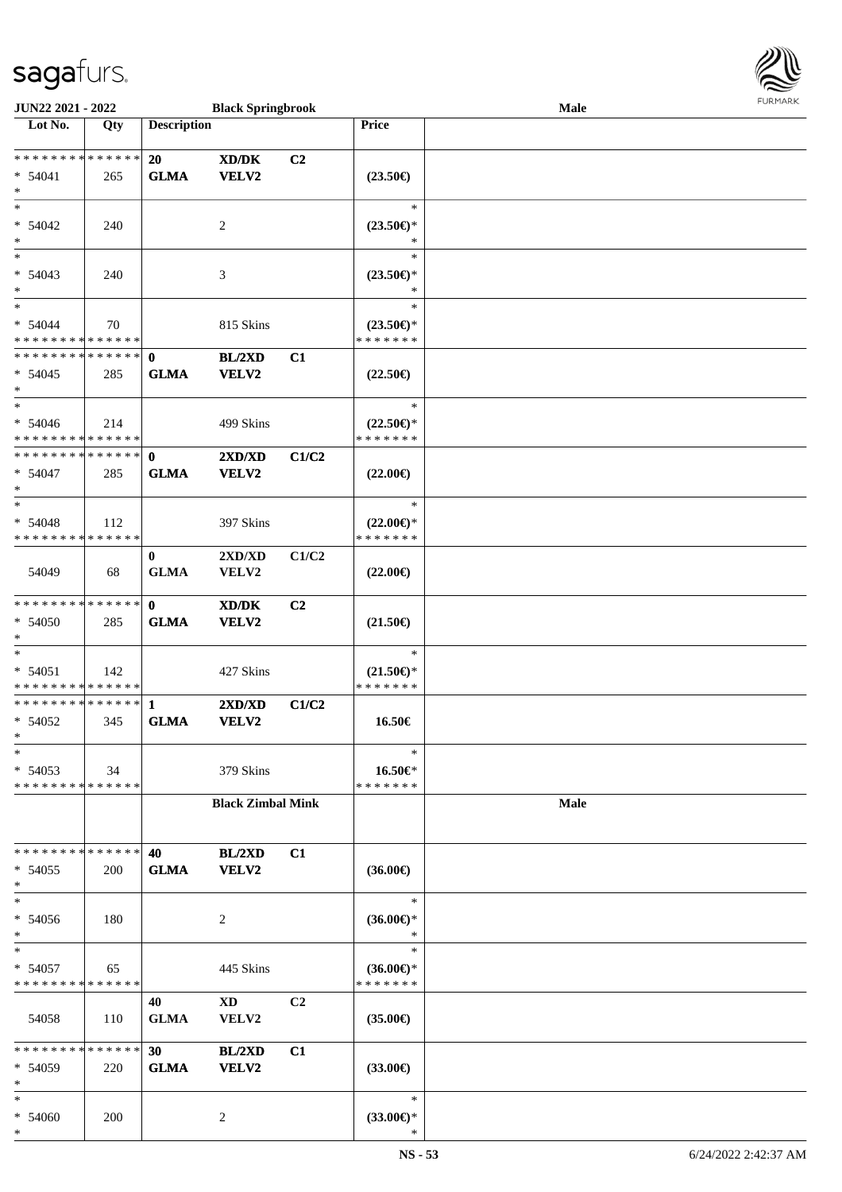

| JUN22 2021 - 2022                                    |     |                             | <b>Black Springbrook</b>                            |                |                                                                        | Male        | FURMARK |
|------------------------------------------------------|-----|-----------------------------|-----------------------------------------------------|----------------|------------------------------------------------------------------------|-------------|---------|
| $\overline{\phantom{1}}$ Lot No.                     | Qty | <b>Description</b>          |                                                     |                | Price                                                                  |             |         |
| * * * * * * * * * * * * * *<br>$* 54041$<br>$*$      | 265 | 20<br><b>GLMA</b>           | XD/DK<br><b>VELV2</b>                               | C2             | $(23.50\epsilon)$                                                      |             |         |
| $\ast$<br>$* 54042$<br>$*$                           | 240 |                             | $\overline{c}$                                      |                | $\ast$<br>$(23.50\epsilon)$ *<br>$\ast$                                |             |         |
| $\ast$<br>$* 54043$<br>$*$                           | 240 |                             | 3                                                   |                | $\ast$<br>$(23.50\mathnormal{\in}\mathcal{)^{\! \! \times}}$<br>$\ast$ |             |         |
| $*$<br>$* 54044$<br>* * * * * * * * * * * * * *      | 70  |                             | 815 Skins                                           |                | $\ast$<br>$(23.50\epsilon)$ *<br>* * * * * * *                         |             |         |
| * * * * * * * * * * * * * * *<br>$* 54045$<br>$\ast$ | 285 | $\mathbf 0$<br><b>GLMA</b>  | BL/2XD<br><b>VELV2</b>                              | C1             | $(22.50\epsilon)$                                                      |             |         |
| $*$<br>$* 54046$<br>* * * * * * * * * * * * * *      | 214 |                             | 499 Skins                                           |                | $\ast$<br>$(22.50\epsilon)$ *<br>* * * * * * *                         |             |         |
| * * * * * * * * * * * * * * *<br>$* 54047$<br>$*$    | 285 | $\mathbf 0$<br><b>GLMA</b>  | 2XD/XD<br><b>VELV2</b>                              | C1/C2          | $(22.00\epsilon)$                                                      |             |         |
| $*$<br>$* 54048$<br>* * * * * * * * * * * * * *      | 112 |                             | 397 Skins                                           |                | $\ast$<br>$(22.00\epsilon)$ *<br>* * * * * * *                         |             |         |
| 54049                                                | 68  | $\bf{0}$<br><b>GLMA</b>     | 2XD/XD<br>VELV2                                     | C1/C2          | $(22.00\epsilon)$                                                      |             |         |
| ******** <mark>******</mark><br>* 54050<br>$*$       | 285 | $\mathbf 0$<br><b>GLMA</b>  | $\bold{X}\bold{D}/\bold{D}\bold{K}$<br><b>VELV2</b> | C2             | $(21.50\epsilon)$                                                      |             |         |
| $\ast$<br>$* 54051$<br>* * * * * * * * * * * * * *   | 142 |                             | 427 Skins                                           |                | $\ast$<br>$(21.50\epsilon)$ *<br>* * * * * * *                         |             |         |
| * * * * * * * * * * * * * *<br>$* 54052$<br>∗        | 345 | $\mathbf{1}$<br><b>GLMA</b> | 2XD/XD<br>VELV2                                     | C1/C2          | 16.50€                                                                 |             |         |
| $\ast$<br>$* 54053$<br>* * * * * * * * * * * * * *   | 34  |                             | 379 Skins                                           |                | $\ast$<br>16.50€*<br>* * * * * * *                                     |             |         |
|                                                      |     |                             | <b>Black Zimbal Mink</b>                            |                |                                                                        | <b>Male</b> |         |
| * * * * * * * * * * * * * *<br>$* 54055$<br>$\ast$   | 200 | 40<br><b>GLMA</b>           | <b>BL/2XD</b><br><b>VELV2</b>                       | C1             | $(36.00\epsilon)$                                                      |             |         |
| $\ast$<br>$* 54056$<br>$\ast$                        | 180 |                             | 2                                                   |                | $\ast$<br>$(36.00\epsilon)$ *<br>$\ast$                                |             |         |
| $\ast$<br>* 54057<br>* * * * * * * * * * * * * *     | 65  |                             | 445 Skins                                           |                | $\ast$<br>$(36.00€)$ *<br>* * * * * * *                                |             |         |
| 54058                                                | 110 | 40<br><b>GLMA</b>           | XD<br>VELV2                                         | C <sub>2</sub> | $(35.00\epsilon)$                                                      |             |         |
| * * * * * * * * * * * * * *<br>$* 54059$<br>$\ast$   | 220 | 30<br><b>GLMA</b>           | <b>BL/2XD</b><br>VELV2                              | C1             | $(33.00\epsilon)$                                                      |             |         |
| $\ast$<br>$* 54060$<br>$*$                           | 200 |                             | $\overline{c}$                                      |                | $\ast$<br>$(33.00\epsilon)$ *                                          |             |         |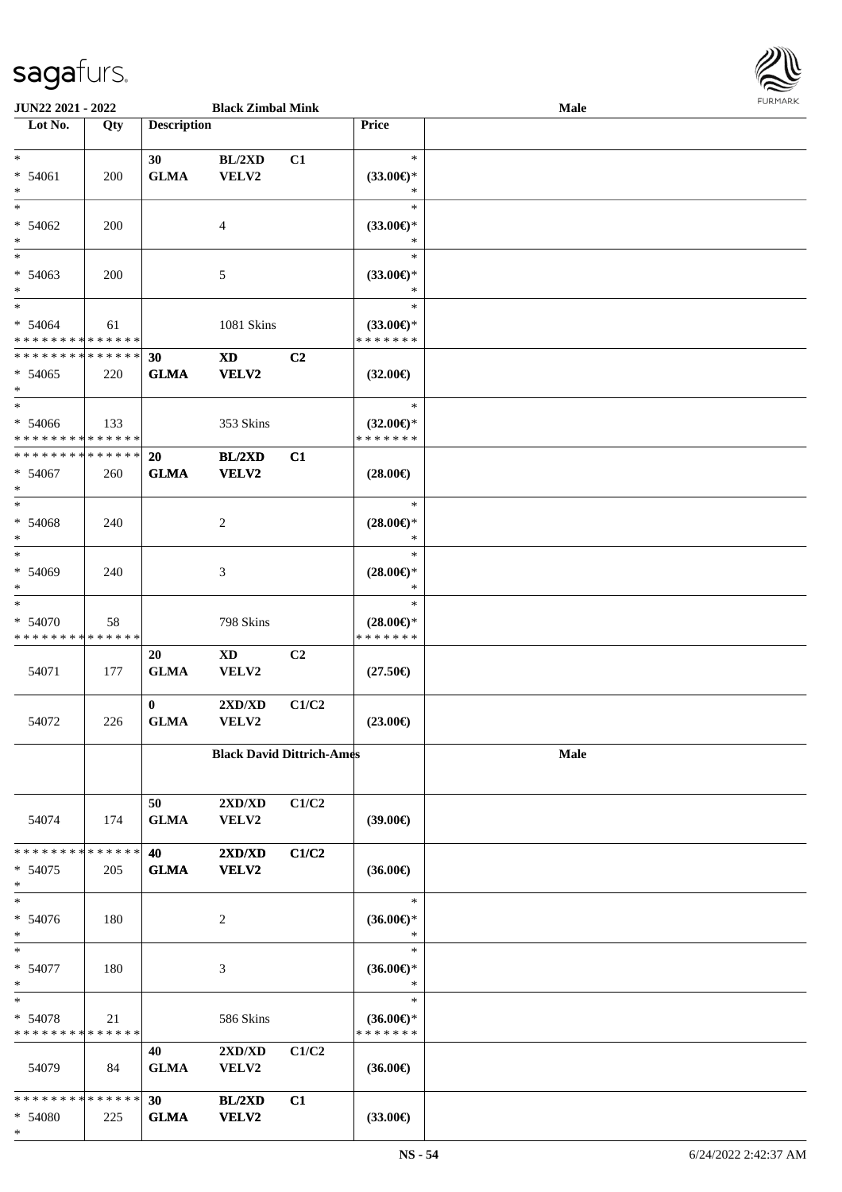| JUN22 2021 - 2022                        |             |                    | <b>Black Zimbal Mink</b>         |       |                                      | <b>Male</b> |  |
|------------------------------------------|-------------|--------------------|----------------------------------|-------|--------------------------------------|-------------|--|
| Lot No.                                  | Qty         | <b>Description</b> |                                  |       | Price                                |             |  |
| $\ast$                                   |             |                    |                                  |       | $\ast$                               |             |  |
| $* 54061$                                | 200         | 30<br>${\bf GLMA}$ | BL/2XD<br>VELV2                  | C1    | $(33.00\epsilon)$ *                  |             |  |
| $\ast$                                   |             |                    |                                  |       | $\ast$                               |             |  |
| $\ast$                                   |             |                    |                                  |       | $\ast$                               |             |  |
| * 54062                                  | 200         |                    | $\overline{4}$                   |       | $(33.00\epsilon)$ *                  |             |  |
| $\ast$                                   |             |                    |                                  |       | $\ast$                               |             |  |
| $\overline{\phantom{a}^*}$               |             |                    |                                  |       | $\ast$                               |             |  |
| $* 54063$                                | 200         |                    | $\sqrt{5}$                       |       | $(33.00\epsilon)$ *                  |             |  |
| $\ast$<br>$\ast$                         |             |                    |                                  |       | $\ast$<br>$\ast$                     |             |  |
| $* 54064$                                | 61          |                    | 1081 Skins                       |       | $(33.00\epsilon)$ *                  |             |  |
| * * * * * * * * * * * * * *              |             |                    |                                  |       | * * * * * * *                        |             |  |
| * * * * * * * * * * * * * *              |             | 30                 | $\mathbf{X}\mathbf{D}$           | C2    |                                      |             |  |
| $* 54065$                                | 220         | <b>GLMA</b>        | <b>VELV2</b>                     |       | $(32.00\epsilon)$                    |             |  |
| $\ast$                                   |             |                    |                                  |       |                                      |             |  |
| $\ast$                                   |             |                    |                                  |       | $\ast$                               |             |  |
| $* 54066$<br>* * * * * * * * * * * * * * | 133         |                    | 353 Skins                        |       | $(32.00\epsilon)$ *<br>* * * * * * * |             |  |
| * * * * * * * * * * * * * *              |             | 20                 | BL/2XD                           | C1    |                                      |             |  |
| $* 54067$                                | 260         | <b>GLMA</b>        | <b>VELV2</b>                     |       | $(28.00\epsilon)$                    |             |  |
| $\ast$                                   |             |                    |                                  |       |                                      |             |  |
| $\ast$                                   |             |                    |                                  |       | $\ast$                               |             |  |
| * 54068                                  | 240         |                    | $\sqrt{2}$                       |       | $(28.00\epsilon)$ *                  |             |  |
| $\ast$                                   |             |                    |                                  |       | $\ast$                               |             |  |
| $\overline{\phantom{a}^*}$               |             |                    |                                  |       | $\ast$                               |             |  |
| * 54069<br>$\ast$                        | 240         |                    | 3                                |       | $(28.00\epsilon)$ *<br>$\ast$        |             |  |
| $\ast$                                   |             |                    |                                  |       | $\ast$                               |             |  |
| * 54070                                  | 58          |                    | 798 Skins                        |       | $(28.00\epsilon)$ *                  |             |  |
| * * * * * * * * * * * * * *              |             |                    |                                  |       | * * * * * * *                        |             |  |
|                                          |             | 20                 | $\mathbf{X}\mathbf{D}$           | C2    |                                      |             |  |
| 54071                                    | 177         | <b>GLMA</b>        | VELV2                            |       | $(27.50\epsilon)$                    |             |  |
|                                          |             | $\mathbf{0}$       | 2XD/XD                           | C1/C2 |                                      |             |  |
| 54072                                    | 226         | <b>GLMA</b>        | VELV2                            |       | $(23.00\epsilon)$                    |             |  |
|                                          |             |                    |                                  |       |                                      |             |  |
|                                          |             |                    | <b>Black David Dittrich-Ames</b> |       |                                      | Male        |  |
|                                          |             |                    |                                  |       |                                      |             |  |
|                                          |             |                    |                                  |       |                                      |             |  |
| 54074                                    | 174         | 50<br><b>GLMA</b>  | 2XD/XD<br>VELV2                  | C1/C2 | $(39.00\epsilon)$                    |             |  |
|                                          |             |                    |                                  |       |                                      |             |  |
| * * * * * * * *                          | * * * * * * | 40                 | 2XD/XD                           | C1/C2 |                                      |             |  |
| $* 54075$                                | 205         | <b>GLMA</b>        | <b>VELV2</b>                     |       | $(36.00\epsilon)$                    |             |  |
| $\ast$                                   |             |                    |                                  |       |                                      |             |  |
| $\ast$                                   |             |                    |                                  |       | $\ast$                               |             |  |
| * 54076<br>$\ast$                        | 180         |                    | $\overline{c}$                   |       | $(36.00\epsilon)$ *<br>$\ast$        |             |  |
| $\ast$                                   |             |                    |                                  |       | $\ast$                               |             |  |
| $* 54077$                                | 180         |                    | $\mathfrak{Z}$                   |       | $(36.00\epsilon)$ *                  |             |  |
| $\ast$                                   |             |                    |                                  |       | $\ast$                               |             |  |
| $\ast$                                   |             |                    |                                  |       | $\ast$                               |             |  |
| * 54078                                  | 21          |                    | 586 Skins                        |       | $(36.00\epsilon)$ *                  |             |  |
| * * * * * * * * * * * * * *              |             |                    |                                  |       | * * * * * * *                        |             |  |
|                                          |             | 40                 | 2XD/XD                           | C1/C2 |                                      |             |  |
| 54079                                    | 84          | <b>GLMA</b>        | VELV2                            |       | $(36.00\epsilon)$                    |             |  |
| * * * * * * * * * * * * * *              |             | 30                 | BL/2XD                           | C1    |                                      |             |  |
| * 54080                                  | 225         | <b>GLMA</b>        | <b>VELV2</b>                     |       | $(33.00\epsilon)$                    |             |  |

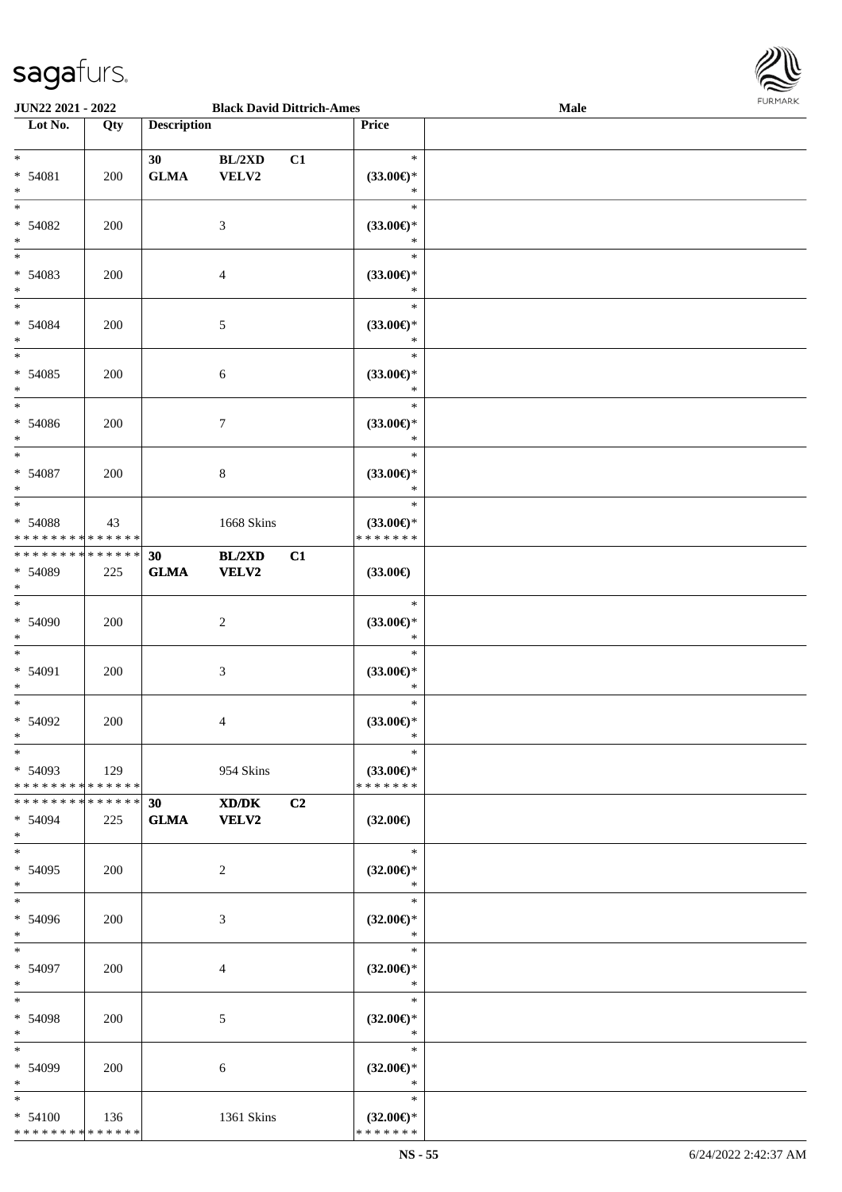

| JUN22 2021 - 2022                                                            |     |                                 | <b>Black David Dittrich-Ames</b> |    |                                                   | Male |  |
|------------------------------------------------------------------------------|-----|---------------------------------|----------------------------------|----|---------------------------------------------------|------|--|
| Lot No.                                                                      | Qty | <b>Description</b>              |                                  |    | Price                                             |      |  |
| $\overline{\ast}$<br>* 54081<br>$\ast$                                       | 200 | 30 <sup>°</sup><br>${\bf GLMA}$ | BL/2XD<br>VELV2                  | C1 | $\ast$<br>$(33.00\epsilon)$ *<br>$\ast$           |      |  |
| $\overline{\ast}$<br>$* 54082$<br>$\ast$                                     | 200 |                                 | 3                                |    | $\ast$<br>$(33.00\epsilon)$ *<br>$\ast$           |      |  |
| $\ast$<br>* 54083<br>$\ast$<br>$\overline{\phantom{0}}$                      | 200 |                                 | $\overline{4}$                   |    | $\ast$<br>$(33.00\epsilon)$ *<br>$\ast$           |      |  |
| $* 54084$<br>$\ast$<br>$\overline{\phantom{a}^*}$                            | 200 |                                 | $\mathfrak{S}$                   |    | $\ast$<br>$(33.00\epsilon)$ *<br>$\ast$           |      |  |
| $* 54085$<br>$\ast$                                                          | 200 |                                 | $\sqrt{6}$                       |    | $\ast$<br>$(33.00\epsilon)$ *<br>$\ast$           |      |  |
| $\ast$<br>$* 54086$<br>$\ast$<br>$\frac{1}{\ast}$                            | 200 |                                 | $\tau$                           |    | $\ast$<br>$(33.00\epsilon)$ *<br>$\ast$           |      |  |
| $* 54087$<br>$\ast$<br>$\overline{\ast}$                                     | 200 |                                 | $\,8\,$                          |    | $\ast$<br>$(33.00\epsilon)$ *<br>$\ast$<br>$\ast$ |      |  |
| * 54088<br>* * * * * * * * * * * * * *                                       | 43  |                                 | 1668 Skins                       |    | $(33.00\epsilon)$ *<br>* * * * * * *              |      |  |
| * * * * * * * * * * * * * *<br>* 54089<br>$\ast$<br>$\overline{\phantom{0}}$ | 225 | 30<br><b>GLMA</b>               | BL/2XD<br><b>VELV2</b>           | C1 | $(33.00\epsilon)$                                 |      |  |
| $* 54090$<br>$\ast$<br>$\ast$                                                | 200 |                                 | $\overline{c}$                   |    | $\ast$<br>$(33.00\epsilon)$ *<br>$\ast$<br>$\ast$ |      |  |
| * 54091<br>$\ast$<br>$*$                                                     | 200 |                                 | $\mathfrak{Z}$                   |    | $(33.00\epsilon)$ *<br>$\ast$<br>$\ast$           |      |  |
| $* 54092$<br>$*$<br>$*$                                                      | 200 |                                 | $\overline{4}$                   |    | $(33.00\epsilon)$ *<br>$\ast$<br>$\ast$           |      |  |
| $* 54093$<br>* * * * * * * * * * * * * * *                                   | 129 |                                 | 954 Skins                        |    | $(33.00\epsilon)$ *<br>* * * * * * *              |      |  |
| * * * * * * * * * * * * * * *<br>$* 54094$<br>$*$                            | 225 | 30<br><b>GLMA</b>               | XD/DK<br><b>VELV2</b>            | C2 | $(32.00\epsilon)$                                 |      |  |
| $*$<br>$* 54095$<br>$*$<br>$*$                                               | 200 |                                 | $\overline{2}$                   |    | $\ast$<br>$(32.00\epsilon)$ *<br>$\ast$<br>$\ast$ |      |  |
| * 54096<br>$*$<br>$\ast$                                                     | 200 |                                 | 3                                |    | $(32.00\epsilon)$ *<br>$\ast$<br>$\ast$           |      |  |
| * 54097<br>$*$<br>$*$                                                        | 200 |                                 | $\overline{4}$                   |    | $(32.00\epsilon)$ *<br>$\ast$<br>$\ast$           |      |  |
| * 54098<br>$*$<br>$*$                                                        | 200 |                                 | 5                                |    | $(32.00\epsilon)$ *<br>$\ast$<br>$\ast$           |      |  |
| * 54099<br>$*$<br>$\ast$                                                     | 200 |                                 | 6                                |    | $(32.00\epsilon)$ *<br>$\ast$<br>$\ast$           |      |  |
| $* 54100$<br>* * * * * * * * * * * * * *                                     | 136 |                                 | 1361 Skins                       |    | $(32.00\epsilon)$ *<br>* * * * * * *              |      |  |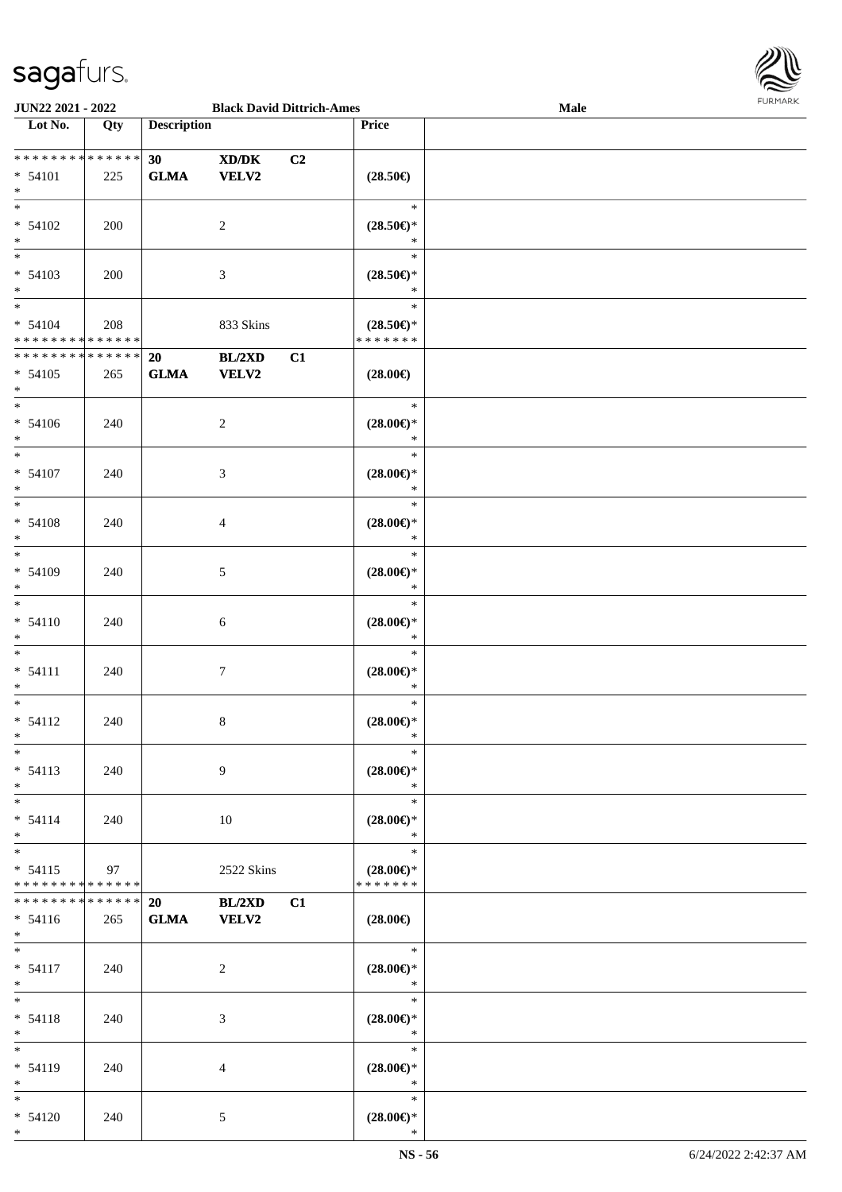

| JUN22 2021 - 2022                                     |     |                                | <b>Black David Dittrich-Ames</b> |                |                                                | Male |  |
|-------------------------------------------------------|-----|--------------------------------|----------------------------------|----------------|------------------------------------------------|------|--|
| Lot No.                                               | Qty | <b>Description</b>             |                                  |                | Price                                          |      |  |
|                                                       |     |                                |                                  |                |                                                |      |  |
| **************<br>* 54101<br>$*$                      | 225 | 30 <sup>°</sup><br><b>GLMA</b> | XD/DK<br><b>VELV2</b>            | C <sub>2</sub> | $(28.50\epsilon)$                              |      |  |
| $* 54102$<br>$\ast$<br>$\overline{\phantom{0}}$       | 200 |                                | 2                                |                | $\ast$<br>$(28.50\epsilon)$ *<br>$\ast$        |      |  |
| $* 54103$<br>$*$<br>$\overline{\ast}$                 | 200 |                                | 3                                |                | $\ast$<br>$(28.50\epsilon)$ *<br>$\ast$        |      |  |
| $* 54104$<br>* * * * * * * * * * * * * *              | 208 |                                | 833 Skins                        |                | $\ast$<br>$(28.50\epsilon)$ *<br>* * * * * * * |      |  |
| * * * * * * * * * * * * * *<br>$* 54105$<br>$*$       | 265 | 20<br><b>GLMA</b>              | BL/2XD<br><b>VELV2</b>           | C1             | $(28.00\epsilon)$                              |      |  |
| $*$<br>$* 54106$<br>$*$<br>$\overline{\phantom{a}^*}$ | 240 |                                | 2                                |                | $\ast$<br>$(28.00\epsilon)$ *<br>$\ast$        |      |  |
| $* 54107$<br>$\ast$                                   | 240 |                                | 3                                |                | $\ast$<br>$(28.00\epsilon)$ *<br>$\ast$        |      |  |
| $*$<br>$* 54108$<br>$*$                               | 240 |                                | 4                                |                | $\ast$<br>$(28.00\epsilon)$ *<br>$\ast$        |      |  |
| $\ast$<br>* 54109<br>$*$                              | 240 |                                | 5                                |                | $\ast$<br>$(28.00\epsilon)$ *<br>$\ast$        |      |  |
| $*$<br>$* 54110$<br>$*$                               | 240 |                                | 6                                |                | $\ast$<br>$(28.00\epsilon)$ *<br>$\ast$        |      |  |
| $*$<br>$* 54111$<br>$*$                               | 240 |                                | $\tau$                           |                | $\ast$<br>$(28.00\epsilon)$ *<br>$\ast$        |      |  |
| $*$<br>$* 54112$<br>$*$                               | 240 |                                | 8                                |                | $\ast$<br>$(28.00\epsilon)$ *<br>$\ast$        |      |  |
| $\ast$<br>$* 54113$<br>$*$                            | 240 |                                | 9                                |                | $\ast$<br>$(28.00\epsilon)$ *<br>$\ast$        |      |  |
| $\overline{\ast}$<br>$* 54114$<br>$*$                 | 240 |                                | 10                               |                | $\ast$<br>$(28.00\epsilon)$ *<br>$\ast$        |      |  |
| $*$<br>$* 54115$<br>* * * * * * * * * * * * * *       | 97  |                                | 2522 Skins                       |                | $\ast$<br>$(28.00\epsilon)$ *<br>* * * * * * * |      |  |
| * * * * * * * * * * * * * *<br>$* 54116$<br>$*$ $*$   | 265 | 20<br><b>GLMA</b>              | BL/2XD<br><b>VELV2</b>           | C1             | $(28.00\epsilon)$                              |      |  |
| $*$<br>$* 54117$<br>$*$                               | 240 |                                | $\overline{c}$                   |                | $\ast$<br>$(28.00\epsilon)$ *<br>$\ast$        |      |  |
| $*$<br>$* 54118$<br>$*$                               | 240 |                                | 3                                |                | $\ast$<br>$(28.00\epsilon)$ *<br>$\ast$        |      |  |
| $*$<br>* 54119<br>$*$                                 | 240 |                                | 4                                |                | $\ast$<br>$(28.00\epsilon)$ *<br>$\ast$        |      |  |
| $*$ and $*$<br>$* 54120$<br>$*$                       | 240 |                                | 5                                |                | $\ast$<br>$(28.00\epsilon)$ *<br>$\ast$        |      |  |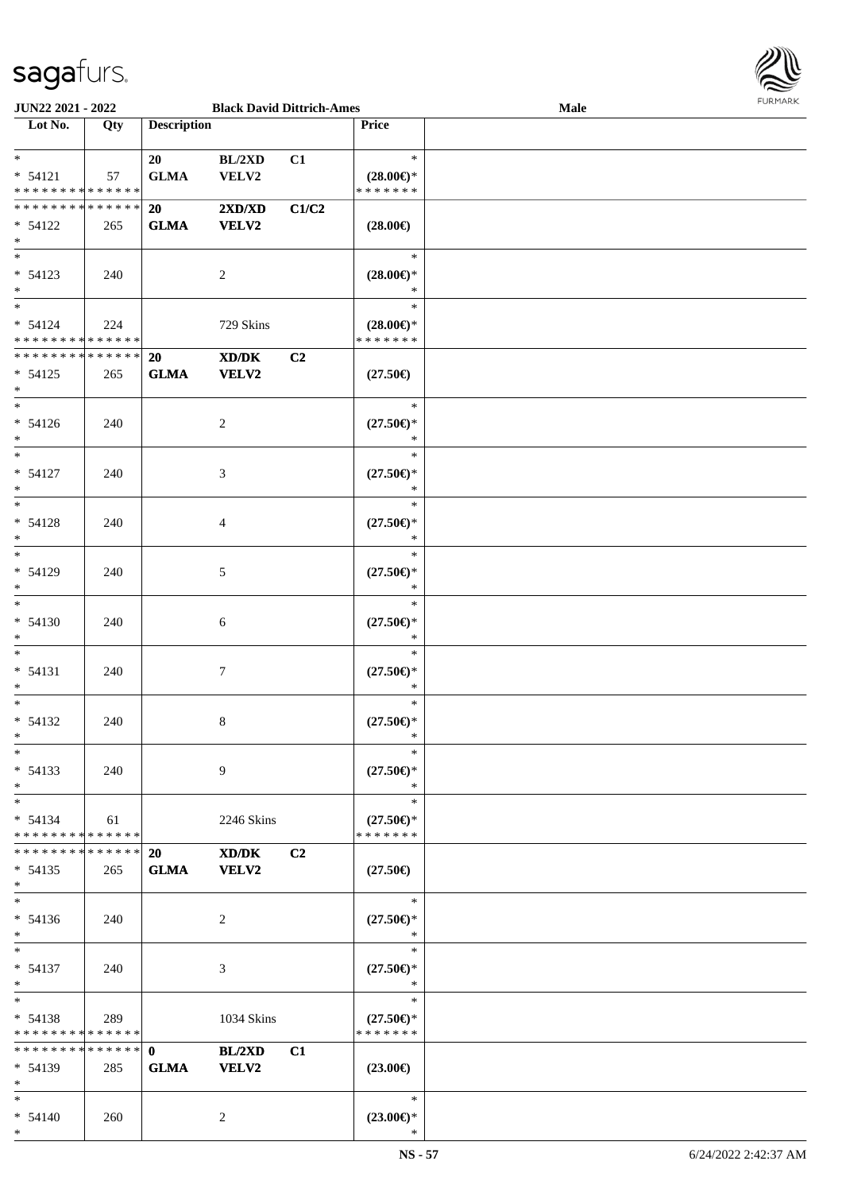

| <b>JUN22 2021 - 2022</b>                   |     |                    | <b>Black David Dittrich-Ames</b> |                |                                      | Male |  |
|--------------------------------------------|-----|--------------------|----------------------------------|----------------|--------------------------------------|------|--|
| Lot No.                                    | Qty | <b>Description</b> |                                  |                | <b>Price</b>                         |      |  |
|                                            |     |                    |                                  |                |                                      |      |  |
| $*$                                        |     | 20                 | BL/2XD                           | C1             | $\ast$                               |      |  |
| $* 54121$                                  | 57  | <b>GLMA</b>        | VELV2                            |                | $(28.00\epsilon)$ *                  |      |  |
| * * * * * * * * <mark>* * * * * * *</mark> |     |                    |                                  |                | * * * * * * *                        |      |  |
| * * * * * * * * * * * * * * <mark>*</mark> |     | 20                 | 2XD/XD                           | C1/C2          |                                      |      |  |
| $* 54122$                                  | 265 | <b>GLMA</b>        | <b>VELV2</b>                     |                | $(28.00\epsilon)$                    |      |  |
| $*$                                        |     |                    |                                  |                |                                      |      |  |
|                                            |     |                    |                                  |                | $\ast$                               |      |  |
| $* 54123$                                  | 240 |                    | 2                                |                | $(28.00\epsilon)$ *                  |      |  |
| $*$                                        |     |                    |                                  |                | $\ast$                               |      |  |
| $*$                                        |     |                    |                                  |                | $\ast$                               |      |  |
|                                            |     |                    |                                  |                |                                      |      |  |
| $* 54124$<br>* * * * * * * * * * * * * *   | 224 |                    | 729 Skins                        |                | $(28.00\epsilon)$ *<br>* * * * * * * |      |  |
|                                            |     |                    |                                  |                |                                      |      |  |
| * * * * * * * * <mark>* * * * * * *</mark> |     | 20                 | XD/DK                            | C2             |                                      |      |  |
| $* 54125$                                  | 265 | <b>GLMA</b>        | <b>VELV2</b>                     |                | $(27.50\epsilon)$                    |      |  |
| $\ast$                                     |     |                    |                                  |                |                                      |      |  |
| $*$                                        |     |                    |                                  |                | $\ast$                               |      |  |
| $* 54126$                                  | 240 |                    | 2                                |                | $(27.50\epsilon)$ *                  |      |  |
| $*$                                        |     |                    |                                  |                | $\ast$                               |      |  |
| $\overline{\ast}$                          |     |                    |                                  |                | $\ast$                               |      |  |
| $* 54127$                                  | 240 |                    | 3                                |                | $(27.50\epsilon)$ *                  |      |  |
| $*$                                        |     |                    |                                  |                | $\ast$                               |      |  |
| $*$                                        |     |                    |                                  |                | $\ast$                               |      |  |
| $* 54128$                                  | 240 |                    | 4                                |                | $(27.50\epsilon)$ *                  |      |  |
| $*$                                        |     |                    |                                  |                | $\ast$                               |      |  |
| $*$                                        |     |                    |                                  |                | $\ast$                               |      |  |
| * 54129                                    | 240 |                    | 5                                |                | $(27.50\epsilon)$ *                  |      |  |
| $*$                                        |     |                    |                                  |                | $\ast$                               |      |  |
| $\overline{\ast}$                          |     |                    |                                  |                | $\ast$                               |      |  |
| $* 54130$                                  | 240 |                    | 6                                |                | $(27.50\epsilon)$ *                  |      |  |
| $*$                                        |     |                    |                                  |                | $\ast$                               |      |  |
| $*$                                        |     |                    |                                  |                | $\ast$                               |      |  |
| $* 54131$                                  | 240 |                    | $\tau$                           |                | $(27.50\epsilon)$ *                  |      |  |
| $\ast$                                     |     |                    |                                  |                | $\ast$                               |      |  |
| $*$                                        |     |                    |                                  |                | $\ast$                               |      |  |
| $* 54132$                                  | 240 |                    | 8                                |                | $(27.50\epsilon)$ *                  |      |  |
| $*$                                        |     |                    |                                  |                | $\ast$                               |      |  |
| $*$                                        |     |                    |                                  |                | $\ast$                               |      |  |
|                                            |     |                    |                                  |                |                                      |      |  |
| $* 54133$                                  | 240 |                    | 9                                |                | $(27.50\epsilon)$ *                  |      |  |
| $*$                                        |     |                    |                                  |                | $\ast$                               |      |  |
| $*$ $-$                                    |     |                    |                                  |                | $\ast$                               |      |  |
| $* 54134$                                  | 61  |                    | 2246 Skins                       |                | $(27.50\epsilon)$ *                  |      |  |
| * * * * * * * * * * * * * *                |     |                    |                                  |                | * * * * * * *                        |      |  |
| * * * * * * * * <mark>* * * * * * *</mark> |     | <b>20</b>          | XD/DK                            | C <sub>2</sub> |                                      |      |  |
| $* 54135$                                  | 265 | <b>GLMA</b>        | <b>VELV2</b>                     |                | $(27.50\epsilon)$                    |      |  |
| $*$                                        |     |                    |                                  |                |                                      |      |  |
| $*$                                        |     |                    |                                  |                | $\ast$                               |      |  |
| $* 54136$                                  | 240 |                    | 2                                |                | $(27.50\epsilon)$ *                  |      |  |
| $*$                                        |     |                    |                                  |                | $\ast$                               |      |  |
| $*$ $-$                                    |     |                    |                                  |                | $\ast$                               |      |  |
| $* 54137$                                  | 240 |                    | 3                                |                | $(27.50\epsilon)$ *                  |      |  |
| $*$                                        |     |                    |                                  |                | $\ast$                               |      |  |
| $*$ $-$                                    |     |                    |                                  |                | $\ast$                               |      |  |
| $* 54138$                                  | 289 |                    | 1034 Skins                       |                | $(27.50\epsilon)$ *                  |      |  |
| * * * * * * * * <mark>* * * * * *</mark>   |     |                    |                                  |                | * * * * * * *                        |      |  |
| * * * * * * * * * * * * * * *              |     | $\mathbf{0}$       | <b>BL/2XD</b>                    | C1             |                                      |      |  |
| $* 54139$                                  | 285 | <b>GLMA</b>        | <b>VELV2</b>                     |                | $(23.00\epsilon)$                    |      |  |
| $*$                                        |     |                    |                                  |                |                                      |      |  |
| $*$                                        |     |                    |                                  |                | $\ast$                               |      |  |
| $* 54140$                                  | 260 |                    | 2                                |                | $(23.00\epsilon)$ *                  |      |  |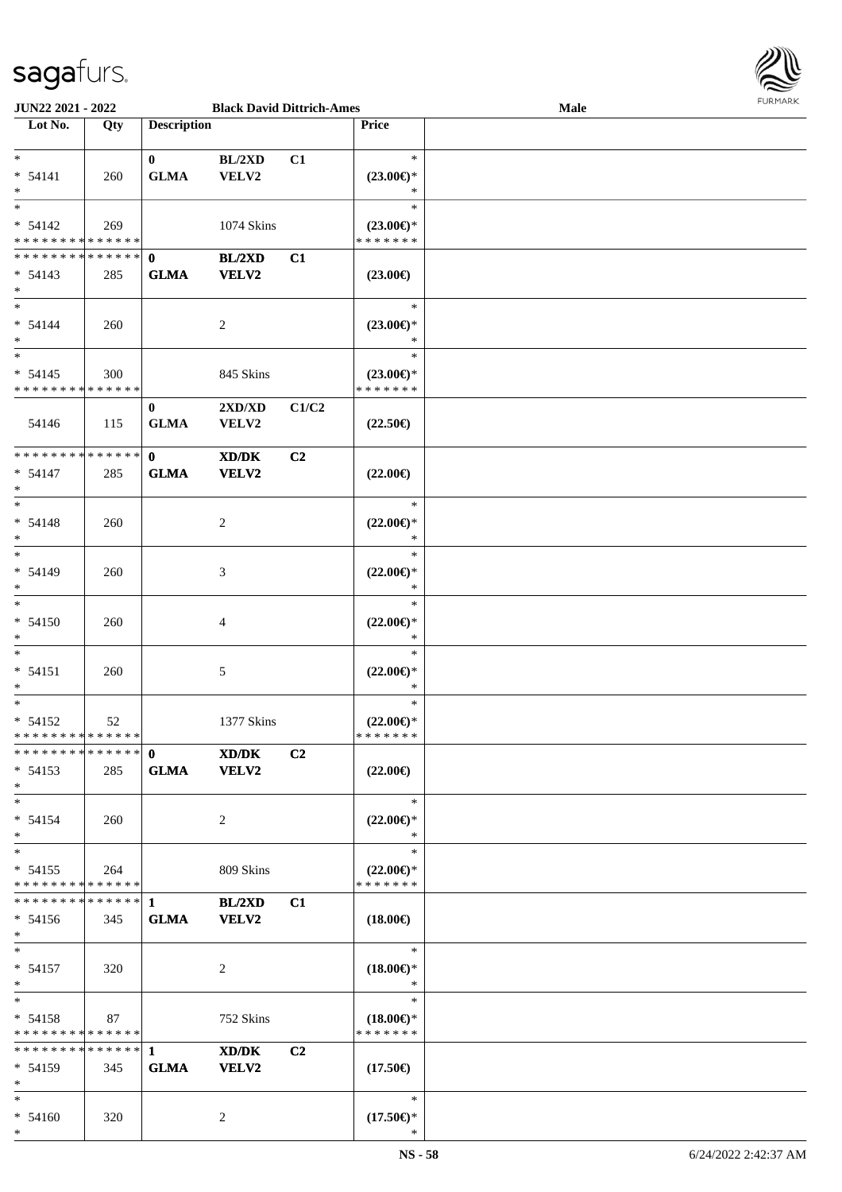

| <b>JUN22 2021 - 2022</b>                   |     |                    | <b>Black David Dittrich-Ames</b> |                |                                      | Male |  |
|--------------------------------------------|-----|--------------------|----------------------------------|----------------|--------------------------------------|------|--|
| Lot No.                                    | Qty | <b>Description</b> |                                  |                | <b>Price</b>                         |      |  |
|                                            |     |                    |                                  |                |                                      |      |  |
| $*$                                        |     | $\mathbf{0}$       | BL/2XD                           | C1             | $\ast$                               |      |  |
| $* 54141$                                  | 260 | <b>GLMA</b>        | VELV2                            |                | $(23.00\epsilon)$ *                  |      |  |
| $*$                                        |     |                    |                                  |                | ∗                                    |      |  |
| $\ast$                                     |     |                    |                                  |                | $\ast$                               |      |  |
| $* 54142$                                  | 269 |                    | 1074 Skins                       |                | $(23.00\epsilon)$ *                  |      |  |
| * * * * * * * * <mark>* * * * * * *</mark> |     |                    |                                  |                | * * * * * * *                        |      |  |
| * * * * * * * * <mark>* * * * * * *</mark> |     | $\mathbf{0}$       | BL/2XD                           | C1             |                                      |      |  |
|                                            |     |                    |                                  |                |                                      |      |  |
| $* 54143$                                  | 285 | <b>GLMA</b>        | <b>VELV2</b>                     |                | $(23.00\epsilon)$                    |      |  |
| $*$                                        |     |                    |                                  |                |                                      |      |  |
| $\ddot{x}$                                 |     |                    |                                  |                | $\ast$                               |      |  |
| $* 54144$                                  | 260 |                    | 2                                |                | $(23.00\epsilon)$ *                  |      |  |
| $\ast$                                     |     |                    |                                  |                | $\ast$                               |      |  |
| $\ast$                                     |     |                    |                                  |                | $\ast$                               |      |  |
| $* 54145$                                  | 300 |                    | 845 Skins                        |                | $(23.00\epsilon)$ *                  |      |  |
| * * * * * * * * * * * * * * *              |     |                    |                                  |                | * * * * * * *                        |      |  |
|                                            |     | $\bf{0}$           | $2{\bf X}{\bf D}/{\bf X}{\bf D}$ | C1/C2          |                                      |      |  |
| 54146                                      | 115 | <b>GLMA</b>        | <b>VELV2</b>                     |                | $(22.50\epsilon)$                    |      |  |
|                                            |     |                    |                                  |                |                                      |      |  |
| * * * * * * * * * * * * * * <mark>*</mark> |     | $\mathbf{0}$       |                                  |                |                                      |      |  |
|                                            |     |                    | XD/DK                            | C <sub>2</sub> |                                      |      |  |
| $* 54147$                                  | 285 | <b>GLMA</b>        | <b>VELV2</b>                     |                | $(22.00\epsilon)$                    |      |  |
| $\ast$                                     |     |                    |                                  |                |                                      |      |  |
| $\ast$                                     |     |                    |                                  |                | $\ast$                               |      |  |
| $* 54148$                                  | 260 |                    | 2                                |                | $(22.00\epsilon)$ *                  |      |  |
| $\ast$                                     |     |                    |                                  |                | $\ast$                               |      |  |
| $\ast$                                     |     |                    |                                  |                | $\ast$                               |      |  |
| $* 54149$                                  | 260 |                    | 3                                |                | $(22.00\epsilon)$ *                  |      |  |
| $\ast$                                     |     |                    |                                  |                | $\ast$                               |      |  |
| $\ast$                                     |     |                    |                                  |                | $\ast$                               |      |  |
|                                            |     |                    |                                  |                |                                      |      |  |
| $* 54150$                                  | 260 |                    | 4                                |                | $(22.00\epsilon)$ *                  |      |  |
| $\ast$                                     |     |                    |                                  |                | $\ast$                               |      |  |
| $\ast$                                     |     |                    |                                  |                | $\ast$                               |      |  |
| $* 54151$                                  | 260 |                    | 5                                |                | $(22.00\epsilon)$ *                  |      |  |
| $\ast$                                     |     |                    |                                  |                | $\ast$                               |      |  |
| $\ast$                                     |     |                    |                                  |                | $\ast$                               |      |  |
| $* 54152$                                  | 52  |                    | 1377 Skins                       |                | $(22.00\epsilon)$ *                  |      |  |
| * * * * * * * * <mark>* * * * * *</mark>   |     |                    |                                  |                | *******                              |      |  |
|                                            |     |                    | XD/DK                            | C <sub>2</sub> |                                      |      |  |
| $* 54153$                                  | 285 | <b>GLMA</b>        | <b>VELV2</b>                     |                | $(22.00\epsilon)$                    |      |  |
| $\ast$                                     |     |                    |                                  |                |                                      |      |  |
| $*$ $-$                                    |     |                    |                                  |                | $*$                                  |      |  |
|                                            |     |                    |                                  |                |                                      |      |  |
| $* 54154$                                  | 260 |                    | 2                                |                | $(22.00\epsilon)$ *                  |      |  |
| $\ast$                                     |     |                    |                                  |                | $\ast$                               |      |  |
| $\ast$                                     |     |                    |                                  |                | $\ast$                               |      |  |
| $* 54155$                                  | 264 |                    | 809 Skins                        |                | $(22.00\epsilon)$ *                  |      |  |
| * * * * * * * * <mark>* * * * * * *</mark> |     |                    |                                  |                | * * * * * * *                        |      |  |
|                                            |     |                    | <b>BL/2XD</b>                    | C1             |                                      |      |  |
| $* 54156$                                  | 345 | <b>GLMA</b>        | <b>VELV2</b>                     |                | $(18.00\epsilon)$                    |      |  |
| $*$                                        |     |                    |                                  |                |                                      |      |  |
| $*$ $*$                                    |     |                    |                                  |                | $\ast$                               |      |  |
| $* 54157$                                  | 320 |                    | 2                                |                | $(18.00\epsilon)$ *                  |      |  |
| $*$                                        |     |                    |                                  |                | $*$                                  |      |  |
| $\ddot{x}$                                 |     |                    |                                  |                | $\ast$                               |      |  |
| $* 54158$                                  | 87  |                    | 752 Skins                        |                |                                      |      |  |
| * * * * * * * * <mark>* * * * * *</mark>   |     |                    |                                  |                | $(18.00\epsilon)$ *<br>* * * * * * * |      |  |
|                                            |     |                    |                                  |                |                                      |      |  |
|                                            |     |                    | XD/DK                            | C2             |                                      |      |  |
| $* 54159$                                  | 345 | <b>GLMA</b>        | <b>VELV2</b>                     |                | $(17.50\epsilon)$                    |      |  |
| $*$                                        |     |                    |                                  |                |                                      |      |  |
| $\ddot{x}$                                 |     |                    |                                  |                | $\ast$                               |      |  |
| $* 54160$                                  | 320 |                    | 2                                |                | $(17.50\epsilon)$ *                  |      |  |
| $\ast$                                     |     |                    |                                  |                | $\ast$                               |      |  |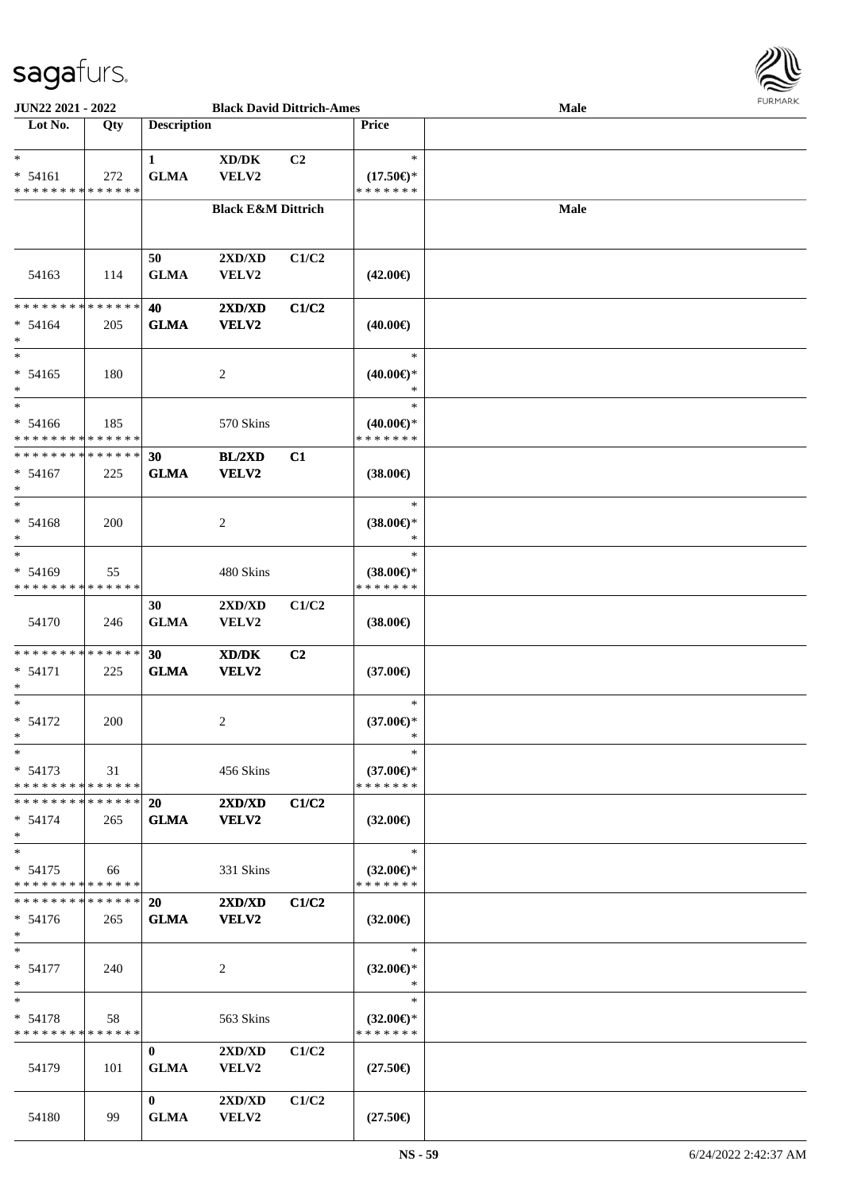

| <b>JUN22 2021 - 2022</b>                   |             |                    | <b>Black David Dittrich-Ames</b> |                |                        | Male |  |
|--------------------------------------------|-------------|--------------------|----------------------------------|----------------|------------------------|------|--|
| Lot No.                                    | Qty         | <b>Description</b> |                                  |                | Price                  |      |  |
|                                            |             |                    |                                  |                |                        |      |  |
| $*$                                        |             | $\mathbf{1}$       | XD/DK                            | C <sub>2</sub> | $\ast$                 |      |  |
| $* 54161$                                  | 272         | <b>GLMA</b>        | VELV2                            |                | $(17.50\epsilon)$ *    |      |  |
| * * * * * * * * * * * * * *                |             |                    |                                  |                | * * * * * * *          |      |  |
|                                            |             |                    |                                  |                |                        |      |  |
|                                            |             |                    | <b>Black E&amp;M Dittrich</b>    |                |                        | Male |  |
|                                            |             |                    |                                  |                |                        |      |  |
|                                            |             |                    |                                  |                |                        |      |  |
|                                            |             | 50                 | 2XD/XD                           | C1/C2          |                        |      |  |
| 54163                                      | 114         | <b>GLMA</b>        | VELV2                            |                | $(42.00\epsilon)$      |      |  |
|                                            |             |                    |                                  |                |                        |      |  |
| * * * * * * * * <mark>* * * * * * *</mark> |             | 40                 | 2XD/XD                           | C1/C2          |                        |      |  |
| $* 54164$                                  | 205         | <b>GLMA</b>        | VELV2                            |                | $(40.00\epsilon)$      |      |  |
| $*$                                        |             |                    |                                  |                |                        |      |  |
| $*$                                        |             |                    |                                  |                | $\ast$                 |      |  |
| $* 54165$                                  | 180         |                    |                                  |                |                        |      |  |
|                                            |             |                    | 2                                |                | $(40.00€)$ *<br>$\ast$ |      |  |
| $\ast$                                     |             |                    |                                  |                |                        |      |  |
| $*$                                        |             |                    |                                  |                | $\ast$                 |      |  |
| $* 54166$                                  | 185         |                    | 570 Skins                        |                | $(40.00€)$ *           |      |  |
| * * * * * * * * <mark>* * * * * *</mark>   |             |                    |                                  |                | * * * * * * *          |      |  |
| * * * * * * * * <mark>* * * * * *</mark>   |             | 30                 | BL/2XD                           | C1             |                        |      |  |
| $* 54167$                                  | 225         | <b>GLMA</b>        | <b>VELV2</b>                     |                | $(38.00\epsilon)$      |      |  |
| $\ast$                                     |             |                    |                                  |                |                        |      |  |
| $*$                                        |             |                    |                                  |                | $\ast$                 |      |  |
| $* 54168$                                  | 200         |                    | 2                                |                | $(38.00€)$ *           |      |  |
| $\ast$                                     |             |                    |                                  |                | ∗                      |      |  |
| $*$                                        |             |                    |                                  |                | $\ast$                 |      |  |
| $* 54169$                                  | 55          |                    | 480 Skins                        |                | $(38.00€)$ *           |      |  |
| * * * * * * * *                            | * * * * * * |                    |                                  |                | * * * * * * *          |      |  |
|                                            |             |                    |                                  |                |                        |      |  |
|                                            |             | 30                 | 2XD/XD                           | C1/C2          |                        |      |  |
| 54170                                      | 246         | <b>GLMA</b>        | <b>VELV2</b>                     |                | $(38.00\epsilon)$      |      |  |
|                                            |             |                    |                                  |                |                        |      |  |
| * * * * * * * * <mark>* * * * * *</mark>   |             | 30                 | XD/DK                            | C2             |                        |      |  |
| $* 54171$                                  | 225         | <b>GLMA</b>        | VELV2                            |                | $(37.00\epsilon)$      |      |  |
| *                                          |             |                    |                                  |                |                        |      |  |
| $*$                                        |             |                    |                                  |                | $\ast$                 |      |  |
| * 54172                                    | <b>200</b>  |                    | 2                                |                | $(37.00\epsilon)$ *    |      |  |
| $*$                                        |             |                    |                                  |                | $\ast$                 |      |  |
| $\ast$                                     |             |                    |                                  |                | $\ast$                 |      |  |
| $* 54173$                                  | 31          |                    | 456 Skins                        |                | $(37.00\epsilon)$ *    |      |  |
| * * * * * * * * * * * * * * *              |             |                    |                                  |                | * * * * * * *          |      |  |
| * * * * * * * * * * * * * * *              |             | <b>20</b>          | 2XD/XD                           | C1/C2          |                        |      |  |
| $* 54174$                                  | 265         |                    | VELV2                            |                |                        |      |  |
| $\ast$                                     |             | <b>GLMA</b>        |                                  |                | $(32.00\epsilon)$      |      |  |
| $*$                                        |             |                    |                                  |                | $\ast$                 |      |  |
|                                            |             |                    |                                  |                |                        |      |  |
| $* 54175$                                  | 66          |                    | 331 Skins                        |                | $(32.00\epsilon)$ *    |      |  |
| * * * * * * * * <mark>* * * * * *</mark>   |             |                    |                                  |                | * * * * * * *          |      |  |
| * * * * * * * * * * * * * * <mark>*</mark> |             | <b>20</b>          | 2XD/XD                           | C1/C2          |                        |      |  |
| $* 54176$                                  | 265         | <b>GLMA</b>        | VELV2                            |                | $(32.00\epsilon)$      |      |  |
| $*$                                        |             |                    |                                  |                |                        |      |  |
| $*$ $-$                                    |             |                    |                                  |                | $\ast$                 |      |  |
| $* 54177$                                  | 240         |                    | 2                                |                | $(32.00\epsilon)$ *    |      |  |
| $\ast$                                     |             |                    |                                  |                | $\ast$                 |      |  |
| $*$                                        |             |                    |                                  |                | $\ast$                 |      |  |
| $* 54178$                                  | 58          |                    | 563 Skins                        |                | $(32.00€)$ *           |      |  |
| * * * * * * * * * * * * * * *              |             |                    |                                  |                | * * * * * * *          |      |  |
|                                            |             | $\bf{0}$           | 2XD/XD                           | C1/C2          |                        |      |  |
|                                            |             |                    |                                  |                |                        |      |  |
| 54179                                      | 101         | <b>GLMA</b>        | <b>VELV2</b>                     |                | $(27.50\epsilon)$      |      |  |
|                                            |             |                    |                                  |                |                        |      |  |
|                                            |             | $\bf{0}$           | $2{\bf X}{\bf D}/{\bf X}{\bf D}$ | C1/C2          |                        |      |  |
| 54180                                      | 99          | <b>GLMA</b>        | VELV2                            |                | $(27.50\epsilon)$      |      |  |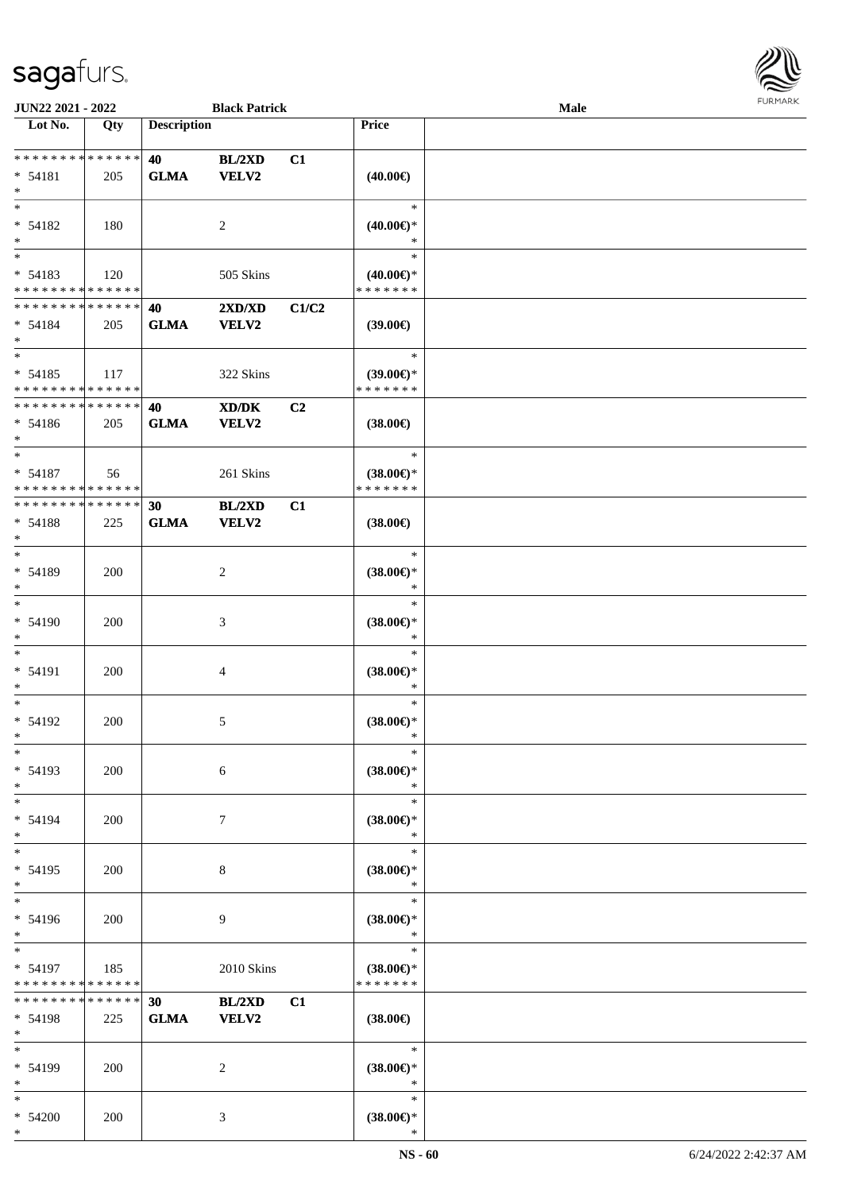

| JUN22 2021 - 2022            |             |                    | <b>Black Patrick</b> |       |                     | Male |  |
|------------------------------|-------------|--------------------|----------------------|-------|---------------------|------|--|
| Lot No.                      | Qty         | <b>Description</b> |                      |       | Price               |      |  |
|                              |             |                    |                      |       |                     |      |  |
| ******** <mark>******</mark> |             | 40                 | BL/2XD               | C1    |                     |      |  |
| $* 54181$                    | 205         | <b>GLMA</b>        | <b>VELV2</b>         |       | $(40.00\epsilon)$   |      |  |
| $\ast$                       |             |                    |                      |       |                     |      |  |
| $\ast$                       |             |                    |                      |       | $\ast$              |      |  |
| * 54182                      | 180         |                    | $\overline{2}$       |       | $(40.00\epsilon)$ * |      |  |
| $\ast$                       |             |                    |                      |       | $\ast$              |      |  |
| $\overline{\phantom{a}^*}$   |             |                    |                      |       | $\ast$              |      |  |
| $* 54183$                    | 120         |                    | 505 Skins            |       | $(40.00\epsilon)$ * |      |  |
| * * * * * * * * * * * * * *  |             |                    |                      |       | * * * * * * *       |      |  |
| * * * * * * * * * * * * * *  |             | 40                 | 2XD/XD               | C1/C2 |                     |      |  |
|                              |             |                    |                      |       |                     |      |  |
| $* 54184$<br>$*$             | 205         | <b>GLMA</b>        | <b>VELV2</b>         |       | (39.00)             |      |  |
| $*$                          |             |                    |                      |       | $\ast$              |      |  |
|                              |             |                    |                      |       |                     |      |  |
| $* 54185$                    | 117         |                    | 322 Skins            |       | $(39.00\epsilon)$ * |      |  |
| * * * * * * * * * * * * * *  |             |                    |                      |       | * * * * * * *       |      |  |
| * * * * * * * * * * * * * *  |             | 40                 | XD/DK                | C2    |                     |      |  |
| $* 54186$                    | 205         | <b>GLMA</b>        | VELV2                |       | $(38.00\epsilon)$   |      |  |
| $*$                          |             |                    |                      |       |                     |      |  |
| $\ast$                       |             |                    |                      |       | $\ast$              |      |  |
| $* 54187$                    | 56          |                    | 261 Skins            |       | $(38.00\epsilon)$ * |      |  |
| * * * * * * * * * * * * * *  |             |                    |                      |       | * * * * * * *       |      |  |
| * * * * * * * * * * * * * *  |             | 30                 | BL/2XD               | C1    |                     |      |  |
| $* 54188$                    | 225         | <b>GLMA</b>        | VELV2                |       | $(38.00\epsilon)$   |      |  |
| $\ast$                       |             |                    |                      |       |                     |      |  |
| $\ast$                       |             |                    |                      |       | $\ast$              |      |  |
| * 54189                      | 200         |                    | $\sqrt{2}$           |       | $(38.00\epsilon)$ * |      |  |
| $\ast$                       |             |                    |                      |       | $\ast$              |      |  |
| $\overline{\ast}$            |             |                    |                      |       | $\ast$              |      |  |
|                              |             |                    |                      |       |                     |      |  |
| * 54190                      | 200         |                    | $\mathfrak{Z}$       |       | $(38.00\epsilon)$ * |      |  |
| $\ast$                       |             |                    |                      |       | $\ast$              |      |  |
| $\ast$                       |             |                    |                      |       | $\ast$              |      |  |
| * 54191                      | 200         |                    | $\overline{4}$       |       | $(38.00\epsilon)$ * |      |  |
| $\ast$                       |             |                    |                      |       | $\ast$              |      |  |
| $\ast$                       |             |                    |                      |       | $\ast$              |      |  |
| $* 54192$                    | 200         |                    | $\mathfrak{S}$       |       | $(38.00\epsilon)$ * |      |  |
| $*$                          |             |                    |                      |       | $\ast$              |      |  |
| $\ast$                       |             |                    |                      |       | $\ast$              |      |  |
| * 54193                      | 200         |                    | $\sqrt{6}$           |       | $(38.00\epsilon)$ * |      |  |
| $\ast$                       |             |                    |                      |       | $\ast$              |      |  |
| $\ast$                       |             |                    |                      |       | $\ast$              |      |  |
| * 54194                      | 200         |                    | $\tau$               |       | $(38.00\epsilon)$ * |      |  |
| $\ast$                       |             |                    |                      |       | $\ast$              |      |  |
| $\ast$                       |             |                    |                      |       | $\ast$              |      |  |
| $* 54195$                    | 200         |                    | 8                    |       | $(38.00\in)^\ast$   |      |  |
| $\ast$                       |             |                    |                      |       | $\ast$              |      |  |
| $\ast$                       |             |                    |                      |       | $\ast$              |      |  |
|                              |             |                    |                      |       |                     |      |  |
| * 54196                      | 200         |                    | 9                    |       | $(38.00\epsilon)$ * |      |  |
| $\ast$<br>$\ast$             |             |                    |                      |       | $\ast$<br>$\ast$    |      |  |
|                              |             |                    |                      |       |                     |      |  |
| $* 54197$                    | 185         |                    | 2010 Skins           |       | $(38.00\epsilon)$ * |      |  |
| * * * * * * * * * * * * * *  |             |                    |                      |       | * * * * * * *       |      |  |
| * * * * * * * *              | * * * * * * | 30 <sup>°</sup>    | BL/2XD               | C1    |                     |      |  |
| $* 54198$                    | 225         | <b>GLMA</b>        | <b>VELV2</b>         |       | $(38.00\epsilon)$   |      |  |
| $*$                          |             |                    |                      |       |                     |      |  |
| $\ast$                       |             |                    |                      |       | $\ast$              |      |  |
| $* 54199$                    | 200         |                    | 2                    |       | $(38.00\epsilon)$ * |      |  |
| $*$                          |             |                    |                      |       | $\ast$              |      |  |
| $\ast$                       |             |                    |                      |       | $\ast$              |      |  |
| $* 54200$                    | 200         |                    | $\mathfrak{Z}$       |       | $(38.00\epsilon)$ * |      |  |
| $\ast$                       |             |                    |                      |       | $\ast$              |      |  |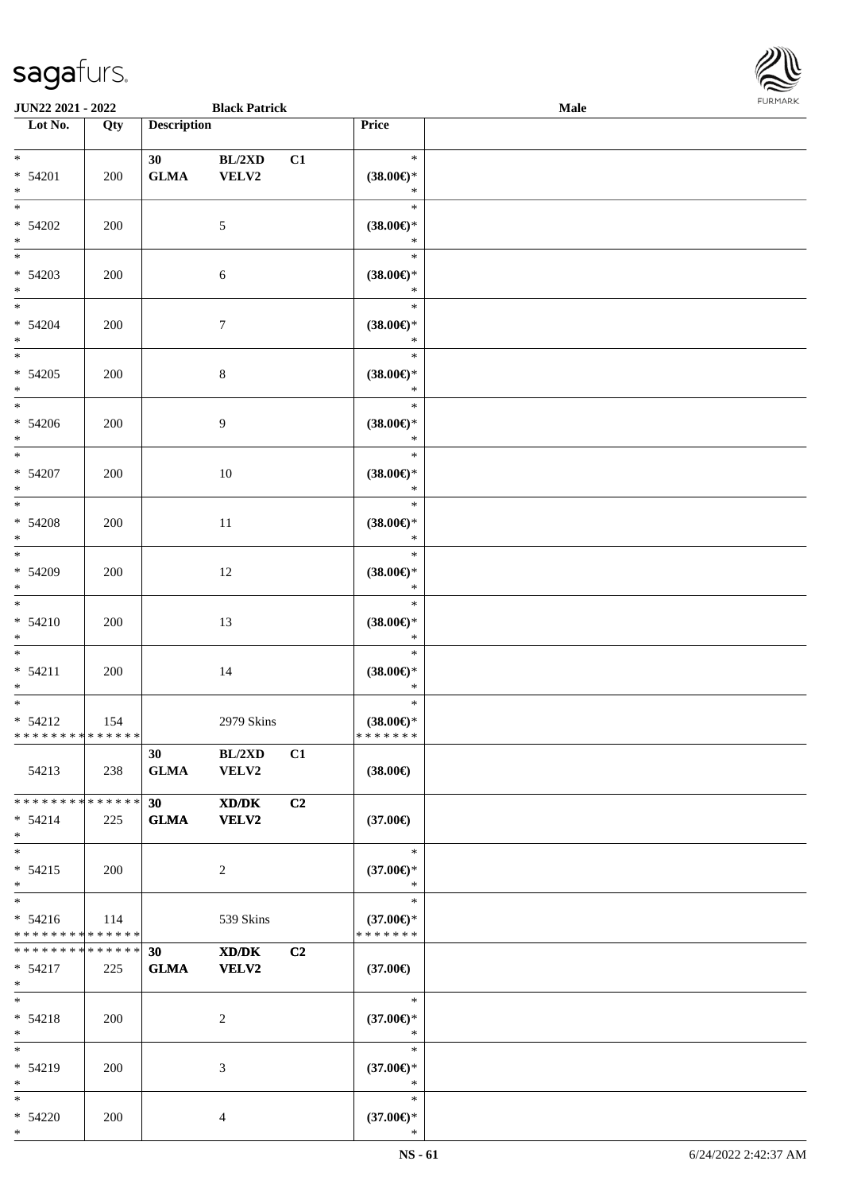

| <b>JUN22 2021 - 2022</b>                                     |     |                                 | <b>Black Patrick</b>                                                                                          |                |                                                | Male |  |
|--------------------------------------------------------------|-----|---------------------------------|---------------------------------------------------------------------------------------------------------------|----------------|------------------------------------------------|------|--|
| Lot No.                                                      | Qty | <b>Description</b>              |                                                                                                               |                | Price                                          |      |  |
| $*$<br>* 54201<br>$\ast$                                     | 200 | 30 <sup>°</sup><br>${\bf GLMA}$ | BL/2XD<br>VELV2                                                                                               | C1             | $\ast$<br>$(38.00\epsilon)$ *<br>$\ast$        |      |  |
| $*$<br>$* 54202$<br>$*$                                      | 200 |                                 | 5                                                                                                             |                | $\ast$<br>$(38.00\epsilon)$ *<br>$\ast$        |      |  |
| $* 54203$<br>$*$                                             | 200 |                                 | $\sqrt{6}$                                                                                                    |                | $\ast$<br>$(38.00\epsilon)$ *<br>$\ast$        |      |  |
| $*$<br>$* 54204$<br>$*$                                      | 200 |                                 | $\boldsymbol{7}$                                                                                              |                | $\ast$<br>$(38.00\epsilon)$ *<br>$\ast$        |      |  |
| $\overline{\ast}$<br>$* 54205$<br>$*$                        | 200 |                                 | $\,8\,$                                                                                                       |                | $\ast$<br>$(38.00\epsilon)$ *<br>$\ast$        |      |  |
| $\overline{\phantom{0}}$<br>$* 54206$<br>$*$                 | 200 |                                 | 9                                                                                                             |                | $\ast$<br>$(38.00\epsilon)$ *<br>$\ast$        |      |  |
| $*$<br>* 54207<br>$*$                                        | 200 |                                 | 10                                                                                                            |                | $\ast$<br>$(38.00\epsilon)$ *<br>$\ast$        |      |  |
| $\overline{\phantom{0}}$<br>$* 54208$<br>$*$                 | 200 |                                 | 11                                                                                                            |                | $\ast$<br>$(38.00\epsilon)$ *<br>$\ast$        |      |  |
| $*$<br>$* 54209$<br>$*$                                      | 200 |                                 | 12                                                                                                            |                | $\ast$<br>$(38.00\epsilon)$ *<br>$\ast$        |      |  |
| $*$<br>$* 54210$<br>$*$                                      | 200 |                                 | 13                                                                                                            |                | $\ast$<br>$(38.00\epsilon)$ *<br>$\ast$        |      |  |
| $*$<br>$* 54211$<br>$*$                                      | 200 |                                 | 14                                                                                                            |                | $\ast$<br>$(38.00\epsilon)$ *<br>$\ast$        |      |  |
| $*$<br>$* 54212$<br>* * * * * * * * * * * * * * *            | 154 |                                 | 2979 Skins                                                                                                    |                | $\ast$<br>$(38.00\epsilon)$ *<br>* * * * * * * |      |  |
| 54213                                                        | 238 | 30<br><b>GLMA</b>               | BL/2XD<br><b>VELV2</b>                                                                                        | C1             | $(38.00\epsilon)$                              |      |  |
| * * * * * * * * * * * * * * *<br>$* 54214$<br>$*$            | 225 | 30<br><b>GLMA</b>               | $\boldsymbol{\text{X}}\boldsymbol{\text{D}}\boldsymbol{/}\boldsymbol{\text{D}}\boldsymbol{\text{K}}$<br>VELV2 | C <sub>2</sub> | $(37.00\epsilon)$                              |      |  |
| $*$<br>$* 54215$<br>$*$                                      | 200 |                                 | 2                                                                                                             |                | $\ast$<br>$(37.00\epsilon)$ *<br>$\ast$        |      |  |
| $*$<br>$* 54216$<br>* * * * * * * * * * * * * *              | 114 |                                 | 539 Skins                                                                                                     |                | $\ast$<br>$(37.00\epsilon)$ *<br>* * * * * * * |      |  |
| * * * * * * * * <mark>* * * * * * *</mark><br>* 54217<br>$*$ | 225 | 30<br><b>GLMA</b>               | XD/DK<br><b>VELV2</b>                                                                                         | C2             | $(37.00\epsilon)$                              |      |  |
| $*$<br>$* 54218$<br>$*$                                      | 200 |                                 | 2                                                                                                             |                | $\ast$<br>$(37.00\epsilon)$ *<br>$\ast$        |      |  |
| $*$<br>* 54219<br>$*$                                        | 200 |                                 | 3                                                                                                             |                | $\ast$<br>$(37.00\epsilon)$ *<br>$\ast$        |      |  |
| $*$<br>$* 54220$<br>$*$                                      | 200 |                                 | 4                                                                                                             |                | $\ast$<br>$(37.00\epsilon)$ *<br>$\ast$        |      |  |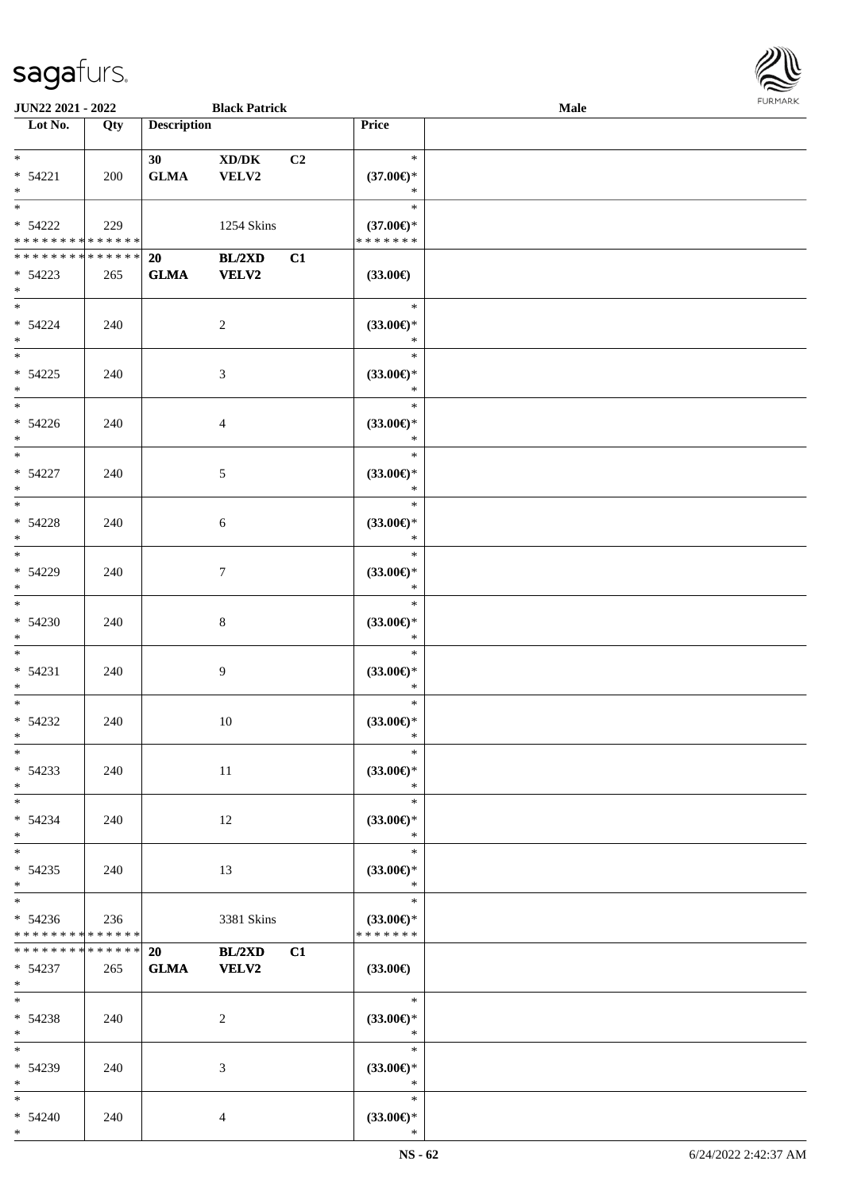

| <b>JUN22 2021 - 2022</b>      |     |                    | <b>Black Patrick</b> |                |                               | <b>Male</b> |  |
|-------------------------------|-----|--------------------|----------------------|----------------|-------------------------------|-------------|--|
| Lot No.                       | Qty | <b>Description</b> |                      |                | Price                         |             |  |
|                               |     |                    |                      |                |                               |             |  |
| $*$                           |     | 30 <sup>°</sup>    | XD/DK                | C <sub>2</sub> | $\ast$                        |             |  |
| $* 54221$                     | 200 | <b>GLMA</b>        | VELV2                |                | $(37.00\in)^\ast$             |             |  |
| $*$                           |     |                    |                      |                | $\ast$                        |             |  |
|                               |     |                    |                      |                | $\ast$                        |             |  |
| $* 54222$                     | 229 |                    | 1254 Skins           |                | $(37.00\epsilon)$ *           |             |  |
| * * * * * * * * * * * * * *   |     |                    |                      |                | * * * * * * *                 |             |  |
| * * * * * * * * * * * * * * * |     | 20                 | BL/2XD               | C1             |                               |             |  |
| $* 54223$                     | 265 | <b>GLMA</b>        | VELV2                |                | $(33.00\epsilon)$             |             |  |
| $*$                           |     |                    |                      |                |                               |             |  |
| $*$                           |     |                    |                      |                | $\ast$                        |             |  |
| $* 54224$                     | 240 |                    | $\overline{c}$       |                | $(33.00\epsilon)$ *           |             |  |
| $*$                           |     |                    |                      |                | $\ast$                        |             |  |
|                               |     |                    |                      |                | $\ast$                        |             |  |
| $* 54225$                     | 240 |                    | 3                    |                | $(33.00\epsilon)$ *           |             |  |
| $*$                           |     |                    |                      |                | $\ast$                        |             |  |
| $*$                           |     |                    |                      |                | $\ast$                        |             |  |
| $* 54226$                     | 240 |                    | $\overline{4}$       |                | $(33.00\epsilon)$ *           |             |  |
| $*$                           |     |                    |                      |                | $\ast$                        |             |  |
| $\overline{\phantom{0}}$      |     |                    |                      |                | $\ast$                        |             |  |
| $* 54227$                     | 240 |                    | 5                    |                | $(33.00\epsilon)$ *           |             |  |
| $*$                           |     |                    |                      |                | $\ast$                        |             |  |
|                               |     |                    |                      |                | $\ast$                        |             |  |
| * 54228                       | 240 |                    | 6                    |                | $(33.00\epsilon)$ *           |             |  |
| $*$                           |     |                    |                      |                | $\ast$                        |             |  |
| $*$                           |     |                    |                      |                | $\ast$                        |             |  |
| * 54229                       | 240 |                    | $\tau$               |                | $(33.00\epsilon)$ *           |             |  |
| $*$                           |     |                    |                      |                | $\ast$                        |             |  |
| $\overline{\ast}$             |     |                    |                      |                | $\ast$                        |             |  |
| $* 54230$                     | 240 |                    | 8                    |                | $(33.00\epsilon)$ *           |             |  |
| $*$                           |     |                    |                      |                | $\ast$                        |             |  |
| $*$                           |     |                    |                      |                | $\ast$                        |             |  |
| $* 54231$                     | 240 |                    | 9                    |                | $(33.00\epsilon)$ *           |             |  |
| $*$                           |     |                    |                      |                | $\ast$                        |             |  |
| $*$                           |     |                    |                      |                | $\ast$                        |             |  |
| $* 54232$                     | 240 |                    | $10\,$               |                | $(33.00\epsilon)$ *           |             |  |
| $*$                           |     |                    |                      |                | $\ast$                        |             |  |
| $*$                           |     |                    |                      |                | $\ast$                        |             |  |
| $* 54233$                     | 240 |                    | 11                   |                | $(33.00\epsilon)$ *           |             |  |
| $*$                           |     |                    |                      |                | $\ast$                        |             |  |
| $*$                           |     |                    |                      |                | $\ast$                        |             |  |
| $* 54234$                     | 240 |                    | 12                   |                | $(33.00\epsilon)$ *           |             |  |
| $*$<br>$*$                    |     |                    |                      |                | $\ast$<br>$\ast$              |             |  |
|                               |     |                    |                      |                |                               |             |  |
| $* 54235$<br>$*$              | 240 |                    | 13                   |                | $(33.00\epsilon)$ *<br>$\ast$ |             |  |
| $*$                           |     |                    |                      |                | $\ast$                        |             |  |
| $* 54236$                     |     |                    |                      |                | $(33.00\epsilon)$ *           |             |  |
| * * * * * * * * * * * * * *   | 236 |                    | 3381 Skins           |                | * * * * * * *                 |             |  |
| * * * * * * * * * * * * * * * |     | 20                 | <b>BL/2XD</b>        | C1             |                               |             |  |
| $* 54237$                     | 265 | <b>GLMA</b>        | <b>VELV2</b>         |                | $(33.00\epsilon)$             |             |  |
| $*$ $*$                       |     |                    |                      |                |                               |             |  |
| $*$ $*$                       |     |                    |                      |                | $\ast$                        |             |  |
| $* 54238$                     | 240 |                    | 2                    |                | $(33.00\epsilon)$ *           |             |  |
| $*$                           |     |                    |                      |                | $\ast$                        |             |  |
| $*$ $*$                       |     |                    |                      |                | $\ast$                        |             |  |
| * 54239                       | 240 |                    | 3                    |                | $(33.00\epsilon)$ *           |             |  |
| $*$                           |     |                    |                      |                | $\ast$                        |             |  |
| $*$ $*$                       |     |                    |                      |                | $\ast$                        |             |  |
| $* 54240$                     | 240 |                    | 4                    |                | $(33.00\epsilon)$ *           |             |  |
| $*$                           |     |                    |                      |                | $\ast$                        |             |  |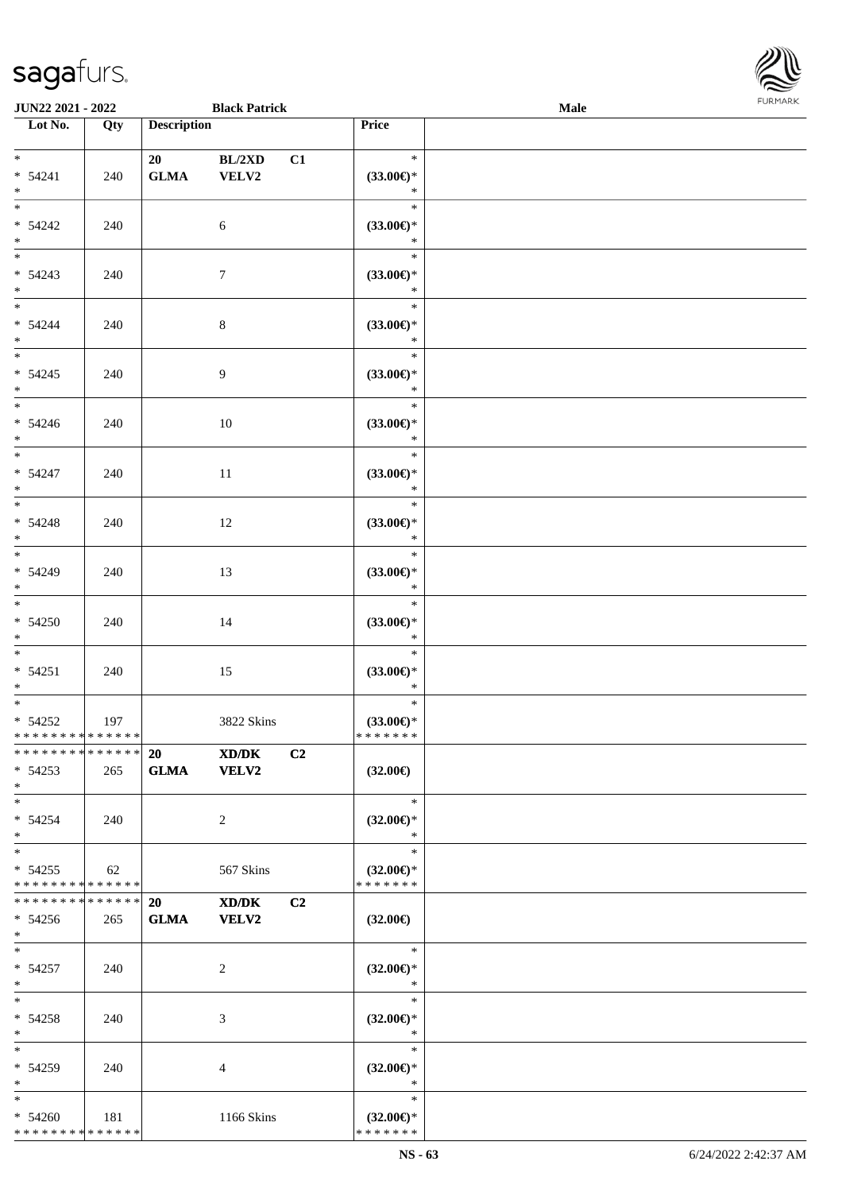

| <b>JUN22 2021 - 2022</b>      |                   |                    | <b>Black Patrick</b> |                               | Male |
|-------------------------------|-------------------|--------------------|----------------------|-------------------------------|------|
| Lot No.                       | $\overline{Q}$ ty | <b>Description</b> |                      | Price                         |      |
|                               |                   |                    |                      |                               |      |
| $*$ $*$                       |                   | 20                 | BL/2XD               | $\ast$<br>C1                  |      |
| $* 54241$                     | 240               | <b>GLMA</b>        | VELV2                | $(33.00\epsilon)$ *           |      |
| $*$                           |                   |                    |                      | $\ast$                        |      |
| $*$                           |                   |                    |                      | $\ast$                        |      |
| $* 54242$                     | 240               |                    | 6                    | $(33.00\epsilon)$ *           |      |
| $*$                           |                   |                    |                      | $\ast$                        |      |
|                               |                   |                    |                      | $\ast$                        |      |
| $* 54243$                     | 240               |                    | $\tau$               | $(33.00\epsilon)$ *           |      |
| $*$                           |                   |                    |                      | $\ast$                        |      |
| $*$                           |                   |                    |                      | $\ast$                        |      |
| $* 54244$                     | 240               |                    | $\,8\,$              | $(33.00\epsilon)$ *           |      |
| $*$                           |                   |                    |                      | $\ast$                        |      |
|                               |                   |                    |                      | $\ast$                        |      |
| $* 54245$                     | 240               |                    | 9                    | $(33.00\epsilon)$ *           |      |
| $*$                           |                   |                    |                      | $\ast$                        |      |
| $\overline{\phantom{0}}$      |                   |                    |                      | $\ast$                        |      |
| $* 54246$                     | 240               |                    | 10                   | $(33.00\epsilon)$ *           |      |
| $*$                           |                   |                    |                      | $\ast$                        |      |
|                               |                   |                    |                      | $\ast$                        |      |
| $* 54247$                     | 240               |                    | 11                   | $(33.00\epsilon)$ *           |      |
| $*$                           |                   |                    |                      | $\ast$                        |      |
|                               |                   |                    |                      | $\ast$                        |      |
| $* 54248$                     | 240               |                    | 12                   | $(33.00\epsilon)$ *           |      |
| $*$<br>$*$                    |                   |                    |                      | $\ast$                        |      |
|                               |                   |                    |                      | $\ast$                        |      |
| * 54249                       | 240               |                    | 13                   | $(33.00\epsilon)$ *           |      |
| $*$<br>$*$                    |                   |                    |                      | $\ast$                        |      |
|                               |                   |                    |                      | $\ast$                        |      |
| $* 54250$                     | 240               |                    | 14                   | $(33.00\epsilon)$ *           |      |
| $*$<br>$*$                    |                   |                    |                      | $\ast$<br>$\ast$              |      |
|                               |                   |                    |                      |                               |      |
| $* 54251$<br>$*$              | 240               |                    | 15                   | $(33.00\epsilon)$ *<br>$\ast$ |      |
| $*$                           |                   |                    |                      | $\ast$                        |      |
| $* 54252$                     | 197               |                    | 3822 Skins           | $(33.00\epsilon)$ *           |      |
| * * * * * * * * * * * * * * * |                   |                    |                      | *******                       |      |
| * * * * * * * * * * * * * * * |                   | 20                 | XD/DK                | C <sub>2</sub>                |      |
| $* 54253$                     | 265               | <b>GLMA</b>        | <b>VELV2</b>         | $(32.00\epsilon)$             |      |
| $*$                           |                   |                    |                      |                               |      |
| $*$                           |                   |                    |                      | $\ast$                        |      |
| $* 54254$                     | 240               |                    | 2                    | $(32.00\epsilon)$ *           |      |
| $*$                           |                   |                    |                      | $\ast$                        |      |
| $*$                           |                   |                    |                      | $\ast$                        |      |
| $* 54255$                     | 62                |                    | 567 Skins            | $(32.00\epsilon)$ *           |      |
| * * * * * * * * * * * * * *   |                   |                    |                      | * * * * * * *                 |      |
| * * * * * * * * * * * * * * * |                   | 20                 | XD/DK                | C <sub>2</sub>                |      |
| $* 54256$                     | 265               | <b>GLMA</b>        | <b>VELV2</b>         | $(32.00\epsilon)$             |      |
| $*$                           |                   |                    |                      |                               |      |
| $*$                           |                   |                    |                      | $\ast$                        |      |
| $* 54257$                     | 240               |                    | 2                    | $(32.00\epsilon)$ *           |      |
| $*$                           |                   |                    |                      | $\ast$                        |      |
| $*$                           |                   |                    |                      | $\ast$                        |      |
| $* 54258$                     | 240               |                    | 3                    | $(32.00\epsilon)$ *           |      |
| $*$                           |                   |                    |                      | $\ast$                        |      |
| $*$                           |                   |                    |                      | $\ast$                        |      |
| * 54259                       | 240               |                    | 4                    | $(32.00\epsilon)$ *           |      |
| $*$                           |                   |                    |                      | $\ast$                        |      |
| $*$                           |                   |                    |                      | $\ast$                        |      |
| $* 54260$                     | 181               |                    | 1166 Skins           | $(32.00\epsilon)$ *           |      |
| * * * * * * * * * * * * * *   |                   |                    |                      | * * * * * * *                 |      |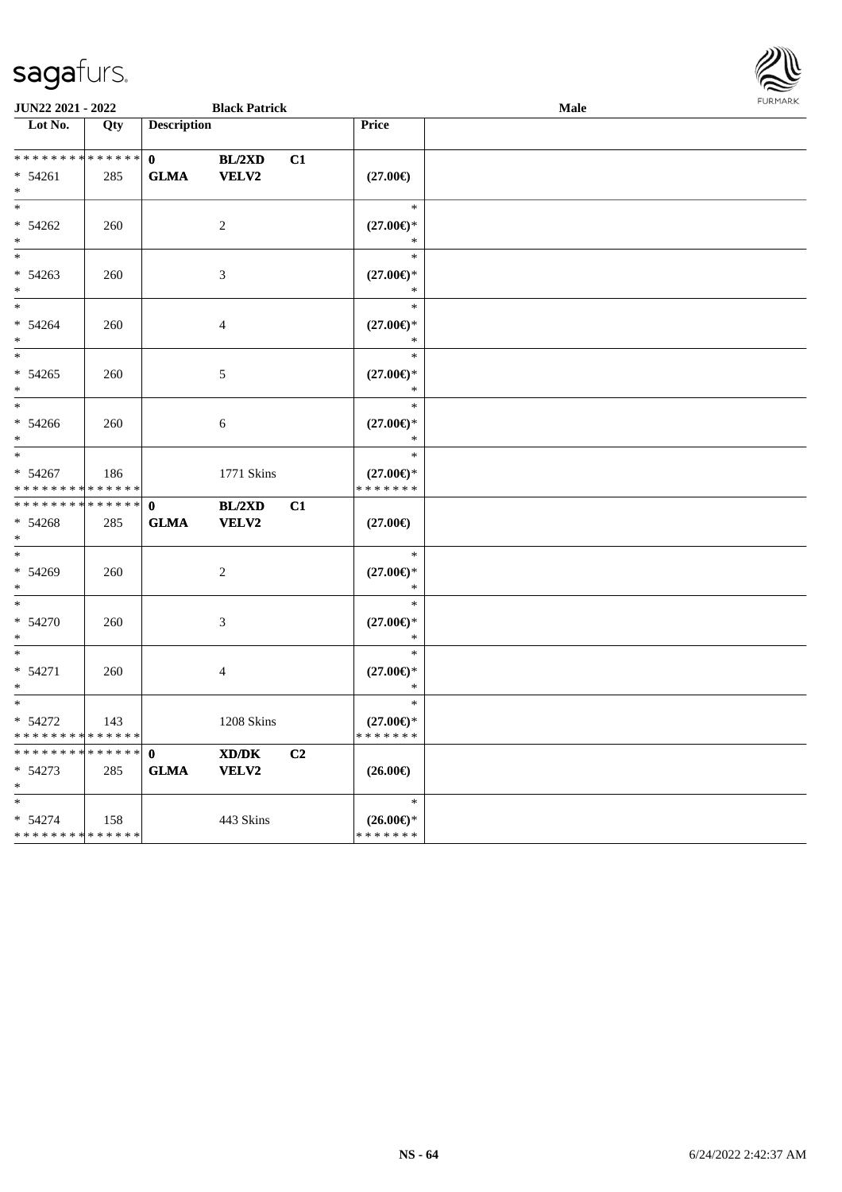| <b>FURMARK</b> |
|----------------|
|                |
|                |
|                |
|                |

| Lot No.                                             | Qty | <b>Description</b>          |                                     | <b>Price</b>                                   |  |
|-----------------------------------------------------|-----|-----------------------------|-------------------------------------|------------------------------------------------|--|
| ******** <mark>******</mark><br>$* 54261$<br>$\ast$ | 285 | $\mathbf{0}$<br><b>GLMA</b> | <b>BL/2XD</b><br>C1<br><b>VELV2</b> | $(27.00\epsilon)$                              |  |
| $\ast$<br>$* 54262$<br>$\ast$                       | 260 |                             | $\sqrt{2}$                          | $\ast$<br>$(27.00\epsilon)$ *<br>$\ast$        |  |
| $\ast$<br>$* 54263$<br>$\ast$                       | 260 |                             | 3                                   | $\ast$<br>$(27.00\epsilon)$ *<br>$\ast$        |  |
| $\ast$<br>$* 54264$<br>$\ast$                       | 260 |                             | $\overline{4}$                      | $\ast$<br>$(27.00\mathbb{E})^*$<br>$\ast$      |  |
| $\ast$<br>$* 54265$<br>$*$                          | 260 |                             | $\sqrt{5}$                          | $\ast$<br>$(27.00\epsilon)$ *<br>$\ast$        |  |
| $\ast$<br>$* 54266$<br>$\ast$                       | 260 |                             | 6                                   | $\ast$<br>$(27.00\epsilon)$ *<br>$\ast$        |  |
| $\ast$<br>$* 54267$<br>******** <mark>******</mark> | 186 |                             | 1771 Skins                          | $\ast$<br>$(27.00\epsilon)$ *<br>* * * * * * * |  |
| **************<br>$* 54268$<br>$*$                  | 285 | $\mathbf{0}$<br><b>GLMA</b> | BL/2XD<br>C1<br><b>VELV2</b>        | $(27.00\epsilon)$                              |  |
| $\ast$<br>$* 54269$<br>$*$                          | 260 |                             | $\overline{2}$                      | $\ast$<br>$(27.00\epsilon)$ *<br>$\ast$        |  |
| $\ast$<br>$* 54270$<br>$\ast$                       | 260 |                             | $\mathfrak{Z}$                      | $\ast$<br>$(27.00\epsilon)$ *<br>$\ast$        |  |
| $\ast$<br>$* 54271$<br>$\ast$                       | 260 |                             | $\overline{4}$                      | $\ast$<br>$(27.00\epsilon)$ *<br>$\ast$        |  |
| $\ast$<br>$* 54272$<br>* * * * * * * * * * * * * *  | 143 |                             | 1208 Skins                          | $\ast$<br>$(27.00\epsilon)$ *<br>* * * * * * * |  |
| **************<br>$* 54273$<br>$*$                  | 285 | $\mathbf{0}$<br><b>GLMA</b> | XD/DK<br>C <sub>2</sub><br>VELV2    | $(26.00\epsilon)$                              |  |
| $*$<br>$* 54274$<br>* * * * * * * * * * * * * *     | 158 |                             | 443 Skins                           | $\ast$<br>$(26.00\epsilon)$ *<br>* * * * * * * |  |

**JUN22 2021 - 2022 Black Patrick Male**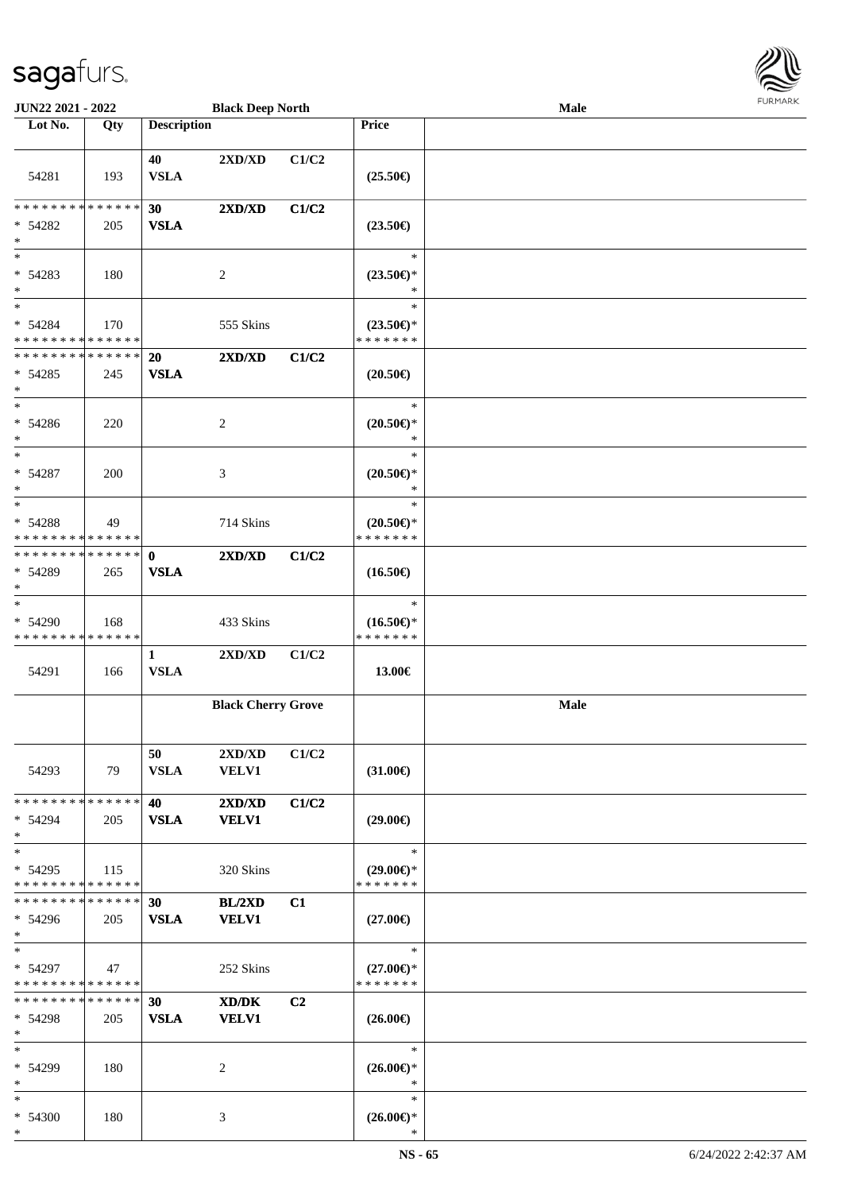

| JUN22 2021 - 2022                                  |     |                             | <b>Black Deep North</b>     |       |                                                | Male | <b>FURMARK</b> |
|----------------------------------------------------|-----|-----------------------------|-----------------------------|-------|------------------------------------------------|------|----------------|
| Lot $No.$                                          | Qty | <b>Description</b>          |                             |       | Price                                          |      |                |
| 54281                                              | 193 | 40<br><b>VSLA</b>           | 2XD/XD                      | C1/C2 | $(25.50\epsilon)$                              |      |                |
| * * * * * * * * * * * * * * *<br>$* 54282$<br>$*$  | 205 | 30<br><b>VSLA</b>           | 2XD/XD                      | C1/C2 | $(23.50\epsilon)$                              |      |                |
| $\ast$<br>$* 54283$<br>$\ast$                      | 180 |                             | 2                           |       | $\ast$<br>$(23.50\epsilon)$ *<br>∗             |      |                |
| $*$<br>* 54284<br>* * * * * * * * * * * * * *      | 170 |                             | 555 Skins                   |       | $\ast$<br>$(23.50\epsilon)$ *<br>* * * * * * * |      |                |
| * * * * * * * * * * * * * *<br>$* 54285$<br>$\ast$ | 245 | <b>20</b><br><b>VSLA</b>    | 2XD/XD                      | C1/C2 | $(20.50\epsilon)$                              |      |                |
| $*$<br>* 54286<br>$\ast$                           | 220 |                             | $\overline{c}$              |       | $\ast$<br>$(20.50\epsilon)$ *<br>$\ast$        |      |                |
| $*$<br>$* 54287$<br>$\ast$                         | 200 |                             | $\ensuremath{\mathfrak{Z}}$ |       | $\ast$<br>$(20.50\epsilon)$ *<br>$\ast$        |      |                |
| $\ast$<br>* 54288<br>* * * * * * * * * * * * * *   | 49  |                             | 714 Skins                   |       | $\ast$<br>$(20.50\epsilon)$ *<br>* * * * * * * |      |                |
| * * * * * * * * * * * * * *<br>* 54289<br>$*$      | 265 | $\mathbf{0}$<br><b>VSLA</b> | 2XD/XD                      | C1/C2 | $(16.50\epsilon)$                              |      |                |
| $\ast$<br>* 54290<br>* * * * * * * * * * * * * *   | 168 |                             | 433 Skins                   |       | $\ast$<br>$(16.50\epsilon)$ *<br>* * * * * * * |      |                |
| 54291                                              | 166 | $\mathbf{1}$<br><b>VSLA</b> | 2XD/XD                      | C1/C2 | 13.00€                                         |      |                |
|                                                    |     |                             | <b>Black Cherry Grove</b>   |       |                                                | Male |                |
| 54293                                              | 79  | 50<br><b>VSLA</b>           | 2XD/XD<br><b>VELV1</b>      | C1/C2 | $(31.00\epsilon)$                              |      |                |
| * * * * * * * * * * * * * *<br>* 54294<br>$*$      | 205 | 40<br><b>VSLA</b>           | 2XD/XD<br><b>VELV1</b>      | C1/C2 | $(29.00\epsilon)$                              |      |                |
| $*$<br>$* 54295$<br>* * * * * * * * * * * * * * *  | 115 |                             | 320 Skins                   |       | $\ast$<br>$(29.00\epsilon)$ *<br>* * * * * * * |      |                |
| * * * * * * * * * * * * * * *<br>$* 54296$<br>$*$  | 205 | 30<br><b>VSLA</b>           | BL/2XD<br><b>VELV1</b>      | C1    | $(27.00\epsilon)$                              |      |                |
| $*$<br>* 54297<br>* * * * * * * * * * * * * *      | 47  |                             | 252 Skins                   |       | $\ast$<br>$(27.00\epsilon)$ *<br>* * * * * * * |      |                |
| * * * * * * * * * * * * * * *<br>* 54298<br>$*$    | 205 | 30<br><b>VSLA</b>           | XD/DK<br><b>VELV1</b>       | C2    | $(26.00\epsilon)$                              |      |                |
| $*$<br>* 54299<br>$*$                              | 180 |                             | $\overline{c}$              |       | $\ast$<br>$(26.00\epsilon)$ *<br>$\ast$        |      |                |
| $*$<br>* 54300<br>$\ast$                           | 180 |                             | 3                           |       | $\ast$<br>$(26.00\epsilon)$ *<br>$\ast$        |      |                |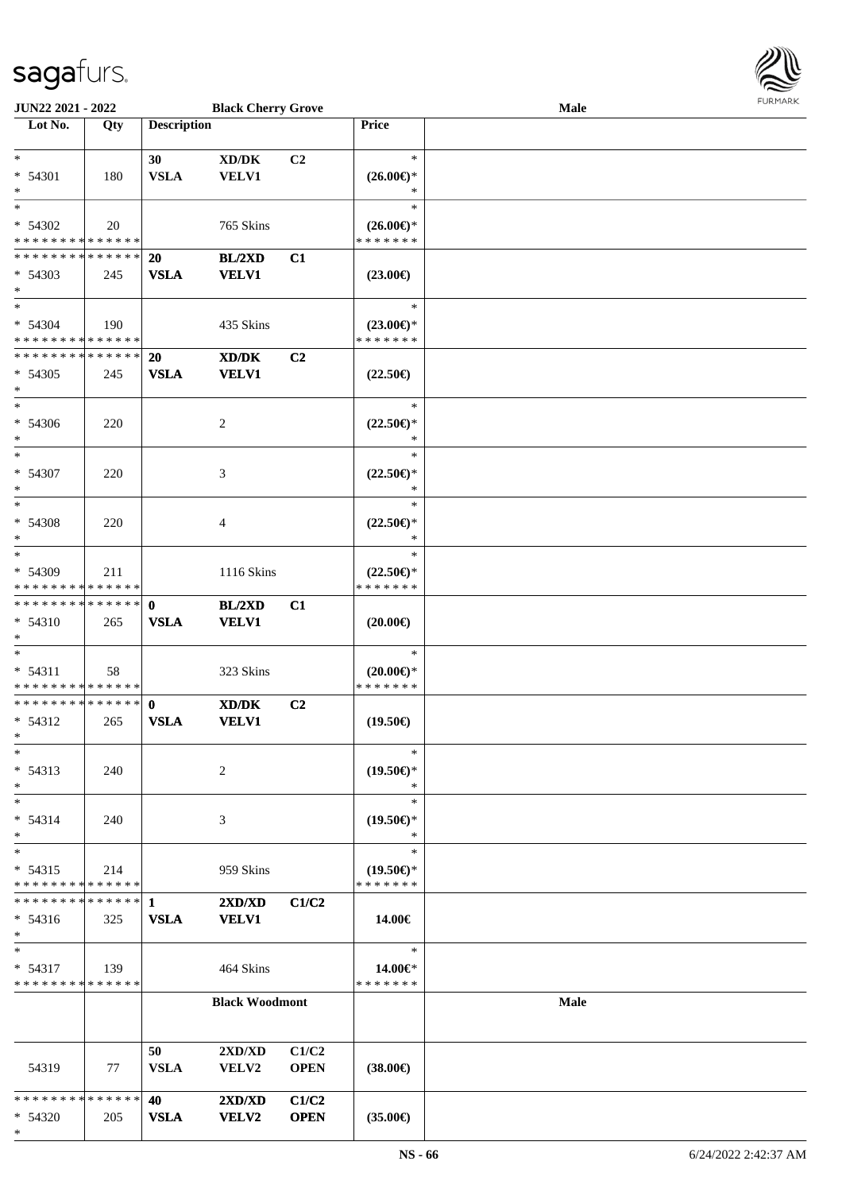

| <b>JUN22 2021 - 2022</b>                   |     |                    | <b>Black Cherry Grove</b>                    |                |                               | <b>Male</b> |  |
|--------------------------------------------|-----|--------------------|----------------------------------------------|----------------|-------------------------------|-------------|--|
| Lot No.                                    | Qty | <b>Description</b> |                                              |                | Price                         |             |  |
|                                            |     |                    |                                              |                |                               |             |  |
| $*$                                        |     | 30                 | $\bold{X}\bold{D}/\bold{D}\bold{K}$          | C <sub>2</sub> | $\ast$                        |             |  |
| $* 54301$<br>$*$                           | 180 | <b>VSLA</b>        | <b>VELV1</b>                                 |                | $(26.00\epsilon)$ *<br>$\ast$ |             |  |
| $\ast$                                     |     |                    |                                              |                | $\ast$                        |             |  |
| $* 54302$                                  | 20  |                    | 765 Skins                                    |                | $(26.00\epsilon)$ *           |             |  |
| * * * * * * * * * * * * * *                |     |                    |                                              |                | * * * * * * *                 |             |  |
| * * * * * * * * * * * * * *                |     | <b>20</b>          | BL/2XD                                       | C1             |                               |             |  |
| $* 54303$                                  | 245 | <b>VSLA</b>        | <b>VELV1</b>                                 |                | $(23.00\epsilon)$             |             |  |
| $*$                                        |     |                    |                                              |                |                               |             |  |
| $*$                                        |     |                    |                                              |                | $\ast$                        |             |  |
| $* 54304$                                  | 190 |                    | 435 Skins                                    |                | $(23.00\epsilon)$ *           |             |  |
| * * * * * * * * * * * * * *                |     |                    |                                              |                | * * * * * * *                 |             |  |
| * * * * * * * * * * * * * *                |     | 20                 | XD/DK                                        | C2             |                               |             |  |
| $* 54305$                                  | 245 | <b>VSLA</b>        | <b>VELV1</b>                                 |                | $(22.50\epsilon)$             |             |  |
| $\ast$                                     |     |                    |                                              |                |                               |             |  |
| $*$                                        |     |                    |                                              |                | $\ast$                        |             |  |
| $* 54306$                                  | 220 |                    | 2                                            |                | $(22.50\epsilon)$ *           |             |  |
| $*$                                        |     |                    |                                              |                | $\ast$                        |             |  |
| $*$                                        |     |                    |                                              |                | $\ast$                        |             |  |
| $* 54307$                                  | 220 |                    | 3                                            |                | $(22.50\epsilon)$ *           |             |  |
| $*$                                        |     |                    |                                              |                | $\ast$                        |             |  |
| $*$                                        |     |                    |                                              |                | $\ast$                        |             |  |
| $* 54308$                                  | 220 |                    | 4                                            |                | $(22.50\epsilon)$ *<br>$\ast$ |             |  |
| $*$<br>$\overline{\phantom{0}}$            |     |                    |                                              |                | $\ast$                        |             |  |
| * 54309                                    | 211 |                    | 1116 Skins                                   |                | $(22.50 \in )^*$              |             |  |
| * * * * * * * * * * * * * *                |     |                    |                                              |                | * * * * * * *                 |             |  |
| * * * * * * * * * * * * * * *              |     | $\mathbf{0}$       | BL/2XD                                       | C1             |                               |             |  |
| * 54310                                    | 265 | <b>VSLA</b>        | <b>VELV1</b>                                 |                | $(20.00\epsilon)$             |             |  |
| $*$                                        |     |                    |                                              |                |                               |             |  |
| $*$                                        |     |                    |                                              |                | $\ast$                        |             |  |
| $* 54311$                                  | 58  |                    | 323 Skins                                    |                | $(20.00\epsilon)$ *           |             |  |
| * * * * * * * * * * * * * *                |     |                    |                                              |                | * * * * * * *                 |             |  |
| * * * * * * * * <mark>* * * * * * *</mark> |     | $\mathbf{0}$       | XD/DK                                        | C2             |                               |             |  |
| $* 54312$                                  | 265 | <b>VSLA</b>        | VELV1                                        |                | $(19.50\epsilon)$             |             |  |
| $*$                                        |     |                    |                                              |                |                               |             |  |
| $\ast$                                     |     |                    |                                              |                | $\ast$                        |             |  |
| $* 54313$                                  | 240 |                    | 2                                            |                | $(19.50\epsilon)$ *           |             |  |
| $\ast$                                     |     |                    |                                              |                | $\ast$                        |             |  |
| $*$                                        |     |                    |                                              |                | $\ast$                        |             |  |
| $* 54314$<br>$*$                           | 240 |                    | 3                                            |                | $(19.50\epsilon)$ *<br>$\ast$ |             |  |
| $*$                                        |     |                    |                                              |                | $\ast$                        |             |  |
| $* 54315$                                  | 214 |                    | 959 Skins                                    |                | $(19.50\epsilon)$ *           |             |  |
| * * * * * * * * * * * * * *                |     |                    |                                              |                | * * * * * * *                 |             |  |
| * * * * * * * * * * * * * * *              |     | $\mathbf{1}$       | $2\mathbf{X}\mathbf{D}/\mathbf{X}\mathbf{D}$ | C1/C2          |                               |             |  |
| $* 54316$                                  | 325 | <b>VSLA</b>        | <b>VELV1</b>                                 |                | 14.00€                        |             |  |
| $*$                                        |     |                    |                                              |                |                               |             |  |
| $*$ $-$                                    |     |                    |                                              |                | $\ast$                        |             |  |
| $* 54317$                                  | 139 |                    | 464 Skins                                    |                | 14.00€*                       |             |  |
| * * * * * * * * * * * * * *                |     |                    |                                              |                | * * * * * * *                 |             |  |
|                                            |     |                    | <b>Black Woodmont</b>                        |                |                               | Male        |  |
|                                            |     |                    |                                              |                |                               |             |  |
|                                            |     |                    |                                              |                |                               |             |  |
|                                            |     | 50                 | 2XD/XD                                       | C1/C2          |                               |             |  |
| 54319                                      | 77  | <b>VSLA</b>        | <b>VELV2</b>                                 | <b>OPEN</b>    | $(38.00\epsilon)$             |             |  |
|                                            |     |                    |                                              |                |                               |             |  |
| * * * * * * * * <mark>* * * * * *</mark>   |     | 40                 | 2XD/XD                                       | C1/C2          |                               |             |  |
| $* 54320$                                  | 205 | <b>VSLA</b>        | <b>VELV2</b>                                 | <b>OPEN</b>    | $(35.00\epsilon)$             |             |  |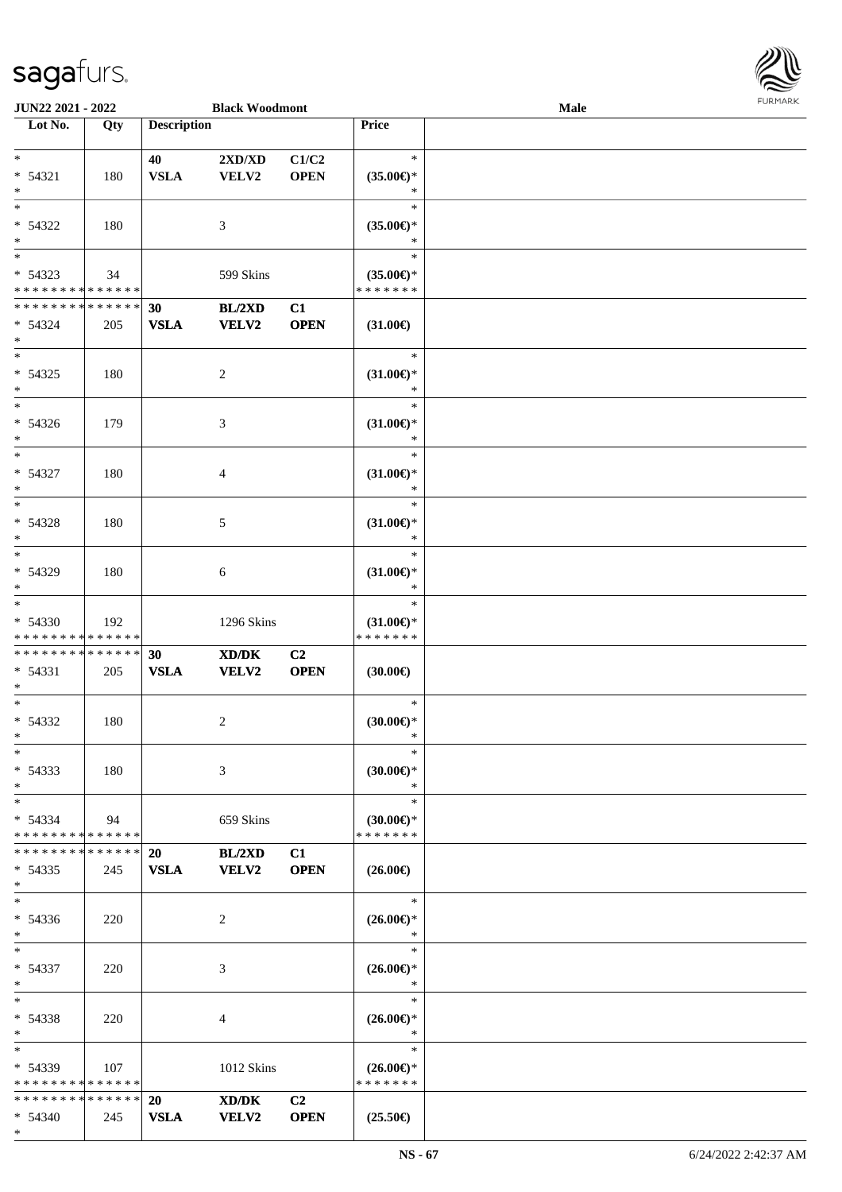

| JUN22 2021 - 2022                                                  |     |                          | <b>Black Woodmont</b>                                                                                                |                               |                                                | Male |  |
|--------------------------------------------------------------------|-----|--------------------------|----------------------------------------------------------------------------------------------------------------------|-------------------------------|------------------------------------------------|------|--|
| Lot No.                                                            | Qty | <b>Description</b>       |                                                                                                                      |                               | Price                                          |      |  |
| $*$<br>$* 54321$<br>$\ast$                                         | 180 | 40<br><b>VSLA</b>        | 2XD/XD<br>VELV2                                                                                                      | C1/C2<br><b>OPEN</b>          | $\ast$<br>$(35.00\epsilon)$ *<br>∗             |      |  |
| $\overline{\ast}$<br>* 54322<br>$\ast$<br>$\overline{\phantom{0}}$ | 180 |                          | 3                                                                                                                    |                               | $\ast$<br>$(35.00\epsilon)$ *<br>∗             |      |  |
| * 54323<br>* * * * * * * * * * * * * *                             | 34  |                          | 599 Skins                                                                                                            |                               | $\ast$<br>$(35.00\epsilon)$ *<br>* * * * * * * |      |  |
| * * * * * * * * * * * * * *<br>$* 54324$<br>$*$                    | 205 | 30<br><b>VSLA</b>        | BL/2XD<br><b>VELV2</b>                                                                                               | C1<br><b>OPEN</b>             | $(31.00\epsilon)$                              |      |  |
| $*$<br>$* 54325$<br>$*$                                            | 180 |                          | $\overline{c}$                                                                                                       |                               | $\ast$<br>$(31.00\epsilon)$ *<br>$\ast$        |      |  |
| $\ast$<br>$* 54326$<br>$*$                                         | 179 |                          | 3                                                                                                                    |                               | $\ast$<br>$(31.00\epsilon)$ *<br>$\ast$        |      |  |
| $\ast$<br>$* 54327$<br>$*$                                         | 180 |                          | 4                                                                                                                    |                               | $\ast$<br>$(31.00\epsilon)$ *<br>$\ast$        |      |  |
| $\overline{\ast}$<br>* 54328<br>$*$                                | 180 |                          | 5                                                                                                                    |                               | $\ast$<br>$(31.00\epsilon)$ *<br>$\ast$        |      |  |
| $*$<br>* 54329<br>$*$                                              | 180 |                          | 6                                                                                                                    |                               | $\ast$<br>$(31.00\epsilon)$ *<br>$\ast$        |      |  |
| $\overline{\ast}$<br>* 54330<br>* * * * * * * * * * * * * *        | 192 |                          | 1296 Skins                                                                                                           |                               | $\ast$<br>$(31.00\epsilon)$ *<br>* * * * * * * |      |  |
| * * * * * * * * * * * * * *<br>* 54331<br>$*$                      | 205 | 30<br>${\bf VSLA}$       | $\boldsymbol{\text{X}}\boldsymbol{\text{D}}\boldsymbol{/}\boldsymbol{\text{D}}\boldsymbol{\text{K}}$<br><b>VELV2</b> | C <sub>2</sub><br><b>OPEN</b> | $(30.00\epsilon)$                              |      |  |
| $*$<br>$* 54332$<br>$*$                                            | 180 |                          | 2                                                                                                                    |                               | $\ast$<br>$(30.00\epsilon)$ *<br>$\ast$        |      |  |
| $*$<br>$* 54333$<br>$*$                                            | 180 |                          | 3                                                                                                                    |                               | $\ast$<br>$(30.00\epsilon)$ *<br>$\ast$        |      |  |
| $*$<br>$* 54334$<br>* * * * * * * * * * * * * *                    | 94  |                          | 659 Skins                                                                                                            |                               | $\ast$<br>$(30.00\epsilon)$ *<br>* * * * * * * |      |  |
| * * * * * * * * * * * * * * *<br>$* 54335$<br>$*$                  | 245 | <b>20</b><br><b>VSLA</b> | BL/2XD<br><b>VELV2</b>                                                                                               | C1<br><b>OPEN</b>             | $(26.00\epsilon)$                              |      |  |
| $*$<br>* 54336<br>$*$                                              | 220 |                          | 2                                                                                                                    |                               | $\ast$<br>$(26.00\epsilon)$ *<br>$\ast$        |      |  |
| $*$<br>$* 54337$<br>$*$                                            | 220 |                          | 3                                                                                                                    |                               | $\ast$<br>$(26.00\epsilon)$ *<br>$\ast$        |      |  |
| $*$<br>* 54338<br>$*$                                              | 220 |                          | 4                                                                                                                    |                               | $\ast$<br>$(26.00\epsilon)$ *<br>$\ast$        |      |  |
| $*$<br>$* 54339$<br>* * * * * * * * * * * * * *                    | 107 |                          | 1012 Skins                                                                                                           |                               | $\ast$<br>$(26.00\epsilon)$ *<br>* * * * * * * |      |  |
| * * * * * * * * * * * * * * *<br>$* 54340$<br>$*$                  | 245 | 20<br><b>VSLA</b>        | XD/DK<br><b>VELV2</b>                                                                                                | C <sub>2</sub><br><b>OPEN</b> | $(25.50\epsilon)$                              |      |  |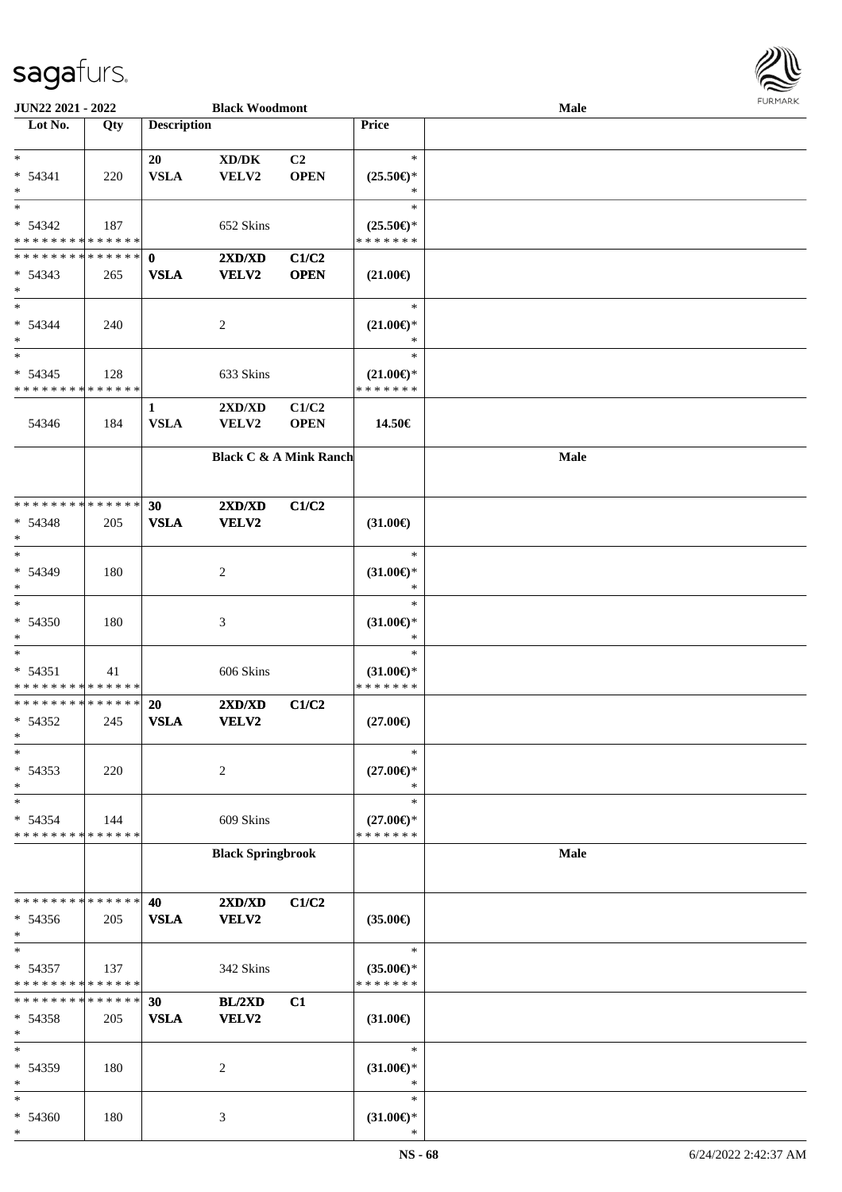

| JUN22 2021 - 2022             |     |                    | <b>Black Woodmont</b>               |                |                               | <b>Male</b> |  |
|-------------------------------|-----|--------------------|-------------------------------------|----------------|-------------------------------|-------------|--|
| Lot No.                       | Qty | <b>Description</b> |                                     |                | Price                         |             |  |
|                               |     |                    |                                     |                |                               |             |  |
| $*$                           |     | 20                 | $\bold{X}\bold{D}/\bold{D}\bold{K}$ | C <sub>2</sub> | $\ast$                        |             |  |
| $* 54341$                     | 220 | <b>VSLA</b>        | VELV2                               | <b>OPEN</b>    | $(25.50\epsilon)$ *           |             |  |
| $\ast$                        |     |                    |                                     |                | *                             |             |  |
| $*$                           |     |                    |                                     |                | $\ast$                        |             |  |
| $* 54342$                     | 187 |                    | 652 Skins                           |                | $(25.50\epsilon)$ *           |             |  |
| * * * * * * * * * * * * * *   |     |                    |                                     |                | * * * * * * *                 |             |  |
| * * * * * * * * * * * * * * * |     | $\mathbf 0$        | 2XD/XD                              | C1/C2          |                               |             |  |
| $* 54343$                     | 265 | <b>VSLA</b>        | VELV2                               | <b>OPEN</b>    | $(21.00\epsilon)$             |             |  |
| $*$                           |     |                    |                                     |                |                               |             |  |
| $*$                           |     |                    |                                     |                | $\ast$                        |             |  |
| * 54344                       | 240 |                    | $\overline{c}$                      |                | $(21.00\epsilon)$ *           |             |  |
| $*$                           |     |                    |                                     |                | $\ast$                        |             |  |
| $\ast$                        |     |                    |                                     |                | $\ast$                        |             |  |
| $* 54345$                     | 128 |                    | 633 Skins                           |                | $(21.00\epsilon)$ *           |             |  |
| * * * * * * * * * * * * * *   |     |                    |                                     |                | * * * * * * *                 |             |  |
|                               |     | 1                  | 2XD/XD                              | C1/C2          |                               |             |  |
| 54346                         | 184 | <b>VSLA</b>        | VELV2                               | <b>OPEN</b>    | 14.50€                        |             |  |
|                               |     |                    |                                     |                |                               |             |  |
|                               |     |                    | <b>Black C &amp; A Mink Ranch</b>   |                |                               | <b>Male</b> |  |
|                               |     |                    |                                     |                |                               |             |  |
|                               |     |                    |                                     |                |                               |             |  |
| * * * * * * * * * * * * * *   |     | 30                 | 2XD/XD                              | C1/C2          |                               |             |  |
| * 54348                       | 205 | <b>VSLA</b>        | VELV2                               |                | $(31.00\epsilon)$             |             |  |
| $*$                           |     |                    |                                     |                |                               |             |  |
| $*$                           |     |                    |                                     |                | $\ast$                        |             |  |
| * 54349                       | 180 |                    | 2                                   |                | $(31.00\epsilon)$ *           |             |  |
| $*$                           |     |                    |                                     |                | *                             |             |  |
| $\ast$                        |     |                    |                                     |                | $\ast$                        |             |  |
| $* 54350$                     | 180 |                    | 3                                   |                | $(31.00\mathsf{E})^*$         |             |  |
| $*$                           |     |                    |                                     |                | $\ast$                        |             |  |
| $*$                           |     |                    |                                     |                | $\ast$                        |             |  |
| $* 54351$                     | 41  |                    | 606 Skins                           |                | $(31.00\epsilon)$ *           |             |  |
| * * * * * * * * * * * * * *   |     |                    |                                     |                | * * * * * * *                 |             |  |
| * * * * * * * * * * * * * *   |     | 20                 | 2XD/XD                              | C1/C2          |                               |             |  |
| $* 54352$                     | 245 | <b>VSLA</b>        | VELV2                               |                | $(27.00\epsilon)$             |             |  |
| $*$<br>$\ast$                 |     |                    |                                     |                | $\ast$                        |             |  |
| * 54353                       |     |                    |                                     |                |                               |             |  |
| $\ast$                        | 220 |                    | 2                                   |                | $(27.00\epsilon)$ *<br>$\ast$ |             |  |
| $\ast$                        |     |                    |                                     |                | $\ast$                        |             |  |
| * 54354                       | 144 |                    | 609 Skins                           |                | $(27.00\epsilon)$ *           |             |  |
| * * * * * * * * * * * * * *   |     |                    |                                     |                | * * * * * * *                 |             |  |
|                               |     |                    | <b>Black Springbrook</b>            |                |                               | <b>Male</b> |  |
|                               |     |                    |                                     |                |                               |             |  |
|                               |     |                    |                                     |                |                               |             |  |
| * * * * * * * * * * * * * *   |     | 40                 | 2XD/XD                              | C1/C2          |                               |             |  |
| $* 54356$                     | 205 | <b>VSLA</b>        | VELV2                               |                | $(35.00\epsilon)$             |             |  |
| $*$                           |     |                    |                                     |                |                               |             |  |
| $\ast$                        |     |                    |                                     |                | $\ast$                        |             |  |
| * 54357                       | 137 |                    | 342 Skins                           |                | $(35.00\epsilon)$ *           |             |  |
| * * * * * * * * * * * * * *   |     |                    |                                     |                | * * * * * * *                 |             |  |
| * * * * * * * * * * * * * *   |     | 30                 | BL/2XD                              | C1             |                               |             |  |
| $* 54358$                     | 205 | <b>VSLA</b>        | VELV2                               |                | $(31.00\epsilon)$             |             |  |
| $*$                           |     |                    |                                     |                |                               |             |  |
| $\ast$                        |     |                    |                                     |                | $\ast$                        |             |  |
| * 54359                       | 180 |                    | 2                                   |                | $(31.00\epsilon)$ *           |             |  |
| $\ast$                        |     |                    |                                     |                | $\ast$                        |             |  |
| $\ast$                        |     |                    |                                     |                | $\ast$                        |             |  |
| * 54360                       | 180 |                    | 3                                   |                | $(31.00\epsilon)$ *           |             |  |
| $\ast$                        |     |                    |                                     |                | $\ast$                        |             |  |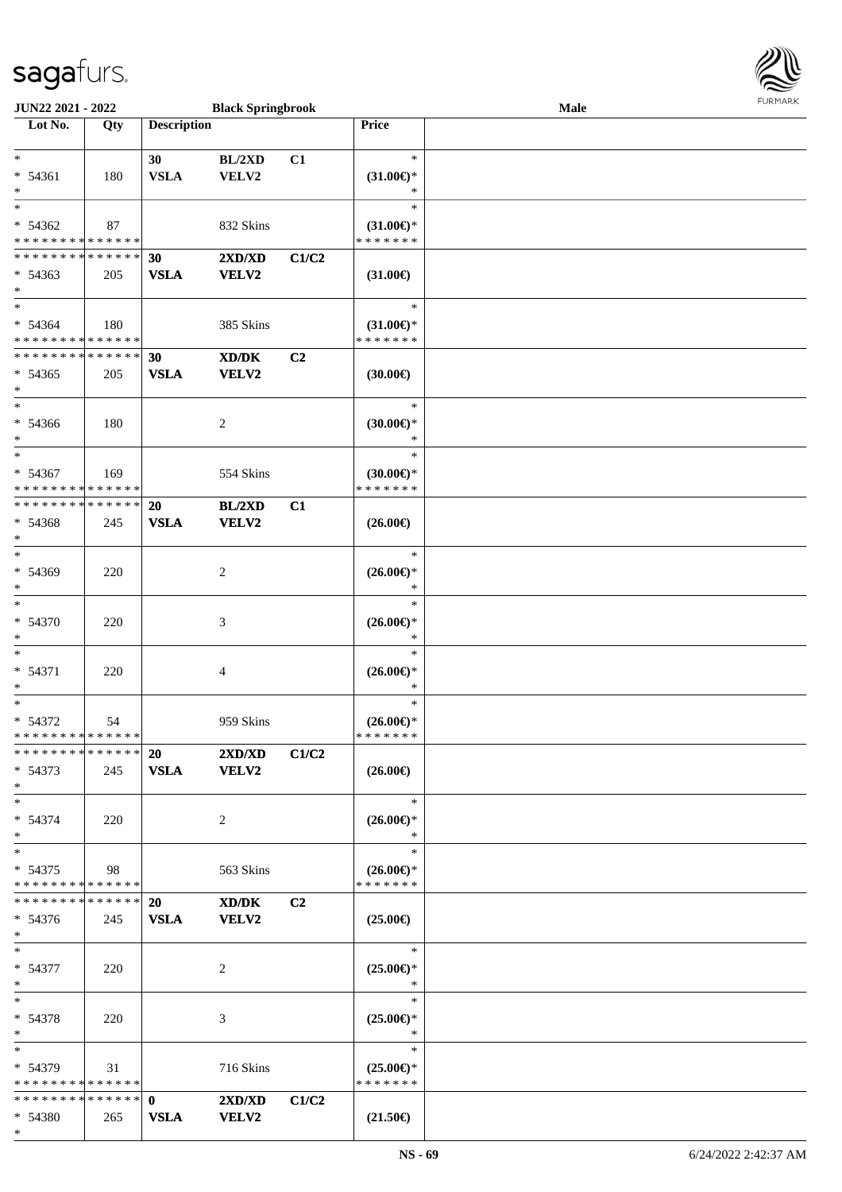

| <b>JUN22 2021 - 2022</b>                                                 |     |                    | <b>Black Springbrook</b>                    |       |                                      | Male | <b>LOKINKY</b> |
|--------------------------------------------------------------------------|-----|--------------------|---------------------------------------------|-------|--------------------------------------|------|----------------|
| Lot No.                                                                  | Qty | <b>Description</b> |                                             |       | Price                                |      |                |
|                                                                          |     |                    |                                             |       |                                      |      |                |
| $*$                                                                      |     | 30                 | BL/2XD                                      | C1    | $\ast$                               |      |                |
| $* 54361$<br>$*$                                                         | 180 | <b>VSLA</b>        | VELV2                                       |       | $(31.00\epsilon)$ *<br>$\ast$        |      |                |
| $*$                                                                      |     |                    |                                             |       | $\ast$                               |      |                |
| $* 54362$                                                                | 87  |                    | 832 Skins                                   |       | $(31.00\epsilon)$ *                  |      |                |
| * * * * * * * * <mark>* * * * * * *</mark>                               |     |                    |                                             |       | * * * * * * *                        |      |                |
| * * * * * * * * * * * * * * *                                            |     | 30                 | 2XD/XD                                      | C1/C2 |                                      |      |                |
| $* 54363$                                                                | 205 | <b>VSLA</b>        | VELV2                                       |       | $(31.00\epsilon)$                    |      |                |
| $*$                                                                      |     |                    |                                             |       |                                      |      |                |
| $\overline{\mathbf{r}}$                                                  |     |                    |                                             |       | $\ast$                               |      |                |
| $* 54364$                                                                | 180 |                    | 385 Skins                                   |       | $(31.00\epsilon)$ *                  |      |                |
| * * * * * * * * * * * * * *                                              |     |                    |                                             |       | * * * * * * *                        |      |                |
| * * * * * * * * * * * * * *                                              |     | 30                 | XD/DK                                       | C2    |                                      |      |                |
| $* 54365$                                                                | 205 | <b>VSLA</b>        | VELV2                                       |       | $(30.00\epsilon)$                    |      |                |
| $*$                                                                      |     |                    |                                             |       |                                      |      |                |
| $\ast$                                                                   |     |                    |                                             |       | $\ast$                               |      |                |
| $* 54366$                                                                | 180 |                    | 2                                           |       | $(30.00\epsilon)$ *                  |      |                |
| $*$<br>$*$                                                               |     |                    |                                             |       | $\ast$                               |      |                |
|                                                                          |     |                    |                                             |       | $\ast$                               |      |                |
| * 54367<br>* * * * * * * * * * * * * *                                   | 169 |                    | 554 Skins                                   |       | $(30.00\epsilon)$ *<br>* * * * * * * |      |                |
| * * * * * * * * * * * * * *                                              |     | 20                 | BL/2XD                                      | C1    |                                      |      |                |
| * 54368                                                                  | 245 | <b>VSLA</b>        | <b>VELV2</b>                                |       | $(26.00\epsilon)$                    |      |                |
| $*$                                                                      |     |                    |                                             |       |                                      |      |                |
| $*$                                                                      |     |                    |                                             |       | $\ast$                               |      |                |
| * 54369                                                                  | 220 |                    | 2                                           |       | $(26.00\epsilon)$ *                  |      |                |
| $\ast$                                                                   |     |                    |                                             |       | $\ast$                               |      |                |
| $*$                                                                      |     |                    |                                             |       | $\ast$                               |      |                |
| * 54370                                                                  | 220 |                    | 3                                           |       | $(26.00\epsilon)$ *                  |      |                |
| $\ast$                                                                   |     |                    |                                             |       | $\ast$                               |      |                |
| $*$                                                                      |     |                    |                                             |       | $\ast$                               |      |                |
| $* 54371$                                                                | 220 |                    | 4                                           |       | $(26.00\epsilon)$ *                  |      |                |
| $*$                                                                      |     |                    |                                             |       | $\ast$                               |      |                |
| $*$                                                                      |     |                    |                                             |       | $\ast$                               |      |                |
| $* 54372$                                                                | 54  |                    | 959 Skins                                   |       | $(26.00\epsilon)$ *                  |      |                |
| * * * * * * * * <mark>* * * * * *</mark><br>******** <mark>******</mark> |     |                    |                                             |       | * * * * * * *                        |      |                |
| $* 54373$                                                                | 245 | 20                 | 2XD/XD                                      | C1/C2 | $(26.00\epsilon)$                    |      |                |
| $\ast$                                                                   |     | <b>VSLA</b>        | <b>VELV2</b>                                |       |                                      |      |                |
| $*$                                                                      |     |                    |                                             |       | $\ast$                               |      |                |
| $* 54374$                                                                | 220 |                    | 2                                           |       | $(26.00\epsilon)$ *                  |      |                |
| $*$                                                                      |     |                    |                                             |       | $\ast$                               |      |                |
| $*$                                                                      |     |                    |                                             |       | $\ast$                               |      |                |
| $* 54375$                                                                | 98  |                    | 563 Skins                                   |       | $(26.00\epsilon)$ *                  |      |                |
| * * * * * * * * * * * * * * <mark>*</mark>                               |     |                    |                                             |       | * * * * * * *                        |      |                |
| * * * * * * * * * * * * * * *                                            |     | <b>20</b>          | $\mathbf{X}\mathbf{D}/\mathbf{D}\mathbf{K}$ | C2    |                                      |      |                |
| $* 54376$                                                                | 245 | <b>VSLA</b>        | <b>VELV2</b>                                |       | $(25.00\epsilon)$                    |      |                |
| $\ast$                                                                   |     |                    |                                             |       |                                      |      |                |
| $*$                                                                      |     |                    |                                             |       | $\ast$                               |      |                |
| $* 54377$                                                                | 220 |                    | 2                                           |       | $(25.00\epsilon)$ *                  |      |                |
| $*$                                                                      |     |                    |                                             |       | $\ast$                               |      |                |
| $*$ $-$                                                                  |     |                    |                                             |       | $\ast$                               |      |                |
| * 54378                                                                  | 220 |                    | 3                                           |       | $(25.00\epsilon)$ *                  |      |                |
| $*$<br>$*$ $*$                                                           |     |                    |                                             |       | $\ast$<br>$\ast$                     |      |                |
|                                                                          |     |                    |                                             |       |                                      |      |                |
| * 54379<br>* * * * * * * * <mark>* * * * * *</mark>                      | 31  |                    | 716 Skins                                   |       | $(25.00\epsilon)$ *<br>* * * * * * * |      |                |
|                                                                          |     |                    | 2XD/XD                                      | C1/C2 |                                      |      |                |
| $* 54380$                                                                | 265 | <b>VSLA</b>        | <b>VELV2</b>                                |       | $(21.50\epsilon)$                    |      |                |
| $*$                                                                      |     |                    |                                             |       |                                      |      |                |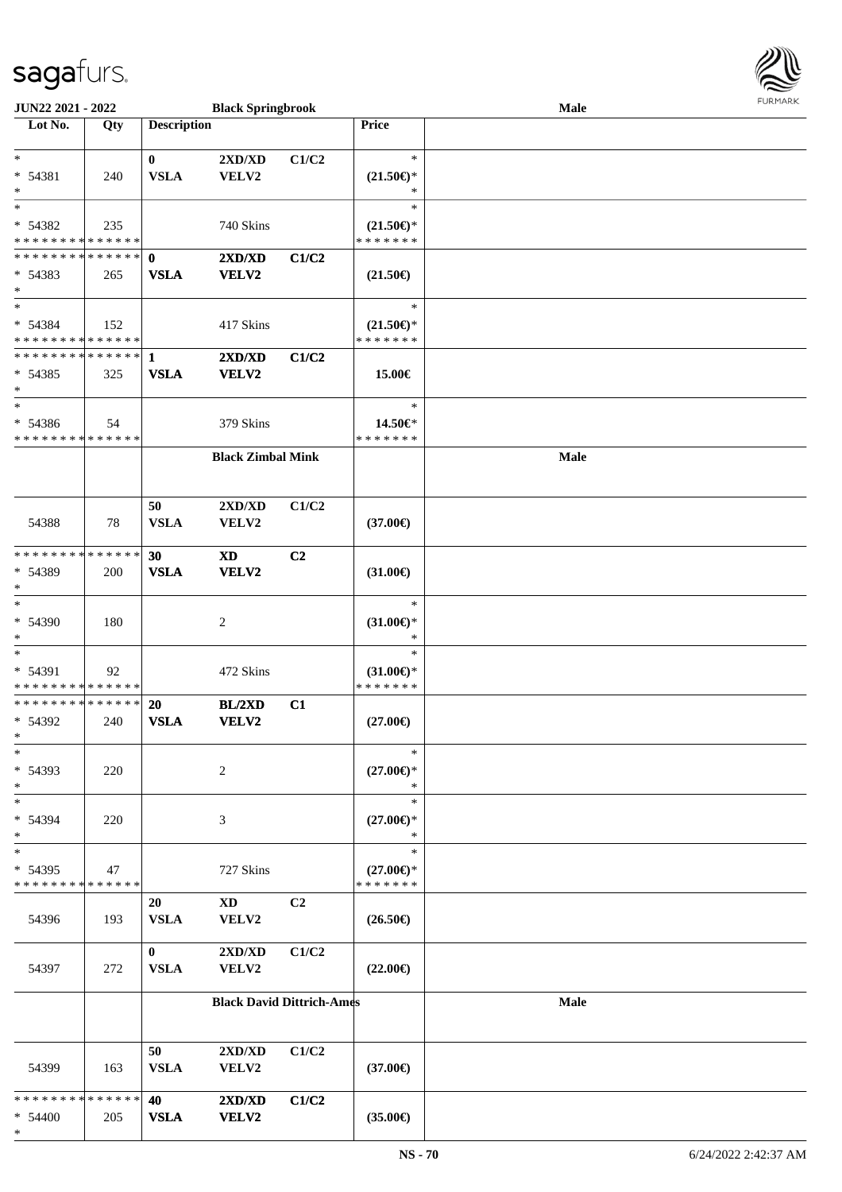

| JUN22 2021 - 2022                      |     |                             | <b>Black Springbrook</b> |                                  |                                                   | Male        | <b>FURPIARA</b> |
|----------------------------------------|-----|-----------------------------|--------------------------|----------------------------------|---------------------------------------------------|-------------|-----------------|
| $\overline{\text{Lot No.}}$            | Qty | <b>Description</b>          |                          |                                  | Price                                             |             |                 |
|                                        |     |                             |                          |                                  |                                                   |             |                 |
| $*$                                    |     | $\mathbf{0}$                | 2XD/XD                   | C1/C2                            | $\ast$                                            |             |                 |
| * 54381                                | 240 | <b>VSLA</b>                 | VELV2                    |                                  | $(21.50\mathnormal{\in}\mathcal{)^{\! \! \circ}}$ |             |                 |
| $\ast$<br>$\ast$                       |     |                             |                          |                                  | $\ast$<br>$\ast$                                  |             |                 |
|                                        |     |                             |                          |                                  |                                                   |             |                 |
| * 54382<br>* * * * * * * * * * * * * * | 235 |                             | 740 Skins                |                                  | $(21.50\epsilon)$ *<br>* * * * * * *              |             |                 |
| * * * * * * * * * * * * * * *          |     |                             |                          |                                  |                                                   |             |                 |
|                                        |     | $\mathbf{0}$<br><b>VSLA</b> | 2XD/XD                   | C1/C2                            |                                                   |             |                 |
| * 54383<br>$\ast$                      | 265 |                             | <b>VELV2</b>             |                                  | $(21.50\epsilon)$                                 |             |                 |
| $*$                                    |     |                             |                          |                                  | $\ast$                                            |             |                 |
| * 54384                                | 152 |                             | 417 Skins                |                                  | $(21.50\epsilon)$ *                               |             |                 |
| * * * * * * * * * * * * * *            |     |                             |                          |                                  | * * * * * * *                                     |             |                 |
| * * * * * * * * * * * * * * *          |     | 1                           | 2XD/XD                   | C1/C2                            |                                                   |             |                 |
| * 54385                                | 325 | <b>VSLA</b>                 | VELV2                    |                                  | 15.00€                                            |             |                 |
| $*$                                    |     |                             |                          |                                  |                                                   |             |                 |
| $\ast$                                 |     |                             |                          |                                  | $\ast$                                            |             |                 |
| * 54386                                | 54  |                             | 379 Skins                |                                  | 14.50€*                                           |             |                 |
| * * * * * * * * * * * * * *            |     |                             |                          |                                  | * * * * * * *                                     |             |                 |
|                                        |     |                             | <b>Black Zimbal Mink</b> |                                  |                                                   | Male        |                 |
|                                        |     |                             |                          |                                  |                                                   |             |                 |
|                                        |     |                             |                          |                                  |                                                   |             |                 |
|                                        |     | 50                          | 2XD/XD                   | C1/C2                            |                                                   |             |                 |
| 54388                                  | 78  | <b>VSLA</b>                 | VELV2                    |                                  | $(37.00\epsilon)$                                 |             |                 |
|                                        |     |                             |                          |                                  |                                                   |             |                 |
| * * * * * * * * * * * * * *            |     | 30                          | <b>XD</b>                | C <sub>2</sub>                   |                                                   |             |                 |
| * 54389<br>$\ast$                      | 200 | <b>VSLA</b>                 | VELV2                    |                                  | $(31.00\epsilon)$                                 |             |                 |
| $\ast$                                 |     |                             |                          |                                  | $\ast$                                            |             |                 |
| * 54390                                | 180 |                             | 2                        |                                  | $(31.00\epsilon)$ *                               |             |                 |
| $\ast$                                 |     |                             |                          |                                  | ∗                                                 |             |                 |
| $\ast$                                 |     |                             |                          |                                  | $\ast$                                            |             |                 |
| * 54391                                | 92  |                             | 472 Skins                |                                  | $(31.00\epsilon)$ *                               |             |                 |
| * * * * * * * * * * * * * *            |     |                             |                          |                                  | * * * * * * *                                     |             |                 |
| * * * * * * * * * * * * * *            |     | 20                          | BL/2XD                   | C1                               |                                                   |             |                 |
| * 54392                                | 240 | <b>VSLA</b>                 | VELV2                    |                                  | $(27.00\epsilon)$                                 |             |                 |
| $\mathbf{x}$                           |     |                             |                          |                                  |                                                   |             |                 |
| $\ast$                                 |     |                             |                          |                                  | $\ast$                                            |             |                 |
| $* 54393$                              | 220 |                             | 2                        |                                  | $(27.00\epsilon)$ *                               |             |                 |
| $\ast$                                 |     |                             |                          |                                  | $\ast$                                            |             |                 |
| $\ast$                                 |     |                             |                          |                                  | $\ast$                                            |             |                 |
| * 54394                                | 220 |                             | 3                        |                                  | $(27.00\epsilon)$ *                               |             |                 |
| $\ast$<br>$\ast$                       |     |                             |                          |                                  | *<br>$\ast$                                       |             |                 |
| $* 54395$                              |     |                             |                          |                                  |                                                   |             |                 |
| * * * * * * * * * * * * * *            | 47  |                             | 727 Skins                |                                  | $(27.00\epsilon)$ *<br>* * * * * * *              |             |                 |
|                                        |     | 20                          | <b>XD</b>                | C2                               |                                                   |             |                 |
| 54396                                  | 193 | <b>VSLA</b>                 | ${\bf VELV2}$            |                                  | $(26.50\epsilon)$                                 |             |                 |
|                                        |     |                             |                          |                                  |                                                   |             |                 |
|                                        |     | $\bf{0}$                    | 2XD/XD                   | C1/C2                            |                                                   |             |                 |
| 54397                                  | 272 | <b>VSLA</b>                 | VELV2                    |                                  | $(22.00\epsilon)$                                 |             |                 |
|                                        |     |                             |                          |                                  |                                                   |             |                 |
|                                        |     |                             |                          | <b>Black David Dittrich-Ames</b> |                                                   | <b>Male</b> |                 |
|                                        |     |                             |                          |                                  |                                                   |             |                 |
|                                        |     |                             |                          |                                  |                                                   |             |                 |
|                                        |     | 50                          | 2XD/XD                   | C1/C2                            |                                                   |             |                 |
| 54399                                  | 163 | <b>VSLA</b>                 | VELV2                    |                                  | $(37.00\epsilon)$                                 |             |                 |
| * * * * * * * * * * * * * *            |     | 40                          | 2XD/XD                   | C1/C2                            |                                                   |             |                 |
| $* 54400$                              | 205 | <b>VSLA</b>                 | VELV2                    |                                  | $(35.00\epsilon)$                                 |             |                 |
| $\ast$                                 |     |                             |                          |                                  |                                                   |             |                 |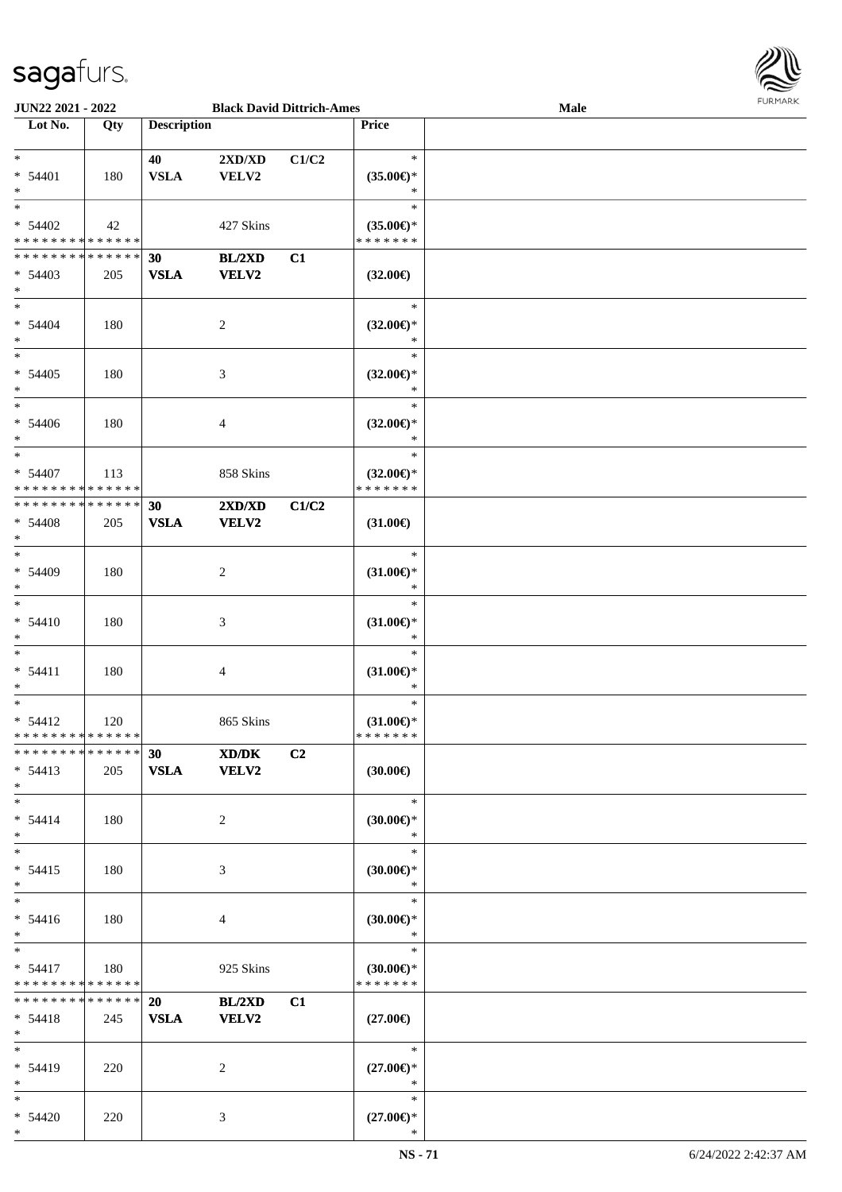

| <b>JUN22 2021 - 2022</b>                   |     |                    | <b>Black David Dittrich-Ames</b> |                |                     | Male |
|--------------------------------------------|-----|--------------------|----------------------------------|----------------|---------------------|------|
| Lot No.                                    | Qty | <b>Description</b> |                                  |                | <b>Price</b>        |      |
|                                            |     |                    |                                  |                |                     |      |
| $*$                                        |     | 40                 | $2{\bf X}{\bf D}/{\bf X}{\bf D}$ | C1/C2          | $\ast$              |      |
| $* 54401$                                  | 180 | <b>VSLA</b>        | <b>VELV2</b>                     |                | $(35.00\epsilon)$ * |      |
| $*$                                        |     |                    |                                  |                | ∗                   |      |
| $\ddot{x}$                                 |     |                    |                                  |                | $\ast$              |      |
|                                            |     |                    |                                  |                |                     |      |
| $* 54402$                                  | 42  |                    | 427 Skins                        |                | $(35.00\epsilon)$ * |      |
| * * * * * * * * <mark>* * * * * * *</mark> |     |                    |                                  |                | * * * * * * *       |      |
| * * * * * * * * <mark>* * * * * * *</mark> |     | 30                 | BL/2XD                           | C1             |                     |      |
| $* 54403$                                  | 205 | <b>VSLA</b>        | <b>VELV2</b>                     |                | $(32.00\epsilon)$   |      |
| $\ast$                                     |     |                    |                                  |                |                     |      |
| $*$                                        |     |                    |                                  |                | $\ast$              |      |
|                                            |     |                    |                                  |                |                     |      |
| $* 54404$                                  | 180 |                    | 2                                |                | $(32.00\epsilon)$ * |      |
| $*$                                        |     |                    |                                  |                | $\ast$              |      |
| $\overline{\ast}$                          |     |                    |                                  |                | $\ast$              |      |
| $* 54405$                                  | 180 |                    | 3                                |                | $(32.00\epsilon)$ * |      |
| $\ast$                                     |     |                    |                                  |                | $\ast$              |      |
| $\ast$                                     |     |                    |                                  |                | $\ast$              |      |
| $* 54406$                                  | 180 |                    | 4                                |                | $(32.00\epsilon)$ * |      |
| $\ast$                                     |     |                    |                                  |                | $\ast$              |      |
| $*$                                        |     |                    |                                  |                |                     |      |
|                                            |     |                    |                                  |                | $\ast$              |      |
| $* 54407$                                  | 113 |                    | 858 Skins                        |                | $(32.00\epsilon)$ * |      |
| * * * * * * * * <mark>* * * * * *</mark>   |     |                    |                                  |                | * * * * * * *       |      |
| * * * * * * * * * * * * * * <mark>*</mark> |     | 30                 | 2XD/XD                           | C1/C2          |                     |      |
| $* 54408$                                  | 205 | <b>VSLA</b>        | <b>VELV2</b>                     |                | $(31.00\epsilon)$   |      |
| $\ast$                                     |     |                    |                                  |                |                     |      |
| $\ast$                                     |     |                    |                                  |                | $\ast$              |      |
|                                            |     |                    |                                  |                |                     |      |
| $* 54409$                                  | 180 |                    | 2                                |                | $(31.00\epsilon)$ * |      |
| $\ast$                                     |     |                    |                                  |                | $\ast$              |      |
| $\ast$                                     |     |                    |                                  |                | $\ast$              |      |
| $* 54410$                                  | 180 |                    | 3                                |                | $(31.00\epsilon)$ * |      |
| $*$                                        |     |                    |                                  |                | $\ast$              |      |
| $\ast$                                     |     |                    |                                  |                | $\ast$              |      |
| $* 54411$                                  | 180 |                    | $\overline{4}$                   |                | $(31.00\epsilon)$ * |      |
| $\ast$                                     |     |                    |                                  |                | $\ast$              |      |
| $\ast$                                     |     |                    |                                  |                | $\ast$              |      |
|                                            |     |                    |                                  |                |                     |      |
| $* 54412$                                  | 120 |                    | 865 Skins                        |                | $(31.00\epsilon)$ * |      |
| * * * * * * * * <mark>* * * * * *</mark>   |     |                    |                                  |                | * * * * * * *       |      |
| * * * * * * * * <mark>* * * * * * *</mark> |     | 30                 | XD/DK                            | C <sub>2</sub> |                     |      |
| $* 54413$                                  | 205 | VSLA VELV2         |                                  |                | $(30.00\epsilon)$   |      |
| $\ast$                                     |     |                    |                                  |                |                     |      |
| $*$ $-$                                    |     |                    |                                  |                | $\ast$              |      |
| $* 54414$                                  |     |                    |                                  |                |                     |      |
|                                            | 180 |                    | $\overline{2}$                   |                | $(30.00\epsilon)$ * |      |
| $\ast$                                     |     |                    |                                  |                | $\ast$              |      |
| $\ddot{x}$                                 |     |                    |                                  |                | $\ast$              |      |
| $* 54415$                                  | 180 |                    | 3                                |                | $(30.00\epsilon)$ * |      |
| $\ast$                                     |     |                    |                                  |                | $\ast$              |      |
| $\ddot{x}$                                 |     |                    |                                  |                | $\ast$              |      |
| $* 54416$                                  | 180 |                    | $\overline{4}$                   |                | $(30.00\epsilon)$ * |      |
| $*$                                        |     |                    |                                  |                | $\ast$              |      |
| $*$ $-$                                    |     |                    |                                  |                | $\ast$              |      |
|                                            |     |                    |                                  |                |                     |      |
| $* 54417$                                  | 180 |                    | 925 Skins                        |                | $(30.00\epsilon)$ * |      |
| * * * * * * * * <mark>* * * * * *</mark>   |     |                    |                                  |                | * * * * * * *       |      |
| * * * * * * * * * * * * * * <mark>*</mark> |     | 20                 | BL/2XD                           | C1             |                     |      |
| $* 54418$                                  | 245 | <b>VSLA</b>        | <b>VELV2</b>                     |                | $(27.00\epsilon)$   |      |
| $\ast$                                     |     |                    |                                  |                |                     |      |
| $*$ $-$                                    |     |                    |                                  |                | $*$                 |      |
| $* 54419$                                  | 220 |                    | 2                                |                | $(27.00\epsilon)$ * |      |
| $*$                                        |     |                    |                                  |                | $\ast$              |      |
|                                            |     |                    |                                  |                |                     |      |
| $\ddot{x}$                                 |     |                    |                                  |                | $\ast$              |      |
| $* 54420$                                  | 220 |                    | 3                                |                | $(27.00\epsilon)$ * |      |
| $\ast$                                     |     |                    |                                  |                | $\ast$              |      |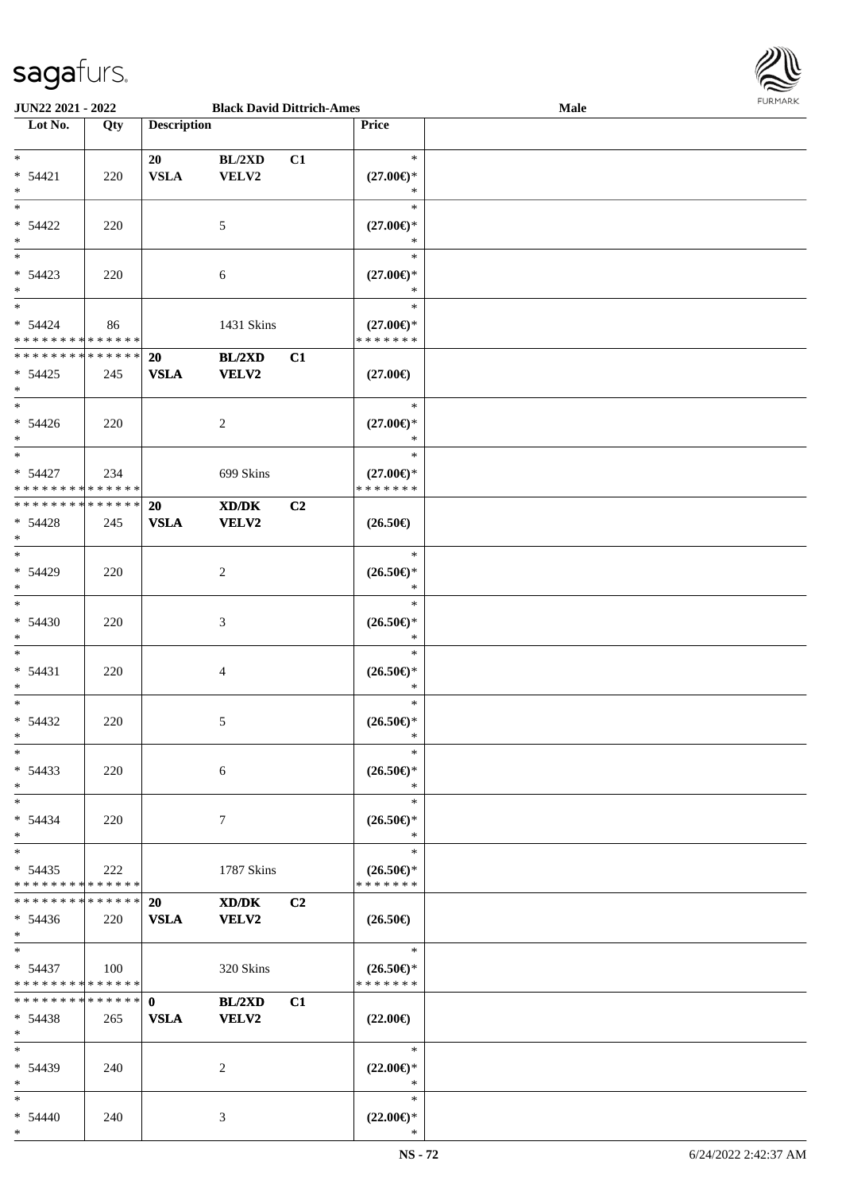

| <b>JUN22 2021 - 2022</b>      |             |                    | <b>Black David Dittrich-Ames</b> |                |                                    | Male |  |
|-------------------------------|-------------|--------------------|----------------------------------|----------------|------------------------------------|------|--|
| Lot No.                       | Qty         | <b>Description</b> |                                  |                | <b>Price</b>                       |      |  |
|                               |             |                    |                                  |                |                                    |      |  |
| $*$                           |             | 20                 | BL/2XD                           | C1             | $\ast$                             |      |  |
| $* 54421$                     | 220         | <b>VSLA</b>        | VELV2                            |                | $(27.00\epsilon)$ *                |      |  |
| $\ast$                        |             |                    |                                  |                | ∗                                  |      |  |
|                               |             |                    |                                  |                |                                    |      |  |
|                               |             |                    |                                  |                | $\ast$                             |      |  |
| $* 54422$                     | 220         |                    | 5                                |                | $(27.00\epsilon)$ *                |      |  |
| $*$                           |             |                    |                                  |                | ∗                                  |      |  |
|                               |             |                    |                                  |                | $\ast$                             |      |  |
| $* 54423$                     | 220         |                    | 6                                |                | $(27.00\epsilon)$ *                |      |  |
| $*$                           |             |                    |                                  |                | $\ast$                             |      |  |
| $*$                           |             |                    |                                  |                | $\ast$                             |      |  |
|                               |             |                    |                                  |                |                                    |      |  |
| $* 54424$                     | 86          |                    | 1431 Skins                       |                | $(27.00\epsilon)$ *                |      |  |
| * * * * * * * * * * * * * * * |             |                    |                                  |                | * * * * * * *                      |      |  |
| * * * * * * * * * * * * * * * |             | 20                 | BL/2XD                           | C1             |                                    |      |  |
| $* 54425$                     | 245         | <b>VSLA</b>        | <b>VELV2</b>                     |                | $(27.00\epsilon)$                  |      |  |
| $*$                           |             |                    |                                  |                |                                    |      |  |
| $*$                           |             |                    |                                  |                | $\ast$                             |      |  |
| $* 54426$                     | 220         |                    | 2                                |                | $(27.00\epsilon)$ *                |      |  |
| $*$                           |             |                    |                                  |                | $\ast$                             |      |  |
|                               |             |                    |                                  |                |                                    |      |  |
| $*$                           |             |                    |                                  |                | $\ast$                             |      |  |
| $* 54427$                     | 234         |                    | 699 Skins                        |                | $(27.00\epsilon)$ *                |      |  |
| * * * * * * * * * * * * * * * |             |                    |                                  |                | * * * * * * *                      |      |  |
| * * * * * * * * * * * * * * * |             | 20                 | XD/DK                            | C <sub>2</sub> |                                    |      |  |
| $* 54428$                     | 245         | <b>VSLA</b>        | <b>VELV2</b>                     |                | $(26.50\epsilon)$                  |      |  |
| $\ast$                        |             |                    |                                  |                |                                    |      |  |
| $*$                           |             |                    |                                  |                | $\ast$                             |      |  |
|                               |             |                    |                                  |                |                                    |      |  |
| * 54429                       | 220         |                    | 2                                |                | $(26.50\epsilon)$ *                |      |  |
| $*$                           |             |                    |                                  |                | $\ast$                             |      |  |
| $*$                           |             |                    |                                  |                | $\ast$                             |      |  |
| $* 54430$                     | 220         |                    | 3                                |                | $(26.50\epsilon)$ *                |      |  |
| $*$                           |             |                    |                                  |                | $\ast$                             |      |  |
| $*$                           |             |                    |                                  |                | $\ast$                             |      |  |
| $* 54431$                     |             |                    |                                  |                |                                    |      |  |
|                               | 220         |                    | 4                                |                | $(26.50\epsilon)$ *                |      |  |
| $*$                           |             |                    |                                  |                | $\ast$                             |      |  |
| $*$                           |             |                    |                                  |                | $\ast$                             |      |  |
| $* 54432$                     | 220         |                    | 5                                |                | $(26.50\epsilon)$ *                |      |  |
| $*$                           |             |                    |                                  |                | $\ast$                             |      |  |
| $*$                           |             |                    |                                  |                | $\ast$                             |      |  |
| $* 54433$                     | 220         |                    | 6                                |                | $(26.50\epsilon)$ *                |      |  |
| $*$                           |             |                    |                                  |                | $\ast$                             |      |  |
|                               |             |                    |                                  |                |                                    |      |  |
| $*$                           |             |                    |                                  |                | $\ast$                             |      |  |
| $* 54434$                     | 220         |                    | 7                                |                | $(26.50\epsilon)$ *                |      |  |
| $*$                           |             |                    |                                  |                | $\ast$                             |      |  |
| $*$                           |             |                    |                                  |                | $\ast$                             |      |  |
| $* 54435$                     | 222         |                    | 1787 Skins                       |                | $(26.50\epsilon)$ *                |      |  |
| * * * * * * * *               | * * * * * * |                    |                                  |                | * * * * * * *                      |      |  |
| * * * * * * * *               | ******      | 20                 | XD/DK                            | C <sub>2</sub> |                                    |      |  |
|                               |             |                    |                                  |                |                                    |      |  |
| $* 54436$                     | 220         | <b>VSLA</b>        | <b>VELV2</b>                     |                | $(26.50\epsilon)$                  |      |  |
| $*$ $-$                       |             |                    |                                  |                |                                    |      |  |
| $*$ $*$                       |             |                    |                                  |                | $\overline{\phantom{a}}$<br>$\ast$ |      |  |
| $* 54437$                     | 100         |                    | 320 Skins                        |                | $(26.50\epsilon)$ *                |      |  |
| * * * * * * * * * * * * * *   |             |                    |                                  |                | * * * * * * *                      |      |  |
| * * * * * * * * * * * * * * * |             | $\mathbf{0}$       | <b>BL/2XD</b>                    | C1             |                                    |      |  |
| $* 54438$                     | 265         | <b>VSLA</b>        | <b>VELV2</b>                     |                | $(22.00\epsilon)$                  |      |  |
| $*$                           |             |                    |                                  |                |                                    |      |  |
|                               |             |                    |                                  |                | $\ast$                             |      |  |
| $*$                           |             |                    |                                  |                |                                    |      |  |
| * 54439                       | 240         |                    | 2                                |                | $(22.00\epsilon)$ *                |      |  |
| $*$                           |             |                    |                                  |                | $\ast$                             |      |  |
| $*$                           |             |                    |                                  |                | $\ast$                             |      |  |
| * 54440                       | 240         |                    | 3                                |                | $(22.00\epsilon)$ *                |      |  |
| $*$                           |             |                    |                                  |                | $\ast$                             |      |  |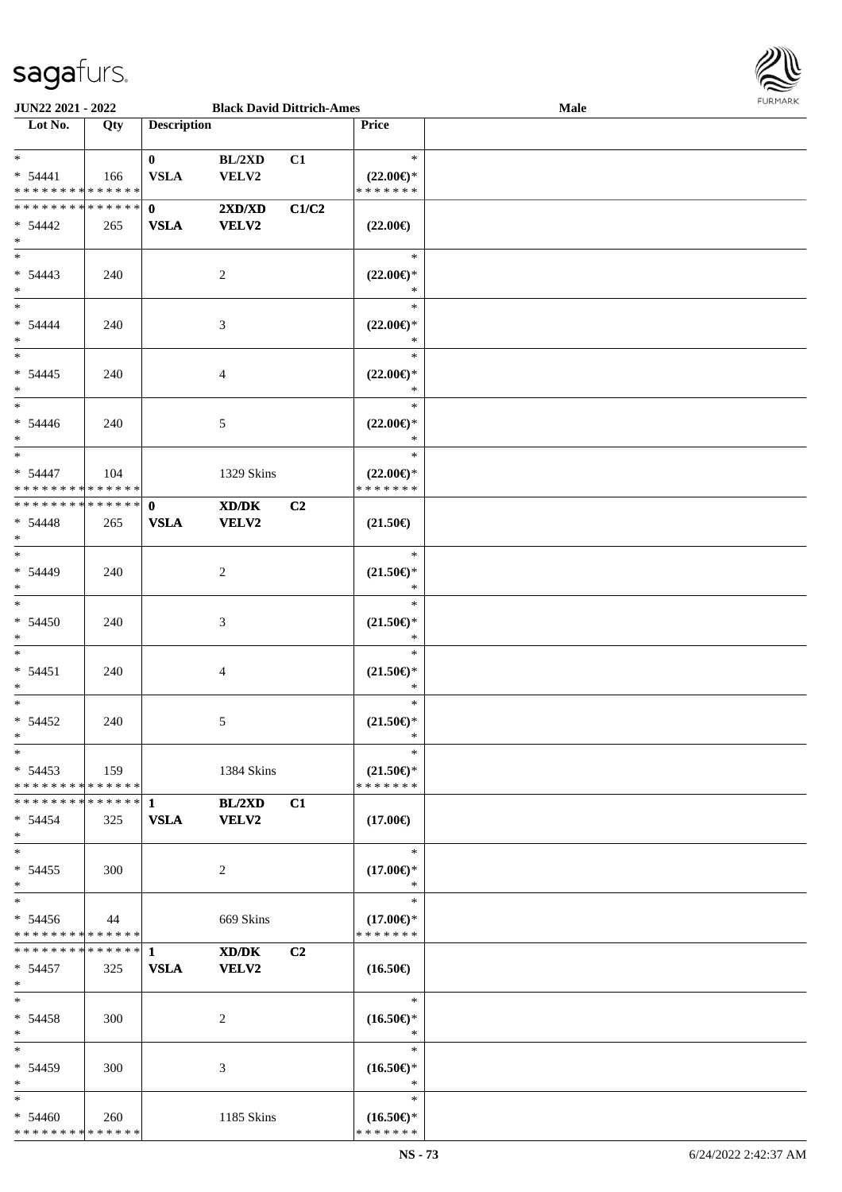

| JUN22 2021 - 2022              |             |                    | <b>Black David Dittrich-Ames</b>            |                |                                      | <b>Male</b> |
|--------------------------------|-------------|--------------------|---------------------------------------------|----------------|--------------------------------------|-------------|
| Lot No.                        | Qty         | <b>Description</b> |                                             |                | Price                                |             |
|                                |             |                    |                                             |                |                                      |             |
| $\ast$                         |             | $\mathbf{0}$       | BL/2XD                                      | C1             | $\ast$                               |             |
| $* 54441$                      | 166         | <b>VSLA</b>        | VELV2                                       |                | $(22.00\epsilon)$ *                  |             |
| * * * * * * * * * * * * * *    |             |                    |                                             |                | * * * * * * *                        |             |
| * * * * * * * * * * * * * * *  |             | $\mathbf{0}$       | 2XD/XD                                      | C1/C2          |                                      |             |
| $* 54442$                      | 265         | <b>VSLA</b>        | <b>VELV2</b>                                |                | $(22.00\epsilon)$                    |             |
| $\ast$                         |             |                    |                                             |                |                                      |             |
| $\overline{\phantom{0}}$       |             |                    |                                             |                |                                      |             |
|                                |             |                    |                                             |                | $\ast$                               |             |
| $* 54443$                      | 240         |                    | $\overline{c}$                              |                | $(22.00\epsilon)$ *                  |             |
| $*$                            |             |                    |                                             |                | $\ast$                               |             |
| $\overline{\ast}$              |             |                    |                                             |                | $\ast$                               |             |
| $* 54444$                      | 240         |                    | $\mathfrak{Z}$                              |                | $(22.00\epsilon)$ *                  |             |
| $\ast$                         |             |                    |                                             |                | $\ast$                               |             |
| $\overline{\phantom{a}^*}$     |             |                    |                                             |                | $\ast$                               |             |
| $* 54445$                      | 240         |                    | $\overline{4}$                              |                | $(22.00\epsilon)$ *                  |             |
| $\ast$                         |             |                    |                                             |                | $\ast$                               |             |
| $\overline{\phantom{a}^*}$     |             |                    |                                             |                | $\ast$                               |             |
| $* 54446$                      | 240         |                    | 5                                           |                | $(22.00\epsilon)$ *                  |             |
| $*$                            |             |                    |                                             |                | $\ast$                               |             |
| $*$                            |             |                    |                                             |                | $\ast$                               |             |
| $* 54447$                      |             |                    |                                             |                |                                      |             |
| * * * * * * * * * * * * * *    | 104         |                    | 1329 Skins                                  |                | $(22.00\epsilon)$ *<br>* * * * * * * |             |
|                                |             |                    |                                             |                |                                      |             |
| **************                 |             | $\mathbf{0}$       | $\mathbf{X}\mathbf{D}/\mathbf{D}\mathbf{K}$ | C2             |                                      |             |
| $* 54448$                      | 265         | <b>VSLA</b>        | <b>VELV2</b>                                |                | $(21.50\epsilon)$                    |             |
| $\ast$                         |             |                    |                                             |                |                                      |             |
| $*$                            |             |                    |                                             |                | $\ast$                               |             |
| $* 54449$                      | 240         |                    | $\overline{c}$                              |                | $(21.50\epsilon)$ *                  |             |
| $*$                            |             |                    |                                             |                | $\ast$                               |             |
| $\ast$                         |             |                    |                                             |                | $\ast$                               |             |
| $* 54450$                      | 240         |                    | 3                                           |                | $(21.50\epsilon)$ *                  |             |
| $\ast$                         |             |                    |                                             |                | $\ast$                               |             |
| $*$                            |             |                    |                                             |                | $\ast$                               |             |
| $* 54451$                      | 240         |                    | $\overline{4}$                              |                | $(21.50\epsilon)$ *                  |             |
| $*$                            |             |                    |                                             |                | $\ast$                               |             |
| $*$                            |             |                    |                                             |                | $\ast$                               |             |
| $* 54452$                      | 240         |                    | 5                                           |                | $(21.50\epsilon)$ *                  |             |
| $*$                            |             |                    |                                             |                | $\ast$                               |             |
| $*$                            |             |                    |                                             |                | $\ast$                               |             |
|                                |             |                    |                                             |                |                                      |             |
| $* 54453$                      | $\vert$ 159 |                    | 1384 Skins                                  |                | $(21.50\epsilon)$ *                  |             |
| * * * * * * * * * * * * * * *  |             |                    |                                             |                | * * * * * * *                        |             |
| * * * * * * * * * * * * * * *  |             | $\mathbf{1}$       | BL/2XD                                      | C1             |                                      |             |
| $* 54454$                      | 325         | <b>VSLA</b>        | VELV2                                       |                | $(17.00\epsilon)$                    |             |
| $*$                            |             |                    |                                             |                |                                      |             |
| $\ast$                         |             |                    |                                             |                | $\ast$                               |             |
| $* 54455$                      | 300         |                    | 2                                           |                | $(17.00\epsilon)$ *                  |             |
| $*$                            |             |                    |                                             |                | $\ast$                               |             |
| $\ast$                         |             |                    |                                             |                | $\ast$                               |             |
| $* 54456$                      | 44          |                    | 669 Skins                                   |                | $(17.00\epsilon)$ *                  |             |
| * * * * * * * * * * * * * *    |             |                    |                                             |                | * * * * * * *                        |             |
| ******** <mark>******</mark> 1 |             |                    | XD/DK                                       | C <sub>2</sub> |                                      |             |
| $* 54457$                      | 325         | <b>VSLA</b>        | <b>VELV2</b>                                |                | $(16.50\epsilon)$                    |             |
| $*$                            |             |                    |                                             |                |                                      |             |
| $*$                            |             |                    |                                             |                | $\ast$                               |             |
|                                |             |                    |                                             |                |                                      |             |
| $* 54458$                      | 300         |                    | 2                                           |                | $(16.50\epsilon)$ *                  |             |
| $*$                            |             |                    |                                             |                | $\ast$                               |             |
| $\ast$                         |             |                    |                                             |                | $\ast$                               |             |
| $* 54459$                      | 300         |                    | 3                                           |                | $(16.50\epsilon)$ *                  |             |
| $\ast$                         |             |                    |                                             |                | $\ast$                               |             |
| $*$                            |             |                    |                                             |                | $\ast$                               |             |
| $* 54460$                      | 260         |                    | 1185 Skins                                  |                | $(16.50\epsilon)$ *                  |             |
| * * * * * * * * * * * * * *    |             |                    |                                             |                | * * * * * * *                        |             |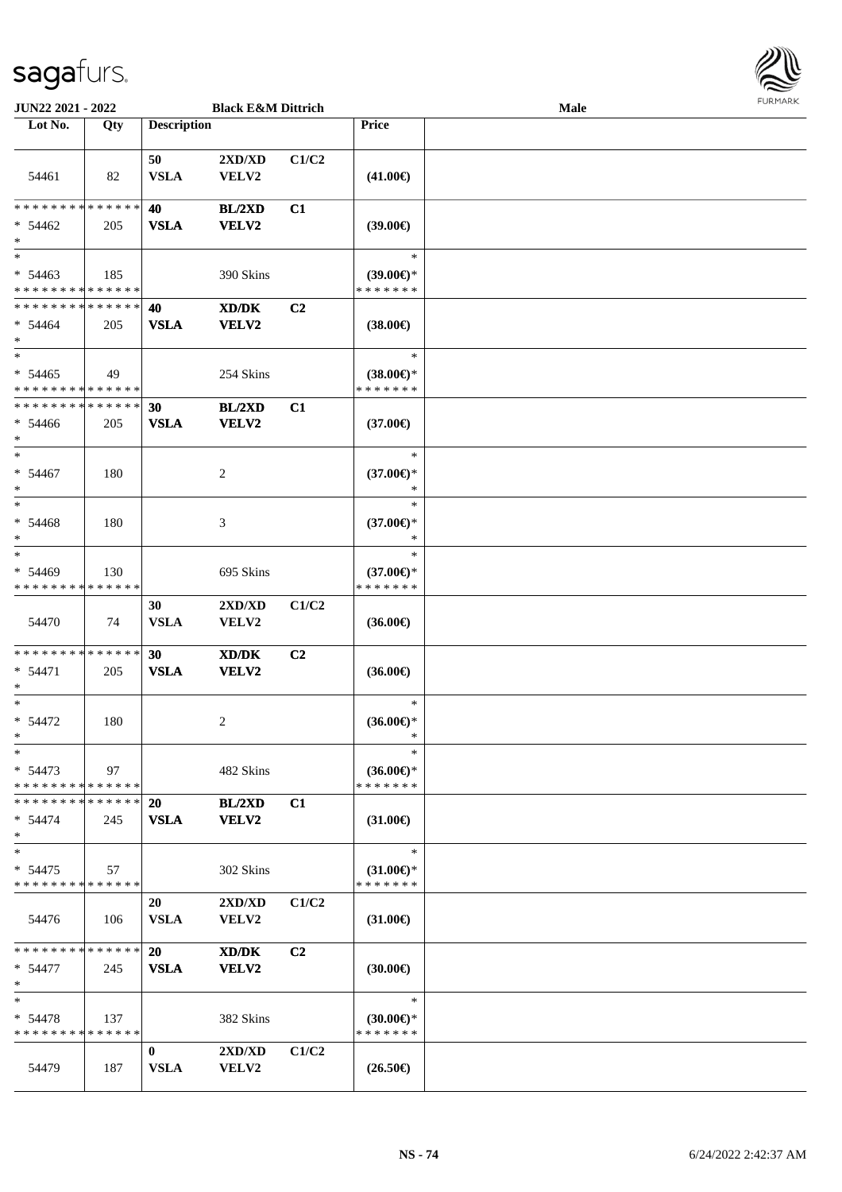

| <b>JUN22 2021 - 2022</b>                                          |     |                          | <b>Black E&amp;M Dittrich</b>             |                |                                                      | <b>Male</b> |  |
|-------------------------------------------------------------------|-----|--------------------------|-------------------------------------------|----------------|------------------------------------------------------|-------------|--|
| Lot No.                                                           | Qty | <b>Description</b>       |                                           |                | Price                                                |             |  |
| 54461                                                             | 82  | 50<br><b>VSLA</b>        | 2XD/XD<br>VELV2                           | C1/C2          | $(41.00\epsilon)$                                    |             |  |
| * * * * * * * * * * * * * * *<br>$* 54462$<br>$\ast$              | 205 | 40<br><b>VSLA</b>        | BL/2XD<br><b>VELV2</b>                    | C1             | $(39.00\epsilon)$                                    |             |  |
| $\ast$<br>$* 54463$<br>* * * * * * * * <mark>* * * * * * *</mark> | 185 |                          | 390 Skins                                 |                | $\ast$<br>$(39.00€)$ *<br>* * * * * * *              |             |  |
| * * * * * * * * * * * * * * *<br>$* 54464$<br>$*$                 | 205 | 40<br><b>VSLA</b>        | XD/DK<br><b>VELV2</b>                     | C <sub>2</sub> | $(38.00\epsilon)$                                    |             |  |
| $\ast$<br>$* 54465$<br>* * * * * * * * * * * * * *                | 49  |                          | 254 Skins                                 |                | $\ast$<br>$(38.00€)$ *<br>* * * * * * *              |             |  |
| * * * * * * * * <mark>* * * * * *</mark><br>$* 54466$<br>$\ast$   | 205 | 30<br><b>VSLA</b>        | BL/2XD<br><b>VELV2</b>                    | C1             | $(37.00\epsilon)$                                    |             |  |
| $\ast$<br>$* 54467$<br>$\ast$                                     | 180 |                          | 2                                         |                | $\ast$<br>$(37.00\epsilon)$ *<br>$\ast$              |             |  |
| $\ast$<br>$* 54468$<br>$\ast$                                     | 180 |                          | 3                                         |                | $\ast$<br>$(37.00€)$ *<br>∗                          |             |  |
| $\ast$<br>$* 54469$<br>* * * * * * * * * * * * * *                | 130 |                          | 695 Skins                                 |                | $\ast$<br>$(37.00€)$ *<br>* * * * * * *              |             |  |
| 54470                                                             | 74  | 30<br><b>VSLA</b>        | 2XD/XD<br>VELV2                           | C1/C2          | $(36.00\epsilon)$                                    |             |  |
| * * * * * * * * <mark>* * * * * * *</mark><br>$* 54471$<br>$\ast$ | 205 | 30<br><b>VSLA</b>        | XD/DK<br>VELV2                            | C <sub>2</sub> | $(36.00\epsilon)$                                    |             |  |
| $\ast$<br>$* 54472$<br>$\ddot{x}$                                 | 180 |                          | 2                                         |                | $\ast$<br>$(36.00\epsilon)$ *<br>∗                   |             |  |
| $\ast$<br>$* 54473$<br>* * * * * * * * * * * * * * *              | 97  |                          | 482 Skins                                 |                | $\ast$<br>$(36.00\epsilon)$ *<br>* * * * * * *       |             |  |
| * * * * * * * * * * * * * * *<br>$* 54474$<br>$\ast$              | 245 | 20<br><b>VSLA</b>        | BL/2XD<br><b>VELV2</b>                    | C1             | $(31.00\epsilon)$                                    |             |  |
| $\ast$<br>$* 54475$<br>* * * * * * * * <mark>* * * * * * *</mark> | 57  |                          | 302 Skins                                 |                | $\ast$<br>$(31.00\epsilon)$ *<br>* * * * * * *       |             |  |
| 54476                                                             | 106 | 20<br><b>VSLA</b>        | 2XD/XD<br><b>VELV2</b>                    | C1/C2          | $(31.00\epsilon)$                                    |             |  |
| * * * * * * * * <mark>* * * * * *</mark> *<br>$* 54477$<br>$\ast$ | 245 | <b>20</b><br><b>VSLA</b> | XD/DK<br>VELV2                            | C <sub>2</sub> | $(30.00\epsilon)$                                    |             |  |
| $\ast$<br>$* 54478$<br>* * * * * * * * * * * * * * *              | 137 |                          | 382 Skins                                 |                | $\ast$<br>$(30.00 \in \mathcal{F})$<br>* * * * * * * |             |  |
| 54479                                                             | 187 | $\bf{0}$<br><b>VSLA</b>  | $2{\bf X}{\bf D}/{\bf X}{\bf D}$<br>VELV2 | C1/C2          | $(26.50\epsilon)$                                    |             |  |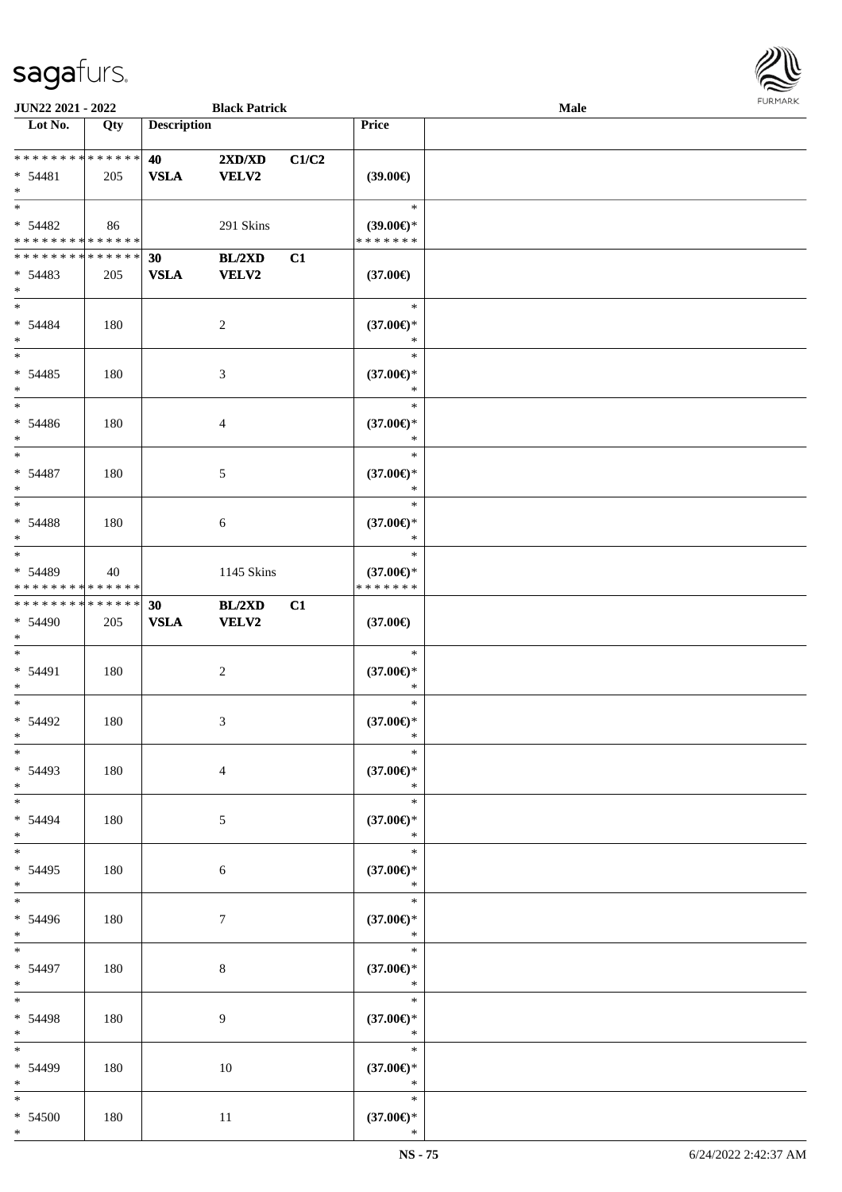

| JUN22 2021 - 2022           |     |                    | <b>Black Patrick</b> |       |                               | Male |  |
|-----------------------------|-----|--------------------|----------------------|-------|-------------------------------|------|--|
| Lot No.                     | Qty | <b>Description</b> |                      |       | Price                         |      |  |
|                             |     |                    |                      |       |                               |      |  |
| **************              |     | 40                 | 2XD/XD               | C1/C2 |                               |      |  |
| * 54481                     | 205 | <b>VSLA</b>        | <b>VELV2</b>         |       | (39.00)                       |      |  |
| $\ast$                      |     |                    |                      |       |                               |      |  |
| $\ast$                      |     |                    |                      |       | $\ast$                        |      |  |
|                             |     |                    |                      |       |                               |      |  |
| * 54482                     | 86  |                    | 291 Skins            |       | $(39.00\epsilon)$ *           |      |  |
| * * * * * * * * * * * * * * |     |                    |                      |       | * * * * * * *                 |      |  |
| * * * * * * * * * * * * * * |     | 30                 | BL/2XD               | C1    |                               |      |  |
| $* 54483$                   | 205 | <b>VSLA</b>        | VELV2                |       | $(37.00\epsilon)$             |      |  |
| $\ast$                      |     |                    |                      |       |                               |      |  |
| $*$                         |     |                    |                      |       | $\ast$                        |      |  |
| $* 54484$                   | 180 |                    | $\boldsymbol{2}$     |       | $(37.00\in)^\ast$             |      |  |
| $\ast$                      |     |                    |                      |       | $\ast$                        |      |  |
| $\overline{\phantom{a}^*}$  |     |                    |                      |       | $\ast$                        |      |  |
| $* 54485$                   | 180 |                    | $\mathfrak{Z}$       |       | $(37.00\epsilon)$ *           |      |  |
| $\ast$                      |     |                    |                      |       | $\ast$                        |      |  |
| $\overline{\phantom{a}^*}$  |     |                    |                      |       | $\ast$                        |      |  |
| $* 54486$                   | 180 |                    | 4                    |       | $(37.00\epsilon)$ *           |      |  |
| $\ast$                      |     |                    |                      |       | $\ast$                        |      |  |
| $\ast$                      |     |                    |                      |       | $\ast$                        |      |  |
| $* 54487$                   | 180 |                    | 5                    |       | $(37.00\epsilon)$ *           |      |  |
| $\ast$                      |     |                    |                      |       | $\ast$                        |      |  |
| $\ast$                      |     |                    |                      |       | $\ast$                        |      |  |
|                             |     |                    |                      |       |                               |      |  |
| $* 54488$                   | 180 |                    | $\sqrt{6}$           |       | $(37.00\epsilon)$ *           |      |  |
| $\ast$<br>$\ast$            |     |                    |                      |       | $\ast$                        |      |  |
|                             |     |                    |                      |       | $\ast$                        |      |  |
| * 54489                     | 40  |                    | 1145 Skins           |       | $(37.00\epsilon)$ *           |      |  |
| * * * * * * * * * * * * * * |     |                    |                      |       | * * * * * * *                 |      |  |
| **************              |     | 30                 | BL/2XD               | C1    |                               |      |  |
| * 54490                     | 205 | ${\bf VSLA}$       | <b>VELV2</b>         |       | $(37.00\epsilon)$             |      |  |
| $*$                         |     |                    |                      |       |                               |      |  |
| $\ast$                      |     |                    |                      |       | $\ast$                        |      |  |
| * 54491                     | 180 |                    | $\sqrt{2}$           |       | $(37.00\epsilon)$ *           |      |  |
| $\ast$                      |     |                    |                      |       | $\ast$                        |      |  |
| $\ast$                      |     |                    |                      |       | $\ast$                        |      |  |
| $* 54492$                   | 180 |                    | 3                    |       | $(37.00\epsilon)$ *           |      |  |
| $*$                         |     |                    |                      |       | $\ast$                        |      |  |
| $*$                         |     |                    |                      |       | $\ast$                        |      |  |
| $* 54493$                   | 180 |                    | $\overline{4}$       |       | $(37.00\epsilon)$ *           |      |  |
| $*$                         |     |                    |                      |       | $\ast$                        |      |  |
| $\overline{\ast}$           |     |                    |                      |       | $\ast$                        |      |  |
| $* 54494$                   | 180 |                    | 5                    |       | $(37.00\epsilon)$ *           |      |  |
| $*$                         |     |                    |                      |       | $\ast$                        |      |  |
| $\overline{\ast}$           |     |                    |                      |       | $\ast$                        |      |  |
| $* 54495$                   | 180 |                    | 6                    |       | $(37.00\epsilon)$ *           |      |  |
| $*$                         |     |                    |                      |       | $\ast$                        |      |  |
| $\overline{\phantom{a}^*}$  |     |                    |                      |       | $\ast$                        |      |  |
| * 54496                     | 180 |                    | $7\phantom{.0}$      |       | $(37.00\in)^\ast$             |      |  |
| $*$                         |     |                    |                      |       | $\ast$                        |      |  |
| $*$                         |     |                    |                      |       | $\ast$                        |      |  |
| * 54497                     | 180 |                    |                      |       |                               |      |  |
| $*$                         |     |                    | $8\,$                |       | $(37.00\epsilon)$ *<br>$\ast$ |      |  |
| $\ast$                      |     |                    |                      |       | $\ast$                        |      |  |
|                             |     |                    |                      |       |                               |      |  |
| * 54498                     | 180 |                    | 9                    |       | $(37.00\epsilon)^\ast$        |      |  |
| $*$                         |     |                    |                      |       | $\ast$                        |      |  |
| $\ast$                      |     |                    |                      |       | $\ast$                        |      |  |
| * 54499                     | 180 |                    | $10\,$               |       | $(37.00\epsilon)$ *           |      |  |
| $*$                         |     |                    |                      |       | $\ast$                        |      |  |
| $*$                         |     |                    |                      |       | $\ast$                        |      |  |
| $* 54500$                   | 180 |                    | $11\,$               |       | $(37.00\in)^\ast$             |      |  |
| $*$                         |     |                    |                      |       | $\ast$                        |      |  |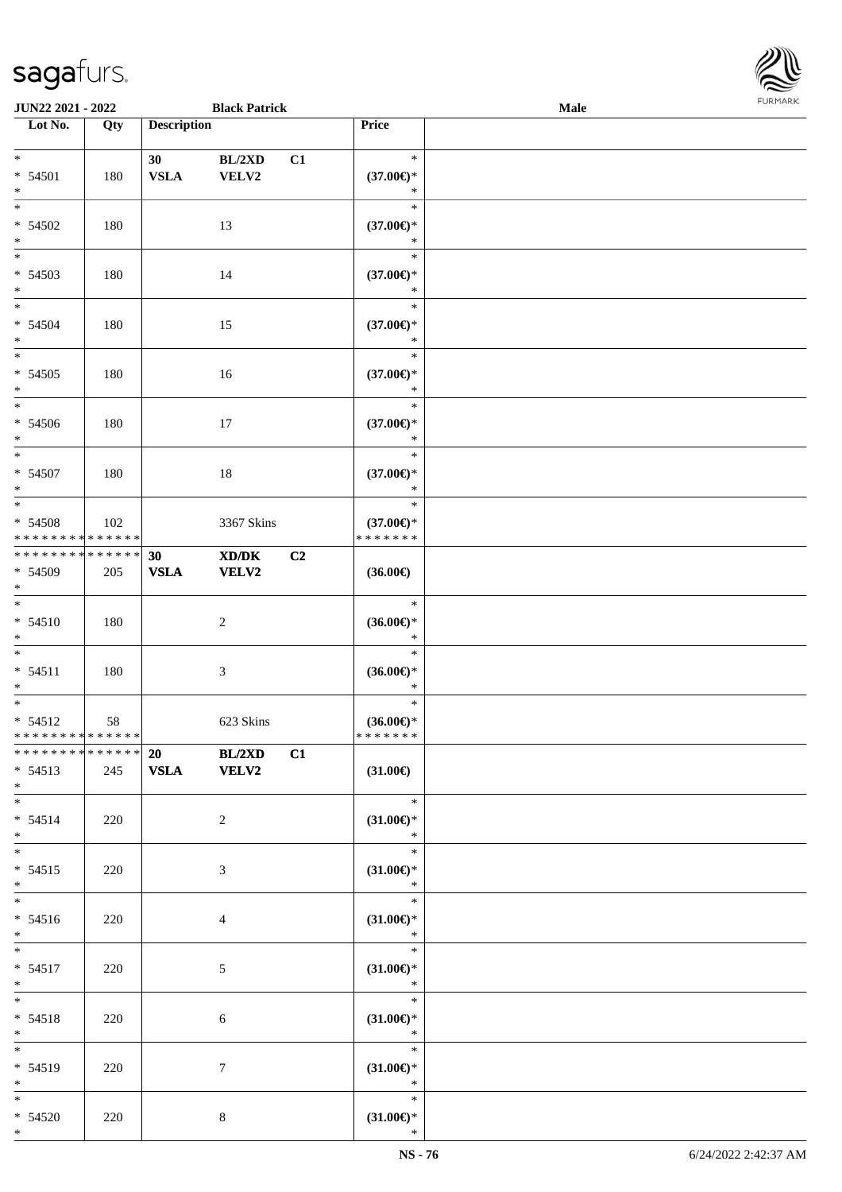

| <b>JUN22 2021 - 2022</b>                                       |     |                    | <b>Black Patrick</b>                 |                |                                                | Male |  |
|----------------------------------------------------------------|-----|--------------------|--------------------------------------|----------------|------------------------------------------------|------|--|
| Lot No.                                                        | Qty | <b>Description</b> |                                      |                | Price                                          |      |  |
| $*$                                                            |     | 30                 | BL/2XD                               | C1             | $\ast$                                         |      |  |
| $* 54501$<br>$*$                                               | 180 | <b>VSLA</b>        | VELV2                                |                | $(37.00\epsilon)$ *<br>$\ast$                  |      |  |
| * 54502<br>$*$                                                 | 180 |                    | 13                                   |                | $\ast$<br>$(37.00\epsilon)$ *<br>$\ast$        |      |  |
| * 54503<br>$*$                                                 | 180 |                    | 14                                   |                | $\ast$<br>$(37.00\epsilon)$ *<br>$\ast$        |      |  |
| $*$<br>$* 54504$<br>$*$                                        | 180 |                    | 15                                   |                | $\ast$<br>$(37.00\epsilon)$ *<br>$\ast$        |      |  |
| $* 54505$<br>$*$                                               | 180 |                    | 16                                   |                | $\ast$<br>$(37.00\epsilon)$ *<br>$\ast$        |      |  |
| $\overline{\phantom{0}}$<br>* 54506<br>$*$                     | 180 |                    | 17                                   |                | $\ast$<br>$(37.00\epsilon)$ *<br>$\ast$        |      |  |
| $\overline{\ast}$<br>* 54507<br>$*$                            | 180 |                    | 18                                   |                | $\ast$<br>$(37.00\epsilon)$ *<br>$\ast$        |      |  |
| $*$<br>$* 54508$<br>* * * * * * * * * * * * * *                | 102 |                    | 3367 Skins                           |                | $\ast$<br>$(37.00\epsilon)$ *<br>* * * * * * * |      |  |
| * * * * * * * * * * * * * *<br>* 54509<br>$*$                  | 205 | 30<br><b>VSLA</b>  | XD/DK<br><b>VELV2</b>                | C <sub>2</sub> | $(36.00\epsilon)$                              |      |  |
| $*$<br>$* 54510$<br>$*$                                        | 180 |                    | 2                                    |                | $\ast$<br>$(36.00\epsilon)$ *<br>$\ast$        |      |  |
| $*$ $-$<br>$* 54511$<br>$*$                                    | 180 |                    | $\mathfrak{Z}$                       |                | $\ast$<br>$(36.00\epsilon)$ *<br>$\ast$        |      |  |
| $*$<br>$* 54512$<br>* * * * * * * * <mark>* * * * * * *</mark> | 58  |                    | 623 Skins                            |                | $\ast$<br>$(36.00\epsilon)$ *<br>*******       |      |  |
| * * * * * * * * <mark>* * * * * * *</mark><br>$* 54513$<br>$*$ | 245 |                    | $\overline{20}$ BL/2XD<br>VSLA VELV2 | C1             | $(31.00\epsilon)$                              |      |  |
| $*$ $*$<br>$* 54514$<br>$*$                                    | 220 |                    | $\overline{2}$                       |                | $*$<br>$(31.00\epsilon)$ *<br>$\ast$           |      |  |
| $*$<br>$* 54515$<br>$*$                                        | 220 |                    | $\mathfrak{Z}$                       |                | $\ast$<br>$(31.00\epsilon)$ *<br>$\ast$        |      |  |
| $* 54516$<br>$*$                                               | 220 |                    | $\overline{4}$                       |                | $\ast$<br>$(31.00\epsilon)$ *<br>$\ast$        |      |  |
| $*$ $*$<br>$* 54517$<br>$*$                                    | 220 |                    | $\mathfrak{S}$                       |                | $\ast$<br>$(31.00\epsilon)$ *<br>$\ast$        |      |  |
| $*$ $*$<br>$* 54518$<br>$*$                                    | 220 |                    | 6                                    |                | $\ast$<br>$(31.00\epsilon)$ *<br>$\ast$        |      |  |
| $*$<br>$* 54519$<br>$*$                                        | 220 |                    | $\tau$                               |                | $\ast$<br>$(31.00\epsilon)$ *<br>$\ast$        |      |  |
| $*$<br>$* 54520$<br>$*$                                        | 220 |                    | 8                                    |                | $\ast$<br>$(31.00\epsilon)$ *<br>$\ast$        |      |  |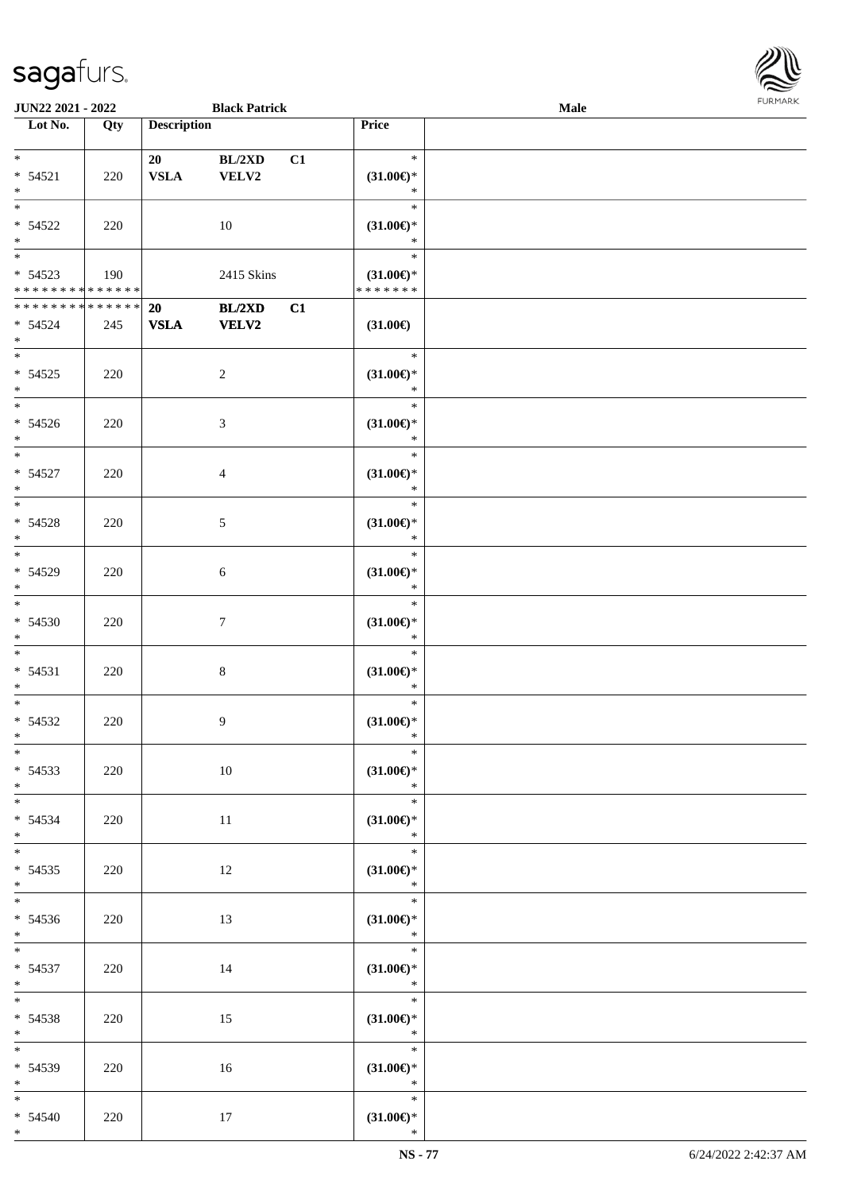| JUN22 2021 - 2022                                      |     |                    | <b>Black Patrick</b>   |    |                                                           | <b>Male</b> | FURMAR |
|--------------------------------------------------------|-----|--------------------|------------------------|----|-----------------------------------------------------------|-------------|--------|
| Lot No.                                                | Qty | <b>Description</b> |                        |    | Price                                                     |             |        |
| $\ast$<br>$* 54521$<br>$\ast$                          | 220 | 20<br><b>VSLA</b>  | BL/2XD<br>VELV2        | C1 | $\ast$<br>$(31.00\epsilon)$ *<br>$\ast$                   |             |        |
| $\overline{\phantom{1}}$<br>$* 54522$<br>$\ast$        | 220 |                    | $10\,$                 |    | $\ast$<br>$(31.00\epsilon)$ *<br>$\ast$                   |             |        |
| $\ast$<br>$* 54523$<br>******** <mark>******</mark>    | 190 |                    | 2415 Skins             |    | $\ast$<br>$(31.00\epsilon)$ *<br>* * * * * * *            |             |        |
| **************<br>$* 54524$<br>$*$                     | 245 | 20<br><b>VSLA</b>  | BL/2XD<br><b>VELV2</b> | C1 | $(31.00\epsilon)$                                         |             |        |
| $*$<br>$* 54525$<br>$\ast$<br>$\overline{\ast}$        | 220 |                    | $\boldsymbol{2}$       |    | $\ast$<br>$(31.00\epsilon)$ *<br>$\ast$                   |             |        |
| $* 54526$<br>$\ast$<br>$\overline{\phantom{0}}$        | 220 |                    | 3                      |    | $\ast$<br>$(31.00\epsilon)$ *<br>$\ast$                   |             |        |
| $* 54527$<br>$\ast$<br>$\overline{\phantom{0}}$        | 220 |                    | 4                      |    | $\ast$<br>$(31.00\epsilon)$ *<br>$\ast$                   |             |        |
| $* 54528$<br>$\ast$<br>$\overline{\phantom{a}^*}$      | 220 |                    | 5                      |    | $\ast$<br>$(31.00\epsilon)$ *<br>$\ast$<br>$\ast$         |             |        |
| $* 54529$<br>$\ast$<br>$\overline{\ast}$               | 220 |                    | $\sqrt{6}$             |    | $(31.00\epsilon)$ *<br>$\ast$                             |             |        |
| $* 54530$<br>$*$                                       | 220 |                    | $\tau$                 |    | $\ast$<br>$(31.00\epsilon)$ *<br>$\ast$                   |             |        |
| $\ast$<br>$* 54531$<br>$\ast$                          | 220 |                    | 8                      |    | $\ast$<br>$(31.00\epsilon)$ *<br>$\ast$                   |             |        |
| $\ast$<br>$* 54532$<br>$*$<br>$\overline{\phantom{0}}$ | 220 |                    | 9                      |    | $\ast$<br>$(31.00\epsilon)$ *<br>$\ast$                   |             |        |
| $* 54533$<br>$*$<br>$\overline{\phantom{0}}$           | 220 |                    | 10                     |    | $(31.00\epsilon)$ *<br>$\ast$                             |             |        |
| $* 54534$<br>$*$<br>$\overline{\phantom{0}}$           | 220 |                    | 11                     |    | $\ast$<br>$(31.00\epsilon)$ *<br>$\overline{\phantom{a}}$ |             |        |
| $* 54535$<br>$*$<br>$\overline{\phantom{a}^*}$         | 220 |                    | 12                     |    | $(31.00\epsilon)$ *<br>$*$                                |             |        |
| $* 54536$<br>$*$<br>$\overline{\phantom{0}}$           | 220 |                    | 13                     |    | $\mathbb{R}$<br>$(31.00\epsilon)$ *<br>$\ast$             |             |        |
| $* 54537$<br>$*$                                       | 220 |                    | 14                     |    | $\ddot{x}$<br>$(31.00\epsilon)$ *<br>$\ast$               |             |        |
| $*$<br>$* 54538$<br>$*$<br>$\overline{\phantom{0}}$    | 220 |                    | 15                     |    | $\overline{\phantom{a}}$<br>$(31.00\epsilon)$ *<br>$\ast$ |             |        |
| $* 54539$<br>$*$                                       | 220 |                    | 16                     |    | $\ast$<br>$(31.00\epsilon)$ *<br>$\ast$                   |             |        |
| $\overline{\phantom{a}^*}$<br>$* 54540$<br>$*$         | 220 |                    | $17\,$                 |    | $\ast$<br>$(31.00\epsilon)$ *<br>$\ast$                   |             |        |

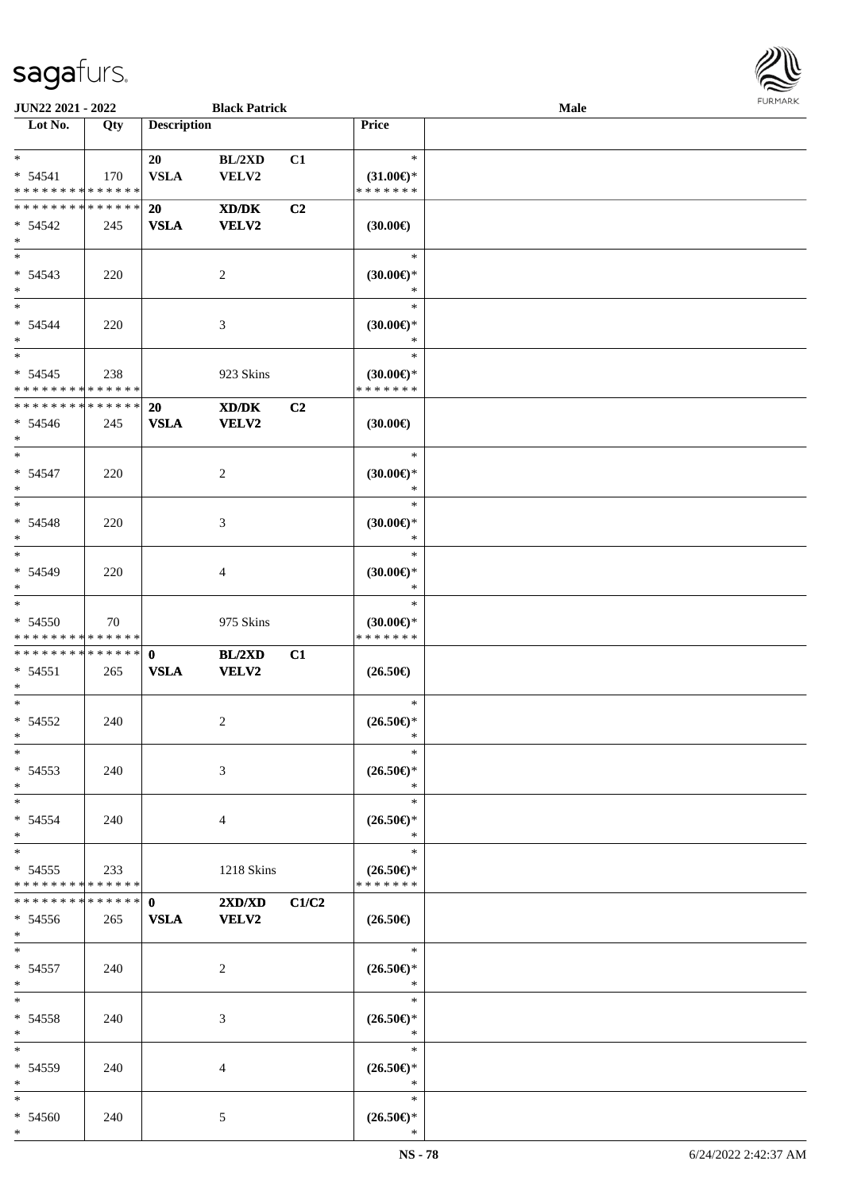

| <b>JUN22 2021 - 2022</b>      |                                                                                                                                                        | <b>Black Patrick</b>                                                      |                                                                                                                                                                                       |                                                    | Male                                                                                                                                                                                                                                                                                                                                                                                                                |  |
|-------------------------------|--------------------------------------------------------------------------------------------------------------------------------------------------------|---------------------------------------------------------------------------|---------------------------------------------------------------------------------------------------------------------------------------------------------------------------------------|----------------------------------------------------|---------------------------------------------------------------------------------------------------------------------------------------------------------------------------------------------------------------------------------------------------------------------------------------------------------------------------------------------------------------------------------------------------------------------|--|
| Qty                           |                                                                                                                                                        |                                                                           |                                                                                                                                                                                       | Price                                              |                                                                                                                                                                                                                                                                                                                                                                                                                     |  |
|                               |                                                                                                                                                        |                                                                           |                                                                                                                                                                                       |                                                    |                                                                                                                                                                                                                                                                                                                                                                                                                     |  |
|                               | 20                                                                                                                                                     | BL/2XD                                                                    | C1                                                                                                                                                                                    | $\ast$                                             |                                                                                                                                                                                                                                                                                                                                                                                                                     |  |
| 170                           | <b>VSLA</b>                                                                                                                                            | VELV2                                                                     |                                                                                                                                                                                       | $(31.00\epsilon)$ *                                |                                                                                                                                                                                                                                                                                                                                                                                                                     |  |
| * * * * * * * * * * * * * *   |                                                                                                                                                        |                                                                           |                                                                                                                                                                                       | * * * * * * *                                      |                                                                                                                                                                                                                                                                                                                                                                                                                     |  |
| * * * * * * * * * * * * * *   | 20                                                                                                                                                     | XD/DK                                                                     | C2                                                                                                                                                                                    |                                                    |                                                                                                                                                                                                                                                                                                                                                                                                                     |  |
| 245                           | <b>VSLA</b>                                                                                                                                            | <b>VELV2</b>                                                              |                                                                                                                                                                                       | $(30.00\epsilon)$                                  |                                                                                                                                                                                                                                                                                                                                                                                                                     |  |
|                               |                                                                                                                                                        |                                                                           |                                                                                                                                                                                       |                                                    |                                                                                                                                                                                                                                                                                                                                                                                                                     |  |
|                               |                                                                                                                                                        |                                                                           |                                                                                                                                                                                       | $\ast$                                             |                                                                                                                                                                                                                                                                                                                                                                                                                     |  |
|                               |                                                                                                                                                        |                                                                           |                                                                                                                                                                                       |                                                    |                                                                                                                                                                                                                                                                                                                                                                                                                     |  |
|                               |                                                                                                                                                        |                                                                           |                                                                                                                                                                                       | $\ast$                                             |                                                                                                                                                                                                                                                                                                                                                                                                                     |  |
|                               |                                                                                                                                                        |                                                                           |                                                                                                                                                                                       | $\ast$                                             |                                                                                                                                                                                                                                                                                                                                                                                                                     |  |
|                               |                                                                                                                                                        |                                                                           |                                                                                                                                                                                       |                                                    |                                                                                                                                                                                                                                                                                                                                                                                                                     |  |
|                               |                                                                                                                                                        |                                                                           |                                                                                                                                                                                       | $\ast$                                             |                                                                                                                                                                                                                                                                                                                                                                                                                     |  |
|                               |                                                                                                                                                        |                                                                           |                                                                                                                                                                                       | $\ast$                                             |                                                                                                                                                                                                                                                                                                                                                                                                                     |  |
|                               |                                                                                                                                                        |                                                                           |                                                                                                                                                                                       |                                                    |                                                                                                                                                                                                                                                                                                                                                                                                                     |  |
|                               |                                                                                                                                                        |                                                                           |                                                                                                                                                                                       |                                                    |                                                                                                                                                                                                                                                                                                                                                                                                                     |  |
|                               |                                                                                                                                                        |                                                                           |                                                                                                                                                                                       |                                                    |                                                                                                                                                                                                                                                                                                                                                                                                                     |  |
|                               |                                                                                                                                                        |                                                                           |                                                                                                                                                                                       |                                                    |                                                                                                                                                                                                                                                                                                                                                                                                                     |  |
|                               |                                                                                                                                                        |                                                                           |                                                                                                                                                                                       |                                                    |                                                                                                                                                                                                                                                                                                                                                                                                                     |  |
|                               |                                                                                                                                                        |                                                                           |                                                                                                                                                                                       |                                                    |                                                                                                                                                                                                                                                                                                                                                                                                                     |  |
|                               |                                                                                                                                                        |                                                                           |                                                                                                                                                                                       |                                                    |                                                                                                                                                                                                                                                                                                                                                                                                                     |  |
|                               |                                                                                                                                                        |                                                                           |                                                                                                                                                                                       |                                                    |                                                                                                                                                                                                                                                                                                                                                                                                                     |  |
|                               |                                                                                                                                                        |                                                                           |                                                                                                                                                                                       |                                                    |                                                                                                                                                                                                                                                                                                                                                                                                                     |  |
|                               |                                                                                                                                                        |                                                                           |                                                                                                                                                                                       |                                                    |                                                                                                                                                                                                                                                                                                                                                                                                                     |  |
| 220                           |                                                                                                                                                        | 3                                                                         |                                                                                                                                                                                       |                                                    |                                                                                                                                                                                                                                                                                                                                                                                                                     |  |
|                               |                                                                                                                                                        |                                                                           |                                                                                                                                                                                       | $\ast$                                             |                                                                                                                                                                                                                                                                                                                                                                                                                     |  |
|                               |                                                                                                                                                        |                                                                           |                                                                                                                                                                                       | $\ast$                                             |                                                                                                                                                                                                                                                                                                                                                                                                                     |  |
| 220                           |                                                                                                                                                        | 4                                                                         |                                                                                                                                                                                       | $(30.00\epsilon)$ *                                |                                                                                                                                                                                                                                                                                                                                                                                                                     |  |
|                               |                                                                                                                                                        |                                                                           |                                                                                                                                                                                       | *                                                  |                                                                                                                                                                                                                                                                                                                                                                                                                     |  |
|                               |                                                                                                                                                        |                                                                           |                                                                                                                                                                                       | $\ast$                                             |                                                                                                                                                                                                                                                                                                                                                                                                                     |  |
| 70                            |                                                                                                                                                        | 975 Skins                                                                 |                                                                                                                                                                                       | $(30.00\epsilon)$ *                                |                                                                                                                                                                                                                                                                                                                                                                                                                     |  |
| * * * * * * * * * * * * * *   |                                                                                                                                                        |                                                                           |                                                                                                                                                                                       | * * * * * * *                                      |                                                                                                                                                                                                                                                                                                                                                                                                                     |  |
| * * * * * * * * * * * * * * * | $\mathbf{0}$                                                                                                                                           | BL/2XD                                                                    | C1                                                                                                                                                                                    |                                                    |                                                                                                                                                                                                                                                                                                                                                                                                                     |  |
|                               |                                                                                                                                                        |                                                                           |                                                                                                                                                                                       |                                                    |                                                                                                                                                                                                                                                                                                                                                                                                                     |  |
|                               |                                                                                                                                                        |                                                                           |                                                                                                                                                                                       |                                                    |                                                                                                                                                                                                                                                                                                                                                                                                                     |  |
|                               |                                                                                                                                                        |                                                                           |                                                                                                                                                                                       | $\ast$                                             |                                                                                                                                                                                                                                                                                                                                                                                                                     |  |
| 240                           |                                                                                                                                                        | 2                                                                         |                                                                                                                                                                                       |                                                    |                                                                                                                                                                                                                                                                                                                                                                                                                     |  |
|                               |                                                                                                                                                        |                                                                           |                                                                                                                                                                                       | $\ast$                                             |                                                                                                                                                                                                                                                                                                                                                                                                                     |  |
|                               |                                                                                                                                                        |                                                                           |                                                                                                                                                                                       | $\ast$                                             |                                                                                                                                                                                                                                                                                                                                                                                                                     |  |
|                               |                                                                                                                                                        |                                                                           |                                                                                                                                                                                       |                                                    |                                                                                                                                                                                                                                                                                                                                                                                                                     |  |
|                               |                                                                                                                                                        |                                                                           |                                                                                                                                                                                       | $\ast$                                             |                                                                                                                                                                                                                                                                                                                                                                                                                     |  |
|                               |                                                                                                                                                        |                                                                           |                                                                                                                                                                                       |                                                    |                                                                                                                                                                                                                                                                                                                                                                                                                     |  |
|                               |                                                                                                                                                        |                                                                           |                                                                                                                                                                                       |                                                    |                                                                                                                                                                                                                                                                                                                                                                                                                     |  |
|                               |                                                                                                                                                        |                                                                           |                                                                                                                                                                                       |                                                    |                                                                                                                                                                                                                                                                                                                                                                                                                     |  |
|                               |                                                                                                                                                        |                                                                           |                                                                                                                                                                                       |                                                    |                                                                                                                                                                                                                                                                                                                                                                                                                     |  |
|                               |                                                                                                                                                        |                                                                           |                                                                                                                                                                                       |                                                    |                                                                                                                                                                                                                                                                                                                                                                                                                     |  |
|                               |                                                                                                                                                        |                                                                           |                                                                                                                                                                                       |                                                    |                                                                                                                                                                                                                                                                                                                                                                                                                     |  |
|                               |                                                                                                                                                        |                                                                           |                                                                                                                                                                                       |                                                    |                                                                                                                                                                                                                                                                                                                                                                                                                     |  |
|                               |                                                                                                                                                        |                                                                           |                                                                                                                                                                                       |                                                    |                                                                                                                                                                                                                                                                                                                                                                                                                     |  |
|                               |                                                                                                                                                        |                                                                           |                                                                                                                                                                                       |                                                    |                                                                                                                                                                                                                                                                                                                                                                                                                     |  |
|                               |                                                                                                                                                        |                                                                           |                                                                                                                                                                                       |                                                    |                                                                                                                                                                                                                                                                                                                                                                                                                     |  |
|                               |                                                                                                                                                        |                                                                           |                                                                                                                                                                                       |                                                    |                                                                                                                                                                                                                                                                                                                                                                                                                     |  |
| 240                           |                                                                                                                                                        | 2                                                                         |                                                                                                                                                                                       |                                                    |                                                                                                                                                                                                                                                                                                                                                                                                                     |  |
|                               |                                                                                                                                                        |                                                                           |                                                                                                                                                                                       | $\ast$                                             |                                                                                                                                                                                                                                                                                                                                                                                                                     |  |
|                               |                                                                                                                                                        |                                                                           |                                                                                                                                                                                       | $\ast$                                             |                                                                                                                                                                                                                                                                                                                                                                                                                     |  |
| 240                           |                                                                                                                                                        | 3                                                                         |                                                                                                                                                                                       | $(26.50\mathnormal{\in}\mathcal{)^{\! \! \times}}$ |                                                                                                                                                                                                                                                                                                                                                                                                                     |  |
|                               |                                                                                                                                                        |                                                                           |                                                                                                                                                                                       | $\ast$                                             |                                                                                                                                                                                                                                                                                                                                                                                                                     |  |
|                               |                                                                                                                                                        |                                                                           |                                                                                                                                                                                       | $\ast$                                             |                                                                                                                                                                                                                                                                                                                                                                                                                     |  |
| 240                           |                                                                                                                                                        | 4                                                                         |                                                                                                                                                                                       | $(26.50\epsilon)$ *                                |                                                                                                                                                                                                                                                                                                                                                                                                                     |  |
|                               |                                                                                                                                                        |                                                                           |                                                                                                                                                                                       | $\ast$                                             |                                                                                                                                                                                                                                                                                                                                                                                                                     |  |
|                               |                                                                                                                                                        |                                                                           |                                                                                                                                                                                       | $\ast$                                             |                                                                                                                                                                                                                                                                                                                                                                                                                     |  |
|                               |                                                                                                                                                        | 5                                                                         |                                                                                                                                                                                       |                                                    |                                                                                                                                                                                                                                                                                                                                                                                                                     |  |
|                               |                                                                                                                                                        |                                                                           |                                                                                                                                                                                       | $\ast$                                             |                                                                                                                                                                                                                                                                                                                                                                                                                     |  |
|                               | 220<br>220<br>238<br>* * * * * * * * * * * * * *<br>* * * * * * * * * * * * * *<br>245<br>220<br>265<br>240<br>240<br>233<br>* * * * * *<br>265<br>240 | 20<br><b>VSLA</b><br><b>VSLA</b><br>******<br>$\mathbf{0}$<br><b>VSLA</b> | <b>Description</b><br>2<br>$\mathfrak{Z}$<br>923 Skins<br>$\mathbf{X}\mathbf{D}/\mathbf{D}\mathbf{K}$<br>VELV2<br>2<br><b>VELV2</b><br>3<br>4<br>1218 Skins<br>2XD/XD<br><b>VELV2</b> | C2<br>C1/C2                                        | $(30.00\epsilon)$ *<br>$(30.00 \in )^*$<br>$(30.00\epsilon)$ *<br>* * * * * * *<br>(30.00)<br>$\ast$<br>$(30.00\epsilon)$ *<br>$\ast$<br>$\ast$<br>$(30.00\epsilon)$ *<br>$(26.50\epsilon)$<br>$(26.50\epsilon)$ *<br>$(26.50\epsilon)$ *<br>$\ast$<br>$(26.50\epsilon)$ *<br>$\ast$<br>$\ast$<br>$(26.50\epsilon)$ *<br>* * * * * * *<br>$(26.50\epsilon)$<br>$\ast$<br>$(26.50\epsilon)$ *<br>$(26.50\epsilon)$ * |  |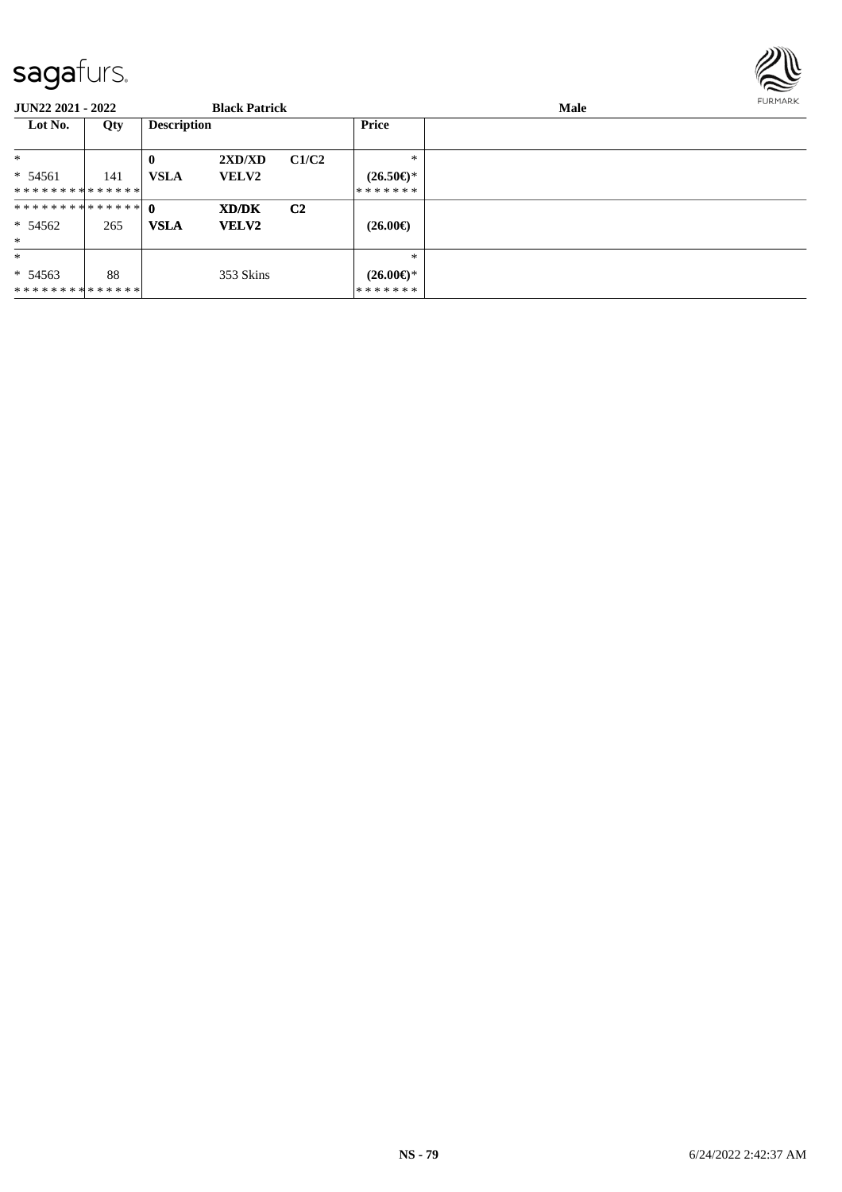

| <b>JUN22 2021 - 2022</b>    |     |                    | <b>Black Patrick</b> |                |                                | <b>Male</b> | <b>FURMARK</b> |
|-----------------------------|-----|--------------------|----------------------|----------------|--------------------------------|-------------|----------------|
| Lot No.                     | Qty | <b>Description</b> |                      |                | Price                          |             |                |
| $\ast$                      |     | $\mathbf 0$        | 2XD/XD               | C1/C2          | $*$                            |             |                |
| $* 54561$                   | 141 | <b>VSLA</b>        | <b>VELV2</b>         |                | $(26.50\epsilon)$ *            |             |                |
| **************              |     |                    |                      |                | *******                        |             |                |
| ************** 0            |     |                    | XD/DK                | C <sub>2</sub> |                                |             |                |
| $* 54562$                   | 265 | <b>VSLA</b>        | <b>VELV2</b>         |                | $(26.00\epsilon)$              |             |                |
| $*$                         |     |                    |                      |                |                                |             |                |
| $\ast$                      |     |                    |                      |                | $\ast$                         |             |                |
| $* 54563$<br>************** | 88  |                    | 353 Skins            |                | $(26.00\epsilon)$ *<br>******* |             |                |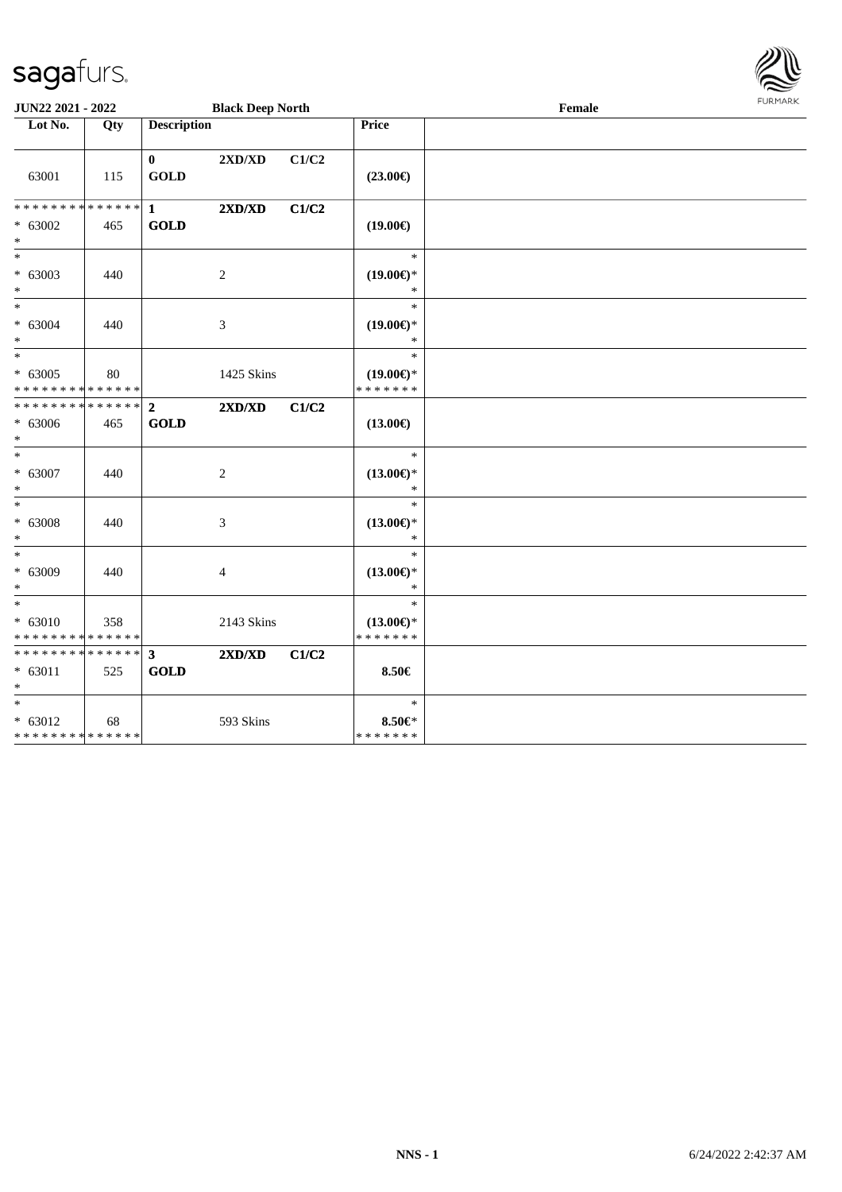

| JUN22 2021 - 2022                                              |     |                               | <b>Black Deep North</b>          |       |                                                | Female | FURMARK |
|----------------------------------------------------------------|-----|-------------------------------|----------------------------------|-------|------------------------------------------------|--------|---------|
| Lot No.                                                        | Qty | <b>Description</b>            |                                  |       | Price                                          |        |         |
| 63001                                                          | 115 | $\mathbf{0}$<br><b>GOLD</b>   | $2{\bf X}{\bf D}/{\bf X}{\bf D}$ | C1/C2 | $(23.00\epsilon)$                              |        |         |
| * * * * * * * * * * * * * * <mark>*</mark><br>$* 63002$<br>$*$ | 465 | 1<br><b>GOLD</b>              | 2XD/XD                           | C1/C2 | $(19.00\epsilon)$                              |        |         |
| $*$<br>$* 63003$<br>$*$                                        | 440 |                               | 2                                |       | $\ast$<br>$(19.00\epsilon)$ *<br>∗             |        |         |
| $\overline{\phantom{0}}$<br>$* 63004$<br>$*$                   | 440 |                               | 3                                |       | $\ast$<br>$(19.00\epsilon)$ *<br>$\ast$        |        |         |
| $_{*}$<br>$* 63005$<br>* * * * * * * * * * * * * *             | 80  |                               | 1425 Skins                       |       | $\ast$<br>$(19.00\epsilon)$ *<br>* * * * * * * |        |         |
| * * * * * * * * <mark>* * * * * * *</mark><br>$* 63006$<br>$*$ | 465 | $\overline{2}$<br><b>GOLD</b> | 2XD/XD                           | C1/C2 | $(13.00\epsilon)$                              |        |         |
| $*$<br>$* 63007$<br>$*$                                        | 440 |                               | 2                                |       | $\ast$<br>$(13.00\epsilon)$ *<br>$\ast$        |        |         |
| $*$<br>$* 63008$<br>$*$                                        | 440 |                               | 3                                |       | $\ast$<br>$(13.00\epsilon)$ *<br>$\ast$        |        |         |
| $*$<br>* 63009<br>$*$                                          | 440 |                               | 4                                |       | $\ast$<br>$(13.00\epsilon)$ *<br>$\ast$        |        |         |
| $*$<br>$* 63010$<br>* * * * * * * * * * * * * *                | 358 |                               | 2143 Skins                       |       | $\ast$<br>$(13.00\epsilon)$ *<br>* * * * * * * |        |         |
| **************<br>$* 63011$<br>$\ast$                          | 525 | $\mathbf{3}$<br><b>GOLD</b>   | $2{\bf X}{\bf D}/{\bf X}{\bf D}$ | C1/C2 | 8.50€                                          |        |         |
| $*$<br>$* 63012$<br>* * * * * * * * * * * * * *                | 68  |                               | 593 Skins                        |       | $\ast$<br>8.50€*<br>* * * * * * *              |        |         |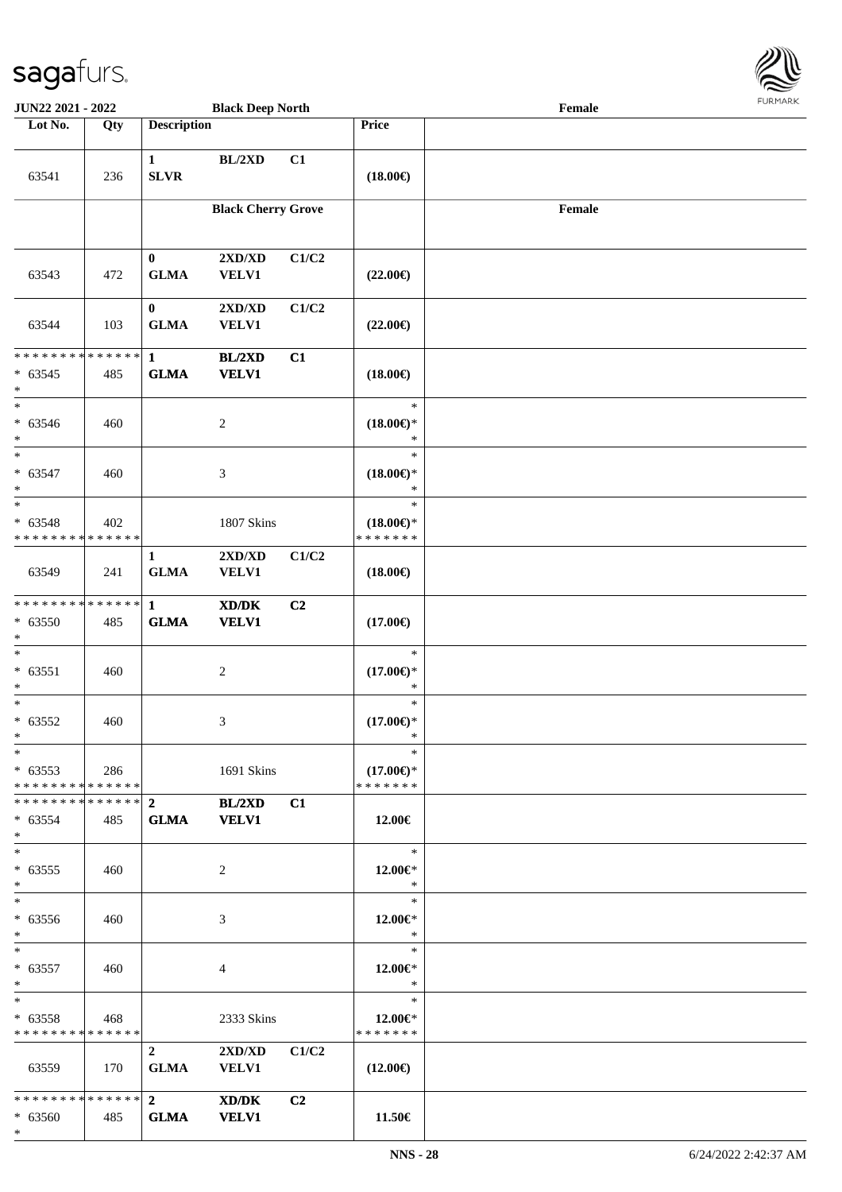

| <b>JUN22 2021 - 2022</b>                            |     |                             | <b>Black Deep North</b>                             |       |                                                | Female |  |
|-----------------------------------------------------|-----|-----------------------------|-----------------------------------------------------|-------|------------------------------------------------|--------|--|
| Lot No.                                             | Qty | <b>Description</b>          |                                                     |       | Price                                          |        |  |
| 63541                                               | 236 | $\mathbf{1}$<br><b>SLVR</b> | BL/2XD                                              | C1    | $(18.00\epsilon)$                              |        |  |
|                                                     |     |                             | <b>Black Cherry Grove</b>                           |       |                                                | Female |  |
| 63543                                               | 472 | $\bf{0}$<br><b>GLMA</b>     | 2XD/XD<br><b>VELV1</b>                              | C1/C2 | $(22.00\epsilon)$                              |        |  |
| 63544                                               | 103 | $\bf{0}$<br><b>GLMA</b>     | 2XD/XD<br><b>VELV1</b>                              | C1/C2 | $(22.00\epsilon)$                              |        |  |
| ******** <mark>******</mark><br>$* 63545$<br>$\ast$ | 485 | $\mathbf{1}$<br><b>GLMA</b> | <b>BL/2XD</b><br><b>VELV1</b>                       | C1    | $(18.00\epsilon)$                              |        |  |
| $\ast$<br>$* 63546$<br>$*$                          | 460 |                             | $\overline{c}$                                      |       | $\ast$<br>$(18.00\epsilon)$ *<br>$\ast$        |        |  |
| $\ast$<br>$* 63547$<br>$\ast$                       | 460 |                             | 3                                                   |       | $\ast$<br>$(18.00\epsilon)$ *<br>$\ast$        |        |  |
| $*$<br>$* 63548$<br>* * * * * * * * * * * * * *     | 402 |                             | 1807 Skins                                          |       | $\ast$<br>$(18.00\epsilon)$ *<br>* * * * * * * |        |  |
| 63549                                               | 241 | $\mathbf{1}$<br><b>GLMA</b> | 2XD/XD<br><b>VELV1</b>                              | C1/C2 | $(18.00\epsilon)$                              |        |  |
| * * * * * * * * * * * * * * *<br>* 63550<br>$*$     | 485 | $\mathbf{1}$<br><b>GLMA</b> | $\bold{X}\bold{D}/\bold{D}\bold{K}$<br><b>VELV1</b> | C2    | $(17.00\epsilon)$                              |        |  |
| $*$<br>$* 63551$<br>$*$                             | 460 |                             | $\sqrt{2}$                                          |       | $\ast$<br>$(17.00\epsilon)$ *<br>$\ast$        |        |  |
| $*$<br>$* 63552$<br>$*$                             | 460 |                             | 3                                                   |       | $\ast$<br>$(17.00\epsilon)$ *<br>*             |        |  |
| $*$<br>$* 63553$<br>* * * * * * * * * * * * * * *   | 286 |                             | 1691 Skins                                          |       | $\ast$<br>$(17.00\epsilon)$ *<br>* * * * * * * |        |  |
| ******** <mark>******</mark> 2<br>$* 63554$<br>$*$  | 485 | <b>GLMA</b>                 | BL/2XD<br><b>VELV1</b>                              | C1    | 12.00€                                         |        |  |
| $*$<br>$* 63555$<br>$*$                             | 460 |                             | 2                                                   |       | $\ast$<br>12.00€*<br>$\ast$                    |        |  |
| $*$<br>* 63556<br>$*$                               | 460 |                             | 3                                                   |       | $\ast$<br>12.00 $\in$ *<br>$\ast$              |        |  |
| $*$ $*$<br>$* 63557$<br>$*$                         | 460 |                             | 4                                                   |       | $\ast$<br>12.00€*<br>$\ast$                    |        |  |
| $*$<br>$* 63558$<br>* * * * * * * * * * * * * * *   | 468 |                             | 2333 Skins                                          |       | $\ast$<br>12.00€*<br>* * * * * * *             |        |  |
| 63559                                               | 170 | $2^{\circ}$<br><b>GLMA</b>  | 2XD/XD<br><b>VELV1</b>                              | C1/C2 | $(12.00\epsilon)$                              |        |  |
| $* 63560$<br>$*$                                    | 485 | <b>GLMA</b>                 | XD/DK<br><b>VELV1</b>                               | C2    | 11.50€                                         |        |  |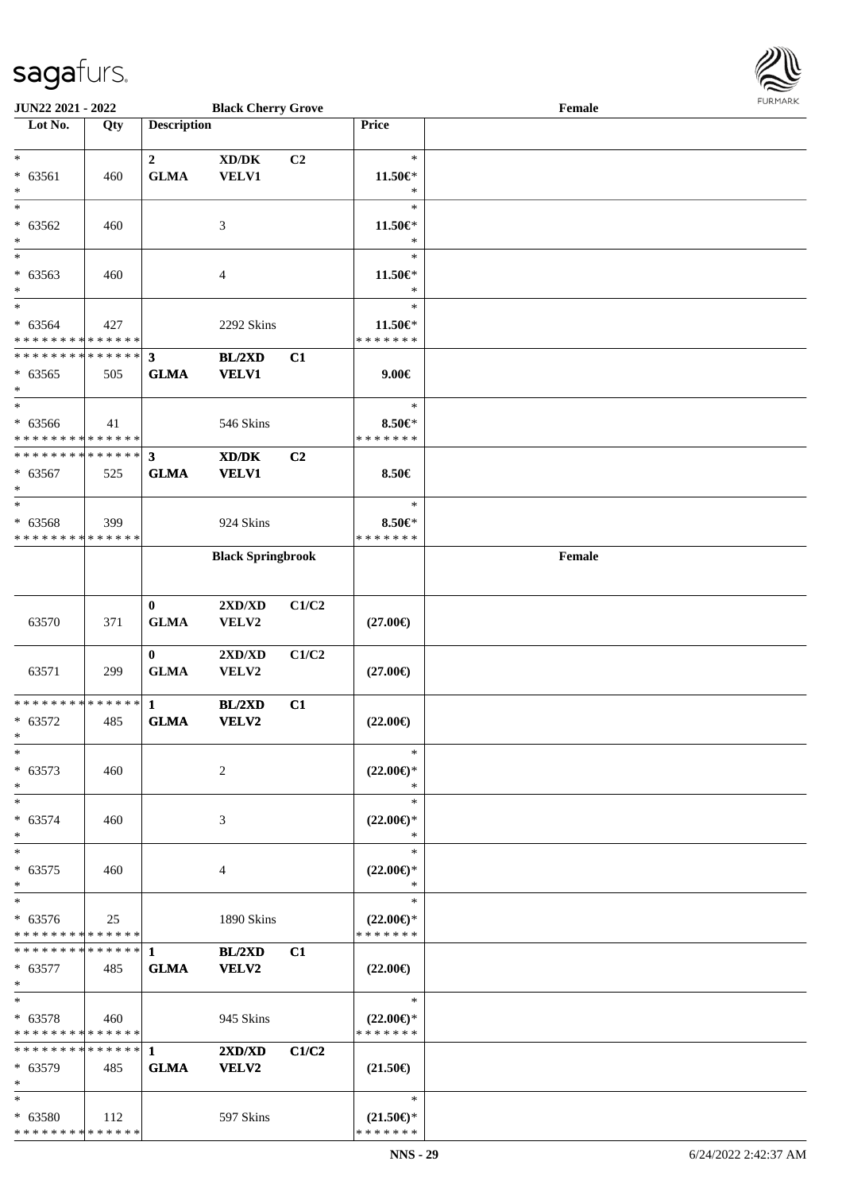

| JUN22 2021 - 2022             |     |                    | <b>Black Cherry Grove</b>                   |                |                     | Female | 1.911171717 |
|-------------------------------|-----|--------------------|---------------------------------------------|----------------|---------------------|--------|-------------|
| Lot No.                       | Qty | <b>Description</b> |                                             |                | Price               |        |             |
|                               |     |                    |                                             |                |                     |        |             |
| $*$                           |     | $\mathbf{2}$       | $\bold{X}\bold{D}/\bold{D}\bold{K}$         | C <sub>2</sub> | $\ast$              |        |             |
| * 63561                       | 460 | <b>GLMA</b>        | <b>VELV1</b>                                |                | 11.50€*             |        |             |
| $\ast$                        |     |                    |                                             |                | $\ast$              |        |             |
| $\overline{\ast}$             |     |                    |                                             |                | $\ast$              |        |             |
| $* 63562$                     | 460 |                    | 3                                           |                | 11.50€*             |        |             |
| $\ast$                        |     |                    |                                             |                | $\ast$              |        |             |
| $*$                           |     |                    |                                             |                | $\ast$              |        |             |
| $* 63563$                     | 460 |                    | 4                                           |                | $11.50 \in$         |        |             |
| $\ast$                        |     |                    |                                             |                | $\ast$              |        |             |
| $\overline{\ast}$             |     |                    |                                             |                | $\ast$              |        |             |
| * 63564                       | 427 |                    | 2292 Skins                                  |                | 11.50€*             |        |             |
| * * * * * * * * * * * * * *   |     |                    |                                             |                | * * * * * * *       |        |             |
| * * * * * * * * * * * * * *   |     | $\mathbf{3}$       | BL/2XD                                      | C1             |                     |        |             |
| $* 63565$                     | 505 | <b>GLMA</b>        | <b>VELV1</b>                                |                | $9.00 \in$          |        |             |
| $*$                           |     |                    |                                             |                |                     |        |             |
| $*$                           |     |                    |                                             |                | $\ast$              |        |             |
| $* 63566$                     | 41  |                    |                                             |                | 8.50€*              |        |             |
| * * * * * * * * * * * * * *   |     |                    | 546 Skins                                   |                | * * * * * * *       |        |             |
| * * * * * * * * * * * * * * * |     | $\mathbf{3}$       |                                             |                |                     |        |             |
|                               |     |                    | $\mathbf{X}\mathbf{D}/\mathbf{D}\mathbf{K}$ | C <sub>2</sub> |                     |        |             |
| $* 63567$                     | 525 | <b>GLMA</b>        | <b>VELV1</b>                                |                | 8.50€               |        |             |
| $*$                           |     |                    |                                             |                |                     |        |             |
| $\ast$                        |     |                    |                                             |                | $\ast$              |        |             |
| * 63568                       | 399 |                    | 924 Skins                                   |                | 8.50€*              |        |             |
| * * * * * * * * * * * * * *   |     |                    |                                             |                | * * * * * * *       |        |             |
|                               |     |                    | <b>Black Springbrook</b>                    |                |                     | Female |             |
|                               |     |                    |                                             |                |                     |        |             |
|                               |     |                    |                                             |                |                     |        |             |
|                               |     | $\bf{0}$           | 2XD/XD                                      | C1/C2          |                     |        |             |
| 63570                         | 371 | <b>GLMA</b>        | VELV2                                       |                | $(27.00\epsilon)$   |        |             |
|                               |     |                    |                                             |                |                     |        |             |
|                               |     | $\bf{0}$           | 2XD/XD                                      | C1/C2          |                     |        |             |
| 63571                         | 299 | <b>GLMA</b>        | VELV2                                       |                | $(27.00\epsilon)$   |        |             |
|                               |     |                    |                                             |                |                     |        |             |
| * * * * * * * * * * * * * * * |     | $\mathbf{1}$       | <b>BL/2XD</b>                               | C1             |                     |        |             |
| $* 63572$                     | 485 | <b>GLMA</b>        | VELV2                                       |                | $(22.00\epsilon)$   |        |             |
| $*$                           |     |                    |                                             |                |                     |        |             |
| $*$                           |     |                    |                                             |                | $\ast$              |        |             |
| $* 63573$                     | 460 |                    | 2                                           |                | $(22.00\epsilon)$ * |        |             |
| $\ast$                        |     |                    |                                             |                | $\ast$              |        |             |
| $\ast$                        |     |                    |                                             |                | $\ast$              |        |             |
| $* 63574$                     | 460 |                    | 3                                           |                | $(22.00\epsilon)$ * |        |             |
| $*$                           |     |                    |                                             |                | ∗                   |        |             |
| $*$                           |     |                    |                                             |                | $\ast$              |        |             |
| $* 63575$                     | 460 |                    | 4                                           |                | $(22.00\epsilon)$ * |        |             |
| $*$                           |     |                    |                                             |                | $\ast$              |        |             |
| $*$                           |     |                    |                                             |                | $\ast$              |        |             |
| $* 63576$                     | 25  |                    | 1890 Skins                                  |                | $(22.00\epsilon)$ * |        |             |
| * * * * * * * * * * * * * *   |     |                    |                                             |                | * * * * * * *       |        |             |
| * * * * * * * * * * * * * * * |     | 1                  | BL/2XD                                      | C1             |                     |        |             |
| $* 63577$                     | 485 | <b>GLMA</b>        | VELV2                                       |                | $(22.00\epsilon)$   |        |             |
| $*$                           |     |                    |                                             |                |                     |        |             |
| $*$                           |     |                    |                                             |                | $\ast$              |        |             |
| $* 63578$                     | 460 |                    | 945 Skins                                   |                | $(22.00\epsilon)$ * |        |             |
| * * * * * * * * * * * * * *   |     |                    |                                             |                | * * * * * * *       |        |             |
| * * * * * * * * * * * * * * * |     | $\mathbf{1}$       | 2XD/XD                                      | C1/C2          |                     |        |             |
| * 63579                       | 485 | <b>GLMA</b>        | <b>VELV2</b>                                |                | $(21.50\epsilon)$   |        |             |
| $*$                           |     |                    |                                             |                |                     |        |             |
| $*$                           |     |                    |                                             |                | $\ast$              |        |             |
| * 63580                       | 112 |                    | 597 Skins                                   |                | $(21.50\epsilon)$ * |        |             |
| * * * * * * * * * * * * * *   |     |                    |                                             |                | * * * * * * *       |        |             |
|                               |     |                    |                                             |                |                     |        |             |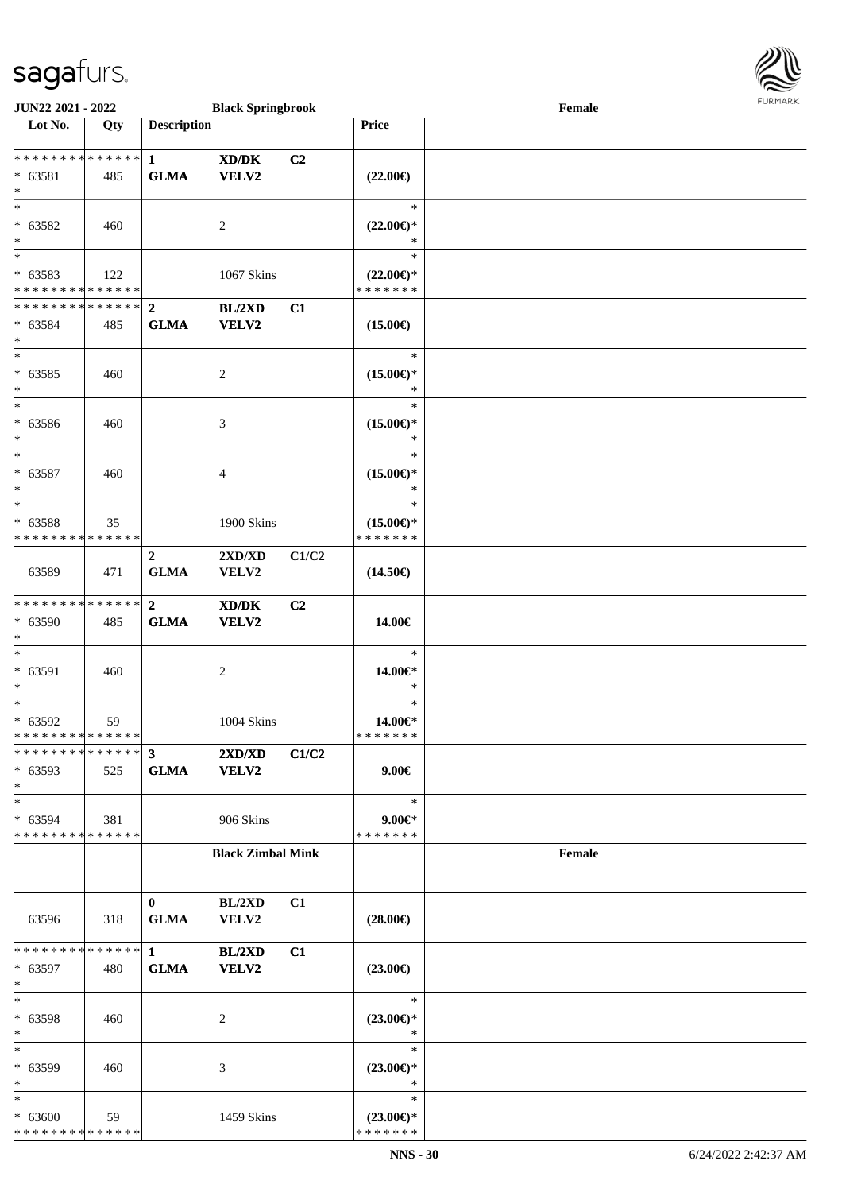

| JUN22 2021 - 2022                                                         |     |                                        | <b>Black Springbrook</b>                             |       |                                                   | $\ensuremath{\textnormal{\textbf{Female}}}$ | <b>LOKIJAKV</b> |
|---------------------------------------------------------------------------|-----|----------------------------------------|------------------------------------------------------|-------|---------------------------------------------------|---------------------------------------------|-----------------|
| Lot No.                                                                   | Qty | <b>Description</b>                     |                                                      |       | Price                                             |                                             |                 |
| ******** <mark>******</mark><br>$* 63581$<br>$*$                          | 485 | $\mathbf{1}$<br><b>GLMA</b>            | $\mathbf{X}\mathbf{D}/\mathbf{D}\mathbf{K}$<br>VELV2 | C2    | $(22.00\epsilon)$                                 |                                             |                 |
| $\ast$<br>$* 63582$<br>$*$                                                | 460 |                                        | 2                                                    |       | $\ast$<br>$(22.00\epsilon)$ *<br>$\ast$           |                                             |                 |
| $*$<br>* 63583<br>* * * * * * * * * * * * * *                             | 122 |                                        | 1067 Skins                                           |       | $\ast$<br>$(22.00\epsilon)$ *<br>* * * * * * *    |                                             |                 |
| ************** 2<br>$* 63584$<br>$\ast$<br>$\overline{\phantom{0}}$       | 485 | <b>GLMA</b>                            | BL/2XD<br>VELV2                                      | C1    | $(15.00\epsilon)$<br>$\ast$                       |                                             |                 |
| $* 63585$<br>$*$<br>$\overline{\ast}$                                     | 460 |                                        | 2                                                    |       | $(15.00\epsilon)$ *<br>*<br>$\ast$                |                                             |                 |
| * 63586<br>$\ast$<br>$*$                                                  | 460 |                                        | 3                                                    |       | $(15.00\epsilon)$ *<br>$\ast$<br>$\ast$           |                                             |                 |
| $* 63587$<br>$*$<br>$\ast$                                                | 460 |                                        | 4                                                    |       | $(15.00\epsilon)$ *<br>$\ast$<br>$\ast$           |                                             |                 |
| * 63588<br>* * * * * * * * * * * * * *                                    | 35  |                                        | 1900 Skins                                           |       | $(15.00\epsilon)$ *<br>* * * * * * *              |                                             |                 |
| 63589<br>* * * * * * * * * * * * * * *                                    | 471 | $\mathbf{2}$<br><b>GLMA</b>            | $2{\bf X}{\bf D}/{\bf X}{\bf D}$<br>VELV2            | C1/C2 | $(14.50\epsilon)$                                 |                                             |                 |
| * 63590<br>$\ast$<br>$\ast$                                               | 485 | $\mathbf{2}$<br><b>GLMA</b>            | XD/DK<br>VELV2                                       | C2    | 14.00€<br>$\ast$                                  |                                             |                 |
| * 63591<br>$*$<br>$*$                                                     | 460 |                                        | $\overline{c}$                                       |       | 14.00€*<br>$\ast$<br>$\ast$                       |                                             |                 |
| * 63592<br>* * * * * * * * * * * * * * *<br>* * * * * * * * * * * * * * * | 59  |                                        | 1004 Skins                                           |       | 14.00€*<br>* * * * * * *                          |                                             |                 |
| * 63593<br>$*$<br>$*$                                                     | 525 | $\overline{\mathbf{3}}$<br><b>GLMA</b> | 2XD/XD<br><b>VELV2</b>                               | C1/C2 | $9.00 \in$<br>$\ast$                              |                                             |                 |
| * 63594<br>* * * * * * * * * * * * * *                                    | 381 |                                        | 906 Skins                                            |       | $9.00 \in$ *<br>* * * * * * *                     |                                             |                 |
|                                                                           |     |                                        | <b>Black Zimbal Mink</b>                             |       |                                                   | $\ensuremath{\textnormal{\textbf{Female}}}$ |                 |
| 63596                                                                     | 318 | $\bf{0}$<br><b>GLMA</b>                | BL/2XD<br>VELV2                                      | C1    | $(28.00\epsilon)$                                 |                                             |                 |
| * * * * * * * * * * * * * * *<br>* 63597<br>$*$                           | 480 | $\mathbf{1}$<br><b>GLMA</b>            | BL/2XD<br>VELV2                                      | C1    | $(23.00\epsilon)$                                 |                                             |                 |
| $*$<br>* 63598<br>$*$<br>$*$                                              | 460 |                                        | 2                                                    |       | $\ast$<br>$(23.00\epsilon)$ *<br>$\ast$<br>$\ast$ |                                             |                 |
| * 63599<br>$\ast$<br>$*$                                                  | 460 |                                        | 3                                                    |       | $(23.00\epsilon)$ *<br>$\ast$<br>$\ast$           |                                             |                 |
| $* 63600$<br>* * * * * * * * * * * * * *                                  | 59  |                                        | 1459 Skins                                           |       | $(23.00\epsilon)$ *<br>* * * * * * *              |                                             |                 |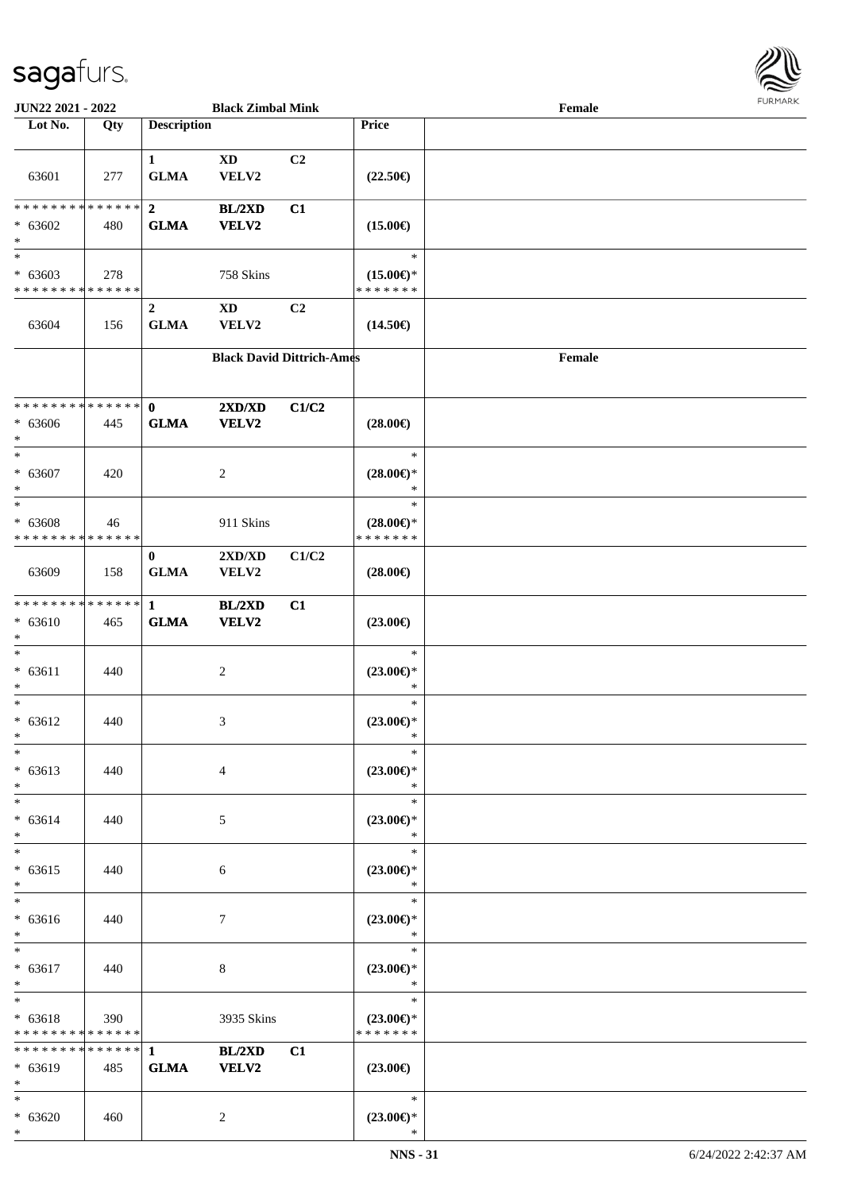

| JUN22 2021 - 2022                                             |     |                                 | <b>Black Zimbal Mink</b>         |                |                                                | Female |  |
|---------------------------------------------------------------|-----|---------------------------------|----------------------------------|----------------|------------------------------------------------|--------|--|
| Lot No.                                                       | Qty | <b>Description</b>              |                                  |                | <b>Price</b>                                   |        |  |
| 63601                                                         | 277 | $\mathbf{1}$<br><b>GLMA</b>     | <b>XD</b><br>VELV2               | C <sub>2</sub> | $(22.50\epsilon)$                              |        |  |
| * * * * * * * * * * * * * *<br>$* 63602$<br>$\ast$            | 480 | $\boldsymbol{2}$<br><b>GLMA</b> | BL/2XD<br><b>VELV2</b>           | C1             | $(15.00\epsilon)$                              |        |  |
| $\overline{\ast}$<br>$* 63603$<br>* * * * * * * * * * * * * * | 278 |                                 | 758 Skins                        |                | $\ast$<br>$(15.00\epsilon)$ *<br>* * * * * * * |        |  |
| 63604                                                         | 156 | $\boldsymbol{2}$<br><b>GLMA</b> | $\mathbf{X}\mathbf{D}$<br>VELV2  | C <sub>2</sub> | $(14.50\epsilon)$                              |        |  |
|                                                               |     |                                 | <b>Black David Dittrich-Ames</b> |                |                                                | Female |  |
| * * * * * * * * * * * * * *<br>$* 63606$<br>$\ast$            | 445 | $\mathbf 0$<br><b>GLMA</b>      | 2XD/XD<br><b>VELV2</b>           | C1/C2          | $(28.00\epsilon)$                              |        |  |
| $\ast$<br>$* 63607$<br>$\ast$                                 | 420 |                                 | 2                                |                | $\ast$<br>$(28.00\epsilon)$ *<br>$\ast$        |        |  |
| $\ast$<br>$* 63608$<br>* * * * * * * * * * * * * *            | 46  |                                 | 911 Skins                        |                | $\ast$<br>$(28.00\epsilon)$ *<br>* * * * * * * |        |  |
| 63609                                                         | 158 | $\bf{0}$<br><b>GLMA</b>         | 2XD/XD<br>VELV2                  | C1/C2          | $(28.00\epsilon)$                              |        |  |
| * * * * * * * * * * * * * *<br>$* 63610$<br>$\ast$            | 465 | $\mathbf{1}$<br><b>GLMA</b>     | BL/2XD<br><b>VELV2</b>           | C1             | $(23.00\epsilon)$                              |        |  |
| $\ast$<br>$* 63611$<br>$\ast$                                 | 440 |                                 | $\overline{c}$                   |                | $\ast$<br>$(23.00\epsilon)$ *<br>$\ast$        |        |  |
| $\ast$<br>$* 63612$<br>$*$                                    | 440 |                                 | 3                                |                | $\ast$<br>$(23.00\epsilon)$ *<br>$\ast$        |        |  |
| $\ast$<br>$* 63613$<br>$\ast$                                 | 440 |                                 | $\overline{4}$                   |                | $\ast$<br>$(23.00\epsilon)$ *<br>$\ast$        |        |  |
| $\ast$<br>$* 63614$<br>$\ast$                                 | 440 |                                 | 5                                |                | $\ast$<br>$(23.00\epsilon)$ *<br>$\ast$        |        |  |
| $\ast$<br>$* 63615$<br>$\ast$                                 | 440 |                                 | 6                                |                | $\ast$<br>$(23.00\epsilon)$ *<br>$\ast$        |        |  |
| $\ast$<br>$* 63616$<br>$*$                                    | 440 |                                 | 7                                |                | $\ast$<br>$(23.00\epsilon)$ *<br>$\ast$        |        |  |
| $\ast$<br>$* 63617$<br>$\ast$                                 | 440 |                                 | $\,8\,$                          |                | $\ast$<br>$(23.00\epsilon)$ *<br>$\ast$        |        |  |
| $\ast$<br>$* 63618$<br>* * * * * * * * * * * * * *            | 390 |                                 | 3935 Skins                       |                | $\ast$<br>$(23.00\epsilon)$ *<br>* * * * * * * |        |  |
| * * * * * * * * * * * * * *<br>* 63619<br>$\ast$              | 485 | $\mathbf{1}$<br><b>GLMA</b>     | BL/2XD<br>VELV2                  | C1             | $(23.00\epsilon)$                              |        |  |
| $*$<br>$* 63620$<br>$*$                                       | 460 |                                 | $\overline{c}$                   |                | $\ast$<br>$(23.00\epsilon)$ *<br>$\ast$        |        |  |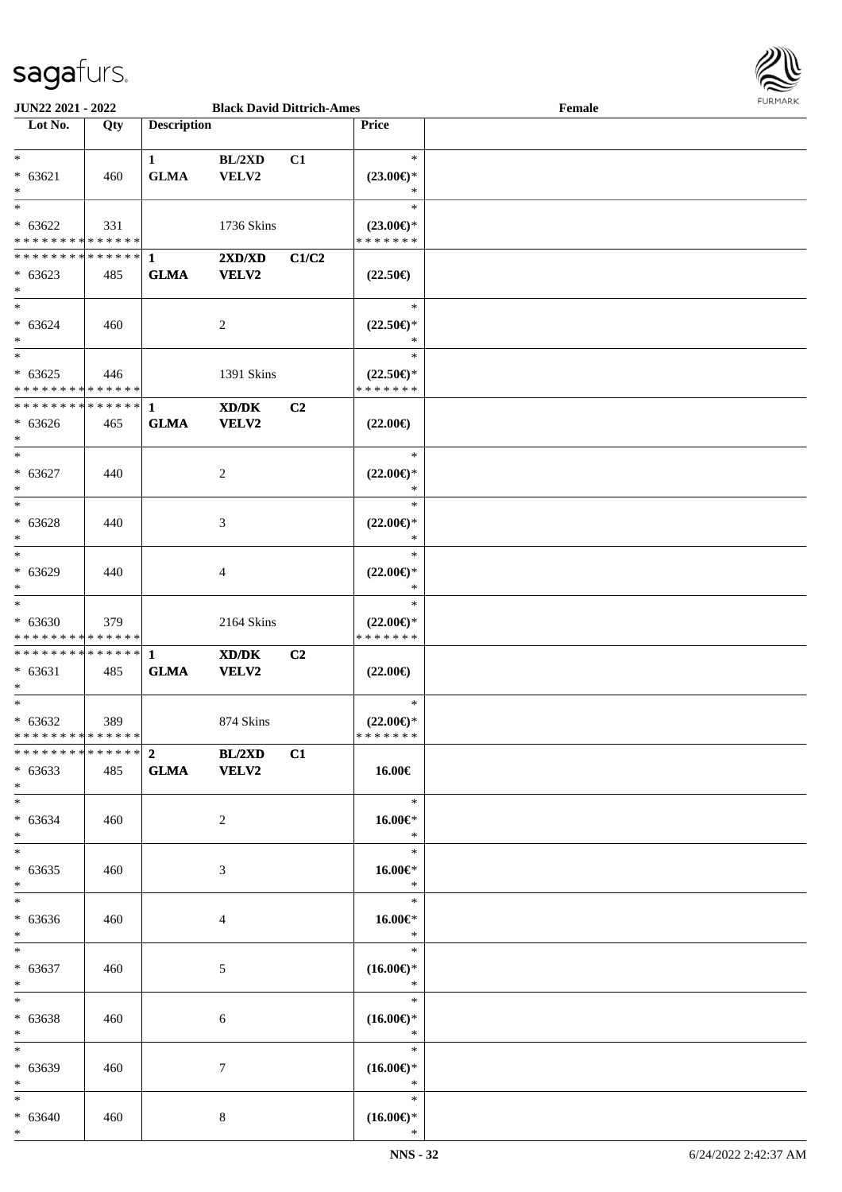

| JUN22 2021 - 2022             |     |                    | <b>Black David Dittrich-Ames</b> |       |                     | Female | 1.91111111 |
|-------------------------------|-----|--------------------|----------------------------------|-------|---------------------|--------|------------|
| Lot No.                       | Qty | <b>Description</b> |                                  |       | Price               |        |            |
|                               |     |                    |                                  |       |                     |        |            |
| $*$                           |     | 1                  | BL/2XD                           | C1    | $\ast$              |        |            |
| $* 63621$                     | 460 | <b>GLMA</b>        | VELV2                            |       | $(23.00\epsilon)$ * |        |            |
| $*$                           |     |                    |                                  |       | $\ast$              |        |            |
|                               |     |                    |                                  |       | $\ast$              |        |            |
| $* 63622$                     | 331 |                    | 1736 Skins                       |       | $(23.00\epsilon)$ * |        |            |
| * * * * * * * * * * * * * * * |     |                    |                                  |       | * * * * * * *       |        |            |
|                               |     |                    |                                  |       |                     |        |            |
|                               |     |                    | 2XD/XD                           | C1/C2 |                     |        |            |
| $* 63623$                     | 485 | <b>GLMA</b>        | <b>VELV2</b>                     |       | $(22.50\epsilon)$   |        |            |
| $*$                           |     |                    |                                  |       |                     |        |            |
| $*$                           |     |                    |                                  |       | $\ast$              |        |            |
| $* 63624$                     | 460 |                    | 2                                |       | $(22.50\epsilon)$ * |        |            |
| $*$                           |     |                    |                                  |       | $\ast$              |        |            |
| $\overline{\phantom{0}}$      |     |                    |                                  |       | $\ast$              |        |            |
| $* 63625$                     | 446 |                    | 1391 Skins                       |       | $(22.50\epsilon)$ * |        |            |
| * * * * * * * * * * * * * *   |     |                    |                                  |       | * * * * * * *       |        |            |
|                               |     |                    | XD/DK                            | C2    |                     |        |            |
|                               |     |                    |                                  |       |                     |        |            |
| $* 63626$                     | 465 | <b>GLMA</b>        | VELV2                            |       | $(22.00\epsilon)$   |        |            |
| $\ast$                        |     |                    |                                  |       |                     |        |            |
| $*$                           |     |                    |                                  |       | $\ast$              |        |            |
| $* 63627$                     | 440 |                    | 2                                |       | $(22.00\epsilon)$ * |        |            |
| $*$                           |     |                    |                                  |       | $\ast$              |        |            |
| $*$                           |     |                    |                                  |       | $\ast$              |        |            |
| $* 63628$                     | 440 |                    | 3                                |       | $(22.00\epsilon)$ * |        |            |
| $*$                           |     |                    |                                  |       | $\ast$              |        |            |
| $*$                           |     |                    |                                  |       | $\ast$              |        |            |
|                               |     |                    |                                  |       |                     |        |            |
| $* 63629$                     | 440 |                    | $\overline{4}$                   |       | $(22.00\epsilon)$ * |        |            |
| $*$                           |     |                    |                                  |       | $\ast$              |        |            |
| $\overline{\phantom{0}}$      |     |                    |                                  |       | $\ast$              |        |            |
| $* 63630$                     | 379 |                    | 2164 Skins                       |       | $(22.00\epsilon)$ * |        |            |
| * * * * * * * * * * * * * *   |     |                    |                                  |       | * * * * * * *       |        |            |
| * * * * * * * * * * * * * * * |     | $\mathbf{1}$       | XD/DK                            | C2    |                     |        |            |
| $* 63631$                     | 485 | <b>GLMA</b>        | VELV2                            |       | $(22.00\epsilon)$   |        |            |
| $*$                           |     |                    |                                  |       |                     |        |            |
| $*$                           |     |                    |                                  |       | $\ast$              |        |            |
| $* 63632$                     | 389 |                    | 874 Skins                        |       | $(22.00\epsilon)$ * |        |            |
| * * * * * * * * * * * * * * * |     |                    |                                  |       | *******             |        |            |
|                               |     |                    |                                  |       |                     |        |            |
|                               |     |                    | BL/2XD                           | C1    |                     |        |            |
| $* 63633$                     | 485 | GLMA VELV2         |                                  |       | 16.00€              |        |            |
| $*$                           |     |                    |                                  |       |                     |        |            |
| $*$ $-$                       |     |                    |                                  |       | $*$                 |        |            |
| $* 63634$                     | 460 |                    | 2                                |       | 16.00€*             |        |            |
| $*$                           |     |                    |                                  |       | $\ast$              |        |            |
| $*$ $-$                       |     |                    |                                  |       | $\ast$              |        |            |
| $* 63635$                     | 460 |                    | 3                                |       | 16.00€*             |        |            |
| $*$                           |     |                    |                                  |       | $\ast$              |        |            |
| $*$                           |     |                    |                                  |       | $\ast$              |        |            |
|                               |     |                    |                                  |       |                     |        |            |
| $* 63636$                     | 460 |                    | $\overline{4}$                   |       | $16.00 \in$         |        |            |
| $*$                           |     |                    |                                  |       | $\ast$              |        |            |
| $*$ $-$                       |     |                    |                                  |       | $\ast$              |        |            |
| $* 63637$                     | 460 |                    | 5                                |       | $(16.00\epsilon)$ * |        |            |
| $*$                           |     |                    |                                  |       | $\ast$              |        |            |
| $*$ $-$                       |     |                    |                                  |       | $\ast$              |        |            |
| $* 63638$                     | 460 |                    | $\sqrt{6}$                       |       | $(16.00\epsilon)$ * |        |            |
| $*$                           |     |                    |                                  |       | $\ast$              |        |            |
| $*$                           |     |                    |                                  |       | $\ast$              |        |            |
|                               |     |                    |                                  |       |                     |        |            |
| * 63639                       | 460 |                    | $\tau$                           |       | $(16.00\epsilon)$ * |        |            |
| $*$                           |     |                    |                                  |       | $\ast$              |        |            |
| $*$                           |     |                    |                                  |       | $\ast$              |        |            |
| $* 63640$                     | 460 |                    | $\bf 8$                          |       | $(16.00\epsilon)$ * |        |            |
| $*$                           |     |                    |                                  |       | $\ast$              |        |            |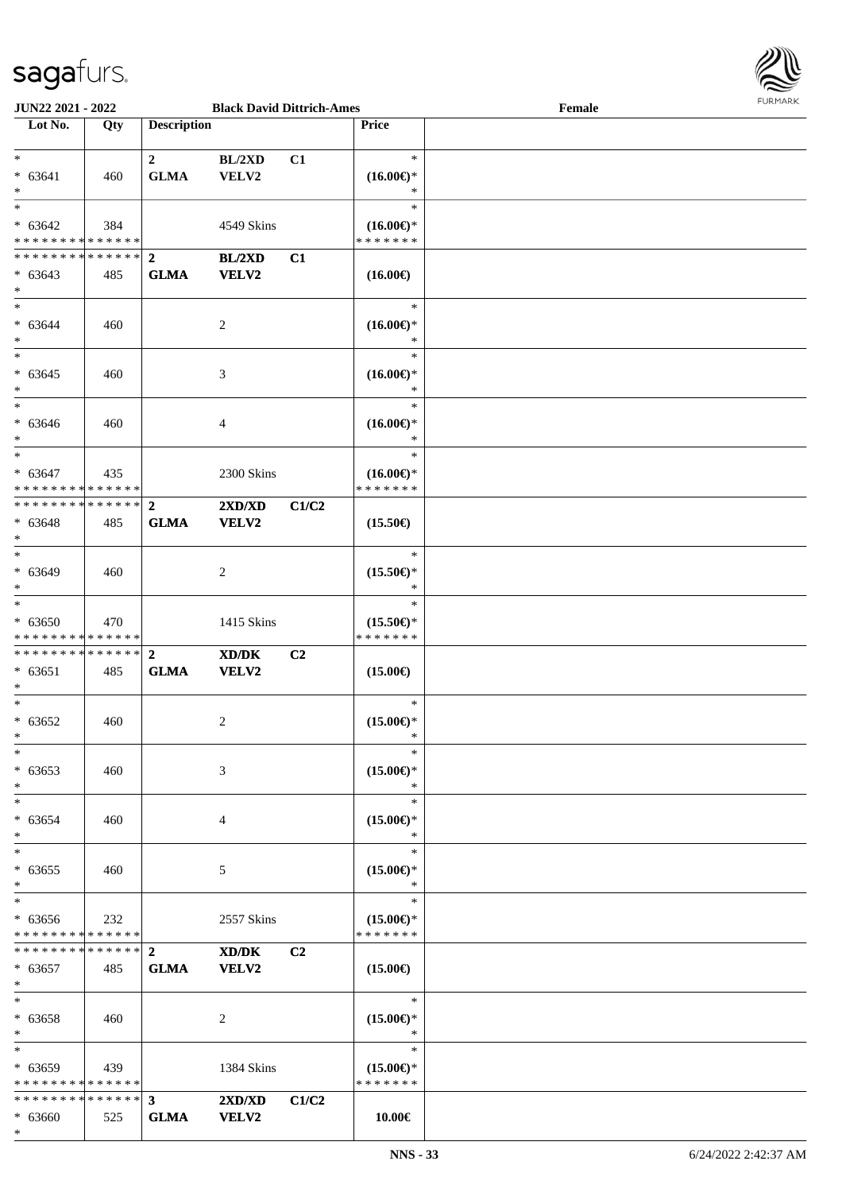

| <b>JUN22 2021 - 2022</b>                   |     |                    | <b>Black David Dittrich-Ames</b> |       |                     | Female |
|--------------------------------------------|-----|--------------------|----------------------------------|-------|---------------------|--------|
| Lot No.                                    | Qty | <b>Description</b> |                                  |       | Price               |        |
|                                            |     |                    |                                  |       |                     |        |
| $*$                                        |     | $2^{\circ}$        | BL/2XD                           | C1    | $\ast$              |        |
| $* 63641$                                  | 460 | <b>GLMA</b>        | VELV2                            |       | $(16.00\epsilon)$ * |        |
| $*$                                        |     |                    |                                  |       | ∗                   |        |
| $*$                                        |     |                    |                                  |       | $\ast$              |        |
|                                            |     |                    |                                  |       |                     |        |
| $* 63642$                                  | 384 |                    | 4549 Skins                       |       | $(16.00\epsilon)$ * |        |
| * * * * * * * * * * * * * * *              |     |                    |                                  |       | * * * * * * *       |        |
| **************                             |     | $\overline{2}$     | BL/2XD                           | C1    |                     |        |
| $* 63643$                                  | 485 | <b>GLMA</b>        | VELV2                            |       | $(16.00\epsilon)$   |        |
| $*$                                        |     |                    |                                  |       |                     |        |
| $*$                                        |     |                    |                                  |       | $\ast$              |        |
| $* 63644$                                  | 460 |                    | 2                                |       | $(16.00\epsilon)$ * |        |
| $*$                                        |     |                    |                                  |       | $\ast$              |        |
| $*$                                        |     |                    |                                  |       | $\ast$              |        |
| $* 63645$                                  | 460 |                    | 3                                |       | $(16.00\epsilon)$ * |        |
| $\ast$                                     |     |                    |                                  |       | $\ast$              |        |
| $*$                                        |     |                    |                                  |       | $\ast$              |        |
|                                            |     |                    |                                  |       |                     |        |
| $* 63646$                                  | 460 |                    | $\overline{4}$                   |       | $(16.00\epsilon)$ * |        |
| $*$                                        |     |                    |                                  |       | $\ast$              |        |
| $*$                                        |     |                    |                                  |       | $\ast$              |        |
| $* 63647$                                  | 435 |                    | 2300 Skins                       |       | $(16.00\epsilon)$ * |        |
| * * * * * * * * <mark>* * * * * * *</mark> |     |                    |                                  |       | * * * * * * *       |        |
| ************** 2                           |     |                    | 2XD/XD                           | C1/C2 |                     |        |
| $* 63648$                                  | 485 | <b>GLMA</b>        | VELV2                            |       | $(15.50\epsilon)$   |        |
| $*$                                        |     |                    |                                  |       |                     |        |
| $\overline{\ast}$                          |     |                    |                                  |       | $\ast$              |        |
| $* 63649$                                  | 460 |                    | 2                                |       | $(15.50\epsilon)$ * |        |
| $*$                                        |     |                    |                                  |       | $\ast$              |        |
| $\overline{\ }$                            |     |                    |                                  |       | $\ast$              |        |
|                                            |     |                    |                                  |       |                     |        |
| $* 63650$                                  | 470 |                    | 1415 Skins                       |       | $(15.50\epsilon)$ * |        |
| * * * * * * * * * * * * * *                |     |                    |                                  |       | * * * * * * *       |        |
|                                            |     |                    | XD/DK                            | C2    |                     |        |
| $* 63651$                                  | 485 | <b>GLMA</b>        | VELV2                            |       | $(15.00\epsilon)$   |        |
| $\ast$                                     |     |                    |                                  |       |                     |        |
| $*$                                        |     |                    |                                  |       | $\ast$              |        |
| $* 63652$                                  | 460 |                    | 2                                |       | $(15.00\epsilon)$ * |        |
| $*$                                        |     |                    |                                  |       | $\ast$              |        |
| $*$                                        |     |                    |                                  |       | $\ast$              |        |
| $* 63653$                                  | 460 |                    | 3                                |       | $(15.00\epsilon)$ * |        |
| $\ast$                                     |     |                    |                                  |       | ∗                   |        |
| $*$                                        |     |                    |                                  |       | $\ast$              |        |
| $* 63654$                                  | 460 |                    | 4                                |       | $(15.00\epsilon)$ * |        |
| $*$                                        |     |                    |                                  |       | $\ast$              |        |
| $*$                                        |     |                    |                                  |       | $\ast$              |        |
|                                            |     |                    |                                  |       |                     |        |
| $* 63655$                                  | 460 |                    | 5                                |       | $(15.00\epsilon)$ * |        |
| $*$                                        |     |                    |                                  |       | $\ast$              |        |
| $*$                                        |     |                    |                                  |       | $\ast$              |        |
| $* 63656$                                  | 232 |                    | 2557 Skins                       |       | $(15.00\epsilon)$ * |        |
| * * * * * * * * <mark>* * * * * *</mark> * |     |                    |                                  |       | * * * * * * *       |        |
|                                            |     |                    | XD/DK                            | C2    |                     |        |
| $* 63657$                                  | 485 | <b>GLMA</b>        | <b>VELV2</b>                     |       | $(15.00\epsilon)$   |        |
| $\ast$                                     |     |                    |                                  |       |                     |        |
| $*$ $-$                                    |     |                    |                                  |       | $\ast$              |        |
| $* 63658$                                  | 460 |                    | 2                                |       | $(15.00\epsilon)$ * |        |
| $\ast$                                     |     |                    |                                  |       | $\ast$              |        |
| $*$                                        |     |                    |                                  |       | $\ast$              |        |
| $* 63659$                                  | 439 |                    | 1384 Skins                       |       | $(15.00\epsilon)$ * |        |
| * * * * * * * * * * * * * * *              |     |                    |                                  |       | * * * * * * *       |        |
| * * * * * * * * * * * * * * <mark>*</mark> |     |                    |                                  |       |                     |        |
|                                            |     | 3 <sup>1</sup>     | 2XD/XD                           | C1/C2 |                     |        |
| $* 63660$                                  | 525 | <b>GLMA</b>        | <b>VELV2</b>                     |       | 10.00€              |        |
| $\ast$                                     |     |                    |                                  |       |                     |        |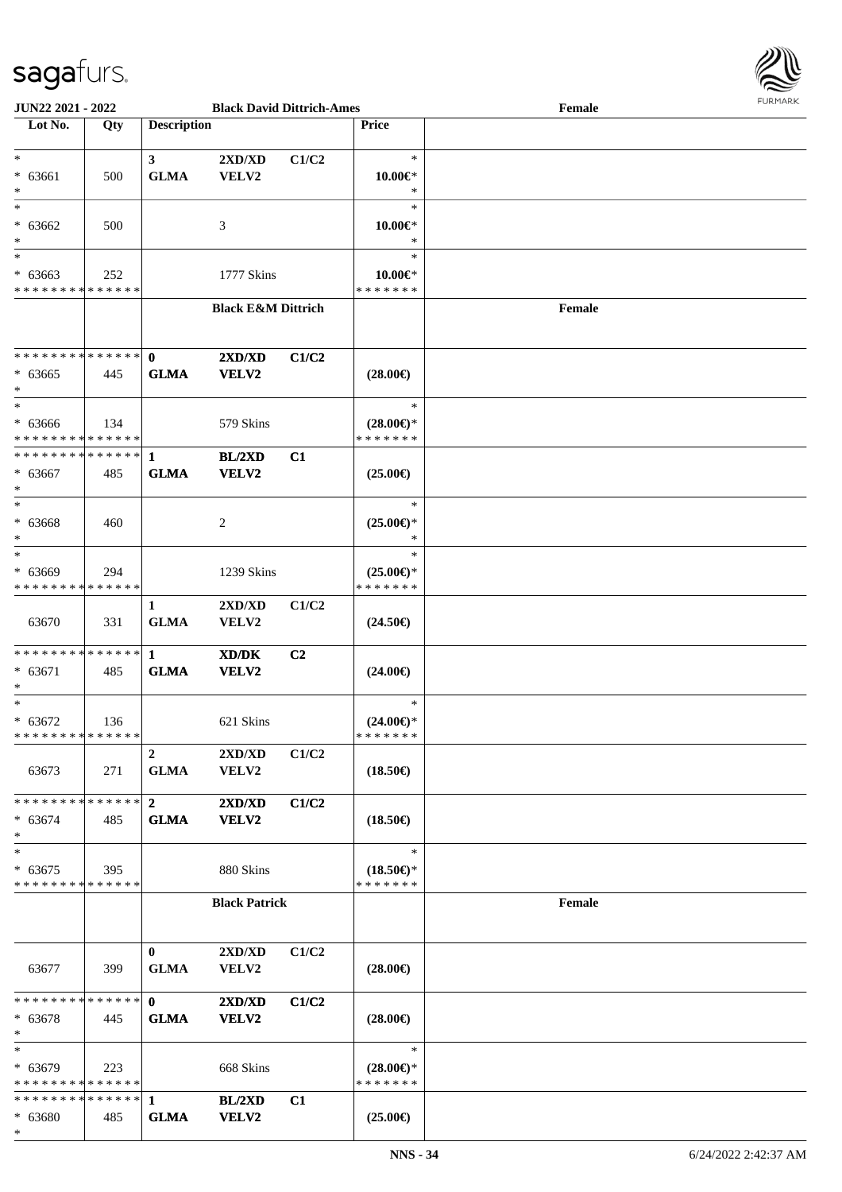

| <b>JUN22 2021 - 2022</b>                   |     |                    | <b>Black David Dittrich-Ames</b> |                |                     | Female |  |
|--------------------------------------------|-----|--------------------|----------------------------------|----------------|---------------------|--------|--|
| Lot No.                                    | Qty | <b>Description</b> |                                  |                | <b>Price</b>        |        |  |
|                                            |     |                    |                                  |                |                     |        |  |
| $*$                                        |     | 3 <sup>1</sup>     | 2XD/XD                           | C1/C2          | $\ast$              |        |  |
| * 63661                                    | 500 | <b>GLMA</b>        | VELV2                            |                | $10.00 \in$ *       |        |  |
| $\ast$                                     |     |                    |                                  |                | $\ast$              |        |  |
| $*$                                        |     |                    |                                  |                | $\ast$              |        |  |
| $* 63662$                                  | 500 |                    | 3                                |                | $10.00 \in$ *       |        |  |
| $\ast$                                     |     |                    |                                  |                | $\ast$              |        |  |
| $*$                                        |     |                    |                                  |                | $\ast$              |        |  |
| $* 63663$                                  | 252 |                    | 1777 Skins                       |                | $10.00 \in$ *       |        |  |
| * * * * * * * * * * * * * *                |     |                    |                                  |                | * * * * * * *       |        |  |
|                                            |     |                    | <b>Black E&amp;M Dittrich</b>    |                |                     | Female |  |
|                                            |     |                    |                                  |                |                     |        |  |
|                                            |     |                    |                                  |                |                     |        |  |
| ******** <mark>******</mark>               |     | $\mathbf{0}$       | 2XD/XD                           | C1/C2          |                     |        |  |
| $* 63665$                                  | 445 | <b>GLMA</b>        | VELV2                            |                | $(28.00\epsilon)$   |        |  |
| $\ast$                                     |     |                    |                                  |                |                     |        |  |
| $*$                                        |     |                    |                                  |                | $\ast$              |        |  |
| $* 63666$                                  | 134 |                    | 579 Skins                        |                | $(28.00\epsilon)$ * |        |  |
| * * * * * * * * * * * * * * *              |     |                    |                                  |                | * * * * * * *       |        |  |
| ************** 1                           |     |                    | BL/2XD                           | C1             |                     |        |  |
| $* 63667$                                  | 485 | <b>GLMA</b>        | VELV2                            |                | $(25.00\epsilon)$   |        |  |
| $\ast$                                     |     |                    |                                  |                |                     |        |  |
| $*$                                        |     |                    |                                  |                | $\ast$              |        |  |
| $* 63668$                                  | 460 |                    | 2                                |                | $(25.00\epsilon)$ * |        |  |
| $\ast$                                     |     |                    |                                  |                | $\ast$              |        |  |
| $*$                                        |     |                    |                                  |                | $\ast$              |        |  |
| $* 63669$                                  | 294 |                    | 1239 Skins                       |                | $(25.00\epsilon)$ * |        |  |
| * * * * * * * * * * * * * *                |     |                    |                                  |                | * * * * * * *       |        |  |
|                                            |     | 1                  | 2XD/XD                           | C1/C2          |                     |        |  |
| 63670                                      | 331 | <b>GLMA</b>        | VELV2                            |                | $(24.50\epsilon)$   |        |  |
|                                            |     |                    |                                  |                |                     |        |  |
|                                            |     |                    | XD/DK                            | C <sub>2</sub> |                     |        |  |
| $* 63671$                                  | 485 | <b>GLMA</b>        | VELV2                            |                | $(24.00\epsilon)$   |        |  |
| $\ast$                                     |     |                    |                                  |                |                     |        |  |
| $*$                                        |     |                    |                                  |                | $\ast$              |        |  |
| $* 63672$                                  | 136 |                    | 621 Skins                        |                | $(24.00\epsilon)$ * |        |  |
| * * * * * * * * * * * * * *                |     |                    |                                  |                | *******             |        |  |
|                                            |     | $\overline{2}$     | 2XD/XD                           | C1/C2          |                     |        |  |
| 63673                                      | 271 | <b>GLMA</b>        | <b>VELV2</b>                     |                | $(18.50\epsilon)$   |        |  |
|                                            |     |                    |                                  |                |                     |        |  |
| * * * * * * * * * * * * * * <mark>*</mark> |     | $\overline{2}$     | 2XD/XD                           | C1/C2          |                     |        |  |
| $* 63674$                                  | 485 | ${\bf GLMA}$       | VELV2                            |                | $(18.50\epsilon)$   |        |  |
| $\ast$                                     |     |                    |                                  |                |                     |        |  |
| $\ast$                                     |     |                    |                                  |                | $\ast$              |        |  |
| $* 63675$                                  | 395 |                    | 880 Skins                        |                | $(18.50\epsilon)$ * |        |  |
| * * * * * * * * * * * * * *                |     |                    |                                  |                | * * * * * * *       |        |  |
|                                            |     |                    | <b>Black Patrick</b>             |                |                     | Female |  |
|                                            |     |                    |                                  |                |                     |        |  |
|                                            |     |                    |                                  |                |                     |        |  |
|                                            |     | $\bf{0}$           | $2{\bf X}{\bf D}/{\bf X}{\bf D}$ | C1/C2          |                     |        |  |
| 63677                                      | 399 | <b>GLMA</b>        | VELV2                            |                | $(28.00\epsilon)$   |        |  |
|                                            |     |                    |                                  |                |                     |        |  |
| * * * * * * * * * * * * * * <mark>*</mark> |     | $\mathbf{0}$       | 2XD/XD                           | C1/C2          |                     |        |  |
| $* 63678$                                  | 445 | <b>GLMA</b>        | <b>VELV2</b>                     |                | $(28.00\epsilon)$   |        |  |
| $\ast$                                     |     |                    |                                  |                |                     |        |  |
| $*$                                        |     |                    |                                  |                | $\ast$              |        |  |
| $* 63679$                                  | 223 |                    | 668 Skins                        |                | $(28.00\epsilon)$ * |        |  |
| * * * * * * * * * * * * * *                |     |                    |                                  |                | * * * * * * *       |        |  |
|                                            |     |                    | BL/2XD                           | C1             |                     |        |  |
| $* 63680$<br>$\ast$                        | 485 | <b>GLMA</b>        | VELV2                            |                | $(25.00\epsilon)$   |        |  |
|                                            |     |                    |                                  |                |                     |        |  |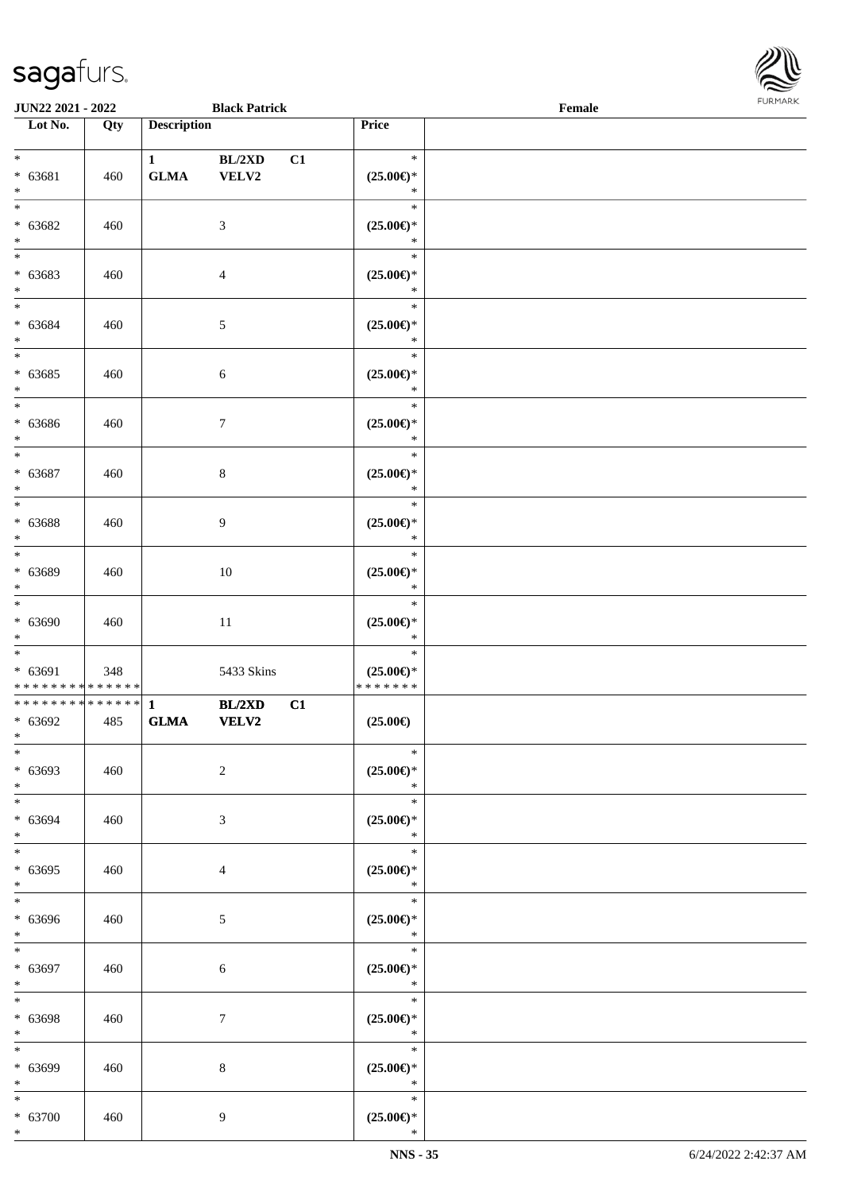

| <b>JUN22 2021 - 2022</b>                                              |     |                              | <b>Black Patrick</b> |    |                                                 | Female |  |
|-----------------------------------------------------------------------|-----|------------------------------|----------------------|----|-------------------------------------------------|--------|--|
| Lot No.                                                               | Qty | <b>Description</b>           |                      |    | Price                                           |        |  |
| $*$<br>$* 63681$<br>$\ast$                                            | 460 | $\mathbf{1}$<br>${\bf GLMA}$ | BL/2XD<br>VELV2      | C1 | $\ast$<br>$(25.00\epsilon)$ *<br>$\ast$         |        |  |
| $\overline{\ast}$<br>$* 63682$<br>$\ast$                              | 460 |                              | 3                    |    | $\ast$<br>$(25.00\epsilon)$ *<br>$\ast$         |        |  |
| $* 63683$<br>$\ast$                                                   | 460 |                              | $\overline{4}$       |    | $\ast$<br>$(25.00\epsilon)$ *<br>$\ast$         |        |  |
| $*$<br>$* 63684$<br>$*$<br>$\overline{\ast}$                          | 460 |                              | $\mathfrak{S}$       |    | $\ast$<br>$(25.00\epsilon)$ *<br>$\ast$         |        |  |
| $* 63685$<br>$\ast$<br>$\overline{\phantom{0}}$                       | 460 |                              | $\sqrt{6}$           |    | $\ast$<br>$(25.00\epsilon)$ *<br>$\ast$         |        |  |
| $* 63686$<br>$\ast$<br>$\overline{\ast}$                              | 460 |                              | $\tau$               |    | $\ast$<br>$(25.00\epsilon)$ *<br>$\ast$         |        |  |
| $* 63687$<br>$\ast$<br>$\overline{\ast}$                              | 460 |                              | $8\,$                |    | $\ast$<br>$(25.00\epsilon)$ *<br>$\ast$         |        |  |
| * 63688<br>$\ast$                                                     | 460 |                              | 9                    |    | $\ast$<br>$(25.00\epsilon)$ *<br>$\ast$         |        |  |
| * 63689<br>$*$                                                        | 460 |                              | 10                   |    | $\ast$<br>$(25.00\epsilon)$ *<br>$\ast$         |        |  |
| $\ddot{x}$<br>$* 63690$<br>$*$                                        | 460 |                              | 11                   |    | $\ast$<br>$(25.00\epsilon)$ *<br>$\ast$         |        |  |
| $\ddot{x}$<br>$* 63691$<br>* * * * * * * * <mark>* * * * * * *</mark> | 348 |                              | 5433 Skins           |    | $\ast$<br>$(25.00\epsilon)$ *<br>* * * * * * *  |        |  |
| ************** 1<br>$* 63692$<br>$*$                                  | 485 | <b>GLMA</b>                  | BL/2XD<br>VELV2      | C1 | $(25.00\epsilon)$                               |        |  |
| $*$<br>$* 63693$<br>$*$                                               | 460 |                              | $\overline{2}$       |    | $\ast$<br>$(25.00\epsilon)$ *<br>$\ast$         |        |  |
| $*$<br>$* 63694$<br>$*$<br>$*$                                        | 460 |                              | 3                    |    | $\ast$<br>$(25.00\epsilon)$ *<br>$\ast$         |        |  |
| $* 63695$<br>$\ddot{x}$<br>$\overline{\ast}$                          | 460 |                              | $\overline{4}$       |    | $\ast$<br>$(25.00\epsilon)$ *<br>$\ast$         |        |  |
| $* 63696$<br>$*$<br>$\overline{\ast}$                                 | 460 |                              | $5\overline{)}$      |    | $\ast$<br>$(25.00\epsilon)$ *<br>$\ast$         |        |  |
| $* 63697$<br>$*$                                                      | 460 |                              | $\sqrt{6}$           |    | $\ast$<br>$(25.00\epsilon)$ *<br>$\mathbb{R}^n$ |        |  |
| $*$<br>* 63698<br>$*$                                                 | 460 |                              | $\tau$               |    | $\ast$<br>$(25.00\epsilon)$ *<br>$\ast$         |        |  |
| $*$<br>$* 63699$<br>$\ast$                                            | 460 |                              | 8                    |    | $\ast$<br>$(25.00\epsilon)$ *<br>$\ast$         |        |  |
| $*$<br>$* 63700$<br>$\ast$                                            | 460 |                              | $\overline{9}$       |    | $\ast$<br>$(25.00\epsilon)$ *<br>$\ast$         |        |  |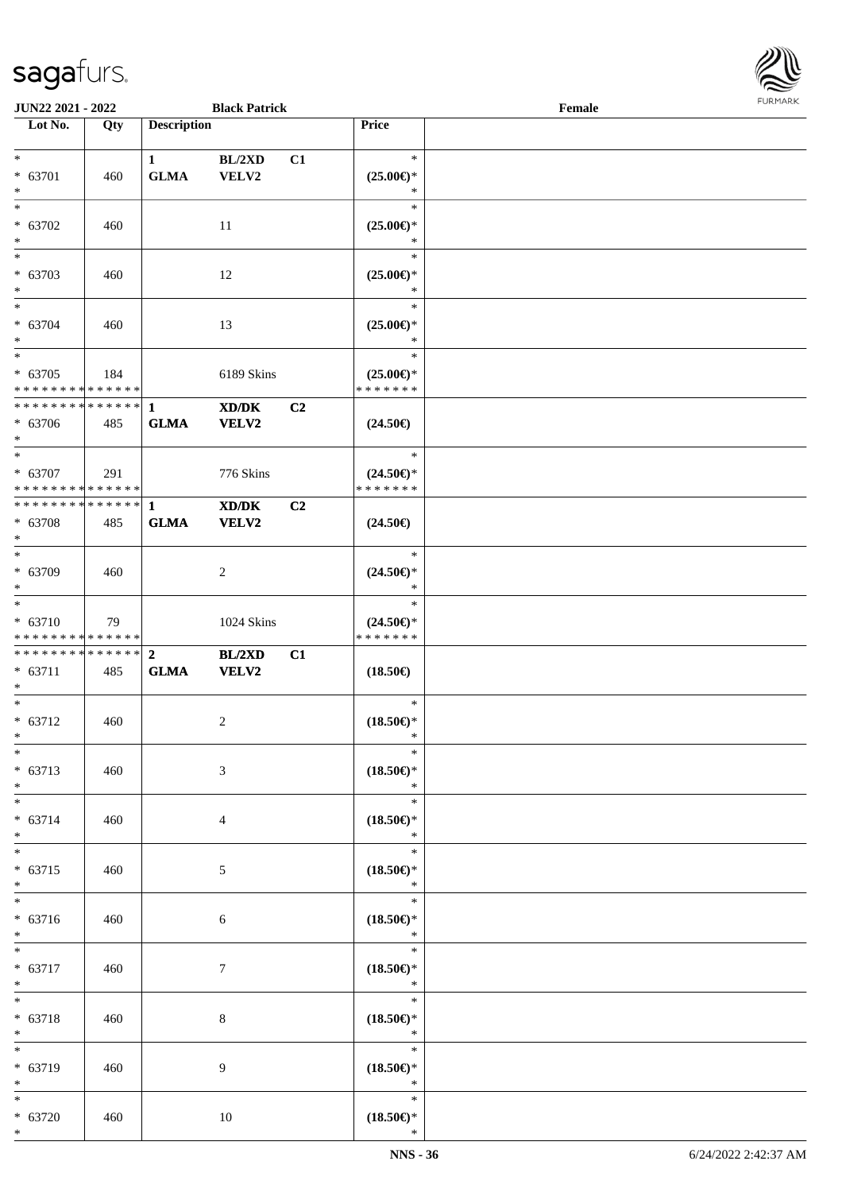

| JUN22 2021 - 2022             |     |                    | <b>Black Patrick</b>                                                                                 |                |                                                    | Female |  |
|-------------------------------|-----|--------------------|------------------------------------------------------------------------------------------------------|----------------|----------------------------------------------------|--------|--|
| Lot No.                       | Qty | <b>Description</b> |                                                                                                      |                | Price                                              |        |  |
|                               |     |                    |                                                                                                      |                |                                                    |        |  |
| $*$                           |     | $\mathbf{1}$       | BL/2XD                                                                                               | C1             | $\ast$                                             |        |  |
| * 63701                       | 460 | ${\bf GLMA}$       | VELV2                                                                                                |                | $(25.00\epsilon)$ *                                |        |  |
| $*$                           |     |                    |                                                                                                      |                | ∗                                                  |        |  |
| $\overline{\phantom{0}}$      |     |                    |                                                                                                      |                | $\ast$                                             |        |  |
| $* 63702$                     | 460 |                    | 11                                                                                                   |                | $(25.00\epsilon)$ *                                |        |  |
| $*$                           |     |                    |                                                                                                      |                | $\ast$                                             |        |  |
| $\overline{\phantom{0}}$      |     |                    |                                                                                                      |                | $\ast$                                             |        |  |
| * 63703                       | 460 |                    | 12                                                                                                   |                | $(25.00\epsilon)$ *                                |        |  |
| $*$                           |     |                    |                                                                                                      |                | $\ast$                                             |        |  |
|                               |     |                    |                                                                                                      |                | $\ast$                                             |        |  |
| $* 63704$                     | 460 |                    | 13                                                                                                   |                | $(25.00\epsilon)$ *                                |        |  |
| $*$                           |     |                    |                                                                                                      |                | $\ast$                                             |        |  |
| $\overline{\phantom{0}}$      |     |                    |                                                                                                      |                | $\ast$                                             |        |  |
| $* 63705$                     | 184 |                    | 6189 Skins                                                                                           |                | $(25.00\epsilon)$ *                                |        |  |
| * * * * * * * * * * * * * *   |     |                    |                                                                                                      |                | * * * * * * *                                      |        |  |
| * * * * * * * * * * * * * * * |     | $\mathbf{1}$       | $\mathbf{X}\mathbf{D}/\mathbf{D}\mathbf{K}$                                                          | C <sub>2</sub> |                                                    |        |  |
| * 63706                       | 485 | <b>GLMA</b>        | VELV2                                                                                                |                | $(24.50\epsilon)$                                  |        |  |
| $*$                           |     |                    |                                                                                                      |                |                                                    |        |  |
| $\overline{\phantom{0}}$      |     |                    |                                                                                                      |                | $\ast$                                             |        |  |
| $* 63707$                     | 291 |                    | 776 Skins                                                                                            |                | $(24.50\epsilon)$ *                                |        |  |
| * * * * * * * * * * * * * * * |     |                    |                                                                                                      |                | * * * * * * *                                      |        |  |
| * * * * * * * * * * * * * * * |     | $\mathbf{1}$       | $\boldsymbol{\text{X}}\boldsymbol{\text{D}}\boldsymbol{/}\boldsymbol{\text{D}}\boldsymbol{\text{K}}$ | C <sub>2</sub> |                                                    |        |  |
| * 63708                       | 485 | <b>GLMA</b>        | <b>VELV2</b>                                                                                         |                | $(24.50\epsilon)$                                  |        |  |
| $*$                           |     |                    |                                                                                                      |                |                                                    |        |  |
| $*$                           |     |                    |                                                                                                      |                | $\ast$                                             |        |  |
| * 63709                       | 460 |                    | $\overline{c}$                                                                                       |                | $(24.50\epsilon)$ *                                |        |  |
| $*$                           |     |                    |                                                                                                      |                | $\ast$                                             |        |  |
| $\overline{\phantom{0}}$      |     |                    |                                                                                                      |                | $\ast$                                             |        |  |
| * 63710                       | 79  |                    | 1024 Skins                                                                                           |                | $(24.50\epsilon)$ *                                |        |  |
| * * * * * * * * * * * * * *   |     |                    |                                                                                                      |                | * * * * * * *                                      |        |  |
| * * * * * * * * * * * * * * * |     | $\overline{2}$     | BL/2XD                                                                                               | C1             |                                                    |        |  |
| $* 63711$                     | 485 | ${\bf GLMA}$       | <b>VELV2</b>                                                                                         |                | $(18.50\epsilon)$                                  |        |  |
| $*$                           |     |                    |                                                                                                      |                |                                                    |        |  |
| $*$                           |     |                    |                                                                                                      |                | $\ast$                                             |        |  |
| $* 63712$                     | 460 |                    | 2                                                                                                    |                | $(18.50\epsilon)$ *                                |        |  |
| $*$                           |     |                    |                                                                                                      |                | $\ast$                                             |        |  |
| $*$                           |     |                    |                                                                                                      |                | $\ast$                                             |        |  |
| $* 63713$                     | 460 |                    | 3                                                                                                    |                | $(18.50\epsilon)$ *                                |        |  |
| $*$                           |     |                    |                                                                                                      |                | $\ast$                                             |        |  |
| $\ast$                        |     |                    |                                                                                                      |                | $\ast$                                             |        |  |
| $* 63714$                     | 460 |                    | 4                                                                                                    |                | $(18.50\epsilon)$ *                                |        |  |
| $*$                           |     |                    |                                                                                                      |                | $\ast$                                             |        |  |
| $*$                           |     |                    |                                                                                                      |                | $\ast$                                             |        |  |
| $* 63715$                     | 460 |                    | 5                                                                                                    |                | $(18.50\epsilon)$ *                                |        |  |
| $*$                           |     |                    |                                                                                                      |                | $\ast$                                             |        |  |
| $*$                           |     |                    |                                                                                                      |                | $\ast$                                             |        |  |
| * 63716                       | 460 |                    | 6                                                                                                    |                | $(18.50\epsilon)$ *                                |        |  |
| $*$                           |     |                    |                                                                                                      |                | $\ast$                                             |        |  |
| $\ast$                        |     |                    |                                                                                                      |                | $\ast$                                             |        |  |
| * 63717                       | 460 |                    | $\tau$                                                                                               |                | $(18.50\epsilon)$ *                                |        |  |
| $*$                           |     |                    |                                                                                                      |                | $\ast$                                             |        |  |
| $*$                           |     |                    |                                                                                                      |                | $\ast$                                             |        |  |
| * 63718                       | 460 |                    | 8                                                                                                    |                | $(18.50\mathnormal{\in}\mathcal{)^{\! \! \times}}$ |        |  |
| $\ast$                        |     |                    |                                                                                                      |                | $\ast$                                             |        |  |
| $*$                           |     |                    |                                                                                                      |                | $\ast$                                             |        |  |
| * 63719                       | 460 |                    | 9                                                                                                    |                | $(18.50\epsilon)$ *                                |        |  |
| $*$                           |     |                    |                                                                                                      |                | $\ast$                                             |        |  |
| $\ast$                        |     |                    |                                                                                                      |                | $\ast$                                             |        |  |
| $* 63720$                     | 460 |                    | 10                                                                                                   |                | $(18.50\epsilon)$ *                                |        |  |
| $*$                           |     |                    |                                                                                                      |                | $\ast$                                             |        |  |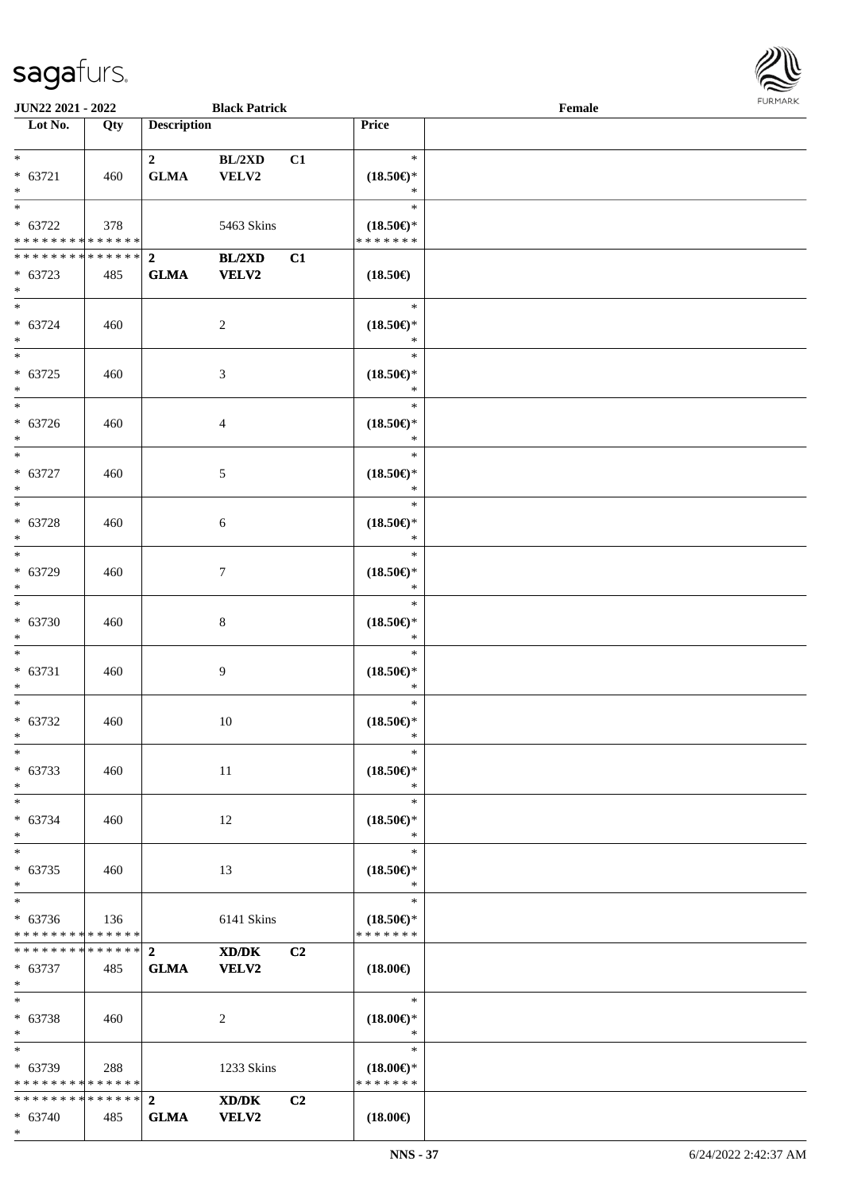

| <b>JUN22 2021 - 2022</b>      |     |                    | <b>Black Patrick</b> |                |                               | Female |  |
|-------------------------------|-----|--------------------|----------------------|----------------|-------------------------------|--------|--|
| Lot No.                       | Qty | <b>Description</b> |                      |                | Price                         |        |  |
|                               |     |                    |                      |                |                               |        |  |
| $*$                           |     | $\mathbf{2}$       | BL/2XD               | C1             | $\ast$                        |        |  |
| $* 63721$                     | 460 | ${\bf GLMA}$       | VELV2                |                | $(18.50\epsilon)$ *           |        |  |
| $\ast$                        |     |                    |                      |                | $\ast$                        |        |  |
| $\overline{\ast}$             |     |                    |                      |                | $\ast$                        |        |  |
| $* 63722$                     | 378 |                    | 5463 Skins           |                | $(18.50\epsilon)$ *           |        |  |
| * * * * * * * * * * * * * * * |     |                    |                      |                | * * * * * * *                 |        |  |
| * * * * * * * * * * * * * * * |     | $\overline{2}$     | BL/2XD               | C1             |                               |        |  |
| $* 63723$                     | 485 | <b>GLMA</b>        | <b>VELV2</b>         |                | $(18.50\epsilon)$             |        |  |
| $*$                           |     |                    |                      |                |                               |        |  |
| $*$                           |     |                    |                      |                | $\ast$                        |        |  |
| $* 63724$                     | 460 |                    | $\overline{c}$       |                | $(18.50\epsilon)$ *           |        |  |
| $*$                           |     |                    |                      |                | $\ast$                        |        |  |
| $*$                           |     |                    |                      |                | $\ast$                        |        |  |
| $* 63725$                     | 460 |                    | 3                    |                | $(18.50\epsilon)$ *           |        |  |
| $*$                           |     |                    |                      |                | $\ast$                        |        |  |
| $*$                           |     |                    |                      |                | $\ast$                        |        |  |
| $* 63726$                     | 460 |                    | 4                    |                | $(18.50\epsilon)$ *           |        |  |
| $*$                           |     |                    |                      |                | $\ast$                        |        |  |
| $*$                           |     |                    |                      |                | $\ast$                        |        |  |
| $* 63727$                     |     |                    |                      |                |                               |        |  |
| $\ast$                        | 460 |                    | 5                    |                | $(18.50\epsilon)$ *<br>$\ast$ |        |  |
|                               |     |                    |                      |                | $\ast$                        |        |  |
|                               |     |                    |                      |                |                               |        |  |
| $* 63728$<br>$*$              | 460 |                    | 6                    |                | $(18.50\epsilon)$ *<br>$\ast$ |        |  |
|                               |     |                    |                      |                | $\ast$                        |        |  |
|                               |     |                    |                      |                |                               |        |  |
| * 63729                       | 460 |                    | $\tau$               |                | $(18.50\epsilon)$ *<br>$\ast$ |        |  |
| $*$<br>$*$                    |     |                    |                      |                | $\ast$                        |        |  |
|                               |     |                    |                      |                |                               |        |  |
| $* 63730$                     | 460 |                    | 8                    |                | $(18.50\epsilon)$ *           |        |  |
| $*$                           |     |                    |                      |                | $\ast$                        |        |  |
| $*$                           |     |                    |                      |                | $\ast$                        |        |  |
| $* 63731$                     | 460 |                    | 9                    |                | $(18.50\epsilon)$ *           |        |  |
| $*$                           |     |                    |                      |                | $\ast$                        |        |  |
| $*$                           |     |                    |                      |                | $\ast$                        |        |  |
| $* 63732$                     | 460 |                    | 10                   |                | $(18.50\epsilon)$ *           |        |  |
| $*$                           |     |                    |                      |                | $\ast$                        |        |  |
| $*$                           |     |                    |                      |                | $\ast$                        |        |  |
| $* 63733$                     | 460 |                    | 11                   |                | $(18.50\epsilon)$ *           |        |  |
| $*$                           |     |                    |                      |                | $\ast$                        |        |  |
| $*$                           |     |                    |                      |                | $\ast$                        |        |  |
| $* 63734$                     | 460 |                    | 12                   |                | $(18.50\epsilon)$ *           |        |  |
| $*$                           |     |                    |                      |                | $\ast$                        |        |  |
| $*$                           |     |                    |                      |                | $\ast$                        |        |  |
| $* 63735$                     | 460 |                    | 13                   |                | $(18.50\epsilon)$ *           |        |  |
| $*$                           |     |                    |                      |                | $\ast$                        |        |  |
| $*$                           |     |                    |                      |                | $\ast$                        |        |  |
| $* 63736$                     | 136 |                    | 6141 Skins           |                | $(18.50\epsilon)$ *           |        |  |
| * * * * * * * * * * * * * *   |     |                    |                      |                | * * * * * * *                 |        |  |
|                               |     |                    | XD/DK                | C <sub>2</sub> |                               |        |  |
| * 63737                       | 485 | <b>GLMA</b>        | <b>VELV2</b>         |                | $(18.00\epsilon)$             |        |  |
| $*$                           |     |                    |                      |                |                               |        |  |
| $*$                           |     |                    |                      |                | $\ast$                        |        |  |
| * 63738                       | 460 |                    | 2                    |                | $(18.00\epsilon)$ *           |        |  |
| $*$                           |     |                    |                      |                | $\ast$                        |        |  |
|                               |     |                    |                      |                | $\ast$                        |        |  |
| $* 63739$                     | 288 |                    | 1233 Skins           |                | $(18.00\epsilon)$ *           |        |  |
| * * * * * * * * * * * * * * * |     |                    |                      |                | * * * * * * *                 |        |  |
| * * * * * * * * * * * * * * * |     | $\overline{2}$     | XD/DK                | C2             |                               |        |  |
| * 63740                       | 485 | <b>GLMA</b>        | <b>VELV2</b>         |                | $(18.00\epsilon)$             |        |  |
| $\ast$                        |     |                    |                      |                |                               |        |  |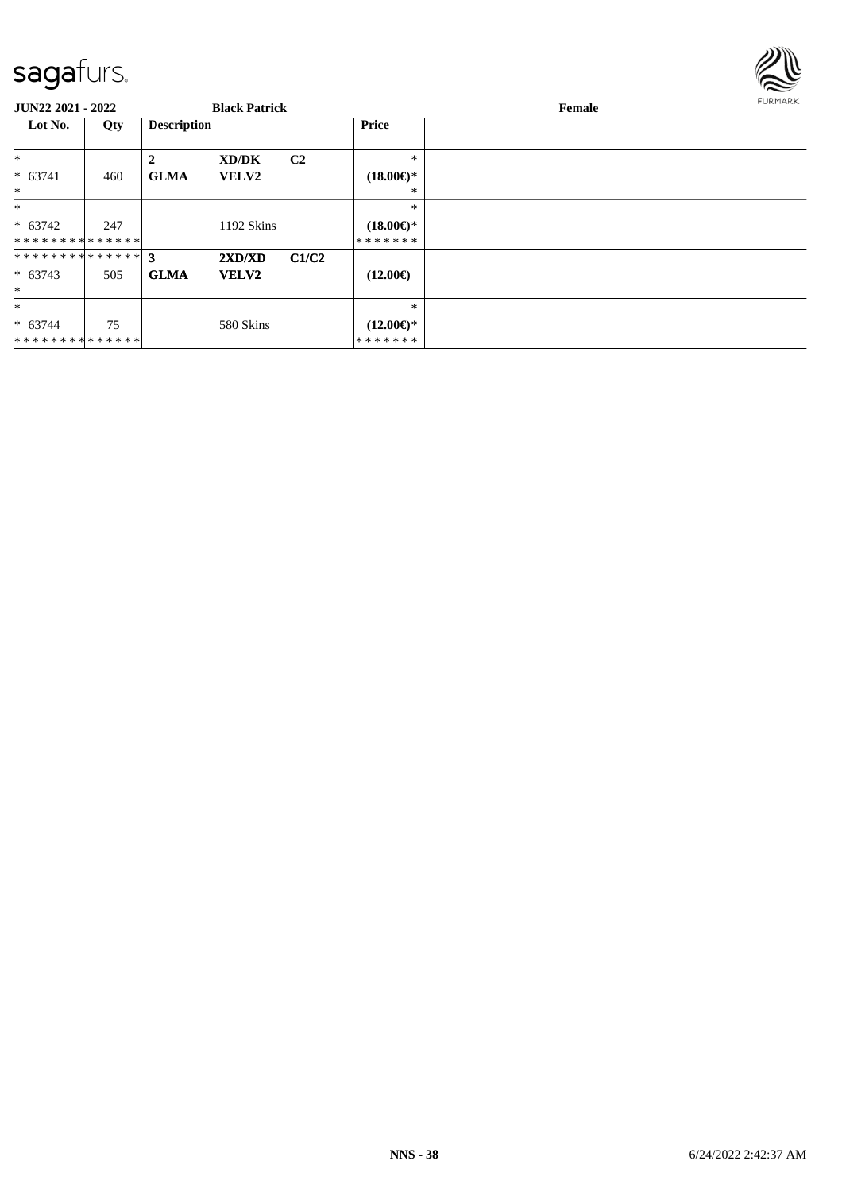

| JUN22 2021 - 2022 |     |                    | <b>Black Patrick</b> |                |                           | Female | <b>FURMARK</b> |
|-------------------|-----|--------------------|----------------------|----------------|---------------------------|--------|----------------|
| Lot No.           | Qty | <b>Description</b> |                      |                | <b>Price</b>              |        |                |
| $\ast$            |     | $\mathbf{2}$       | XD/DK                | C <sub>2</sub> | *                         |        |                |
| $* 63741$         | 460 | <b>GLMA</b>        | <b>VELV2</b>         |                | $(18.00\epsilon)$ *       |        |                |
| $\ast$            |     |                    |                      |                | ∗                         |        |                |
| $*$               |     |                    |                      |                | *                         |        |                |
| $* 63742$         | 247 |                    | 1192 Skins           |                | $(18.00\epsilon)$ *       |        |                |
| **************    |     |                    |                      |                | * * * * * * *             |        |                |
|                   |     |                    | 2XD/XD               | C1/C2          |                           |        |                |
| $* 63743$         | 505 | <b>GLMA</b>        | <b>VELV2</b>         |                | $(12.00\epsilon)$         |        |                |
| $\ast$            |     |                    |                      |                |                           |        |                |
| $\ast$            |     |                    |                      |                | $\ast$                    |        |                |
| $* 63744$         | 75  |                    | 580 Skins            |                | $(12.00 \in \mathcal{F})$ |        |                |
| **************    |     |                    |                      |                | *******                   |        |                |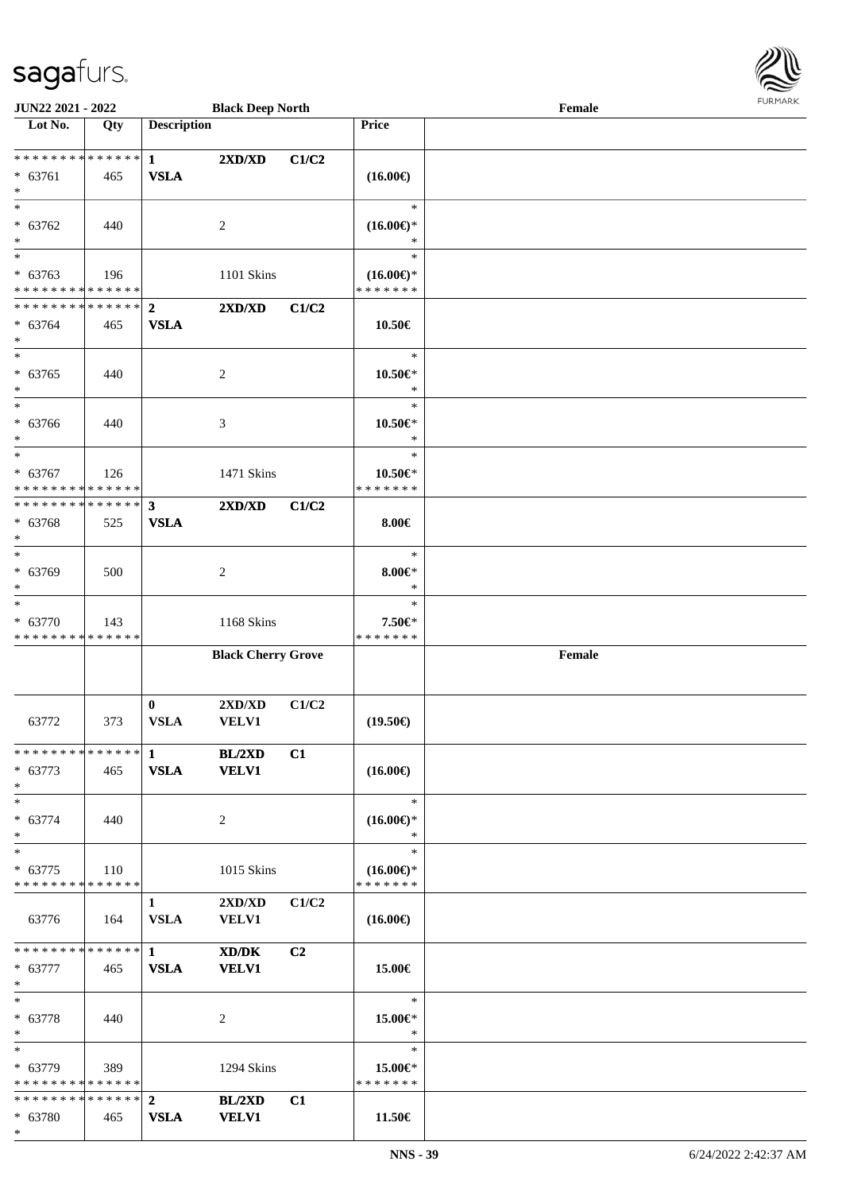

| JUN22 2021 - 2022                          |     |                    | <b>Black Deep North</b>   |       |                                      | Female |  |
|--------------------------------------------|-----|--------------------|---------------------------|-------|--------------------------------------|--------|--|
| Lot No.                                    | Qty | <b>Description</b> |                           |       | Price                                |        |  |
|                                            |     |                    |                           |       |                                      |        |  |
| * * * * * * * * * * * * * *                |     | $\mathbf{1}$       | 2XD/XD                    | C1/C2 |                                      |        |  |
| $* 63761$                                  | 465 | <b>VSLA</b>        |                           |       | $(16.00\epsilon)$                    |        |  |
| $\ast$<br>$\overline{\ast}$                |     |                    |                           |       | $\ast$                               |        |  |
|                                            |     |                    |                           |       |                                      |        |  |
| $* 63762$<br>$\ast$                        | 440 |                    | $\overline{c}$            |       | $(16.00\epsilon)$ *                  |        |  |
| $\ast$                                     |     |                    |                           |       | $\ast$                               |        |  |
| $* 63763$                                  |     |                    |                           |       |                                      |        |  |
| * * * * * * * * * * * * * *                | 196 |                    | 1101 Skins                |       | $(16.00\epsilon)$ *<br>* * * * * * * |        |  |
| * * * * * * * * * * * * * *                |     | $\boldsymbol{2}$   | 2XD/XD                    | C1/C2 |                                      |        |  |
| * 63764                                    | 465 | <b>VSLA</b>        |                           |       | 10.50€                               |        |  |
| $\ast$                                     |     |                    |                           |       |                                      |        |  |
| $\ast$                                     |     |                    |                           |       | $\ast$                               |        |  |
| $* 63765$                                  | 440 |                    | $\boldsymbol{2}$          |       | $10.50 \in$ *                        |        |  |
| $\ast$                                     |     |                    |                           |       | $\ast$                               |        |  |
| $\ast$                                     |     |                    |                           |       | $\ast$                               |        |  |
| * 63766                                    | 440 |                    | 3                         |       | $10.50 \in$ *                        |        |  |
| $\ast$                                     |     |                    |                           |       | $\ast$                               |        |  |
| $\ast$                                     |     |                    |                           |       | $\ast$                               |        |  |
| * 63767                                    | 126 |                    | 1471 Skins                |       | $10.50 \in$ *                        |        |  |
| * * * * * * * * <mark>* * * * * * *</mark> |     |                    |                           |       | * * * * * * *                        |        |  |
| * * * * * * * * * * * * * * *              |     | $\mathbf{3}$       | 2XD/XD                    | C1/C2 |                                      |        |  |
| * 63768                                    | 525 | <b>VSLA</b>        |                           |       | $8.00 \in$                           |        |  |
| $\ast$<br>$\ast$                           |     |                    |                           |       | $\ast$                               |        |  |
| * 63769                                    | 500 |                    | 2                         |       | $8.00 \in$ *                         |        |  |
| $\ast$                                     |     |                    |                           |       | $\ast$                               |        |  |
| $\ast$                                     |     |                    |                           |       | $\ast$                               |        |  |
| $* 63770$                                  | 143 |                    | 1168 Skins                |       | 7.50€*                               |        |  |
| * * * * * * * * <mark>* * * * * * *</mark> |     |                    |                           |       | * * * * * * *                        |        |  |
|                                            |     |                    | <b>Black Cherry Grove</b> |       |                                      | Female |  |
|                                            |     |                    |                           |       |                                      |        |  |
|                                            |     |                    |                           |       |                                      |        |  |
|                                            |     | $\bf{0}$           | 2XD/XD                    | C1/C2 |                                      |        |  |
| 63772                                      | 373 | <b>VSLA</b>        | VELV1                     |       | $(19.50\epsilon)$                    |        |  |
| * * * * * * * * * * * * * * *              |     | $\mathbf{1}$       | BL/2XD                    | C1    |                                      |        |  |
| $* 63773$                                  | 465 | <b>VSLA</b>        | <b>VELV1</b>              |       | $(16.00\epsilon)$                    |        |  |
| $\ast$                                     |     |                    |                           |       |                                      |        |  |
| $\ast$                                     |     |                    |                           |       | $\ast$                               |        |  |
| $* 63774$                                  | 440 |                    | $\overline{2}$            |       | $(16.00\epsilon)$ *                  |        |  |
| $*$                                        |     |                    |                           |       | $\ast$                               |        |  |
| $*$                                        |     |                    |                           |       | $\ast$                               |        |  |
| $* 63775$                                  | 110 |                    | 1015 Skins                |       | $(16.00\epsilon)$ *                  |        |  |
| * * * * * * * * * * * * * *                |     |                    |                           |       | * * * * * * *                        |        |  |
|                                            |     | $\mathbf{1}$       | 2XD/XD                    | C1/C2 |                                      |        |  |
| 63776                                      | 164 | <b>VSLA</b>        | <b>VELV1</b>              |       | $(16.00\epsilon)$                    |        |  |
| ************** 1                           |     |                    |                           |       |                                      |        |  |
| $* 63777$                                  |     |                    | XD/DK<br><b>VELV1</b>     | C2    | 15.00€                               |        |  |
| $*$                                        | 465 | <b>VSLA</b>        |                           |       |                                      |        |  |
| $*$                                        |     |                    |                           |       | $\ast$                               |        |  |
| * 63778                                    | 440 |                    | 2                         |       | 15.00€*                              |        |  |
| $*$                                        |     |                    |                           |       | $\ast$                               |        |  |
| $\ast$                                     |     |                    |                           |       | $\ast$                               |        |  |
| $* 63779$                                  | 389 |                    | 1294 Skins                |       | 15.00€*                              |        |  |
| * * * * * * * * * * * * * *                |     |                    |                           |       | * * * * * * *                        |        |  |
| * * * * * * * * * * * * * * *              |     | $\overline{2}$     | BL/2XD                    | C1    |                                      |        |  |
| * 63780                                    | 465 | <b>VSLA</b>        | <b>VELV1</b>              |       | 11.50€                               |        |  |
| $*$                                        |     |                    |                           |       |                                      |        |  |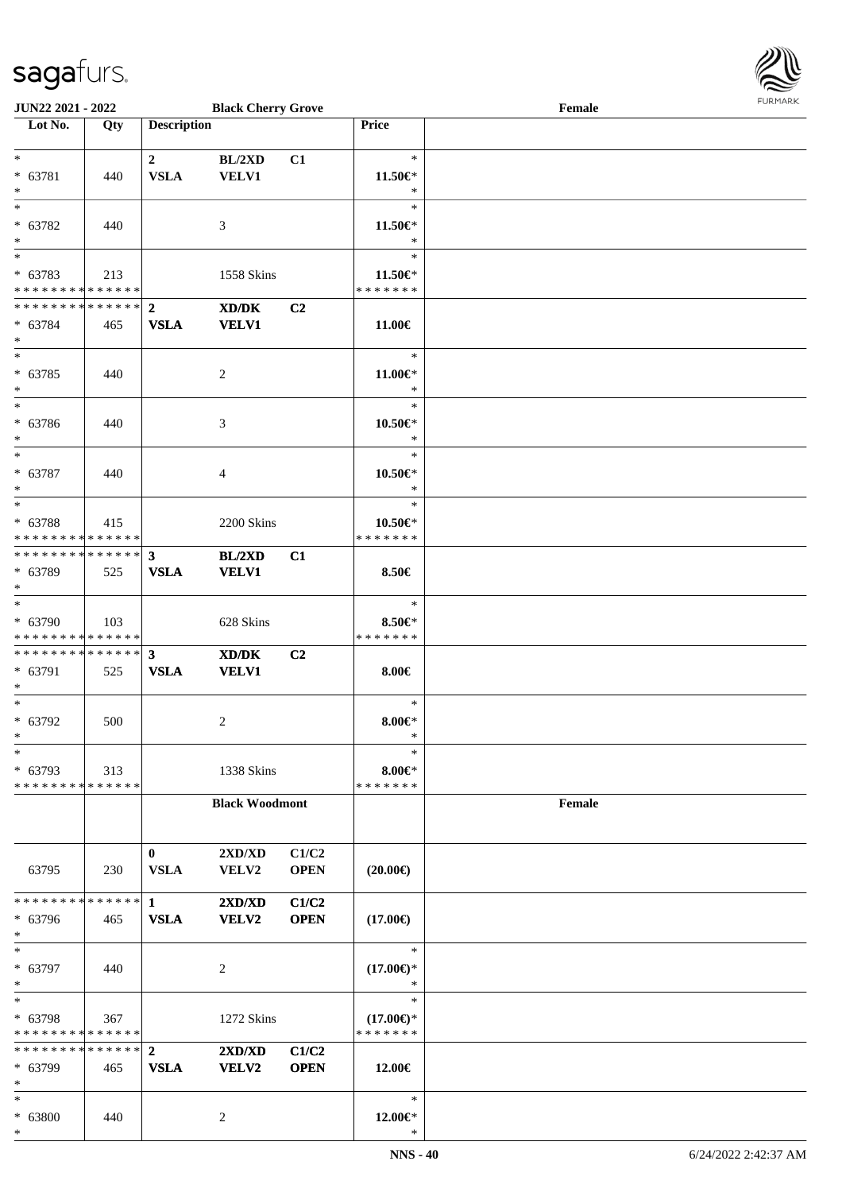

| <b>JUN22 2021 - 2022</b>                   |     |                         | <b>Black Cherry Grove</b>                   |             |                     | Female |  |
|--------------------------------------------|-----|-------------------------|---------------------------------------------|-------------|---------------------|--------|--|
| Lot No.                                    | Qty | <b>Description</b>      |                                             |             | <b>Price</b>        |        |  |
|                                            |     |                         |                                             |             |                     |        |  |
| $*$                                        |     | $\overline{2}$          | BL/2XD                                      | C1          | $\ast$              |        |  |
| * 63781                                    | 440 | <b>VSLA</b>             | <b>VELV1</b>                                |             | 11.50€*             |        |  |
| $*$                                        |     |                         |                                             |             | $\ast$              |        |  |
| $\overline{\phantom{0}}$                   |     |                         |                                             |             | $\ast$              |        |  |
| * 63782                                    | 440 |                         | 3                                           |             | $11.50 \in$         |        |  |
| $\ast$                                     |     |                         |                                             |             | $\ast$              |        |  |
| $\overline{\phantom{0}}$                   |     |                         |                                             |             | $\ast$              |        |  |
| * 63783                                    | 213 |                         | 1558 Skins                                  |             | 11.50€*             |        |  |
| * * * * * * * * * * * * * *                |     |                         |                                             |             | * * * * * * *       |        |  |
| * * * * * * * * * * * * * * *              |     | $\overline{2}$          |                                             |             |                     |        |  |
|                                            |     |                         | $\mathbf{X}\mathbf{D}/\mathbf{D}\mathbf{K}$ | C2          |                     |        |  |
| * 63784                                    | 465 | <b>VSLA</b>             | <b>VELV1</b>                                |             | 11.00€              |        |  |
| $*$<br>$*$                                 |     |                         |                                             |             |                     |        |  |
|                                            |     |                         |                                             |             | $\ast$              |        |  |
| $* 63785$                                  | 440 |                         | $\overline{c}$                              |             | $11.00 \in$         |        |  |
| $*$                                        |     |                         |                                             |             | $\ast$              |        |  |
| $\overline{\phantom{0}}$                   |     |                         |                                             |             | $\ast$              |        |  |
| * 63786                                    | 440 |                         | 3                                           |             | $10.50 \text{E}^*$  |        |  |
| $*$                                        |     |                         |                                             |             | $\ast$              |        |  |
| $*$                                        |     |                         |                                             |             | $\ast$              |        |  |
| * 63787                                    | 440 |                         | 4                                           |             | $10.50 \in$         |        |  |
| $*$                                        |     |                         |                                             |             | $\ast$              |        |  |
|                                            |     |                         |                                             |             | $\ast$              |        |  |
| * 63788                                    | 415 |                         | 2200 Skins                                  |             | $10.50 \in$ *       |        |  |
| * * * * * * * * * * * * * * *              |     |                         |                                             |             | * * * * * * *       |        |  |
| ************** 3                           |     |                         | BL/2XD                                      | C1          |                     |        |  |
| * 63789                                    | 525 | <b>VSLA</b>             | <b>VELV1</b>                                |             | 8.50€               |        |  |
| $*$                                        |     |                         |                                             |             |                     |        |  |
| $\overline{\ast}$                          |     |                         |                                             |             | $\ast$              |        |  |
| * 63790                                    | 103 |                         | 628 Skins                                   |             | $8.50 \in$          |        |  |
| * * * * * * * * * * * * * *                |     |                         |                                             |             | * * * * * * *       |        |  |
| * * * * * * * * <mark>* * * * * * *</mark> |     | $\overline{\mathbf{3}}$ |                                             |             |                     |        |  |
|                                            |     |                         | XD/DK                                       | C2          |                     |        |  |
| * 63791<br>$*$                             | 525 | <b>VSLA</b>             | <b>VELV1</b>                                |             | $8.00 \in$          |        |  |
| $*$                                        |     |                         |                                             |             | $\ast$              |        |  |
|                                            |     |                         |                                             |             |                     |        |  |
| $* 63792$                                  | 500 |                         | 2                                           |             | $8.00 \in$ *        |        |  |
| $*$                                        |     |                         |                                             |             | $\ast$              |        |  |
| $*$                                        |     |                         |                                             |             | $\ast$              |        |  |
| * 63793                                    | 313 |                         | 1338 Skins                                  |             | $8.00 \in$ *        |        |  |
| * * * * * * * * * * * * * *                |     |                         |                                             |             | * * * * * * *       |        |  |
|                                            |     |                         | <b>Black Woodmont</b>                       |             |                     | Female |  |
|                                            |     |                         |                                             |             |                     |        |  |
|                                            |     |                         |                                             |             |                     |        |  |
|                                            |     | $\bf{0}$                | 2XD/XD                                      | C1/C2       |                     |        |  |
| 63795                                      | 230 | <b>VSLA</b>             | VELV2                                       | <b>OPEN</b> | $(20.00\epsilon)$   |        |  |
|                                            |     |                         |                                             |             |                     |        |  |
| * * * * * * * * * * * * * * *              |     | $1 \quad$               | 2XD/XD                                      | C1/C2       |                     |        |  |
| * 63796                                    | 465 | <b>VSLA</b>             | <b>VELV2</b>                                | <b>OPEN</b> | $(17.00\epsilon)$   |        |  |
| $*$                                        |     |                         |                                             |             |                     |        |  |
| $*$                                        |     |                         |                                             |             | $\ast$              |        |  |
| * 63797                                    | 440 |                         | 2                                           |             | $(17.00\epsilon)$ * |        |  |
| $*$                                        |     |                         |                                             |             | $\ast$              |        |  |
| $*$                                        |     |                         |                                             |             | $\ast$              |        |  |
| * 63798                                    | 367 |                         | 1272 Skins                                  |             | $(17.00\epsilon)$ * |        |  |
| * * * * * * * * * * * * * *                |     |                         |                                             |             | * * * * * * *       |        |  |
| * * * * * * * * * * * * * * *              |     | $\overline{2}$          | 2XD/XD                                      | C1/C2       |                     |        |  |
| * 63799                                    | 465 | <b>VSLA</b>             | <b>VELV2</b>                                | <b>OPEN</b> | 12.00€              |        |  |
| $*$                                        |     |                         |                                             |             |                     |        |  |
| $*$                                        |     |                         |                                             |             | $\ast$              |        |  |
| * 63800                                    |     |                         |                                             |             | 12.00€*             |        |  |
| $*$                                        | 440 |                         | 2                                           |             | $\ast$              |        |  |
|                                            |     |                         |                                             |             |                     |        |  |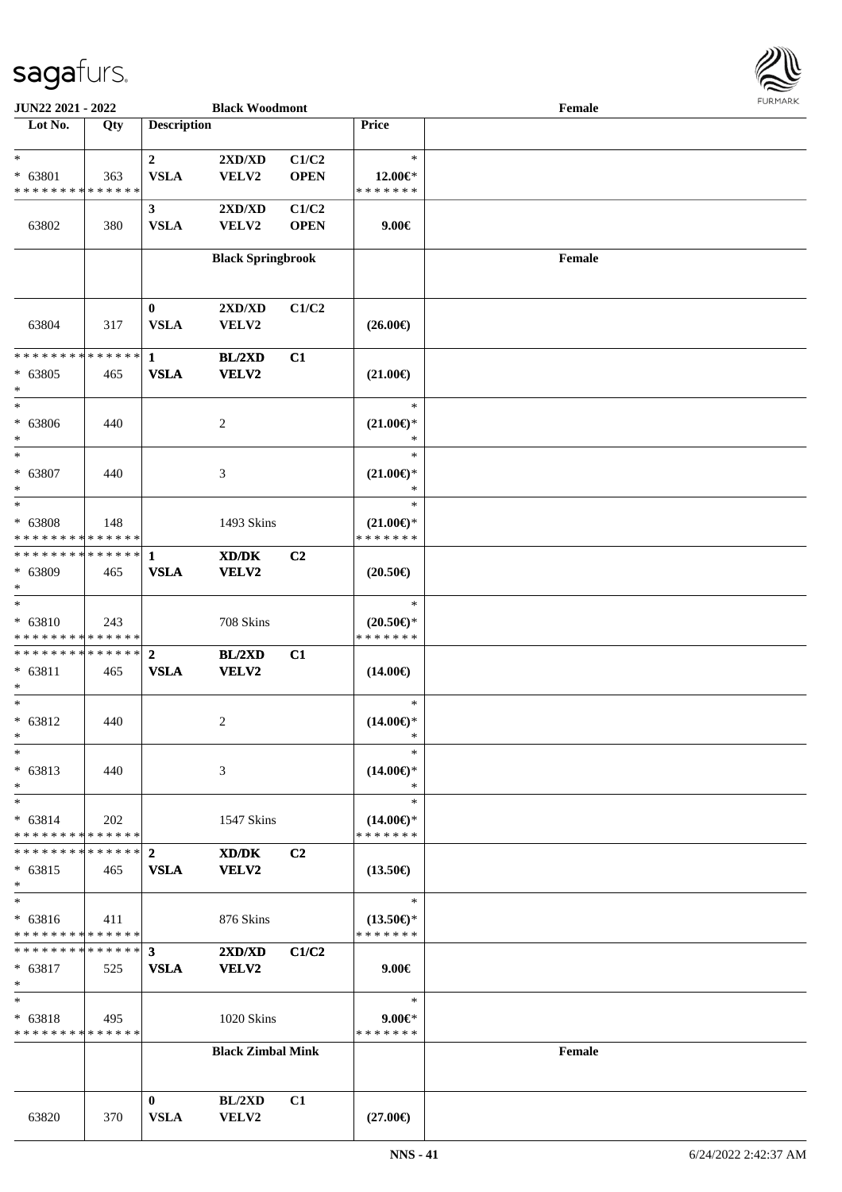

| <b>JUN22 2021 - 2022</b>                   |     |                    | <b>Black Woodmont</b>            |                |                     | Female |  |
|--------------------------------------------|-----|--------------------|----------------------------------|----------------|---------------------|--------|--|
| Lot No.                                    | Qty | <b>Description</b> |                                  |                | <b>Price</b>        |        |  |
|                                            |     |                    |                                  |                |                     |        |  |
| $\ast$                                     |     | $\overline{2}$     | $2{\bf X}{\bf D}/{\bf X}{\bf D}$ | C1/C2          | $\ast$              |        |  |
| $* 63801$                                  | 363 | <b>VSLA</b>        | VELV2                            | <b>OPEN</b>    | 12.00 $\in$ *       |        |  |
| * * * * * * * * <mark>* * * * * * *</mark> |     |                    |                                  |                | * * * * * * *       |        |  |
|                                            |     | 3 <sup>1</sup>     | 2XD/XD                           | C1/C2          |                     |        |  |
| 63802                                      | 380 | <b>VSLA</b>        | VELV2                            | <b>OPEN</b>    | $9.00 \in$          |        |  |
|                                            |     |                    |                                  |                |                     |        |  |
|                                            |     |                    | <b>Black Springbrook</b>         |                |                     | Female |  |
|                                            |     |                    |                                  |                |                     |        |  |
|                                            |     |                    |                                  |                |                     |        |  |
|                                            |     | $\bf{0}$           | 2XD/XD                           | C1/C2          |                     |        |  |
| 63804                                      | 317 | <b>VSLA</b>        | <b>VELV2</b>                     |                | $(26.00\epsilon)$   |        |  |
|                                            |     |                    |                                  |                |                     |        |  |
| * * * * * * * * * * * * * *                |     | $\mathbf{1}$       | <b>BL/2XD</b>                    | C1             |                     |        |  |
| $* 63805$                                  | 465 | <b>VSLA</b>        | <b>VELV2</b>                     |                | $(21.00\epsilon)$   |        |  |
| $\ast$                                     |     |                    |                                  |                |                     |        |  |
| $\ast$                                     |     |                    |                                  |                | $\ast$              |        |  |
| $* 63806$                                  | 440 |                    | 2                                |                | $(21.00\epsilon)$ * |        |  |
| $\ast$                                     |     |                    |                                  |                | $\ast$              |        |  |
| $\overline{\ast}$                          |     |                    |                                  |                | $\ast$              |        |  |
| $* 63807$                                  | 440 |                    | 3                                |                | $(21.00\epsilon)$ * |        |  |
| $\ast$                                     |     |                    |                                  |                | $\ast$              |        |  |
| $\overline{\ast}$                          |     |                    |                                  |                | $\ast$              |        |  |
| * 63808                                    | 148 |                    | 1493 Skins                       |                | $(21.00\epsilon)$ * |        |  |
| * * * * * * * * <mark>* * * * * *</mark>   |     |                    |                                  |                | * * * * * * *       |        |  |
|                                            |     |                    | XD/DK                            | C <sub>2</sub> |                     |        |  |
| * 63809                                    | 465 | <b>VSLA</b>        | VELV2                            |                | $(20.50\epsilon)$   |        |  |
| $\ast$                                     |     |                    |                                  |                |                     |        |  |
| $\overline{\ast}$                          |     |                    |                                  |                | $\ast$              |        |  |
| $* 63810$                                  | 243 |                    | 708 Skins                        |                | $(20.50 \in )^*$    |        |  |
| * * * * * * * * <mark>* * * * * *</mark>   |     |                    |                                  |                | * * * * * * *       |        |  |
|                                            |     |                    | BL/2XD                           | C1             |                     |        |  |
| $* 63811$                                  | 465 | <b>VSLA</b>        | <b>VELV2</b>                     |                | $(14.00\epsilon)$   |        |  |
| $\ast$                                     |     |                    |                                  |                |                     |        |  |
| $*$                                        |     |                    |                                  |                | $\ast$              |        |  |
| $* 63812$                                  | 440 |                    | 2                                |                | $(14.00\epsilon)$ * |        |  |
| $*$                                        |     |                    |                                  |                | ∗                   |        |  |
| $\ast$                                     |     |                    |                                  |                | $\ast$              |        |  |
| $* 63813$                                  | 440 |                    | 3                                |                | $(14.00\epsilon)$ * |        |  |
| $\ast$                                     |     |                    |                                  |                | ∗                   |        |  |
| $\ast$                                     |     |                    |                                  |                | $\ast$              |        |  |
| $* 63814$                                  | 202 |                    | 1547 Skins                       |                | $(14.00\epsilon)$ * |        |  |
| * * * * * * * * * * * * * *                |     |                    |                                  |                | * * * * * * *       |        |  |
| ******** <mark>******</mark> 2             |     |                    | XD/DK                            | C <sub>2</sub> |                     |        |  |
| $* 63815$                                  | 465 | <b>VSLA</b>        | VELV2                            |                | $(13.50\epsilon)$   |        |  |
| $\ast$                                     |     |                    |                                  |                |                     |        |  |
| $\ast$                                     |     |                    |                                  |                | $\ast$              |        |  |
| $* 63816$                                  | 411 |                    | 876 Skins                        |                | $(13.50\epsilon)$ * |        |  |
| * * * * * * * * <mark>* * * * * *</mark>   |     |                    |                                  |                | * * * * * * *       |        |  |
|                                            |     |                    | $2{\bf X}{\bf D}/{\bf X}{\bf D}$ | C1/C2          |                     |        |  |
| * 63817                                    | 525 | <b>VSLA</b>        | <b>VELV2</b>                     |                | $9.00 \in$          |        |  |
| $\ast$                                     |     |                    |                                  |                |                     |        |  |
| $*$                                        |     |                    |                                  |                | $\ast$              |        |  |
| $* 63818$                                  | 495 |                    | 1020 Skins                       |                | $9.00 \in$ *        |        |  |
| * * * * * * * * * * * * * *                |     |                    |                                  |                | * * * * * * *       |        |  |
|                                            |     |                    | <b>Black Zimbal Mink</b>         |                |                     | Female |  |
|                                            |     |                    |                                  |                |                     |        |  |
|                                            |     |                    |                                  |                |                     |        |  |
|                                            |     | $\mathbf{0}$       | BL/2XD                           |                |                     |        |  |
|                                            |     | <b>VSLA</b>        | VELV2                            | C1             |                     |        |  |
| 63820                                      | 370 |                    |                                  |                | $(27.00\epsilon)$   |        |  |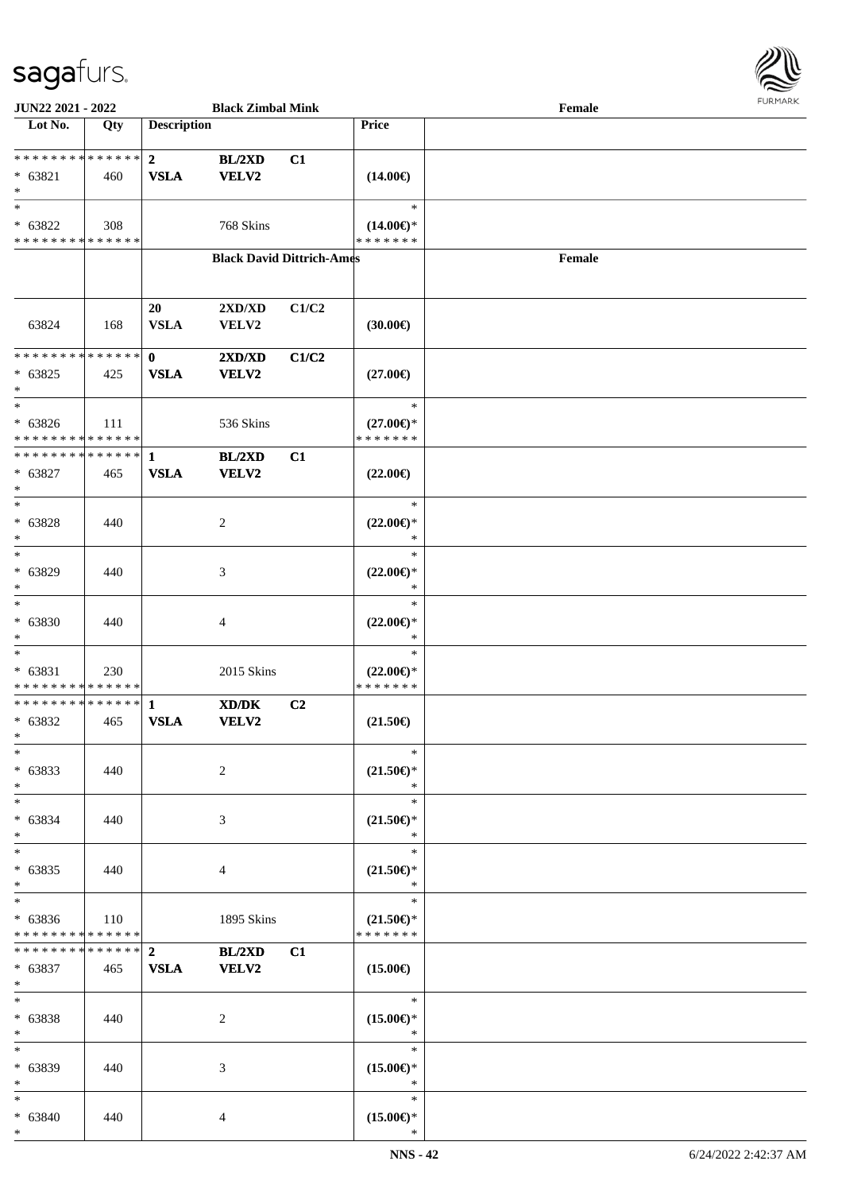

| JUN22 2021 - 2022                        |             |                             | <b>Black Zimbal Mink</b>         |       |                                      | Female |  |
|------------------------------------------|-------------|-----------------------------|----------------------------------|-------|--------------------------------------|--------|--|
| Lot No.                                  | Qty         | <b>Description</b>          |                                  |       | <b>Price</b>                         |        |  |
| **************                           |             | $\mathbf{2}$                | BL/2XD                           | C1    |                                      |        |  |
| $* 63821$                                | 460         | <b>VSLA</b>                 | <b>VELV2</b>                     |       | $(14.00\epsilon)$                    |        |  |
| $\ast$                                   |             |                             |                                  |       |                                      |        |  |
| $\ast$                                   |             |                             |                                  |       | $\ast$                               |        |  |
| $* 63822$                                | 308         |                             | 768 Skins                        |       | $(14.00\epsilon)$ *                  |        |  |
| * * * * * * * * * * * * * *              |             |                             |                                  |       | * * * * * * *                        |        |  |
|                                          |             |                             | <b>Black David Dittrich-Ames</b> |       |                                      | Female |  |
|                                          |             |                             |                                  |       |                                      |        |  |
|                                          |             | 20                          | 2XD/XD                           | C1/C2 |                                      |        |  |
| 63824                                    | 168         | <b>VSLA</b>                 | VELV2                            |       | (30.00)                              |        |  |
|                                          |             |                             |                                  |       |                                      |        |  |
| * * * * * * * * * * * * * *<br>$* 63825$ |             | $\mathbf{0}$<br><b>VSLA</b> | 2XD/XD<br><b>VELV2</b>           | C1/C2 | $(27.00\epsilon)$                    |        |  |
| $\ast$                                   | 425         |                             |                                  |       |                                      |        |  |
| $\ast$                                   |             |                             |                                  |       | $\ast$                               |        |  |
| $* 63826$                                | 111         |                             | 536 Skins                        |       | $(27.00\epsilon)$ *                  |        |  |
| * * * * * * * * * * * * * *              |             |                             |                                  |       | * * * * * * *                        |        |  |
| * * * * * * * * * * * * * *              |             | $\mathbf{1}$                | BL/2XD<br>VELV2                  | C1    |                                      |        |  |
| $* 63827$<br>$\ast$                      | 465         | <b>VSLA</b>                 |                                  |       | $(22.00\epsilon)$                    |        |  |
| $\ast$                                   |             |                             |                                  |       | $\ast$                               |        |  |
| $* 63828$                                | 440         |                             | $\overline{c}$                   |       | $(22.00\epsilon)$ *                  |        |  |
| $\ast$                                   |             |                             |                                  |       | $\ast$                               |        |  |
| $\ast$                                   |             |                             |                                  |       | $\ast$                               |        |  |
| $* 63829$<br>$\ast$                      | 440         |                             | 3                                |       | $(22.00\epsilon)$ *<br>$\ast$        |        |  |
| $\ast$                                   |             |                             |                                  |       | $\ast$                               |        |  |
| $* 63830$                                | 440         |                             | 4                                |       | $(22.00\epsilon)$ *                  |        |  |
| $\ast$                                   |             |                             |                                  |       | $\ast$                               |        |  |
| $\ast$                                   |             |                             |                                  |       | $\ast$                               |        |  |
| $* 63831$<br>* * * * * * * * * * * * * * | 230         |                             | 2015 Skins                       |       | $(22.00\epsilon)$ *<br>* * * * * * * |        |  |
| ******** <mark>******</mark>             |             | $\mathbf{1}$                | XD/DK                            | C2    |                                      |        |  |
| $* 63832$                                | 465         | <b>VSLA</b>                 | VELV2                            |       | $(21.50\epsilon)$                    |        |  |
| $*$                                      |             |                             |                                  |       |                                      |        |  |
| $*$<br>$* 63833$                         | 440         |                             | $\overline{c}$                   |       | $\ast$                               |        |  |
| $\ast$                                   |             |                             |                                  |       | $(21.50\epsilon)$ *<br>$\ast$        |        |  |
| $\ast$                                   |             |                             |                                  |       | $\ast$                               |        |  |
| $* 63834$                                | 440         |                             | 3                                |       | $(21.50\epsilon)$ *                  |        |  |
| $\ast$                                   |             |                             |                                  |       | $\ast$                               |        |  |
| $\ast$<br>$* 63835$                      |             |                             |                                  |       | $\ast$<br>$(21.50\epsilon)$ *        |        |  |
| $\ast$                                   | 440         |                             | 4                                |       | $\ast$                               |        |  |
| $\overline{\phantom{0}}$                 |             |                             |                                  |       | $\ast$                               |        |  |
| $* 63836$                                | 110         |                             | 1895 Skins                       |       | $(21.50\epsilon)$ *                  |        |  |
| * * * * * * * *                          | * * * * * * |                             |                                  |       | * * * * * * *                        |        |  |
| * * * * * * * * * * * * * * *            |             | 2 <sup>1</sup>              | <b>BL/2XD</b>                    | C1    |                                      |        |  |
| $* 63837$<br>$\ast$                      | 465         | <b>VSLA</b>                 | <b>VELV2</b>                     |       | $(15.00\epsilon)$                    |        |  |
| $\ast$                                   |             |                             |                                  |       | $\ast$                               |        |  |
| $* 63838$                                | 440         |                             | 2                                |       | $(15.00\epsilon)$ *                  |        |  |
| $\ast$                                   |             |                             |                                  |       | $\ast$                               |        |  |
| $\ast$                                   |             |                             |                                  |       | $\ast$                               |        |  |
| * 63839<br>$\ast$                        | 440         |                             | 3                                |       | $(15.00\epsilon)$ *<br>$\ast$        |        |  |
| $\ast$                                   |             |                             |                                  |       | $\ast$                               |        |  |
| $* 63840$                                | 440         |                             | $\overline{4}$                   |       | $(15.00\epsilon)$ *                  |        |  |
| $*$                                      |             |                             |                                  |       | $\ast$                               |        |  |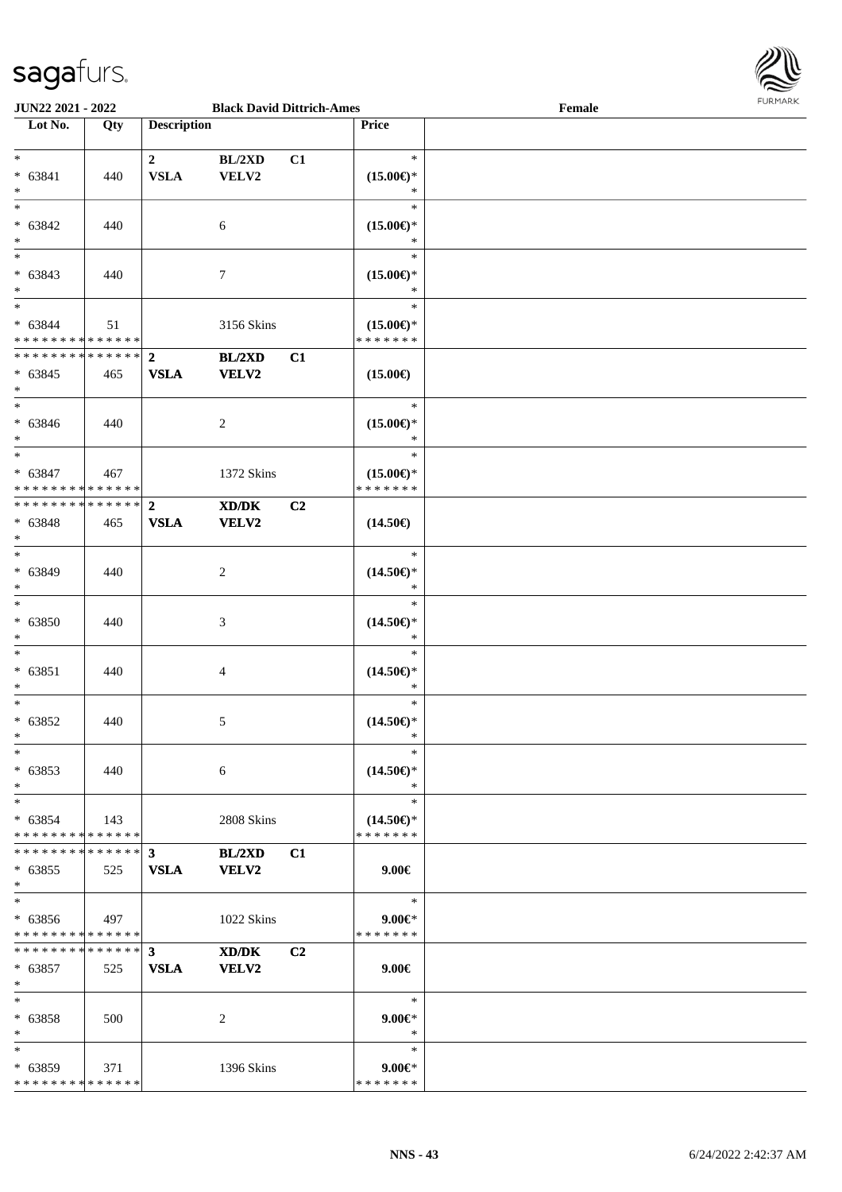

| JUN22 2021 - 2022                                                               |             |                                        | <b>Black David Dittrich-Ames</b> |                |                                                | Female | <b>FURPIARR</b> |
|---------------------------------------------------------------------------------|-------------|----------------------------------------|----------------------------------|----------------|------------------------------------------------|--------|-----------------|
| Lot No.                                                                         | Qty         | <b>Description</b>                     |                                  |                | Price                                          |        |                 |
| $\ast$<br>$* 63841$<br>$\ast$                                                   | 440         | $\overline{\mathbf{2}}$<br><b>VSLA</b> | BL/2XD<br>VELV2                  | C1             | $\ast$<br>$(15.00\epsilon)$ *<br>$\ast$        |        |                 |
| $\ast$<br>$* 63842$<br>$\ast$                                                   | 440         |                                        | 6                                |                | $\ast$<br>$(15.00\epsilon)$ *<br>$\ast$        |        |                 |
| $\frac{1}{1}$<br>$* 63843$<br>$\ast$                                            | 440         |                                        | $\tau$                           |                | $\ast$<br>$(15.00\epsilon)$ *<br>$\ast$        |        |                 |
| $\ast$<br>$* 63844$<br>* * * * * * * * * * * * * *                              | 51          |                                        | 3156 Skins                       |                | $\ast$<br>$(15.00\epsilon)$ *<br>* * * * * * * |        |                 |
| ******** <mark>******</mark><br>$* 63845$<br>$\ast$<br>$\overline{\phantom{0}}$ | 465         | $\mathbf{2}$<br><b>VSLA</b>            | BL/2XD<br><b>VELV2</b>           | C1             | $(15.00\epsilon)$                              |        |                 |
| $* 63846$<br>$\ast$                                                             | 440         |                                        | $\overline{2}$                   |                | $\ast$<br>$(15.00\epsilon)$ *<br>$\ast$        |        |                 |
| $\ast$<br>$* 63847$<br>* * * * * * * * * * * * * *                              | 467         |                                        | 1372 Skins                       |                | $\ast$<br>$(15.00\epsilon)$ *<br>* * * * * * * |        |                 |
| * * * * * * * * * * * * * *<br>$* 63848$<br>$\ast$<br>$_{\ast}^{-}$             | 465         | $\overline{2}$<br><b>VSLA</b>          | XD/DK<br><b>VELV2</b>            | C <sub>2</sub> | $(14.50\epsilon)$                              |        |                 |
| * 63849<br>$\ast$<br>$_{\ast}$                                                  | 440         |                                        | 2                                |                | $\ast$<br>$(14.50\epsilon)$ *<br>$\ast$        |        |                 |
| $* 63850$<br>$\ast$                                                             | 440         |                                        | 3                                |                | $\ast$<br>$(14.50\epsilon)$ *<br>$\ast$        |        |                 |
| $\ast$<br>$* 63851$<br>$\ast$<br>$\overline{\phantom{a}^*}$                     | 440         |                                        | 4                                |                | $\ast$<br>$(14.50\epsilon)$ *<br>$\ast$        |        |                 |
| $* 63852$<br>$*$                                                                | 440         |                                        | 5                                |                | $\ast$<br>$(14.50\epsilon)$ *                  |        |                 |
| $\ast$<br>$* 63853$<br>$\ast$                                                   | 440         |                                        | 6                                |                | $\ast$<br>$(14.50\epsilon)$ *<br>$\ast$        |        |                 |
| $*$<br>$* 63854$<br>* * * * * * * * * * * * * *                                 | 143         |                                        | 2808 Skins                       |                | $\ast$<br>$(14.50\epsilon)$ *<br>* * * * * * * |        |                 |
| * * * * * * * * * * * * * * *<br>$* 63855$<br>$\ast$                            | 525         | $\mathbf{3}$<br><b>VSLA</b>            | BL/2XD<br><b>VELV2</b>           | C1             | $9.00 \in$                                     |        |                 |
| $\ast$<br>$* 63856$<br>* * * * * * * * * * * * * *                              | $\vert$ 497 |                                        | 1022 Skins                       |                | $\ast$<br>$9.00 \in$<br>* * * * * * *          |        |                 |
| * * * * * * * * * * * * * * *<br>$* 63857$<br>$*$                               | 525         | 3 <sup>1</sup><br><b>VSLA</b>          | XD/DK<br><b>VELV2</b>            | C2             | $9.00 \in$                                     |        |                 |
| $\ast$<br>$* 63858$<br>$*$                                                      | 500         |                                        | 2                                |                | $\ast$<br>$9.00 \in$<br>$\ast$                 |        |                 |
| $\ast$<br>$* 63859$<br>* * * * * * * * * * * * * *                              | 371         |                                        | 1396 Skins                       |                | $\ast$<br>$9.00 \in$ *<br>* * * * * * *        |        |                 |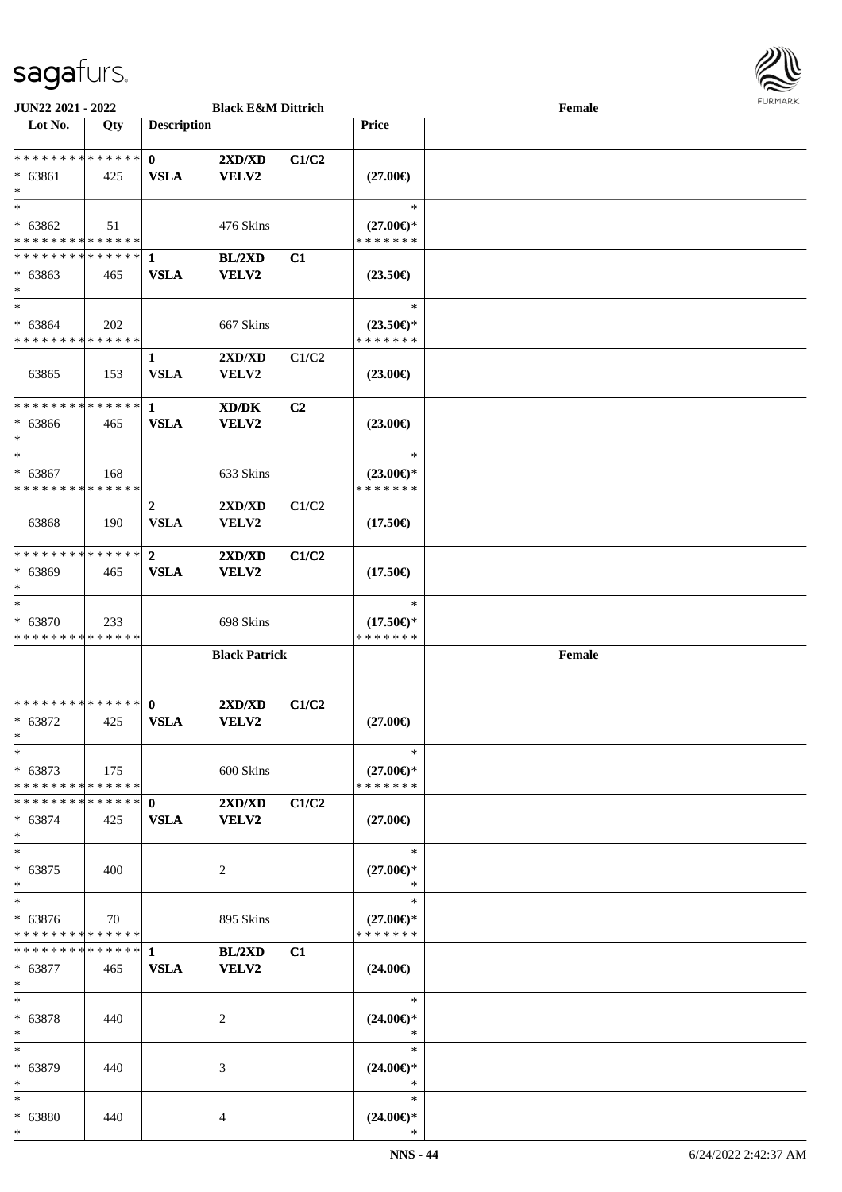

| JUN22 2021 - 2022              |     |                    | <b>Black E&amp;M Dittrich</b>    |       |                                      | Female |  |
|--------------------------------|-----|--------------------|----------------------------------|-------|--------------------------------------|--------|--|
| Lot No.                        | Qty | <b>Description</b> |                                  |       | <b>Price</b>                         |        |  |
|                                |     |                    |                                  |       |                                      |        |  |
| ******** <mark>******</mark>   |     | $\mathbf{0}$       | 2XD/XD                           | C1/C2 |                                      |        |  |
| $* 63861$                      | 425 | <b>VSLA</b>        | <b>VELV2</b>                     |       | $(27.00\epsilon)$                    |        |  |
| $\ast$                         |     |                    |                                  |       |                                      |        |  |
| $\ast$                         |     |                    |                                  |       | $\ast$                               |        |  |
|                                |     |                    |                                  |       |                                      |        |  |
| * 63862                        | 51  |                    | 476 Skins                        |       | $(27.00\epsilon)$ *                  |        |  |
| * * * * * * * * * * * * * *    |     |                    |                                  |       | * * * * * * *                        |        |  |
| * * * * * * * * * * * * * * *  |     | 1                  | BL/2XD                           | C1    |                                      |        |  |
| $* 63863$                      | 465 | <b>VSLA</b>        | VELV2                            |       | $(23.50\epsilon)$                    |        |  |
| $\ast$                         |     |                    |                                  |       |                                      |        |  |
| $\ast$                         |     |                    |                                  |       | $\ast$                               |        |  |
| $* 63864$                      | 202 |                    | 667 Skins                        |       | $(23.50\epsilon)$ *                  |        |  |
| * * * * * * * * * * * * * *    |     |                    |                                  |       | * * * * * * *                        |        |  |
|                                |     | $\mathbf{1}$       | 2XD/XD                           | C1/C2 |                                      |        |  |
| 63865                          | 153 | <b>VSLA</b>        | <b>VELV2</b>                     |       | $(23.00\epsilon)$                    |        |  |
|                                |     |                    |                                  |       |                                      |        |  |
| * * * * * * * * * * * * * *    |     | $\mathbf{1}$       | XD/DK                            | C2    |                                      |        |  |
| $* 63866$                      |     | <b>VSLA</b>        | <b>VELV2</b>                     |       |                                      |        |  |
| $\ast$                         | 465 |                    |                                  |       | $(23.00\epsilon)$                    |        |  |
| $\ast$                         |     |                    |                                  |       | $\ast$                               |        |  |
|                                |     |                    |                                  |       |                                      |        |  |
| $* 63867$                      | 168 |                    | 633 Skins                        |       | $(23.00\epsilon)$ *                  |        |  |
| * * * * * * * * * * * * * *    |     |                    |                                  |       | * * * * * * *                        |        |  |
|                                |     | $\overline{2}$     | 2XD/XD                           | C1/C2 |                                      |        |  |
| 63868                          | 190 | <b>VSLA</b>        | VELV2                            |       | $(17.50\epsilon)$                    |        |  |
|                                |     |                    |                                  |       |                                      |        |  |
| * * * * * * * * * * * * * *    |     | $\mathbf{2}$       | 2XD/XD                           | C1/C2 |                                      |        |  |
| $* 63869$                      | 465 | <b>VSLA</b>        | <b>VELV2</b>                     |       | $(17.50\epsilon)$                    |        |  |
| $\ast$                         |     |                    |                                  |       |                                      |        |  |
| $\ast$                         |     |                    |                                  |       | $\ast$                               |        |  |
| $* 63870$                      | 233 |                    | 698 Skins                        |       | $(17.50\epsilon)$ *                  |        |  |
| * * * * * * * * * * * * * *    |     |                    |                                  |       | * * * * * * *                        |        |  |
|                                |     |                    |                                  |       |                                      |        |  |
|                                |     |                    | <b>Black Patrick</b>             |       |                                      | Female |  |
|                                |     |                    |                                  |       |                                      |        |  |
| ******** <mark>******</mark>   |     |                    |                                  |       |                                      |        |  |
|                                |     | $\mathbf{0}$       | 2XD/XD                           | C1/C2 |                                      |        |  |
| $* 63872$                      | 425 | <b>VSLA</b>        | VELV2                            |       | $(27.00\epsilon)$                    |        |  |
| $*$                            |     |                    |                                  |       |                                      |        |  |
| $\ast$                         |     |                    |                                  |       | $\ast$                               |        |  |
| $* 63873$                      | 175 |                    | 600 Skins                        |       | $(27.00\epsilon)$ *                  |        |  |
| * * * * * * * * * * * * * * *  |     |                    |                                  |       | * * * * * * *                        |        |  |
| * * * * * * * * * * * * * * *  |     | $\mathbf{0}$       | $2{\bf X}{\bf D}/{\bf X}{\bf D}$ | C1/C2 |                                      |        |  |
| $* 63874$                      | 425 | <b>VSLA</b>        | <b>VELV2</b>                     |       | $(27.00\epsilon)$                    |        |  |
| $\ast$                         |     |                    |                                  |       |                                      |        |  |
| $\ast$                         |     |                    |                                  |       | $\ast$                               |        |  |
| $* 63875$                      | 400 |                    | 2                                |       | $(27.00\epsilon)$ *                  |        |  |
| $\ast$                         |     |                    |                                  |       | *                                    |        |  |
| $\ast$                         |     |                    |                                  |       | $\ast$                               |        |  |
|                                |     |                    |                                  |       |                                      |        |  |
| $* 63876$                      | 70  |                    | 895 Skins                        |       | $(27.00\epsilon)$ *<br>* * * * * * * |        |  |
| * * * * * * * * * * * * * *    |     |                    |                                  |       |                                      |        |  |
| ******** <mark>******</mark> 1 |     |                    | BL/2XD                           | C1    |                                      |        |  |
| $* 63877$                      | 465 | <b>VSLA</b>        | <b>VELV2</b>                     |       | $(24.00\epsilon)$                    |        |  |
| $\ast$                         |     |                    |                                  |       |                                      |        |  |
| $\ast$                         |     |                    |                                  |       | $\ast$                               |        |  |
| $* 63878$                      | 440 |                    | 2                                |       | $(24.00\epsilon)$ *                  |        |  |
| $\ast$                         |     |                    |                                  |       | $\ast$                               |        |  |
| $\ast$                         |     |                    |                                  |       | $\ast$                               |        |  |
| * 63879                        | 440 |                    | 3                                |       | $(24.00\epsilon)$ *                  |        |  |
| $\ast$                         |     |                    |                                  |       | $\ast$                               |        |  |
| $*$                            |     |                    |                                  |       | $\ast$                               |        |  |
| * 63880                        | 440 |                    | 4                                |       | $(24.00\epsilon)$ *                  |        |  |
| $*$                            |     |                    |                                  |       |                                      |        |  |
|                                |     |                    |                                  |       |                                      |        |  |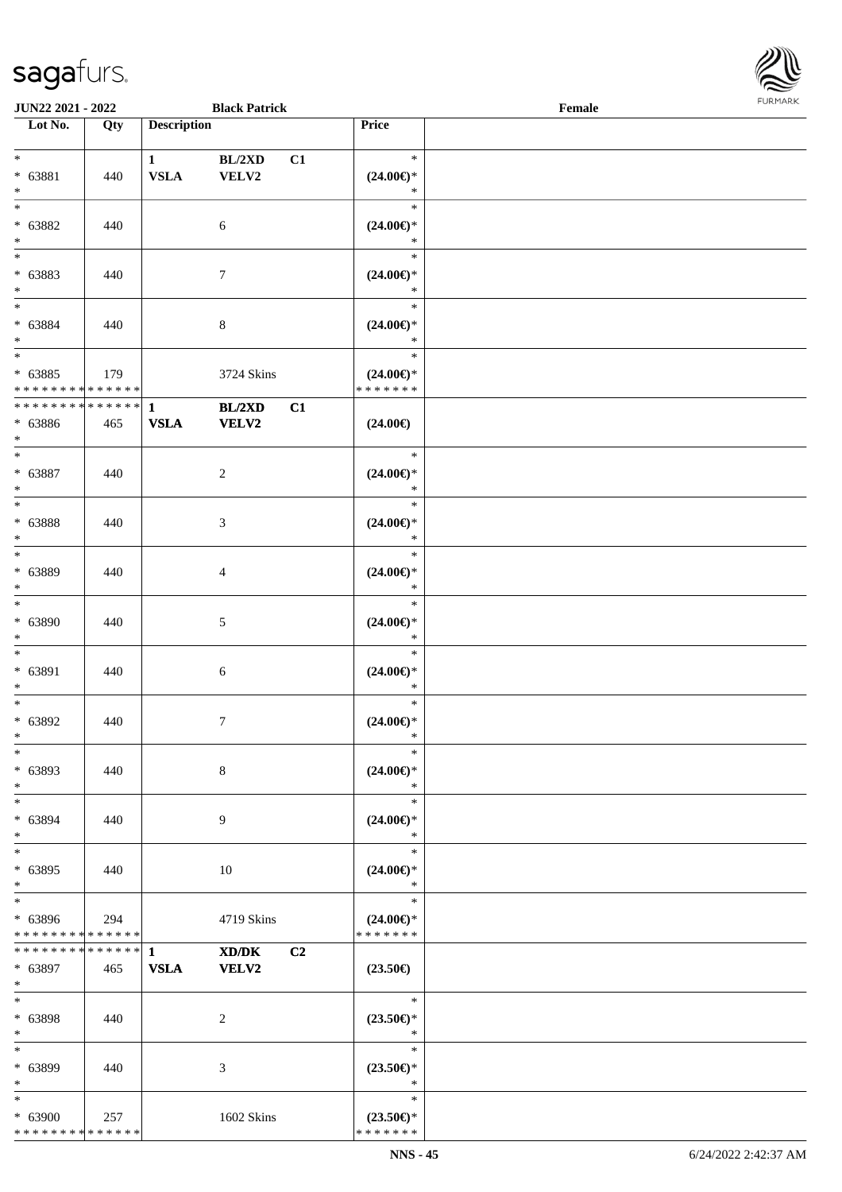

| <b>JUN22 2021 - 2022</b>                        |                    |                             | <b>Black Patrick</b>  |    |                                                   | Female |  |
|-------------------------------------------------|--------------------|-----------------------------|-----------------------|----|---------------------------------------------------|--------|--|
| Lot No.                                         | Qty                | <b>Description</b>          |                       |    | <b>Price</b>                                      |        |  |
| $*$<br>* 63881<br>$\ast$                        | 440                | $\mathbf{1}$<br><b>VSLA</b> | BL/2XD<br>VELV2       | C1 | $\ast$<br>$(24.00\epsilon)$ *<br>$\ast$           |        |  |
| $*$<br>$* 63882$<br>$*$                         | 440                |                             | $\sqrt{6}$            |    | $\ast$<br>$(24.00\epsilon)$ *<br>$\ast$           |        |  |
| * 63883<br>$*$                                  | 440                |                             | $\overline{7}$        |    | $\ast$<br>$(24.00\epsilon)$ *<br>$\ast$           |        |  |
| $* 63884$<br>$*$                                | 440                |                             | $\,8\,$               |    | $\ast$<br>$(24.00\epsilon)$ *<br>$\ast$<br>$\ast$ |        |  |
| $*$<br>$* 63885$<br>* * * * * * * * * * * * * * | 179                |                             | 3724 Skins            |    | $(24.00\epsilon)$ *<br>* * * * * * *              |        |  |
| * * * * * * * * * * * * * *<br>$* 63886$<br>$*$ | 465                | $\mathbf{1}$<br><b>VSLA</b> | BL/2XD<br>VELV2       | C1 | $(24.00\epsilon)$                                 |        |  |
| $*$<br>* 63887<br>$*$                           | 440                |                             | $\overline{2}$        |    | $\ast$<br>$(24.00\epsilon)$ *<br>$\ast$           |        |  |
| * 63888<br>$*$                                  | 440                |                             | $\mathfrak{Z}$        |    | $\ast$<br>$(24.00\epsilon)$ *<br>$\ast$           |        |  |
| $*$<br>* 63889<br>$*$                           | 440                |                             | 4                     |    | $\ast$<br>$(24.00\epsilon)$ *<br>$\ast$           |        |  |
| $*$<br>$* 63890$<br>$*$                         | 440                |                             | $\mathfrak{S}$        |    | $\ast$<br>$(24.00\epsilon)$ *<br>$\ast$           |        |  |
| $*$<br>* 63891<br>$*$                           | 440                |                             | $\sqrt{6}$            |    | $\ast$<br>$(24.00\epsilon)$ *<br>$\ast$           |        |  |
| $*$<br>* 63892<br>$*$                           | 440                |                             | $\tau$                |    | $\ast$<br>$(24.00\epsilon)$ *<br>$\ast$           |        |  |
| $\ast$<br>* 63893<br>$*$                        | 440                |                             | 8                     |    | $\ast$<br>$(24.00\epsilon)$ *<br>$\ast$           |        |  |
| $*$<br>* 63894<br>$*$                           | 440                |                             | 9                     |    | $\ast$<br>$(24.00\epsilon)$ *<br>$\ast$           |        |  |
| $*$<br>* 63895<br>$*$                           | 440                |                             | 10                    |    | $\ast$<br>$(24.00\epsilon)$ *<br>$\ast$           |        |  |
| $\ast$<br>* 63896<br>* * * * * * * *            | 294<br>* * * * * * |                             | 4719 Skins            |    | $\ast$<br>$(24.00\epsilon)$ *<br>* * * * * * *    |        |  |
| * * * * * * * * * * * * * * *<br>* 63897<br>$*$ | 465                | $\mathbf{1}$<br><b>VSLA</b> | XD/DK<br><b>VELV2</b> | C2 | $(23.50\epsilon)$                                 |        |  |
| $*$<br>* 63898<br>$*$                           | 440                |                             | 2                     |    | $\ast$<br>$(23.50\epsilon)$ *<br>$\ast$           |        |  |
| $*$<br>* 63899<br>$*$                           | 440                |                             | 3                     |    | $\ast$<br>$(23.50\epsilon)$ *<br>$\ast$           |        |  |
| $*$<br>$* 63900$<br>* * * * * * * * * * * * * * | 257                |                             | 1602 Skins            |    | $\ast$<br>$(23.50\epsilon)$ *<br>* * * * * * *    |        |  |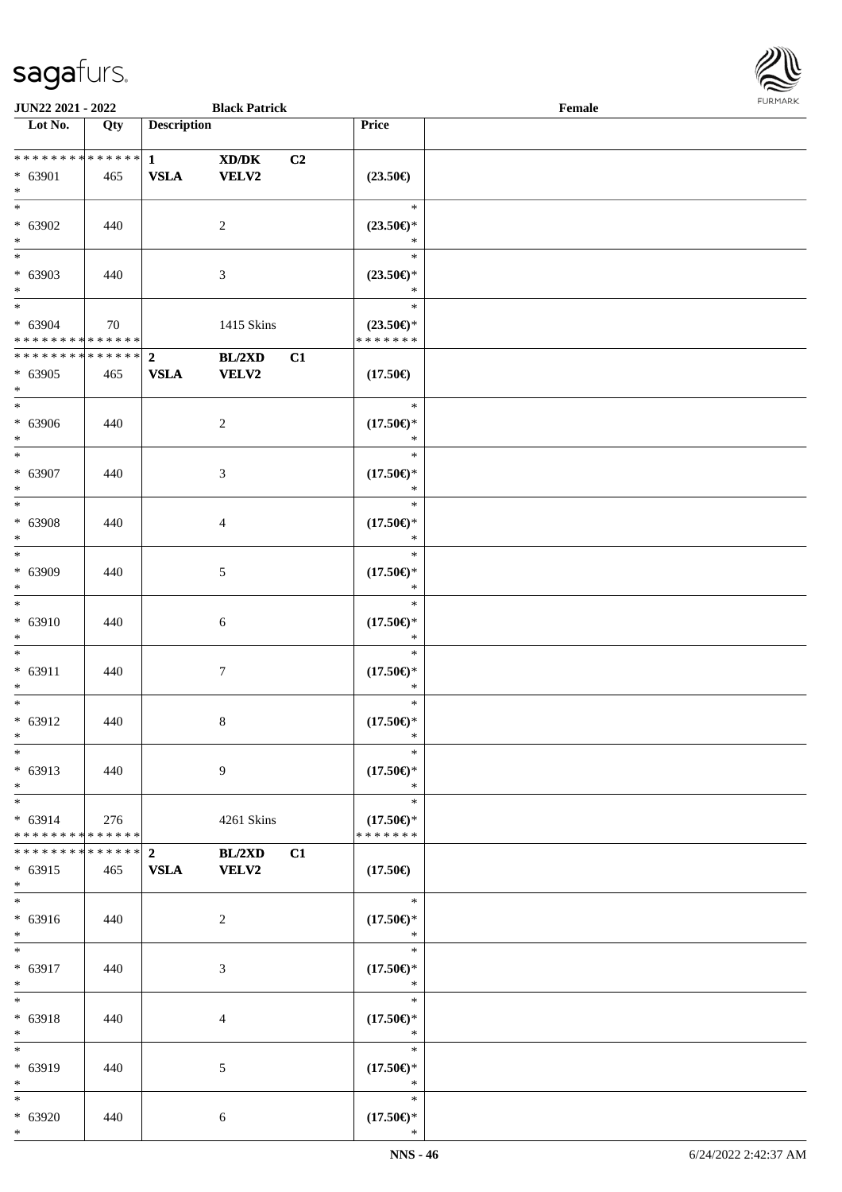

| JUN22 2021 - 2022                |     |                             | <b>Black Patrick</b>   |    |                                                                     | Female |  |
|----------------------------------|-----|-----------------------------|------------------------|----|---------------------------------------------------------------------|--------|--|
| $\overline{\phantom{1}}$ Lot No. | Qty | <b>Description</b>          |                        |    | Price                                                               |        |  |
| **************                   |     |                             |                        |    |                                                                     |        |  |
| * 63901                          | 465 | $\mathbf{1}$<br><b>VSLA</b> | XD/DK<br>VELV2         | C2 | $(23.50\epsilon)$                                                   |        |  |
| $*$                              |     |                             |                        |    |                                                                     |        |  |
| $*$                              |     |                             |                        |    | $\ast$                                                              |        |  |
| * 63902                          | 440 |                             | 2                      |    | $(23.50\epsilon)$ *                                                 |        |  |
| $*$                              |     |                             |                        |    | $\ast$                                                              |        |  |
| $*$                              |     |                             |                        |    | $\ast$                                                              |        |  |
| * 63903                          | 440 |                             | 3                      |    | $(23.50\epsilon)$ *                                                 |        |  |
| $*$                              |     |                             |                        |    | $\ast$                                                              |        |  |
| * 63904                          |     |                             |                        |    | $\ast$                                                              |        |  |
| * * * * * * * * * * * * * *      | 70  |                             | 1415 Skins             |    | $(23.50\mathnormal{\in}\mathcal{)^{\! \! \times}}$<br>* * * * * * * |        |  |
| ******** <mark>******</mark>     |     | $\overline{2}$              | BL/2XD                 | C1 |                                                                     |        |  |
| $* 63905$                        | 465 | <b>VSLA</b>                 | <b>VELV2</b>           |    | $(17.50\epsilon)$                                                   |        |  |
| $*$                              |     |                             |                        |    |                                                                     |        |  |
| $*$                              |     |                             |                        |    | $\ast$                                                              |        |  |
| $* 63906$                        | 440 |                             | $\overline{c}$         |    | $(17.50\epsilon)$ *                                                 |        |  |
| $*$                              |     |                             |                        |    | $\ast$<br>$\ast$                                                    |        |  |
| $* 63907$                        | 440 |                             | 3                      |    | $(17.50\epsilon)$ *                                                 |        |  |
| $\ast$                           |     |                             |                        |    | $\ast$                                                              |        |  |
|                                  |     |                             |                        |    | $\ast$                                                              |        |  |
| * 63908                          | 440 |                             | $\overline{4}$         |    | $(17.50\epsilon)$ *                                                 |        |  |
| $\ast$                           |     |                             |                        |    | $\ast$                                                              |        |  |
| $*$                              |     |                             |                        |    | $\ast$                                                              |        |  |
| $* 63909$                        | 440 |                             | 5                      |    | $(17.50\epsilon)$ *                                                 |        |  |
| $\ast$<br>$*$                    |     |                             |                        |    | $\ast$<br>$\ast$                                                    |        |  |
| * 63910                          | 440 |                             | 6                      |    | $(17.50\epsilon)$ *                                                 |        |  |
| $*$                              |     |                             |                        |    | $\ast$                                                              |        |  |
| $*$                              |     |                             |                        |    | $\ast$                                                              |        |  |
| $* 63911$                        | 440 |                             | $\tau$                 |    | $(17.50\epsilon)$ *                                                 |        |  |
| $*$                              |     |                             |                        |    | $\ast$                                                              |        |  |
| $*$                              |     |                             |                        |    | $\ast$                                                              |        |  |
| $* 63912$<br>$*$                 | 440 |                             | $8\,$                  |    | $(17.50\epsilon)$ *<br>$\ast$                                       |        |  |
| $*$                              |     |                             |                        |    | $\ast$                                                              |        |  |
| $* 63913$                        | 440 |                             | 9                      |    | $(17.50\epsilon)$ *                                                 |        |  |
| $*$                              |     |                             |                        |    | $\ast$                                                              |        |  |
| $*$                              |     |                             |                        |    | $\ast$                                                              |        |  |
| $* 63914$                        | 276 |                             | 4261 Skins             |    | $(17.50\epsilon)$ *                                                 |        |  |
| * * * * * * * * * * * * * * *    |     |                             |                        |    | * * * * * * *                                                       |        |  |
| ************** 2<br>* 63915      |     |                             | BL/2XD<br><b>VELV2</b> | C1 |                                                                     |        |  |
| $*$                              | 465 | <b>VSLA</b>                 |                        |    | $(17.50\epsilon)$                                                   |        |  |
| $*$                              |     |                             |                        |    | $\ast$                                                              |        |  |
| * 63916                          | 440 |                             | 2                      |    | $(17.50\epsilon)$ *                                                 |        |  |
| $*$                              |     |                             |                        |    | $\ast$                                                              |        |  |
| $*$                              |     |                             |                        |    | $\ast$                                                              |        |  |
| * 63917                          | 440 |                             | 3                      |    | $(17.50\epsilon)$ *                                                 |        |  |
| $*$<br>$*$                       |     |                             |                        |    | $\ast$<br>$\ast$                                                    |        |  |
| * 63918                          | 440 |                             | 4                      |    | $(17.50\epsilon)$ *                                                 |        |  |
| $*$                              |     |                             |                        |    | $\ast$                                                              |        |  |
| $*$                              |     |                             |                        |    | $\ast$                                                              |        |  |
| * 63919                          | 440 |                             | 5                      |    | $(17.50\epsilon)$ *                                                 |        |  |
| $*$                              |     |                             |                        |    | $\ast$                                                              |        |  |
| $*$                              |     |                             |                        |    | $\ast$                                                              |        |  |
| $* 63920$<br>$*$                 | 440 |                             | 6                      |    | $(17.50\epsilon)$ *<br>$\ast$                                       |        |  |
|                                  |     |                             |                        |    |                                                                     |        |  |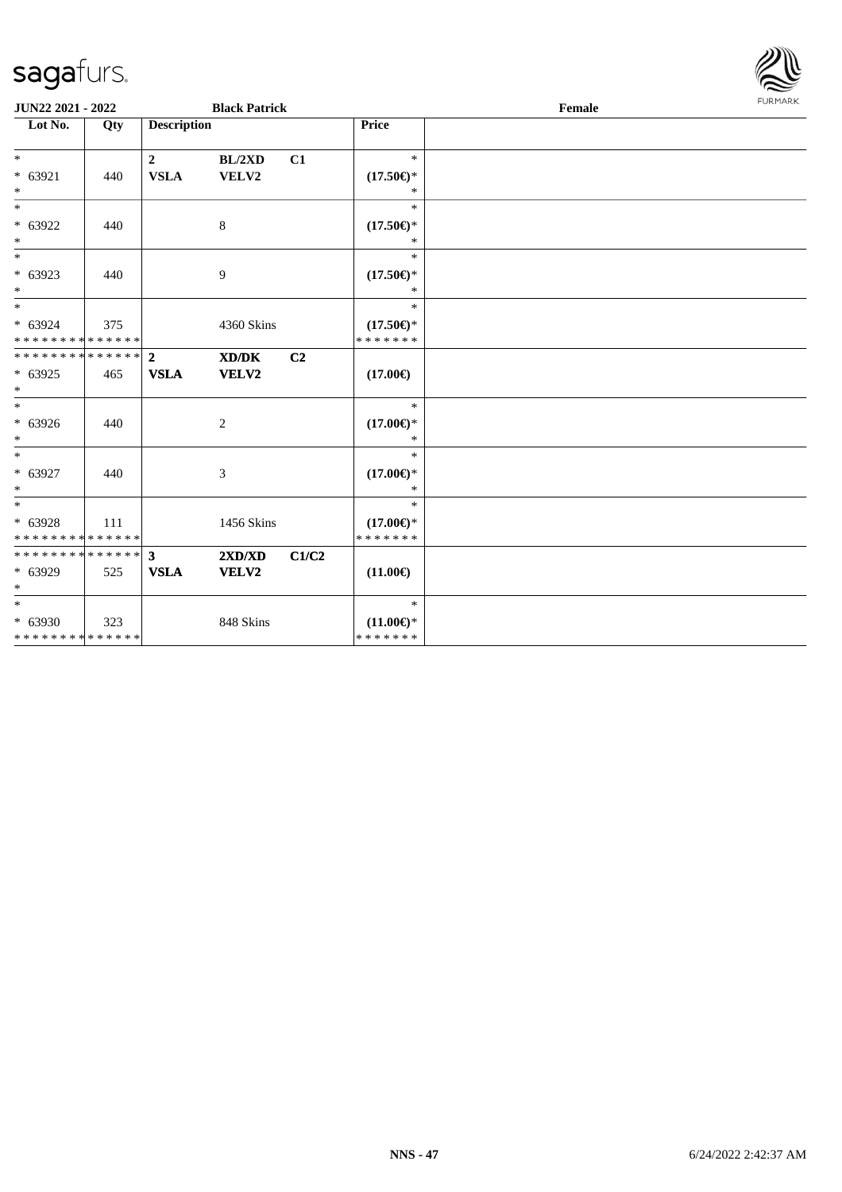

| JUN22 2021 - 2022                               |     |                                 | <b>Black Patrick</b> |       |                                                | Female | <b>FURMARK</b> |
|-------------------------------------------------|-----|---------------------------------|----------------------|-------|------------------------------------------------|--------|----------------|
| Lot No.                                         | Qty | <b>Description</b>              |                      |       | Price                                          |        |                |
| $*$<br>$* 63921$<br>$*$                         | 440 | $\boldsymbol{2}$<br><b>VSLA</b> | BL/2XD<br>VELV2      | C1    | $\ast$<br>$(17.50\epsilon)$ *<br>$\ast$        |        |                |
| $\overline{\ast}$<br>$* 63922$<br>$*$           | 440 |                                 | 8                    |       | $\ast$<br>$(17.50\epsilon)$ *<br>$\ast$        |        |                |
| $*$<br>$* 63923$<br>$*$                         | 440 |                                 | 9                    |       | $\ast$<br>$(17.50\epsilon)$ *<br>$\ast$        |        |                |
| $*$<br>$* 63924$<br>* * * * * * * * * * * * * * | 375 |                                 | 4360 Skins           |       | $\ast$<br>$(17.50\epsilon)$ *<br>* * * * * * * |        |                |
| * * * * * * * * * * * * * * *<br>* 63925<br>$*$ | 465 | $\overline{2}$<br><b>VSLA</b>   | XD/DK<br>VELV2       | C2    | $(17.00\epsilon)$                              |        |                |
| $*$<br>* 63926<br>$*$                           | 440 |                                 | $\mathbf{2}$         |       | $\ast$<br>$(17.00\epsilon)$ *<br>$\ast$        |        |                |
| $*$<br>$* 63927$<br>$*$                         | 440 |                                 | 3                    |       | $\ast$<br>$(17.00\epsilon)$ *<br>$\ast$        |        |                |
| $*$<br>$* 63928$<br>* * * * * * * * * * * * * * | 111 |                                 | 1456 Skins           |       | $\ast$<br>$(17.00\epsilon)$ *<br>* * * * * * * |        |                |
| ******** <mark>******</mark><br>* 63929<br>$*$  | 525 | $\mathbf{3}$<br><b>VSLA</b>     | 2XD/XD<br>VELV2      | C1/C2 | $(11.00\epsilon)$                              |        |                |
| $*$<br>$* 63930$<br>* * * * * * * * * * * * * * | 323 |                                 | 848 Skins            |       | $\ast$<br>$(11.00\epsilon)$ *<br>* * * * * * * |        |                |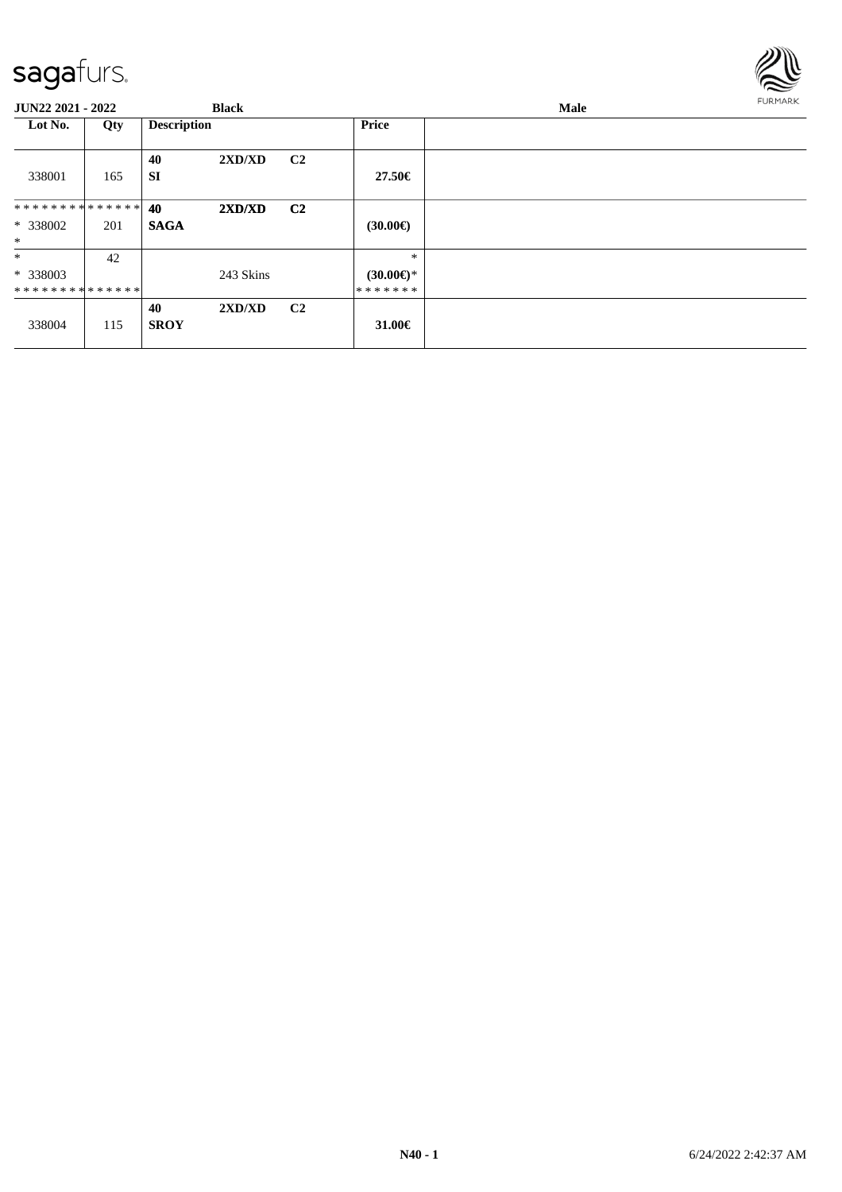

| JUN22 2021 - 2022                    |     | <b>Black</b>                |                |                                          | Male | <b>FURMARK</b> |
|--------------------------------------|-----|-----------------------------|----------------|------------------------------------------|------|----------------|
| Lot No.                              | Qty | <b>Description</b>          |                | <b>Price</b>                             |      |                |
| 338001                               | 165 | 40<br>2XD/XD<br><b>SI</b>   | C <sub>2</sub> | 27.50€                                   |      |                |
| **************<br>* 338002<br>$\ast$ | 201 | 40<br>2XD/XD<br><b>SAGA</b> | C <sub>2</sub> | $(30.00\epsilon)$                        |      |                |
| $\ast$<br>* 338003<br>************** | 42  | 243 Skins                   |                | $\ast$<br>$(30.00\epsilon)$ *<br>******* |      |                |
| 338004                               | 115 | 40<br>2XD/XD<br><b>SROY</b> | C <sub>2</sub> | 31.00€                                   |      |                |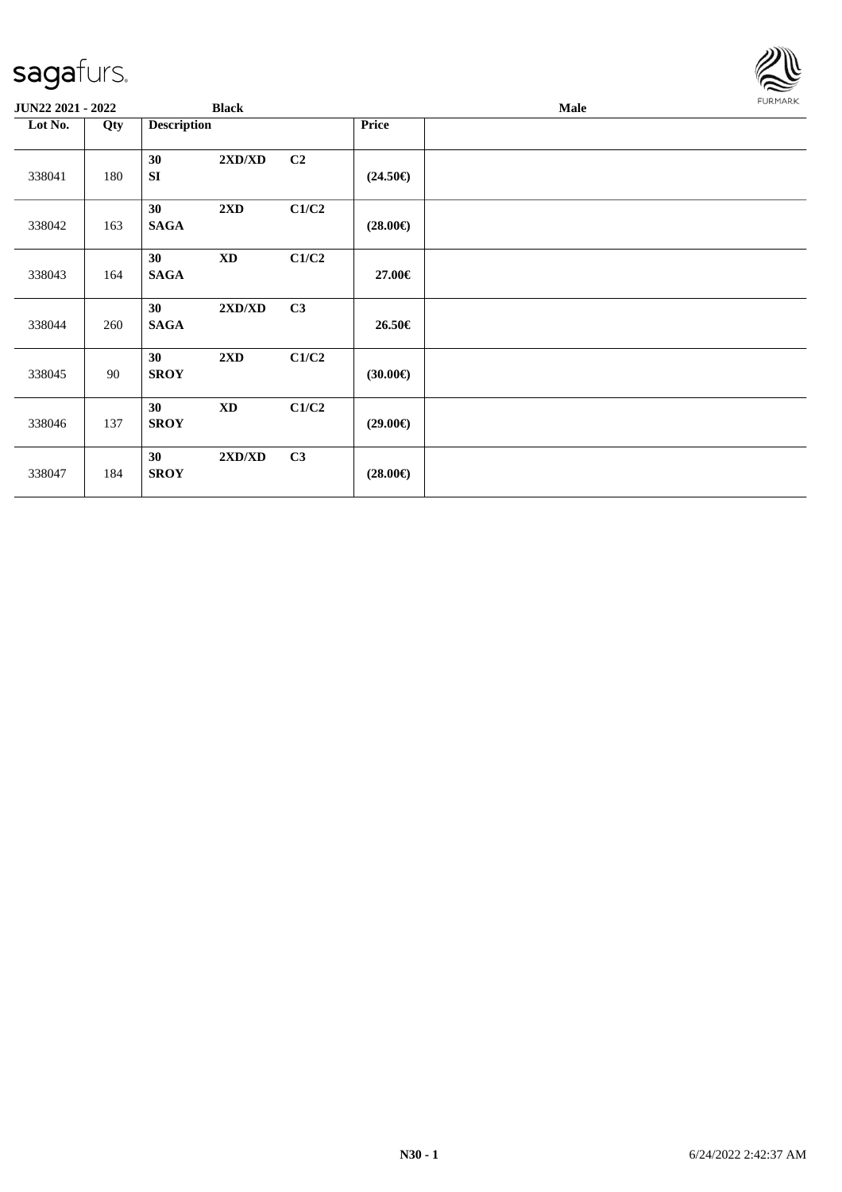

| JUN22 2021 - 2022 |     | <b>Black</b>                                 |       |                   | Male | <b>FURMARK</b> |
|-------------------|-----|----------------------------------------------|-------|-------------------|------|----------------|
| Lot No.           | Qty | <b>Description</b>                           |       | Price             |      |                |
| 338041            | 180 | 2XD/XD<br>30<br>SI                           | C2    | $(24.50\epsilon)$ |      |                |
| 338042            | 163 | 30<br>$2\mathbf{X}\mathbf{D}$<br><b>SAGA</b> | C1/C2 | $(28.00\epsilon)$ |      |                |
| 338043            | 164 | 30<br><b>XD</b><br><b>SAGA</b>               | C1/C2 | 27.00€            |      |                |
| 338044            | 260 | 2XD/XD<br>30<br><b>SAGA</b>                  | C3    | 26.50€            |      |                |
| 338045            | 90  | 30<br>$2\mathbf{X}\mathbf{D}$<br><b>SROY</b> | C1/C2 | $(30.00\epsilon)$ |      |                |
| 338046            | 137 | 30<br><b>XD</b><br><b>SROY</b>               | C1/C2 | $(29.00\epsilon)$ |      |                |
| 338047            | 184 | 2XD/XD<br>30<br><b>SROY</b>                  | C3    | $(28.00\epsilon)$ |      |                |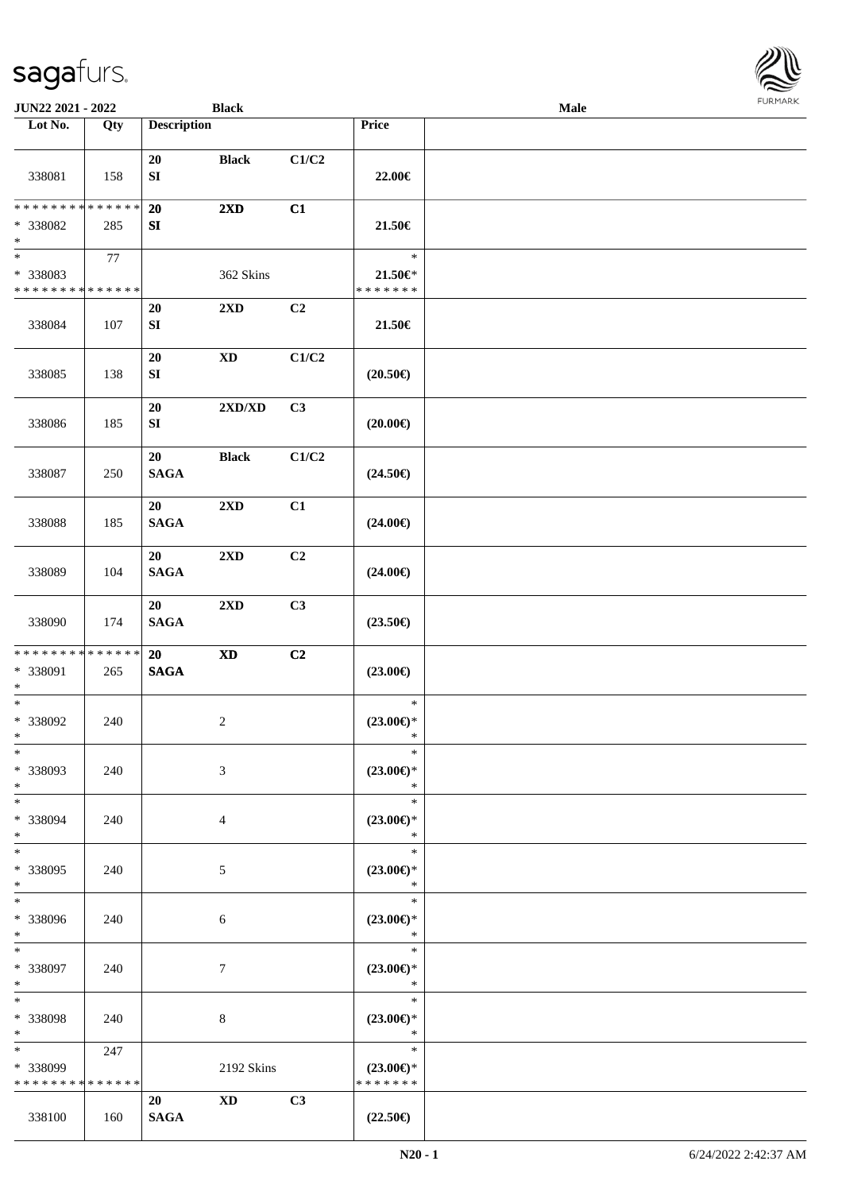| <b>JUN22 2021 - 2022</b>                                                           |     |                        | <b>Black</b>               |                |                                                | Male |  |
|------------------------------------------------------------------------------------|-----|------------------------|----------------------------|----------------|------------------------------------------------|------|--|
| Lot No.                                                                            | Qty | <b>Description</b>     |                            |                | <b>Price</b>                                   |      |  |
| 338081                                                                             | 158 | 20<br>${\bf SI}$       | <b>Black</b>               | C1/C2          | 22.00€                                         |      |  |
| * * * * * * * * * * * * * *<br>* 338082<br>$\ast$                                  | 285 | 20<br>SI               | $2\mathbf{X}\mathbf{D}$    | C1             | 21.50€                                         |      |  |
| $\overline{\phantom{0}}$<br>* 338083<br>* * * * * * * * <mark>* * * * * * *</mark> | 77  |                        | 362 Skins                  |                | $\ast$<br>$21.50 \in$<br>* * * * * * *         |      |  |
| 338084                                                                             | 107 | 20<br>${\bf S}{\bf I}$ | 2XD                        | C <sub>2</sub> | 21.50€                                         |      |  |
| 338085                                                                             | 138 | 20<br>${\bf S}{\bf I}$ | $\mathbf{X}\mathbf{D}$     | C1/C2          | $(20.50\epsilon)$                              |      |  |
| 338086                                                                             | 185 | 20<br>${\bf S}{\bf I}$ | 2XD/XD                     | C3             | $(20.00\epsilon)$                              |      |  |
| 338087                                                                             | 250 | 20<br><b>SAGA</b>      | <b>Black</b>               | C1/C2          | $(24.50\epsilon)$                              |      |  |
| 338088                                                                             | 185 | 20<br><b>SAGA</b>      | $2\mathbf{X}\mathbf{D}$    | C1             | $(24.00\epsilon)$                              |      |  |
| 338089                                                                             | 104 | 20<br><b>SAGA</b>      | 2XD                        | C2             | $(24.00\epsilon)$                              |      |  |
| 338090                                                                             | 174 | 20<br><b>SAGA</b>      | 2XD                        | C3             | $(23.50\epsilon)$                              |      |  |
| * * * * * * * * * * * * * * <mark>*</mark><br>* 338091<br>$\ast$                   | 265 | 20<br>$\mathbf{SAGA}$  | $\boldsymbol{\mathrm{XD}}$ | C2             | $(23.00\epsilon)$                              |      |  |
| $*$<br>* 338092<br>$*$                                                             | 240 |                        | $\overline{c}$             |                | $\ast$<br>$(23.00\epsilon)$ *<br>$\ast$        |      |  |
| $\ast$<br>* 338093<br>$*$                                                          | 240 |                        | 3                          |                | $\ast$<br>$(23.00\epsilon)$ *<br>$\ast$        |      |  |
| $*$<br>* 338094<br>$\ast$                                                          | 240 |                        | $\overline{4}$             |                | $\ast$<br>$(23.00\epsilon)$ *<br>$\ast$        |      |  |
| $*$<br>* 338095<br>$*$                                                             | 240 |                        | $\mathfrak{S}$             |                | $\ast$<br>$(23.00\epsilon)$ *<br>$\ast$        |      |  |
| $*$<br>* 338096<br>$*$                                                             | 240 |                        | 6                          |                | $\ast$<br>$(23.00\epsilon)$ *<br>$\ast$        |      |  |
| $*$ $*$<br>* 338097<br>$*$                                                         | 240 |                        | 7                          |                | $\ast$<br>$(23.00\epsilon)$ *<br>$\ast$        |      |  |
| $*$<br>* 338098<br>$*$                                                             | 240 |                        | 8                          |                | $\ast$<br>$(23.00\epsilon)$ *<br>$\ast$        |      |  |
| $*$<br>* 338099<br>* * * * * * * * * * * * * *                                     | 247 |                        | 2192 Skins                 |                | $\ast$<br>$(23.00\epsilon)$ *<br>* * * * * * * |      |  |
|                                                                                    |     | 20                     | <b>XD</b>                  | C3             |                                                |      |  |
| 338100                                                                             | 160 | <b>SAGA</b>            |                            |                | $(22.50\epsilon)$                              |      |  |

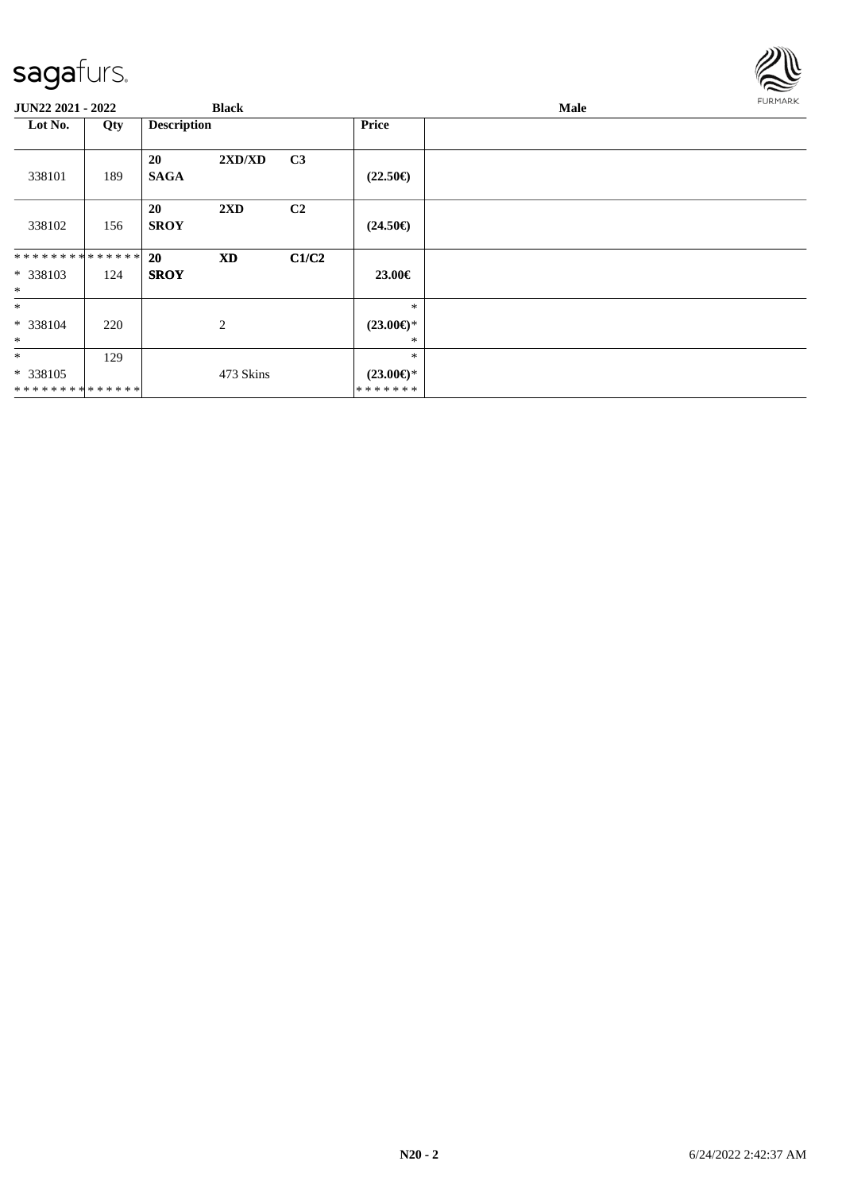#### sag

\* \* \* \* \* \* \* \* \* \* \* \* \* \*

| sagafurs.          |     |                    |                                  |                |                          |      |                |
|--------------------|-----|--------------------|----------------------------------|----------------|--------------------------|------|----------------|
| JUN22 2021 - 2022  |     |                    | <b>Black</b>                     |                |                          | Male | <b>FURMARK</b> |
| Lot No.            | Qty | <b>Description</b> |                                  |                | Price                    |      |                |
|                    |     | 20                 | $2{\bf X}{\bf D}/{\bf X}{\bf D}$ | C3             |                          |      |                |
| 338101             | 189 | <b>SAGA</b>        |                                  |                | $(22.50\epsilon)$        |      |                |
|                    |     | 20                 | 2XD                              | C <sub>2</sub> |                          |      |                |
| 338102             | 156 | <b>SROY</b>        |                                  |                | $(24.50\epsilon)$        |      |                |
| **************     |     | 20                 | <b>XD</b>                        | C1/C2          |                          |      |                |
| * 338103           | 124 | <b>SROY</b>        |                                  |                | 23.00€                   |      |                |
| $\ast$             |     |                    |                                  |                |                          |      |                |
| $\ast$             |     |                    |                                  |                | $\ast$                   |      |                |
| * 338104<br>$\ast$ | 220 |                    | $\mathbf{2}$                     |                | $(23.00\epsilon)$ *<br>* |      |                |
| $\ast$             | 129 |                    |                                  |                | $\ast$                   |      |                |
| * 338105           |     |                    | 473 Skins                        |                | $(23.00\epsilon)$ *      |      |                |

\* \* \* \* \* \* \*

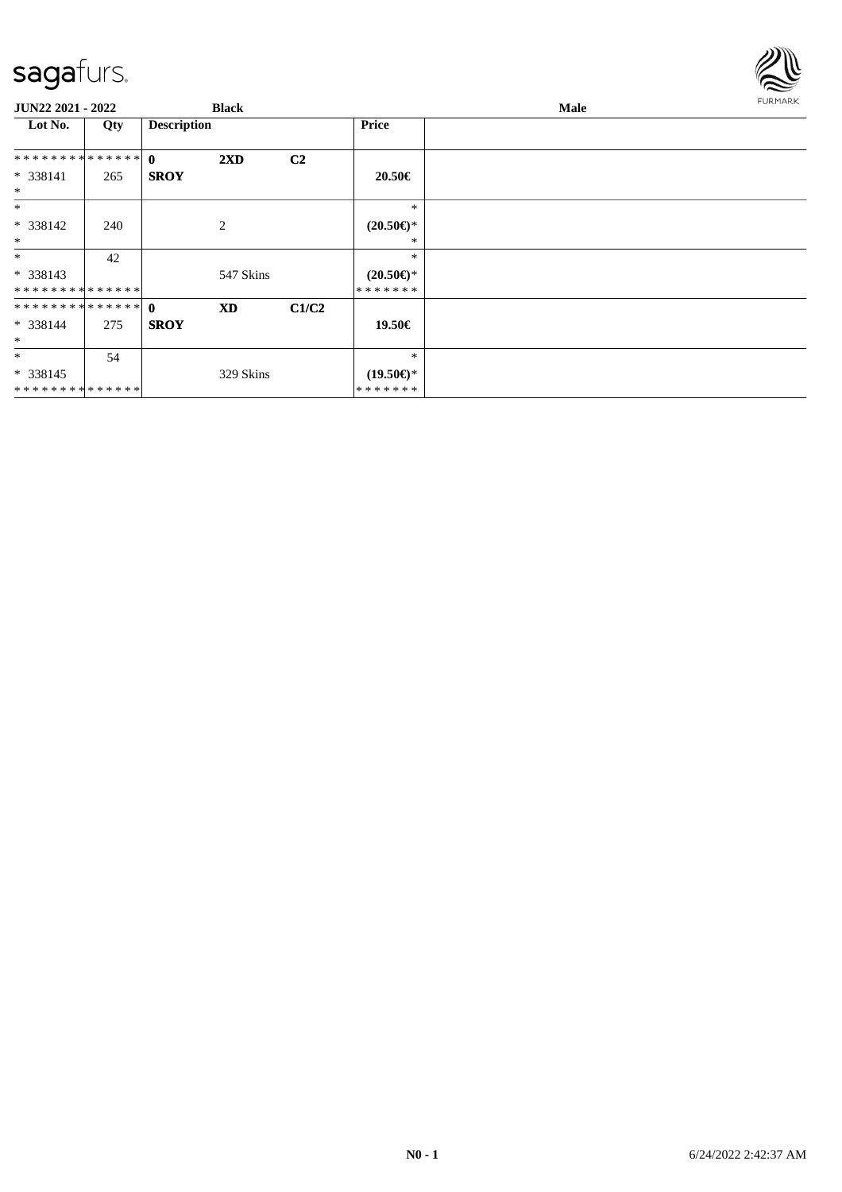

| JUN22 2021 - 2022 |     |                    | <b>Black</b>            |                |                     | Male | <b>FURMARK</b> |
|-------------------|-----|--------------------|-------------------------|----------------|---------------------|------|----------------|
| Lot No.           | Qty | <b>Description</b> |                         |                | Price               |      |                |
| ************** 0  |     |                    | $2\mathbf{X}\mathbf{D}$ | C <sub>2</sub> |                     |      |                |
| $* 338141$        | 265 | <b>SROY</b>        |                         |                | 20.50€              |      |                |
| $\ast$            |     |                    |                         |                |                     |      |                |
| $\ast$            |     |                    |                         |                | $\ast$              |      |                |
| $* 338142$        | 240 |                    | 2                       |                | $(20.50 \in )^*$    |      |                |
| $\ast$            |     |                    |                         |                | *                   |      |                |
| $*$               | 42  |                    |                         |                | $\ast$              |      |                |
| $* 338143$        |     |                    | 547 Skins               |                | $(20.50 \in )^*$    |      |                |
| **************    |     |                    |                         |                | *******             |      |                |
|                   |     |                    | <b>XD</b>               | C1/C2          |                     |      |                |
| $* 338144$        | 275 | <b>SROY</b>        |                         |                | 19.50€              |      |                |
| $\ast$            |     |                    |                         |                |                     |      |                |
| $\ast$            | 54  |                    |                         |                | $\ast$              |      |                |
| $* 338145$        |     |                    | 329 Skins               |                | $(19.50\epsilon)$ * |      |                |
| **************    |     |                    |                         |                | *******             |      |                |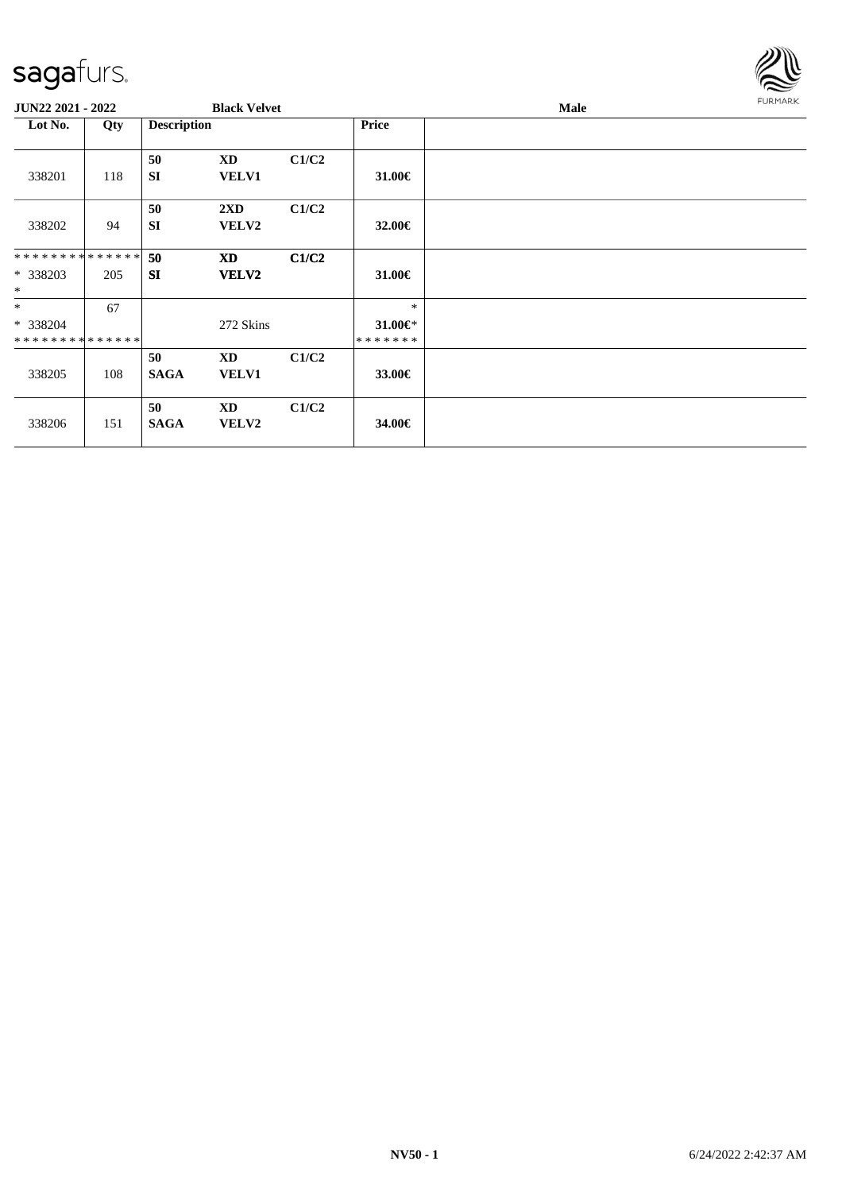

| <b>JUN22 2021 - 2022</b>                |     |                    | <b>Black Velvet</b>                     |       |                                | Male | <b>FURMARK</b> |
|-----------------------------------------|-----|--------------------|-----------------------------------------|-------|--------------------------------|------|----------------|
| Lot No.                                 | Qty | <b>Description</b> |                                         |       | <b>Price</b>                   |      |                |
| 338201                                  | 118 | 50<br><b>SI</b>    | XD<br><b>VELV1</b>                      | C1/C2 | 31.00€                         |      |                |
| 338202                                  | 94  | 50<br><b>SI</b>    | $2\mathbf{X}\mathbf{D}$<br><b>VELV2</b> | C1/C2 | 32.00€                         |      |                |
| * * * * * * * * * * * * * * *           |     | 50                 | <b>XD</b>                               | C1/C2 |                                |      |                |
| * 338203<br>$\ast$                      | 205 | <b>SI</b>          | VELV2                                   |       | 31.00€                         |      |                |
| $*$                                     | 67  |                    |                                         |       | $\ast$                         |      |                |
| * 338204<br>* * * * * * * * * * * * * * |     |                    | 272 Skins                               |       | $31.00 \in$ *<br>* * * * * * * |      |                |
|                                         |     | 50                 | <b>XD</b>                               | C1/C2 |                                |      |                |
| 338205                                  | 108 | <b>SAGA</b>        | VELV1                                   |       | 33.00€                         |      |                |
| 338206                                  | 151 | 50<br><b>SAGA</b>  | <b>XD</b><br>VELV2                      | C1/C2 | 34.00€                         |      |                |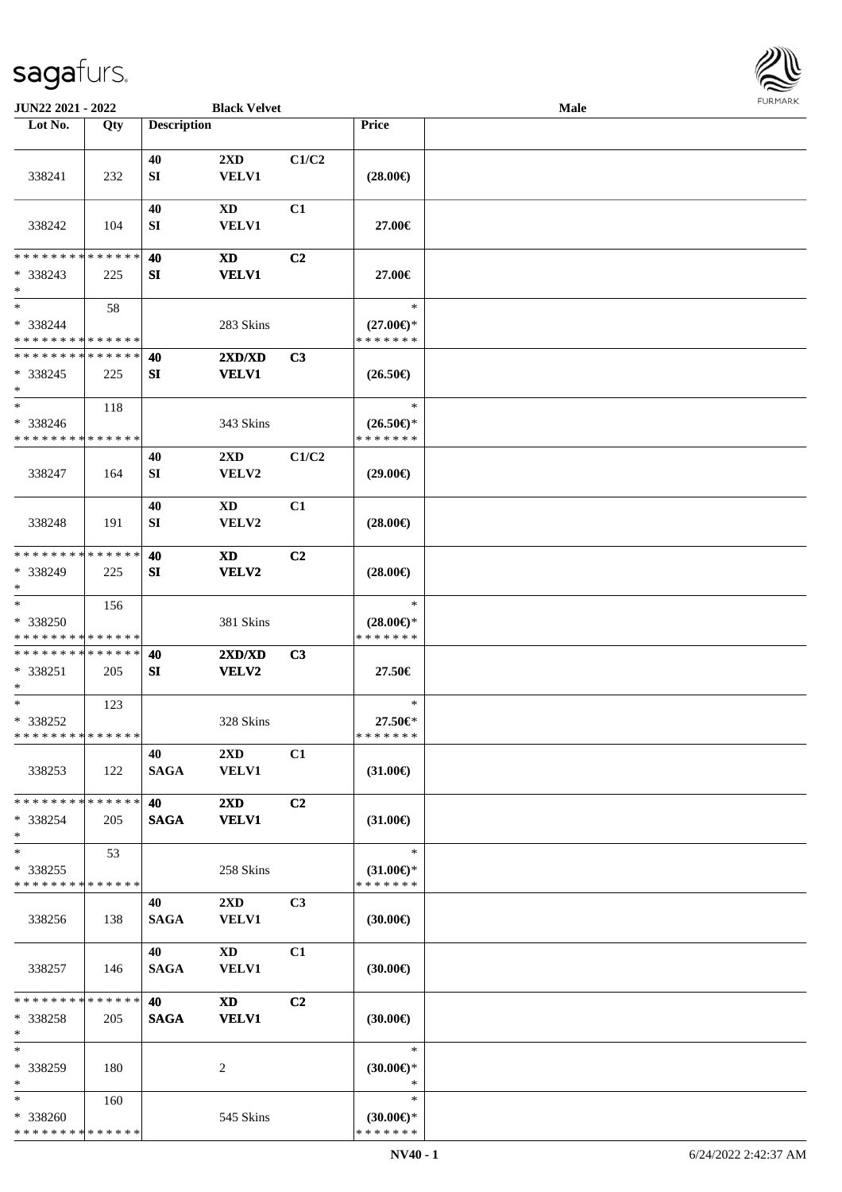

| JUN22 2021 - 2022                                 |     |                    | <b>Black Velvet</b>                     |                |                                                | Male |  |
|---------------------------------------------------|-----|--------------------|-----------------------------------------|----------------|------------------------------------------------|------|--|
| Lot No.                                           | Qty | <b>Description</b> |                                         |                | <b>Price</b>                                   |      |  |
| 338241                                            | 232 | 40<br>SI           | 2XD<br><b>VELV1</b>                     | C1/C2          | $(28.00\epsilon)$                              |      |  |
| 338242                                            | 104 | 40<br>SI           | XD<br><b>VELV1</b>                      | C1             | 27.00€                                         |      |  |
| * * * * * * * * * * * * * *<br>* 338243<br>$*$    | 225 | 40<br>SI           | XD<br><b>VELV1</b>                      | C <sub>2</sub> | 27.00€                                         |      |  |
| $\ast$<br>* 338244<br>* * * * * * * * * * * * * * | 58  |                    | 283 Skins                               |                | $\ast$<br>$(27.00\epsilon)$ *<br>* * * * * * * |      |  |
| * * * * * * * * * * * * * *<br>* 338245<br>$\ast$ | 225 | 40<br>SI           | 2XD/XD<br><b>VELV1</b>                  | C3             | $(26.50\epsilon)$                              |      |  |
| $\ast$<br>* 338246<br>* * * * * * * * * * * * * * | 118 |                    | 343 Skins                               |                | $\ast$<br>$(26.50\epsilon)$ *<br>* * * * * * * |      |  |
| 338247                                            | 164 | 40<br>SI           | $2\mathbf{X}\mathbf{D}$<br>VELV2        | C1/C2          | $(29.00\epsilon)$                              |      |  |
| 338248                                            | 191 | 40<br>SI           | XD<br>VELV2                             | C1             | $(28.00\epsilon)$                              |      |  |
| * * * * * * * * * * * * * *<br>* 338249<br>$*$    | 225 | 40<br>SI           | XD<br>VELV2                             | C <sub>2</sub> | $(28.00\epsilon)$                              |      |  |
| $\ast$<br>* 338250<br>* * * * * * * * * * * * * * | 156 |                    | 381 Skins                               |                | $\ast$<br>$(28.00\epsilon)$ *<br>* * * * * * * |      |  |
| * * * * * * * * * * * * * *<br>* 338251<br>$*$    | 205 | 40<br>SI           | 2XD/XD<br>VELV2                         | C3             | 27.50€                                         |      |  |
| $*$<br>* 338252<br>* * * * * * * * * * * * * *    | 123 |                    | 328 Skins                               |                | $\ast$<br>27.50€*<br>* * * * * * *             |      |  |
| 338253                                            | 122 | 40<br><b>SAGA</b>  | 2XD<br><b>VELV1</b>                     | C1             | $(31.00\epsilon)$                              |      |  |
| * * * * * * * * * * * * * *<br>* 338254<br>$*$    | 205 | 40<br><b>SAGA</b>  | $2\mathbf{X}\mathbf{D}$<br><b>VELV1</b> | C <sub>2</sub> | $(31.00\epsilon)$                              |      |  |
| $\ast$<br>* 338255<br>* * * * * * * * * * * * * * | 53  |                    | 258 Skins                               |                | $\ast$<br>$(31.00\epsilon)$ *<br>* * * * * * * |      |  |
| 338256                                            | 138 | 40<br><b>SAGA</b>  | $2\mathbf{X}\mathbf{D}$<br><b>VELV1</b> | C <sub>3</sub> | $(30.00\epsilon)$                              |      |  |
| 338257                                            | 146 | 40<br><b>SAGA</b>  | $\mathbf{X}\mathbf{D}$<br><b>VELV1</b>  | C1             | $(30.00\epsilon)$                              |      |  |
| * * * * * * * * * * * * * *<br>* 338258<br>$\ast$ | 205 | 40<br><b>SAGA</b>  | <b>XD</b><br><b>VELV1</b>               | C <sub>2</sub> | $(30.00\epsilon)$                              |      |  |
| $\ast$<br>* 338259<br>$*$                         | 180 |                    | 2                                       |                | $\ast$<br>$(30.00\epsilon)$ *<br>$\ast$        |      |  |
| $*$<br>* 338260<br>* * * * * * * * * * * * * *    | 160 |                    | 545 Skins                               |                | $\ast$<br>$(30.00€)$ *<br>* * * * * * *        |      |  |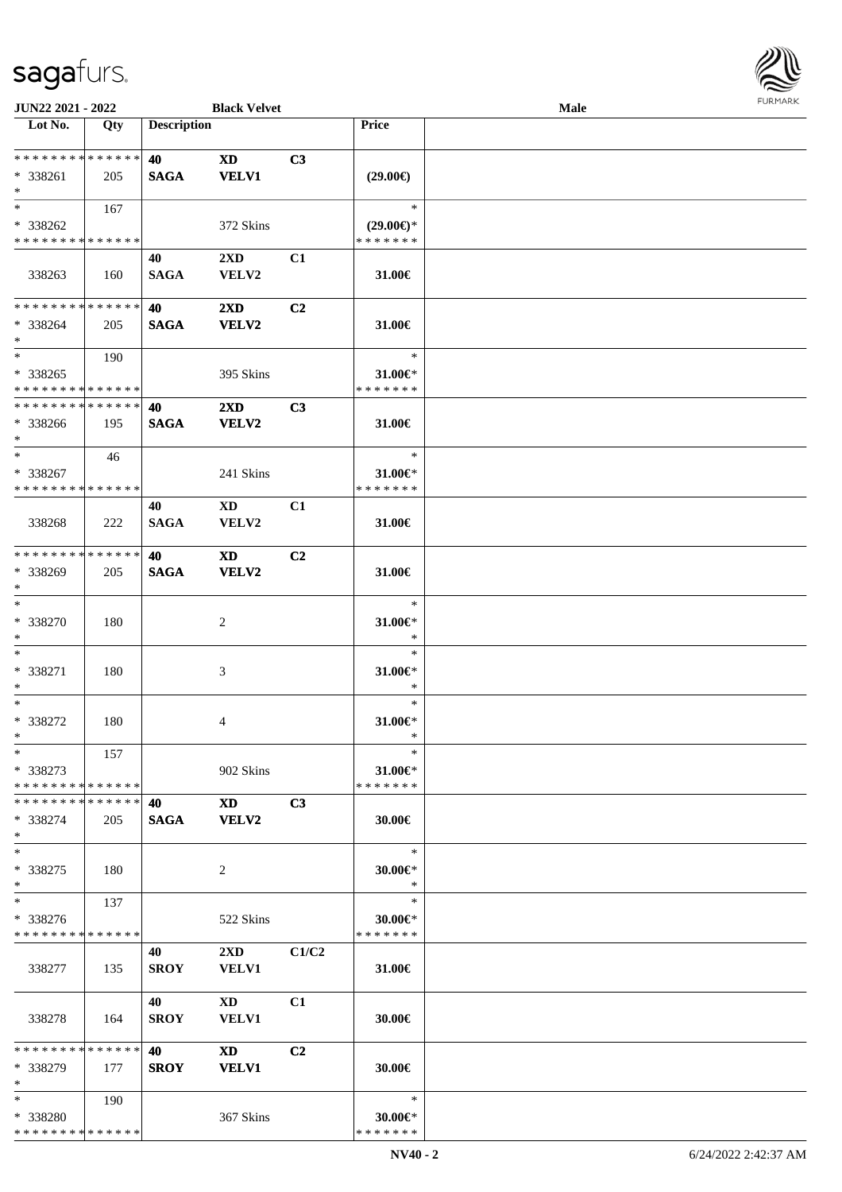

| JUN22 2021 - 2022                                                   |                    |                    | <b>Black Velvet</b>                     |                |                                                | Male |  |
|---------------------------------------------------------------------|--------------------|--------------------|-----------------------------------------|----------------|------------------------------------------------|------|--|
| Lot No.                                                             | Qty                | <b>Description</b> |                                         |                | Price                                          |      |  |
| **************<br>* 338261<br>$\ast$                                | 205                | 40<br><b>SAGA</b>  | <b>XD</b><br><b>VELV1</b>               | C3             | $(29.00\epsilon)$                              |      |  |
| $*$<br>* 338262<br>* * * * * * * * * * * * * *                      | 167                |                    | 372 Skins                               |                | $\ast$<br>$(29.00\epsilon)$ *<br>* * * * * * * |      |  |
| 338263                                                              | 160                | 40<br><b>SAGA</b>  | 2XD<br>VELV2                            | C1             | 31.00€                                         |      |  |
| * * * * * * * * * * * * * *<br>* 338264<br>$\ast$                   | 205                | 40<br><b>SAGA</b>  | $2\mathbf{X}\mathbf{D}$<br><b>VELV2</b> | C2             | 31.00€                                         |      |  |
| $*$<br>* 338265<br>* * * * * * * * * * * * * *                      | 190                |                    | 395 Skins                               |                | $\ast$<br>31.00€*<br>* * * * * * *             |      |  |
| * * * * * * * * * * * * * *<br>* 338266<br>$*$                      | 195                | 40<br><b>SAGA</b>  | $2\mathbf{X}\mathbf{D}$<br><b>VELV2</b> | C3             | 31.00€                                         |      |  |
| $\ast$<br>* 338267<br>* * * * * * * * * * * * * *                   | 46                 |                    | 241 Skins                               |                | $\ast$<br>31.00€*<br>* * * * * * *             |      |  |
| 338268                                                              | 222                | 40<br><b>SAGA</b>  | XD<br>VELV2                             | C1             | 31.00€                                         |      |  |
| * * * * * * * *<br>* 338269<br>$\ast$                               | * * * * * *<br>205 | 40<br><b>SAGA</b>  | XD<br><b>VELV2</b>                      | C <sub>2</sub> | 31.00€                                         |      |  |
| $\ast$<br>* 338270<br>$\ast$                                        | 180                |                    | $\overline{c}$                          |                | $\ast$<br>31.00€*<br>$\ast$                    |      |  |
| $\ast$<br>* 338271<br>$\ast$                                        | 180                |                    | $\mathfrak{Z}$                          |                | $\ast$<br>31.00€*<br>$\ast$                    |      |  |
| $\ast$<br>$* 338272$<br>$*$                                         | 180                |                    | 4                                       |                | $\ast$<br>31.00€*<br>$\ast$                    |      |  |
| $*$<br>* 338273<br>* * * * * * * * * * * * * * *                    | 157                |                    | 902 Skins                               |                | $\ast$<br>31.00€*<br>* * * * * * *             |      |  |
| * * * * * * * * * * * * * * *<br>* 338274<br>$\ast$                 | 205                | 40<br><b>SAGA</b>  | XD C3<br><b>VELV2</b>                   |                | 30.00€                                         |      |  |
| $\ast$<br>* 338275<br>$*$                                           | - 180              |                    | 2                                       |                | $\ast$<br>30.00€*<br>$\ast$                    |      |  |
| $\overline{\phantom{1}}$<br>* 338276<br>* * * * * * * * * * * * * * | 137                |                    | 522 Skins                               |                | $\ast$<br>30.00€*<br>* * * * * * *             |      |  |
| 338277                                                              | 135                | 40<br><b>SROY</b>  | $2\mathbf{X}\mathbf{D}$<br><b>VELV1</b> | C1/C2          | 31.00€                                         |      |  |
| 338278                                                              | 164                | 40<br><b>SROY</b>  | XD <b>Solution</b><br><b>VELV1</b>      | C1             | 30.00€                                         |      |  |
| * * * * * * * * * * * * * *<br>* 338279<br>$\ast$                   | 177                | 40<br><b>SROY</b>  | XD 1<br><b>VELV1</b>                    | C <sub>2</sub> | 30.00€                                         |      |  |
| $*$<br>* 338280<br>* * * * * * * * * * * * * *                      | 190                |                    | 367 Skins                               |                | $\ast$<br>30.00€*<br>* * * * * * *             |      |  |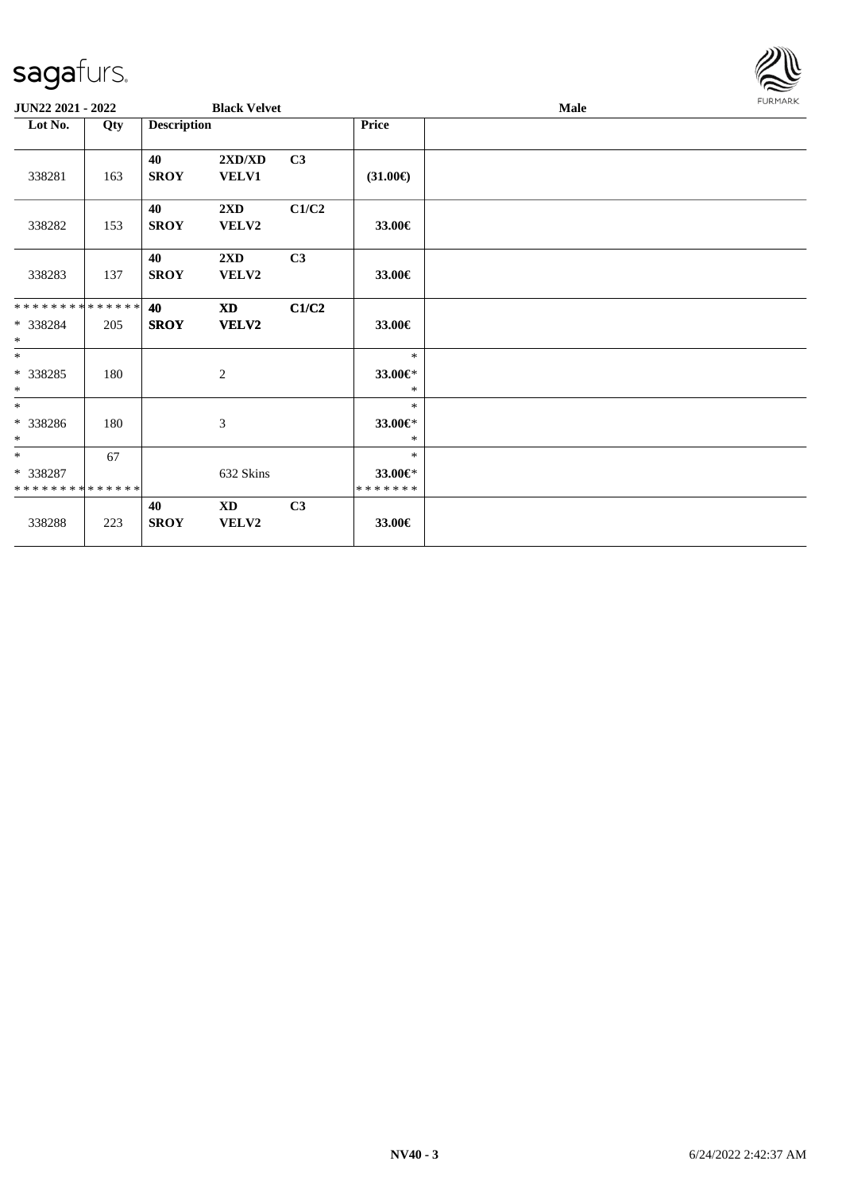

| JUN22 2021 - 2022                       |     |                    | <b>Black Velvet</b>              |                |                    | Male | <b>FURMARK</b> |
|-----------------------------------------|-----|--------------------|----------------------------------|----------------|--------------------|------|----------------|
| Lot No.                                 | Qty | <b>Description</b> |                                  |                | Price              |      |                |
| 338281                                  | 163 | 40<br><b>SROY</b>  | 2XD/XD<br><b>VELV1</b>           | C3             | $(31.00\epsilon)$  |      |                |
| 338282                                  | 153 | 40<br><b>SROY</b>  | $2\mathbf{X}\mathbf{D}$<br>VELV2 | C1/C2          | 33.00€             |      |                |
| 338283                                  | 137 | 40<br><b>SROY</b>  | 2XD<br>VELV2                     | C3             | 33.00€             |      |                |
| **************                          |     | 40                 | <b>XD</b>                        | C1/C2          |                    |      |                |
| * 338284<br>$\ast$                      | 205 | <b>SROY</b>        | <b>VELV2</b>                     |                | 33.00€             |      |                |
| $*$                                     |     |                    |                                  |                | $\ast$             |      |                |
| * 338285                                | 180 |                    | 2                                |                | 33.00€*            |      |                |
| $*$<br>$*$                              |     |                    |                                  |                | $\ast$<br>$\ast$   |      |                |
| * 338286                                | 180 |                    | $\mathfrak{Z}$                   |                | 33.00€*            |      |                |
| $*$                                     |     |                    |                                  |                | $\ast$             |      |                |
| $*$                                     | 67  |                    |                                  |                | $\ast$             |      |                |
| * 338287<br>* * * * * * * * * * * * * * |     |                    | 632 Skins                        |                | 33.00€*<br>******* |      |                |
|                                         |     | 40                 | XD                               | C <sub>3</sub> |                    |      |                |
| 338288                                  | 223 | <b>SROY</b>        | VELV2                            |                | 33.00€             |      |                |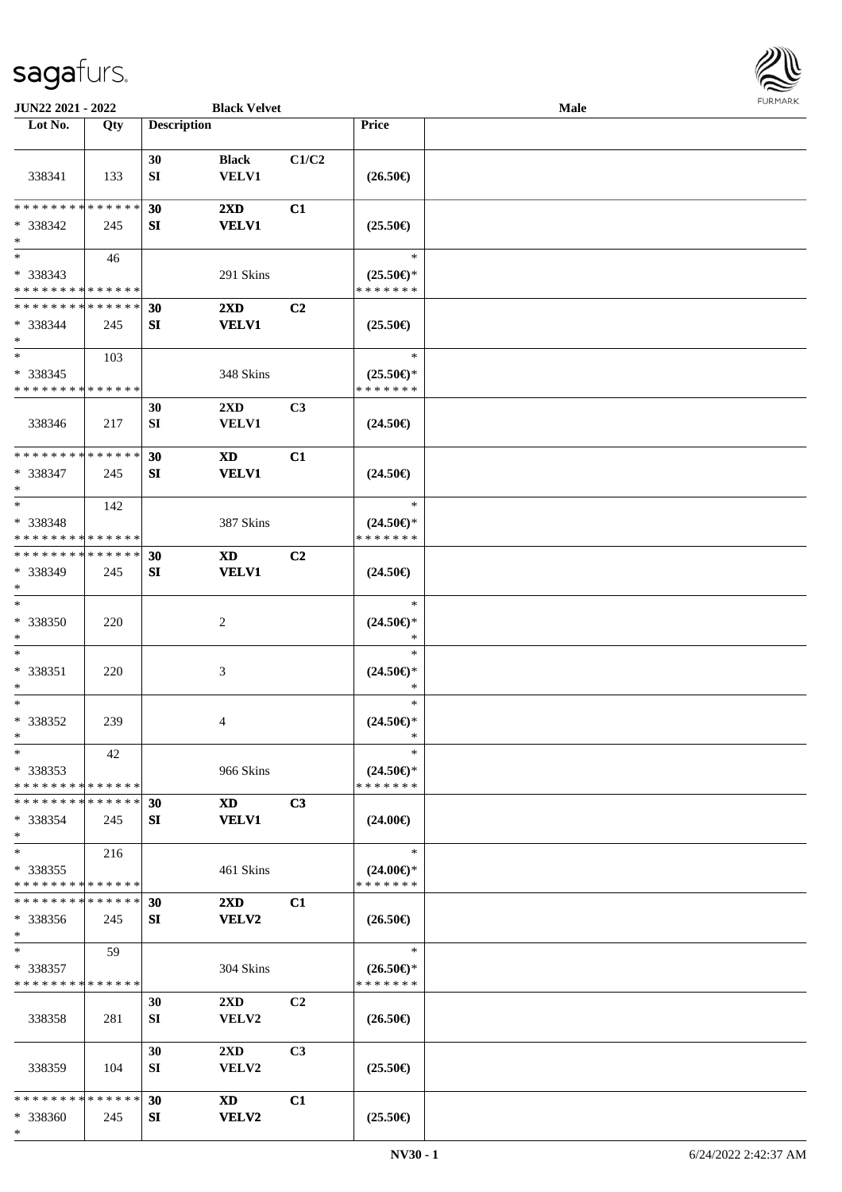

| JUN22 2021 - 2022                                          |     |                    | <b>Black Velvet</b>     |                |                                      | Male |  |
|------------------------------------------------------------|-----|--------------------|-------------------------|----------------|--------------------------------------|------|--|
| Lot No.                                                    | Qty | <b>Description</b> |                         |                | Price                                |      |  |
|                                                            |     |                    |                         |                |                                      |      |  |
|                                                            |     | 30                 | <b>Black</b>            | C1/C2          |                                      |      |  |
| 338341                                                     | 133 | ${\bf SI}$         | <b>VELV1</b>            |                | $(26.50\epsilon)$                    |      |  |
|                                                            |     |                    |                         |                |                                      |      |  |
| * * * * * * * * * * * * * *                                |     | 30                 | $2\mathbf{X}\mathbf{D}$ | C1             |                                      |      |  |
| * 338342                                                   | 245 | SI                 | <b>VELV1</b>            |                | $(25.50\epsilon)$                    |      |  |
| $\ast$                                                     |     |                    |                         |                |                                      |      |  |
| $\overline{\ast}$                                          | 46  |                    |                         |                | $\ast$                               |      |  |
| $* 338343$                                                 |     |                    | 291 Skins               |                | $(25.50\epsilon)$ *                  |      |  |
| * * * * * * * * * * * * * *                                |     |                    |                         |                | * * * * * * *                        |      |  |
| * * * * * * * * * * * * * *                                |     | 30                 | $2\mathbf{X}\mathbf{D}$ | C <sub>2</sub> |                                      |      |  |
| $* 338344$                                                 | 245 | SI                 | <b>VELV1</b>            |                | $(25.50\epsilon)$                    |      |  |
| $\ast$                                                     |     |                    |                         |                |                                      |      |  |
| $\ast$                                                     | 103 |                    |                         |                | $\ast$                               |      |  |
| * 338345                                                   |     |                    | 348 Skins               |                | $(25.50\epsilon)$ *                  |      |  |
| * * * * * * * * * * * * * *                                |     |                    |                         |                | * * * * * * *                        |      |  |
|                                                            |     | 30                 | $2\mathbf{X}\mathbf{D}$ | C <sub>3</sub> |                                      |      |  |
| 338346                                                     | 217 | ${\bf SI}$         | <b>VELV1</b>            |                | $(24.50\epsilon)$                    |      |  |
| * * * * * * * * * * * * * *                                |     |                    |                         |                |                                      |      |  |
|                                                            |     | 30                 | <b>XD</b>               | C1             |                                      |      |  |
| * 338347                                                   | 245 | SI                 | <b>VELV1</b>            |                | $(24.50\epsilon)$                    |      |  |
| $\ast$<br>$\ast$                                           |     |                    |                         |                | $\ast$                               |      |  |
|                                                            | 142 |                    |                         |                |                                      |      |  |
| * 338348                                                   |     |                    | 387 Skins               |                | $(24.50\epsilon)$ *<br>* * * * * * * |      |  |
| * * * * * * * * * * * * * *<br>* * * * * * * * * * * * * * |     |                    |                         |                |                                      |      |  |
|                                                            |     | 30                 | <b>XD</b>               | C <sub>2</sub> |                                      |      |  |
| * 338349<br>$\ast$                                         | 245 | SI                 | <b>VELV1</b>            |                | $(24.50\epsilon)$                    |      |  |
| $\ast$                                                     |     |                    |                         |                | $\ast$                               |      |  |
| * 338350                                                   |     |                    |                         |                |                                      |      |  |
| $\ast$                                                     | 220 |                    | $\overline{c}$          |                | $(24.50\epsilon)$ *<br>$\ast$        |      |  |
| $\ast$                                                     |     |                    |                         |                | $\ast$                               |      |  |
| $* 338351$                                                 | 220 |                    | $\mathfrak{Z}$          |                | $(24.50\epsilon)$ *                  |      |  |
| $\ast$                                                     |     |                    |                         |                | $\ast$                               |      |  |
| $\ast$                                                     |     |                    |                         |                | $\ast$                               |      |  |
| * 338352                                                   | 239 |                    | 4                       |                | $(24.50\epsilon)$ *                  |      |  |
| $\ast$                                                     |     |                    |                         |                | $\ast$                               |      |  |
| $*$                                                        | 42  |                    |                         |                | $\ast$                               |      |  |
| $*338353$                                                  |     |                    | 966 Skins               |                | $(24.50\epsilon)$ *                  |      |  |
| * * * * * * * * * * * * * *                                |     |                    |                         |                | * * * * * * *                        |      |  |
| * * * * * * * * * * * * * *                                |     | 30                 | <b>XD</b>               | C3             |                                      |      |  |
| * 338354                                                   | 245 | SI                 | <b>VELV1</b>            |                | $(24.00\epsilon)$                    |      |  |
| $\ast$                                                     |     |                    |                         |                |                                      |      |  |
| $\ast$                                                     | 216 |                    |                         |                | $\ast$                               |      |  |
| $*338355$                                                  |     |                    | 461 Skins               |                | $(24.00\epsilon)$ *                  |      |  |
| * * * * * * * * * * * * * *                                |     |                    |                         |                | * * * * * * *                        |      |  |
| * * * * * * * * * * * * * *                                |     | 30                 | $2\mathbf{X}\mathbf{D}$ | C1             |                                      |      |  |
| * 338356                                                   | 245 | SI                 | <b>VELV2</b>            |                | $(26.50\epsilon)$                    |      |  |
| $*$                                                        |     |                    |                         |                |                                      |      |  |
| $*$                                                        | 59  |                    |                         |                | $\ast$                               |      |  |
| * 338357                                                   |     |                    | 304 Skins               |                | $(26.50\epsilon)$ *                  |      |  |
| * * * * * * * * * * * * * *                                |     |                    |                         |                | * * * * * * *                        |      |  |
|                                                            |     | 30                 | $2\mathbf{X}\mathbf{D}$ | C <sub>2</sub> |                                      |      |  |
| 338358                                                     | 281 | SI                 | VELV2                   |                | $(26.50\epsilon)$                    |      |  |
|                                                            |     |                    |                         |                |                                      |      |  |
|                                                            |     | 30                 | $2\mathbf{X}\mathbf{D}$ | C3             |                                      |      |  |
| 338359                                                     | 104 | SI                 | VELV2                   |                | $(25.50\epsilon)$                    |      |  |
|                                                            |     |                    |                         |                |                                      |      |  |
| * * * * * * * * * * * * * *                                |     | 30                 | XD                      | C1             |                                      |      |  |
| * 338360                                                   | 245 | SI                 | <b>VELV2</b>            |                | $(25.50\epsilon)$                    |      |  |
| $*$                                                        |     |                    |                         |                |                                      |      |  |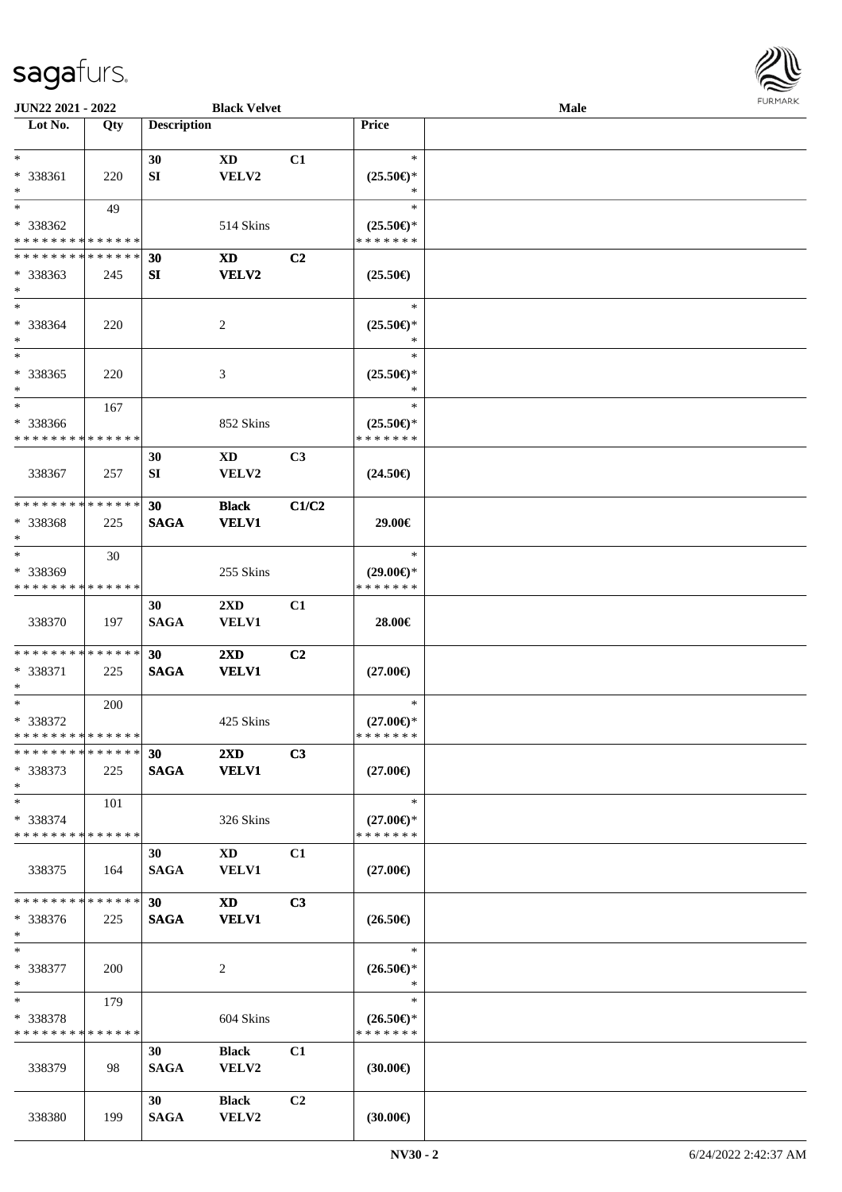

| JUN22 2021 - 2022                       |     |                    | <b>Black Velvet</b>     |                |                                      | Male |  |
|-----------------------------------------|-----|--------------------|-------------------------|----------------|--------------------------------------|------|--|
| Lot No.                                 | Qty | <b>Description</b> |                         |                | <b>Price</b>                         |      |  |
|                                         |     |                    |                         |                |                                      |      |  |
| $\ast$                                  |     | 30                 | XD                      | C1             | $\ast$                               |      |  |
| * 338361                                | 220 | SI                 | VELV2                   |                | $(25.50\epsilon)$ *                  |      |  |
| $*$                                     |     |                    |                         |                | ∗                                    |      |  |
| $*$                                     | 49  |                    |                         |                | $\ast$                               |      |  |
| * 338362                                |     |                    | 514 Skins               |                | $(25.50\epsilon)$ *                  |      |  |
| * * * * * * * * * * * * * *             |     |                    |                         |                | * * * * * * *                        |      |  |
| * * * * * * * * * * * * * *             |     | 30                 | XD                      | C <sub>2</sub> |                                      |      |  |
| * 338363                                | 245 | SI                 | VELV2                   |                | $(25.50\epsilon)$                    |      |  |
| $*$                                     |     |                    |                         |                |                                      |      |  |
| $*$                                     |     |                    |                         |                | $\ast$                               |      |  |
| * 338364                                | 220 |                    | 2                       |                | $(25.50\epsilon)$ *                  |      |  |
| $*$                                     |     |                    |                         |                | $\ast$                               |      |  |
| $*$                                     |     |                    |                         |                | $\ast$                               |      |  |
| * 338365                                | 220 |                    | 3                       |                | $(25.50\epsilon)$ *                  |      |  |
| $*$                                     |     |                    |                         |                | $\ast$                               |      |  |
| $*$                                     | 167 |                    |                         |                | $\ast$                               |      |  |
|                                         |     |                    |                         |                |                                      |      |  |
| * 338366<br>* * * * * * * * * * * * * * |     |                    | 852 Skins               |                | $(25.50\epsilon)$ *<br>* * * * * * * |      |  |
|                                         |     |                    |                         |                |                                      |      |  |
|                                         |     | 30                 | XD                      | C <sub>3</sub> |                                      |      |  |
| 338367                                  | 257 | SI                 | VELV2                   |                | $(24.50\epsilon)$                    |      |  |
|                                         |     |                    |                         |                |                                      |      |  |
| * * * * * * * * * * * * * *             |     | 30                 | <b>Black</b>            | C1/C2          |                                      |      |  |
| * 338368                                | 225 | <b>SAGA</b>        | <b>VELV1</b>            |                | 29.00€                               |      |  |
| $*$                                     |     |                    |                         |                |                                      |      |  |
| $*$                                     | 30  |                    |                         |                | $\ast$                               |      |  |
| * 338369                                |     |                    | 255 Skins               |                | $(29.00\epsilon)$ *                  |      |  |
| * * * * * * * * * * * * * *             |     |                    |                         |                | * * * * * * *                        |      |  |
|                                         |     | 30                 | $2\mathbf{X}\mathbf{D}$ | C1             |                                      |      |  |
| 338370                                  | 197 | <b>SAGA</b>        | <b>VELV1</b>            |                | 28.00€                               |      |  |
|                                         |     |                    |                         |                |                                      |      |  |
| * * * * * * * * * * * * * * *           |     | 30                 | $2\mathbf{X}\mathbf{D}$ | C <sub>2</sub> |                                      |      |  |
| * 338371                                | 225 | <b>SAGA</b>        | <b>VELV1</b>            |                | $(27.00\epsilon)$                    |      |  |
| $*$                                     |     |                    |                         |                |                                      |      |  |
| $*$                                     | 200 |                    |                         |                | $\ast$                               |      |  |
| * 338372                                |     |                    | 425 Skins               |                | $(27.00\epsilon)$ *                  |      |  |
| * * * * * * * * * * * * * * *           |     |                    |                         |                | *******                              |      |  |
| * * * * * * * * * * * * * * *           |     | 30                 | $2\mathbf{X}\mathbf{D}$ | C3             |                                      |      |  |
| * 338373                                | 225 | <b>SAGA</b>        | <b>VELV1</b>            |                | $(27.00\epsilon)$                    |      |  |
| $*$                                     |     |                    |                         |                |                                      |      |  |
| $*$                                     | 101 |                    |                         |                | $\ast$                               |      |  |
| * 338374                                |     |                    | 326 Skins               |                | $(27.00\epsilon)$ *                  |      |  |
| * * * * * * * * * * * * * *             |     |                    |                         |                | * * * * * * *                        |      |  |
|                                         |     | 30                 | XD                      | C1             |                                      |      |  |
| 338375                                  | 164 | <b>SAGA</b>        | <b>VELV1</b>            |                | $(27.00\epsilon)$                    |      |  |
|                                         |     |                    |                         |                |                                      |      |  |
| * * * * * * * * * * * * * * *           |     | 30 <sup>1</sup>    | $\mathbf{X}\mathbf{D}$  | C3             |                                      |      |  |
| * 338376                                | 225 | <b>SAGA</b>        | <b>VELV1</b>            |                | $(26.50\epsilon)$                    |      |  |
| $*$                                     |     |                    |                         |                |                                      |      |  |
| $*$                                     |     |                    |                         |                | $\ast$                               |      |  |
| * 338377                                | 200 |                    | 2                       |                | $(26.50\epsilon)$ *                  |      |  |
| $*$                                     |     |                    |                         |                | $\ast$                               |      |  |
| $*$                                     |     |                    |                         |                | $\ast$                               |      |  |
|                                         | 179 |                    |                         |                |                                      |      |  |
| * 338378<br>* * * * * * * * * * * * * * |     |                    | 604 Skins               |                | $(26.50\epsilon)$ *<br>* * * * * * * |      |  |
|                                         |     |                    |                         |                |                                      |      |  |
|                                         |     | 30                 | <b>Black</b>            | C1             |                                      |      |  |
| 338379                                  | 98  | <b>SAGA</b>        | <b>VELV2</b>            |                | $(30.00\epsilon)$                    |      |  |
|                                         |     |                    |                         |                |                                      |      |  |
|                                         |     | 30                 | <b>Black</b>            | C2             |                                      |      |  |
| 338380                                  | 199 | <b>SAGA</b>        | VELV2                   |                | (30.00)                              |      |  |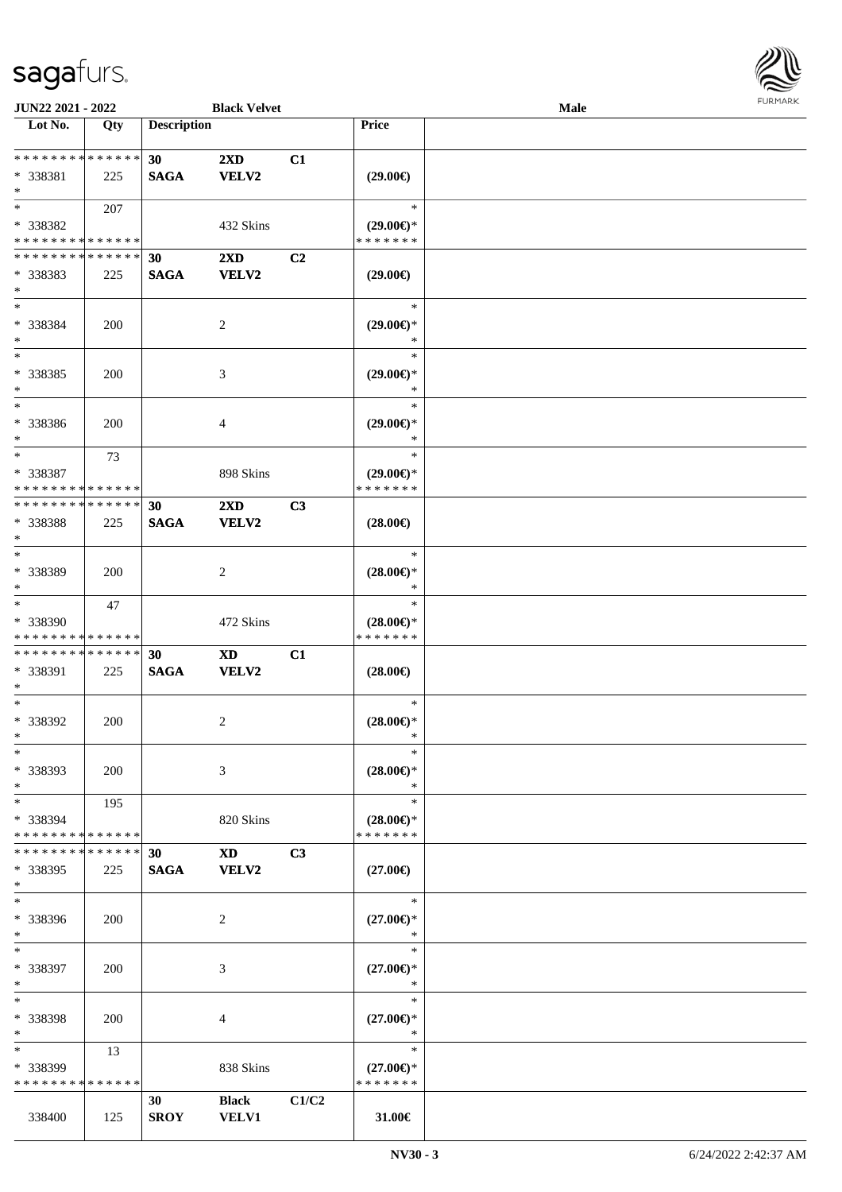

| JUN22 2021 - 2022                                          |            |                    | <b>Black Velvet</b>     |       |                                      | <b>Male</b> |  |
|------------------------------------------------------------|------------|--------------------|-------------------------|-------|--------------------------------------|-------------|--|
| Lot No.                                                    | Qty        | <b>Description</b> |                         |       | Price                                |             |  |
|                                                            |            |                    |                         |       |                                      |             |  |
| ******** <mark>******</mark>                               |            | 30                 | $2\mathbf{X}\mathbf{D}$ | C1    |                                      |             |  |
| * 338381                                                   | 225        | <b>SAGA</b>        | <b>VELV2</b>            |       | $(29.00\epsilon)$                    |             |  |
| $\ast$                                                     |            |                    |                         |       |                                      |             |  |
| $*$                                                        | 207        |                    |                         |       | $\ast$                               |             |  |
| * 338382                                                   |            |                    | 432 Skins               |       | $(29.00\epsilon)$ *                  |             |  |
| * * * * * * * * * * * * * *                                |            |                    |                         |       | * * * * * * *                        |             |  |
| * * * * * * * * * * * * * *                                |            | 30                 | 2XD                     | C2    |                                      |             |  |
| * 338383                                                   | 225        | <b>SAGA</b>        | <b>VELV2</b>            |       | $(29.00\epsilon)$                    |             |  |
| $*$                                                        |            |                    |                         |       |                                      |             |  |
| $*$                                                        |            |                    |                         |       | $\ast$                               |             |  |
| * 338384                                                   | <b>200</b> |                    | 2                       |       | $(29.00\epsilon)$ *                  |             |  |
| $\ast$                                                     |            |                    |                         |       | $\ast$                               |             |  |
| $*$                                                        |            |                    |                         |       | $\ast$                               |             |  |
| $* 338385$                                                 | 200        |                    | $\mathfrak{Z}$          |       | $(29.00\epsilon)$ *                  |             |  |
| $\ast$                                                     |            |                    |                         |       | $\ast$                               |             |  |
| $\ast$                                                     |            |                    |                         |       | $\ast$                               |             |  |
| * 338386                                                   | 200        |                    | 4                       |       | $(29.00\epsilon)$ *                  |             |  |
| $\ast$                                                     |            |                    |                         |       | $\ast$                               |             |  |
| $\ast$                                                     | 73         |                    |                         |       | $\ast$                               |             |  |
| * 338387                                                   |            |                    | 898 Skins               |       | $(29.00\epsilon)$ *                  |             |  |
| * * * * * * * * * * * * * *                                |            |                    |                         |       | * * * * * * *                        |             |  |
| * * * * * * * * * * * * * *                                |            | 30                 | 2XD                     | C3    |                                      |             |  |
| * 338388                                                   | 225        | <b>SAGA</b>        | VELV2                   |       | $(28.00\epsilon)$                    |             |  |
| $\ast$                                                     |            |                    |                         |       |                                      |             |  |
| $\ast$                                                     |            |                    |                         |       | $\ast$                               |             |  |
| * 338389                                                   | 200        |                    | 2                       |       | $(28.00\epsilon)$ *                  |             |  |
| $*$                                                        |            |                    |                         |       | *                                    |             |  |
| $\ast$                                                     | 47         |                    |                         |       | $\ast$                               |             |  |
| * 338390                                                   |            |                    | 472 Skins               |       | $(28.00\epsilon)$ *                  |             |  |
| * * * * * * * * * * * * * *                                |            |                    |                         |       | * * * * * * *                        |             |  |
| * * * * * * * * * * * * * *                                |            | 30                 | <b>XD</b>               | C1    |                                      |             |  |
| * 338391                                                   | 225        | <b>SAGA</b>        | VELV2                   |       | $(28.00\epsilon)$                    |             |  |
| $*$                                                        |            |                    |                         |       |                                      |             |  |
| $*$                                                        |            |                    |                         |       | $\ast$                               |             |  |
| $* 338392$                                                 | 200        |                    | 2                       |       | $(28.00\epsilon)$ *                  |             |  |
| $*$                                                        |            |                    |                         |       | $\ast$                               |             |  |
| $\ast$                                                     |            |                    |                         |       | $\ast$                               |             |  |
|                                                            |            |                    |                         |       |                                      |             |  |
| * 338393                                                   | 200        |                    | 3                       |       | $(28.00\epsilon)$ *                  |             |  |
| $\ast$                                                     |            |                    |                         |       | $\ast$                               |             |  |
| $*$                                                        | 195        |                    |                         |       | $\ast$                               |             |  |
| * 338394                                                   |            |                    | 820 Skins               |       | $(28.00\epsilon)$ *<br>* * * * * * * |             |  |
| * * * * * * * * * * * * * *<br>* * * * * * * * * * * * * * |            |                    |                         |       |                                      |             |  |
|                                                            |            | 30                 | XD                      | C3    |                                      |             |  |
| * 338395                                                   | 225        | <b>SAGA</b>        | VELV2                   |       | $(27.00\epsilon)$                    |             |  |
| $*$<br>$\ast$                                              |            |                    |                         |       |                                      |             |  |
|                                                            |            |                    |                         |       | $\ast$                               |             |  |
| * 338396                                                   | 200        |                    | 2                       |       | $(27.00\epsilon)$ *                  |             |  |
| $*$                                                        |            |                    |                         |       | $\ast$                               |             |  |
| $*$                                                        |            |                    |                         |       | $\ast$                               |             |  |
| * 338397                                                   | 200        |                    | 3                       |       | $(27.00\epsilon)$ *                  |             |  |
| $*$                                                        |            |                    |                         |       | $\ast$                               |             |  |
| $\ast$                                                     |            |                    |                         |       | $\ast$                               |             |  |
| * 338398                                                   | 200        |                    | 4                       |       | $(27.00\epsilon)$ *                  |             |  |
| $*$                                                        |            |                    |                         |       | $\ast$                               |             |  |
| $\ast$                                                     | 13         |                    |                         |       | $\ast$                               |             |  |
| * 338399                                                   |            |                    | 838 Skins               |       | $(27.00\epsilon)$ *                  |             |  |
| * * * * * * * * * * * * * *                                |            |                    |                         |       | * * * * * * *                        |             |  |
|                                                            |            | 30                 | <b>Black</b>            | C1/C2 |                                      |             |  |
| 338400                                                     | 125        | <b>SROY</b>        | <b>VELV1</b>            |       | 31.00€                               |             |  |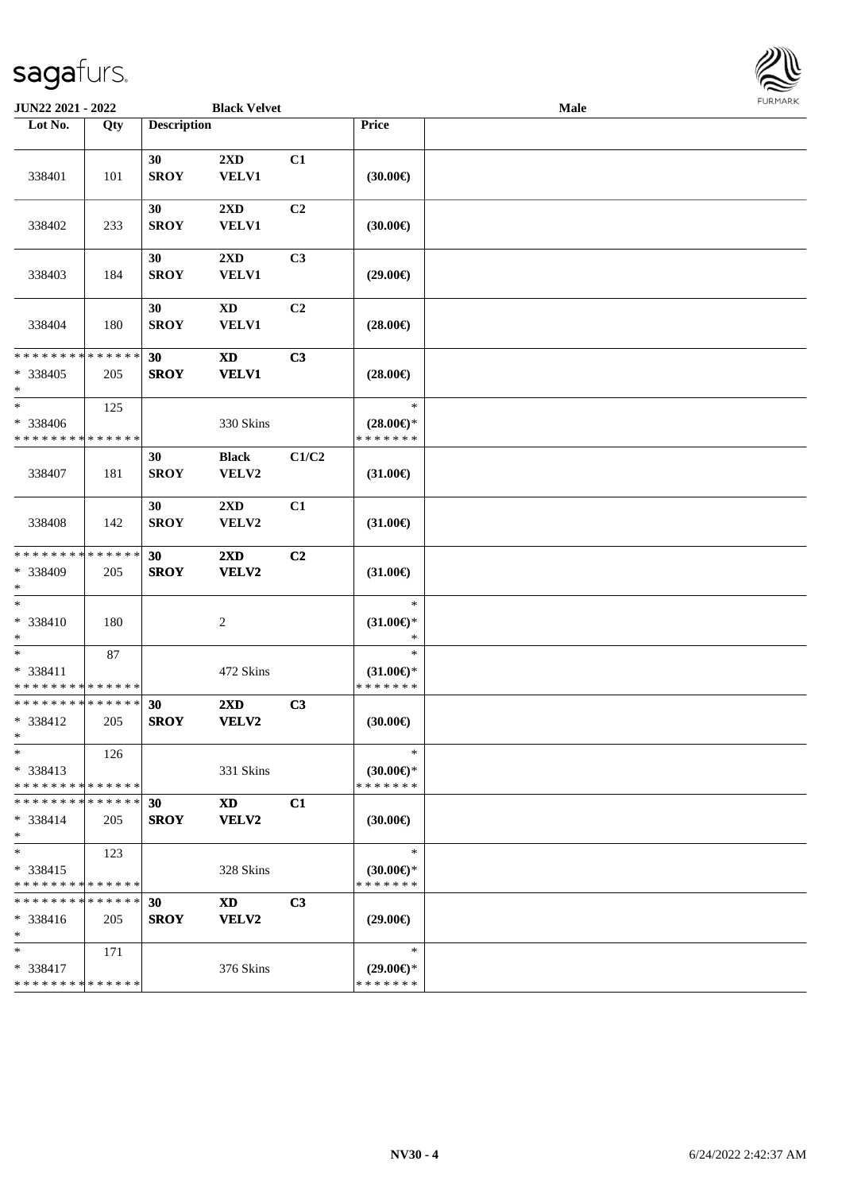

| <b>JUN22 2021 - 2022</b>                                         |     |                    | <b>Black Velvet</b>              |                |                                                | Male |  |
|------------------------------------------------------------------|-----|--------------------|----------------------------------|----------------|------------------------------------------------|------|--|
| Lot No.                                                          | Qty | <b>Description</b> |                                  |                | Price                                          |      |  |
| 338401                                                           | 101 | 30<br><b>SROY</b>  | 2XD<br><b>VELV1</b>              | C1             | (30.00)                                        |      |  |
| 338402                                                           | 233 | 30<br><b>SROY</b>  | 2XD<br><b>VELV1</b>              | C2             | (30.00)                                        |      |  |
| 338403                                                           | 184 | 30<br><b>SROY</b>  | $2\mathbf{X}\mathbf{D}$<br>VELV1 | C <sub>3</sub> | $(29.00\epsilon)$                              |      |  |
| 338404                                                           | 180 | 30<br><b>SROY</b>  | $\mathbf{X}\mathbf{D}$<br>VELV1  | C2             | $(28.00\epsilon)$                              |      |  |
| * * * * * * * * <mark>* * * * * * *</mark><br>* 338405<br>$\ast$ | 205 | 30<br><b>SROY</b>  | <b>XD</b><br><b>VELV1</b>        | C3             | $(28.00\in)$                                   |      |  |
| $\ast$<br>* 338406<br>* * * * * * * * * * * * * *                | 125 |                    | 330 Skins                        |                | $\ast$<br>$(28.00\epsilon)$ *<br>* * * * * * * |      |  |
| 338407                                                           | 181 | 30<br><b>SROY</b>  | <b>Black</b><br>VELV2            | C1/C2          | $(31.00\epsilon)$                              |      |  |
| 338408                                                           | 142 | 30<br><b>SROY</b>  | 2XD<br>VELV2                     | C1             | $(31.00\epsilon)$                              |      |  |
| * * * * * * * * * * * * * *<br>* 338409<br>$*$                   | 205 | 30<br><b>SROY</b>  | 2XD<br>VELV2                     | C2             | $(31.00\epsilon)$                              |      |  |
| $\ast$<br>* 338410<br>$*$                                        | 180 |                    | 2                                |                | $\ast$<br>$(31.00\in)\!\!^*$<br>$\ast$         |      |  |
| $*$<br>* 338411<br>* * * * * * * * * * * * * *                   | 87  |                    | 472 Skins                        |                | $\ast$<br>$(31.00\epsilon)$ *<br>* * * * * * * |      |  |
| * * * * * * * * * * * * * *<br>* 338412<br>$*$                   | 205 | 30<br><b>SROY</b>  | 2XD<br>VELV2                     | C3             | (30.00)                                        |      |  |
| $\ast$<br>$* 338413$<br>* * * * * * * * * * * * * *              | 126 |                    | 331 Skins                        |                | $\ast$<br>$(30.00\epsilon)$ *<br>* * * * * * * |      |  |
| * * * * * * * * * * * * * * *<br>* 338414<br>$*$                 | 205 | 30<br><b>SROY</b>  | <b>XD</b><br>VELV2               | C1             | $(30.00\epsilon)$                              |      |  |
| $*$<br>* 338415<br>* * * * * * * * * * * * * *                   | 123 |                    | 328 Skins                        |                | $\ast$<br>$(30.00\epsilon)$ *<br>* * * * * * * |      |  |
| * * * * * * * * * * * * * * *<br>* 338416<br>$*$                 | 205 | 30<br><b>SROY</b>  | <b>XD</b><br>VELV2               | C3             | $(29.00\epsilon)$                              |      |  |
| $*$<br>* 338417<br>* * * * * * * * * * * * * *                   | 171 |                    | 376 Skins                        |                | $\ast$<br>$(29.00\epsilon)$ *<br>* * * * * * * |      |  |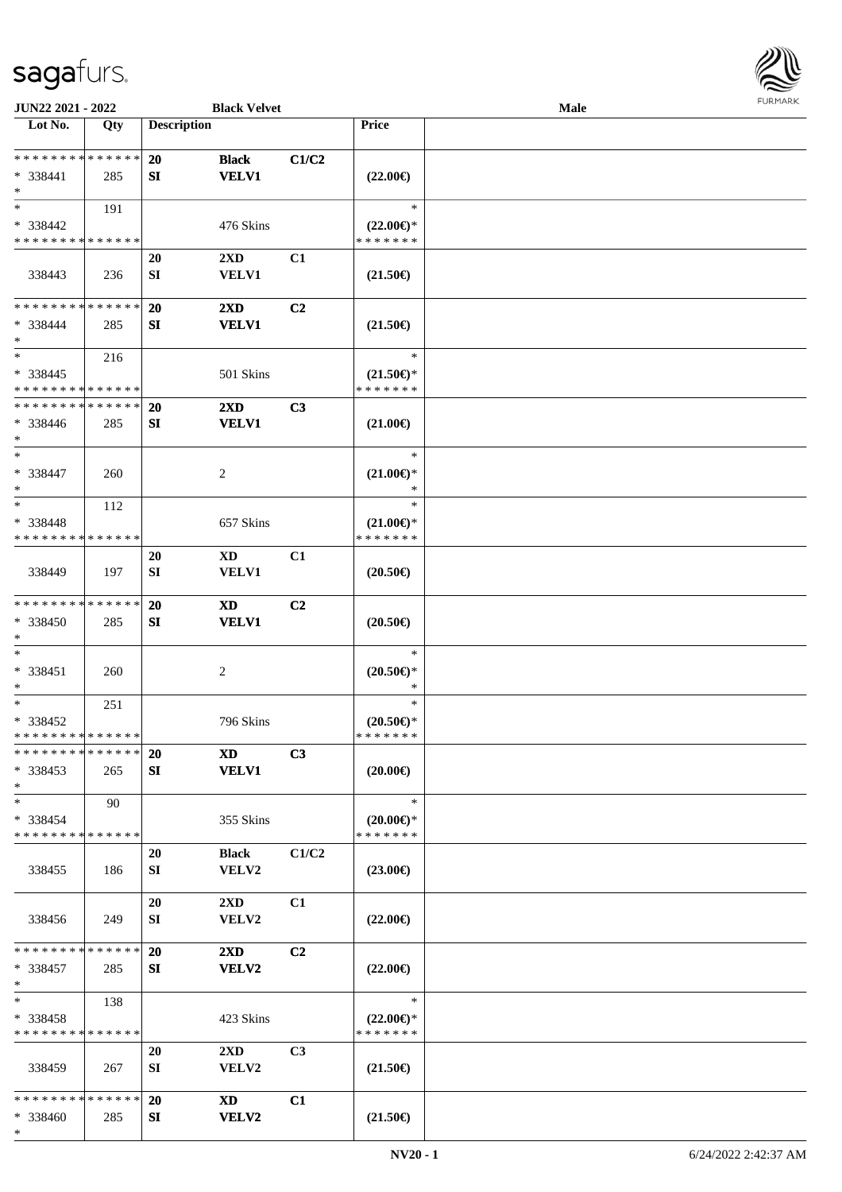

| JUN22 2021 - 2022           |     |                    | <b>Black Velvet</b>     |                |                                      | Male |  |
|-----------------------------|-----|--------------------|-------------------------|----------------|--------------------------------------|------|--|
| Lot No.                     | Qty | <b>Description</b> |                         |                | <b>Price</b>                         |      |  |
| **************              |     |                    |                         |                |                                      |      |  |
|                             |     | 20                 | <b>Black</b>            | C1/C2          |                                      |      |  |
| * 338441<br>$\ast$          | 285 | SI                 | <b>VELV1</b>            |                | $(22.00\epsilon)$                    |      |  |
| $*$                         | 191 |                    |                         |                | $\ast$                               |      |  |
| * 338442                    |     |                    | 476 Skins               |                |                                      |      |  |
| * * * * * * * * * * * * * * |     |                    |                         |                | $(22.00\epsilon)$ *<br>* * * * * * * |      |  |
|                             |     | <b>20</b>          | 2XD                     | C1             |                                      |      |  |
| 338443                      | 236 | SI                 | <b>VELV1</b>            |                | $(21.50\epsilon)$                    |      |  |
|                             |     |                    |                         |                |                                      |      |  |
| * * * * * * * * * * * * * * |     | 20                 | $2\mathbf{X}\mathbf{D}$ | C <sub>2</sub> |                                      |      |  |
| * 338444                    | 285 | SI                 | <b>VELV1</b>            |                | $(21.50\epsilon)$                    |      |  |
| $\ast$                      |     |                    |                         |                |                                      |      |  |
| $\ast$                      | 216 |                    |                         |                | $\ast$                               |      |  |
| $* 338445$                  |     |                    | 501 Skins               |                | $(21.50\epsilon)$ *                  |      |  |
| * * * * * * * * * * * * * * |     |                    |                         |                | * * * * * * *                        |      |  |
| * * * * * * * * * * * * * * |     | <b>20</b>          | $2\mathbf{X}\mathbf{D}$ | C3             |                                      |      |  |
| $* 338446$                  | 285 | SI                 | <b>VELV1</b>            |                | $(21.00\epsilon)$                    |      |  |
| $*$                         |     |                    |                         |                |                                      |      |  |
| $\ast$                      |     |                    |                         |                | $\ast$                               |      |  |
| * 338447                    | 260 |                    | $\overline{c}$          |                | $(21.00\epsilon)$ *                  |      |  |
| $\ast$                      |     |                    |                         |                | ∗                                    |      |  |
| $\ast$                      | 112 |                    |                         |                | $\ast$                               |      |  |
| * 338448                    |     |                    | 657 Skins               |                | $(21.00\epsilon)$ *                  |      |  |
| * * * * * * * * * * * * * * |     |                    |                         |                | * * * * * * *                        |      |  |
|                             |     | <b>20</b>          | <b>XD</b>               | C1             |                                      |      |  |
| 338449                      | 197 | SI                 | VELV1                   |                | $(20.50\epsilon)$                    |      |  |
|                             |     |                    |                         |                |                                      |      |  |
| * * * * * * * * * * * * * * |     | 20                 | <b>XD</b>               | C <sub>2</sub> |                                      |      |  |
| * 338450<br>$*$             | 285 | SI                 | <b>VELV1</b>            |                | $(20.50\epsilon)$                    |      |  |
| $\ast$                      |     |                    |                         |                | $\ast$                               |      |  |
| * 338451                    | 260 |                    | $\overline{c}$          |                | $(20.50 \in )^*$                     |      |  |
| $*$                         |     |                    |                         |                | $\ast$                               |      |  |
| $\ast$                      | 251 |                    |                         |                | $\ast$                               |      |  |
| * 338452                    |     |                    | 796 Skins               |                | $(20.50\epsilon)$ *                  |      |  |
| * * * * * * * * * * * * * * |     |                    |                         |                | *******                              |      |  |
| * * * * * * * * * * * * * * |     | <b>20</b>          | XD                      | C3             |                                      |      |  |
| $*338453$                   | 265 | SI                 | <b>VELV1</b>            |                | $(20.00\epsilon)$                    |      |  |
| $*$                         |     |                    |                         |                |                                      |      |  |
| $*$                         | 90  |                    |                         |                | $\ast$                               |      |  |
| * 338454                    |     |                    | 355 Skins               |                | $(20.00\epsilon)$ *                  |      |  |
| * * * * * * * * * * * * * * |     |                    |                         |                | * * * * * * *                        |      |  |
|                             |     | 20                 | <b>Black</b>            | C1/C2          |                                      |      |  |
| 338455                      | 186 | SI                 | <b>VELV2</b>            |                | $(23.00\epsilon)$                    |      |  |
|                             |     |                    |                         |                |                                      |      |  |
|                             |     | 20                 | $2\rm{XD}$              | C1             |                                      |      |  |
| 338456                      | 249 | SI                 | <b>VELV2</b>            |                | $(22.00\epsilon)$                    |      |  |
| * * * * * * * * * * * * * * |     |                    |                         |                |                                      |      |  |
|                             |     | 20                 | $2\mathbf{X}\mathbf{D}$ | C <sub>2</sub> |                                      |      |  |
| * 338457<br>$*$             | 285 | SI                 | <b>VELV2</b>            |                | $(22.00\epsilon)$                    |      |  |
| $\ast$                      | 138 |                    |                         |                | $\ast$                               |      |  |
| $* 338458$                  |     |                    | 423 Skins               |                | $(22.00\epsilon)$ *                  |      |  |
| * * * * * * * * * * * * * * |     |                    |                         |                | * * * * * * *                        |      |  |
|                             |     | 20                 | $2\mathbf{X}\mathbf{D}$ | C <sub>3</sub> |                                      |      |  |
| 338459                      | 267 | SI                 | <b>VELV2</b>            |                | $(21.50\epsilon)$                    |      |  |
|                             |     |                    |                         |                |                                      |      |  |
| * * * * * * * * * * * * * * |     | <b>20</b>          | XD                      | C1             |                                      |      |  |
| * 338460                    | 285 | SI                 | <b>VELV2</b>            |                | $(21.50\epsilon)$                    |      |  |
| $*$                         |     |                    |                         |                |                                      |      |  |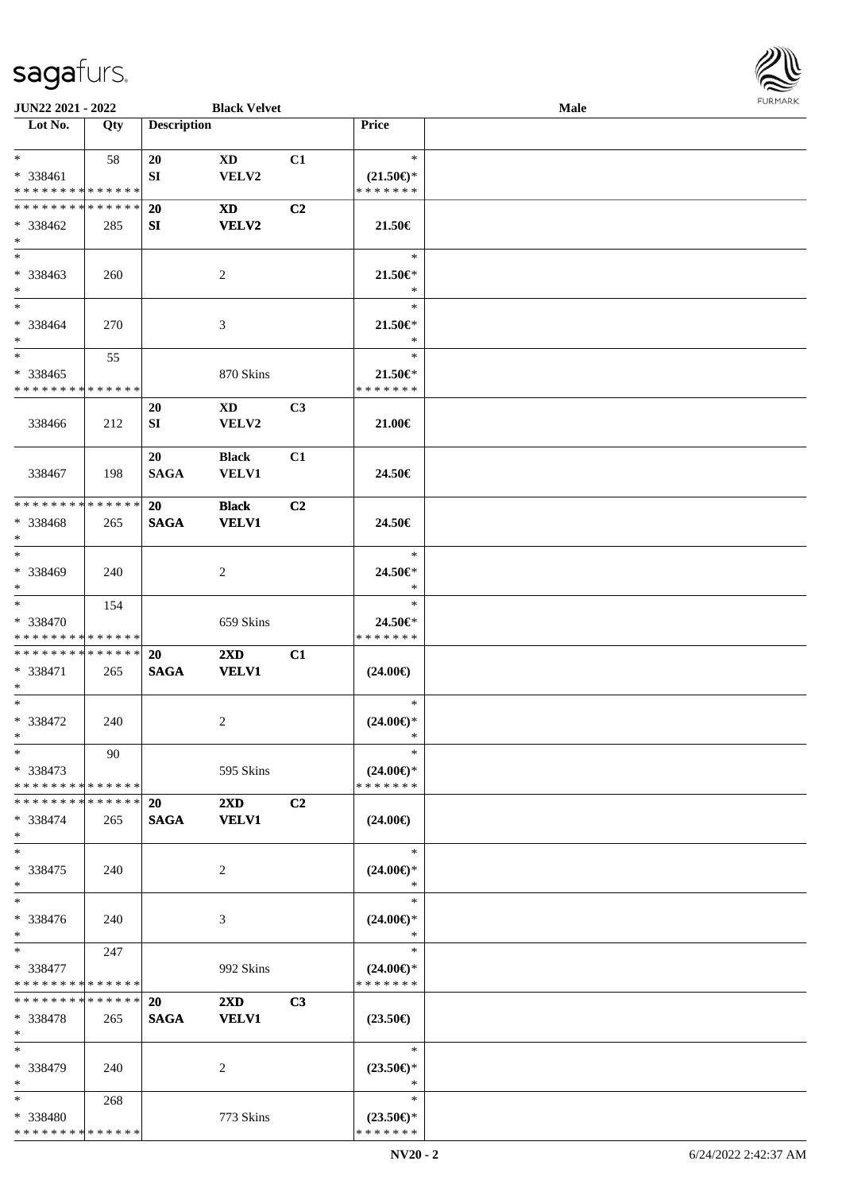

| JUN22 2021 - 2022                       |     |                    | <b>Black Velvet</b>     |                |                                      | <b>Male</b> |  |
|-----------------------------------------|-----|--------------------|-------------------------|----------------|--------------------------------------|-------------|--|
| Lot No.                                 | Qty | <b>Description</b> |                         |                | Price                                |             |  |
| $*$                                     |     |                    |                         |                |                                      |             |  |
|                                         | 58  | 20                 | $\mathbf{X}\mathbf{D}$  | C1             | $\ast$                               |             |  |
| * 338461<br>* * * * * * * * * * * * * * |     | SI                 | VELV2                   |                | $(21.50\epsilon)$ *<br>* * * * * * * |             |  |
|                                         |     |                    |                         |                |                                      |             |  |
| * * * * * * * * * * * * * *             |     | <b>20</b>          | <b>XD</b>               | C <sub>2</sub> |                                      |             |  |
| $* 338462$                              | 285 | SI                 | VELV2                   |                | 21.50€                               |             |  |
| $*$                                     |     |                    |                         |                |                                      |             |  |
| $*$                                     |     |                    |                         |                | $\ast$                               |             |  |
| * 338463                                | 260 |                    | $\overline{2}$          |                | 21.50€*                              |             |  |
| $*$                                     |     |                    |                         |                | $\ast$                               |             |  |
| $*$                                     |     |                    |                         |                | $\ast$                               |             |  |
| $* 338464$                              | 270 |                    | 3                       |                | 21.50€*                              |             |  |
| $*$<br>$*$                              |     |                    |                         |                | $\ast$                               |             |  |
|                                         | 55  |                    |                         |                | $\ast$                               |             |  |
| $* 338465$                              |     |                    | 870 Skins               |                | 21.50€*                              |             |  |
| * * * * * * * * * * * * * *             |     |                    |                         |                | * * * * * * *                        |             |  |
|                                         |     | 20                 | $\mathbf{X}\mathbf{D}$  | C3             |                                      |             |  |
| 338466                                  | 212 | SI                 | VELV2                   |                | 21.00€                               |             |  |
|                                         |     |                    |                         |                |                                      |             |  |
|                                         |     | 20                 | <b>Black</b>            | C1             |                                      |             |  |
| 338467                                  | 198 | <b>SAGA</b>        | <b>VELV1</b>            |                | 24.50€                               |             |  |
| * * * * * * * * * * * * * *             |     |                    |                         |                |                                      |             |  |
|                                         |     | <b>20</b>          | <b>Black</b>            | C2             |                                      |             |  |
| * 338468<br>$*$                         | 265 | <b>SAGA</b>        | <b>VELV1</b>            |                | 24.50€                               |             |  |
| $*$                                     |     |                    |                         |                | $\ast$                               |             |  |
|                                         |     |                    |                         |                |                                      |             |  |
| * 338469<br>$*$                         | 240 |                    | 2                       |                | 24.50€*<br>$\ast$                    |             |  |
| $*$                                     |     |                    |                         |                | $\ast$                               |             |  |
| * 338470                                | 154 |                    |                         |                | 24.50€*                              |             |  |
| * * * * * * * * * * * * * *             |     |                    | 659 Skins               |                | * * * * * * *                        |             |  |
| * * * * * * * * * * * * * *             |     | 20                 | $2\mathbf{X}\mathbf{D}$ | C1             |                                      |             |  |
| * 338471                                | 265 | <b>SAGA</b>        | <b>VELV1</b>            |                | $(24.00\epsilon)$                    |             |  |
| $*$                                     |     |                    |                         |                |                                      |             |  |
| $*$                                     |     |                    |                         |                | $\ast$                               |             |  |
| $* 338472$                              | 240 |                    | 2                       |                | $(24.00\epsilon)$ *                  |             |  |
| $*$                                     |     |                    |                         |                | $\ast$                               |             |  |
| $*$                                     | 90  |                    |                         |                | $\ast$                               |             |  |
| * 338473                                |     |                    | 595 Skins               |                | $(24.00\epsilon)$ *                  |             |  |
| * * * * * * * * * * * * * *             |     |                    |                         |                | * * * * * * *                        |             |  |
| * * * * * * * * * * * * * * *           |     | <b>20</b>          | $2\mathbf{X}\mathbf{D}$ | C2             |                                      |             |  |
| * 338474                                | 265 | <b>SAGA</b>        | <b>VELV1</b>            |                | $(24.00\epsilon)$                    |             |  |
| $*$                                     |     |                    |                         |                |                                      |             |  |
| $\ast$                                  |     |                    |                         |                | $\ast$                               |             |  |
| * 338475                                | 240 |                    | 2                       |                | $(24.00\epsilon)$ *                  |             |  |
| $*$                                     |     |                    |                         |                | $\ast$                               |             |  |
| $\ast$                                  |     |                    |                         |                | $\ast$                               |             |  |
| * 338476                                | 240 |                    | 3                       |                | $(24.00\epsilon)$ *                  |             |  |
| $*$                                     |     |                    |                         |                | $\ast$                               |             |  |
| $*$ and $*$                             | 247 |                    |                         |                | $\ast$                               |             |  |
| * 338477                                |     |                    | 992 Skins               |                | $(24.00\epsilon)$ *                  |             |  |
| * * * * * * * * * * * * * *             |     |                    |                         |                | * * * * * * *                        |             |  |
| * * * * * * * * * * * * * *             |     | <b>20</b>          | $2\mathbf{X}\mathbf{D}$ | C <sub>3</sub> |                                      |             |  |
| * 338478                                | 265 | <b>SAGA</b>        | <b>VELV1</b>            |                | $(23.50\epsilon)$                    |             |  |
| $*$                                     |     |                    |                         |                |                                      |             |  |
| $*$                                     |     |                    |                         |                | $\ast$                               |             |  |
| * 338479                                | 240 |                    | 2                       |                | $(23.50\epsilon)$ *                  |             |  |
| $*$                                     |     |                    |                         |                | $\ast$                               |             |  |
| $*$ $*$                                 | 268 |                    |                         |                | $\ast$                               |             |  |
| * 338480                                |     |                    | 773 Skins               |                | $(23.50\epsilon)$ *                  |             |  |
| * * * * * * * * * * * * * *             |     |                    |                         |                | * * * * * * *                        |             |  |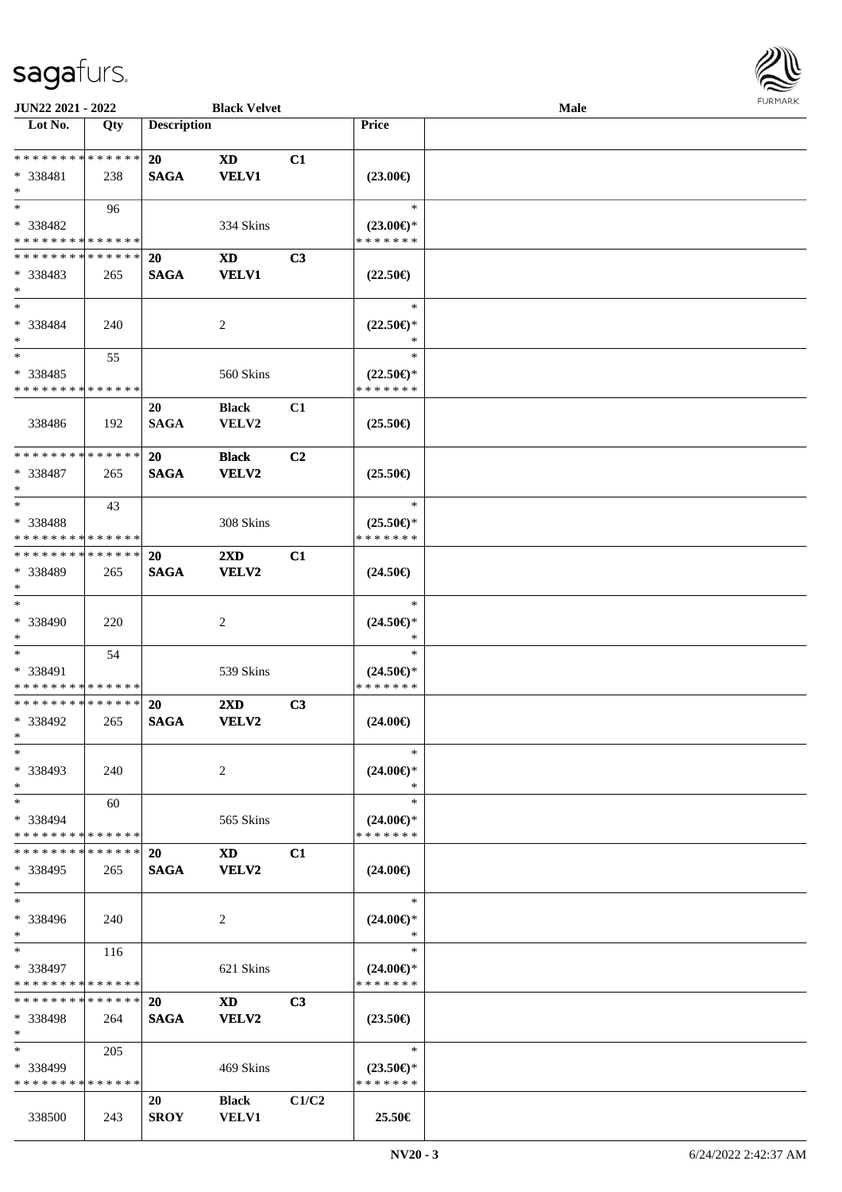

| JUN22 2021 - 2022                       |        |                    | <b>Black Velvet</b>     |                |                                      | Male |  |
|-----------------------------------------|--------|--------------------|-------------------------|----------------|--------------------------------------|------|--|
| Lot No.                                 | Qty    | <b>Description</b> |                         |                | Price                                |      |  |
|                                         |        |                    |                         |                |                                      |      |  |
| ******** <mark>******</mark>            |        | <b>20</b>          | <b>XD</b>               | C1             |                                      |      |  |
| * 338481                                | 238    | <b>SAGA</b>        | <b>VELV1</b>            |                | $(23.00\epsilon)$                    |      |  |
| $*$                                     |        |                    |                         |                |                                      |      |  |
| $*$                                     | 96     |                    |                         |                | $\ast$                               |      |  |
| * 338482                                |        |                    | 334 Skins               |                | $(23.00\epsilon)$ *                  |      |  |
| * * * * * * * * * * * * * *             |        |                    |                         |                | * * * * * * *                        |      |  |
| * * * * * * * * * * * * * *             |        | 20                 | <b>XD</b>               | C3             |                                      |      |  |
| * 338483                                | 265    | <b>SAGA</b>        | <b>VELV1</b>            |                | $(22.50\epsilon)$                    |      |  |
| $*$                                     |        |                    |                         |                |                                      |      |  |
| $*$                                     |        |                    |                         |                | $\ast$                               |      |  |
| * 338484                                | 240    |                    | 2                       |                | $(22.50\epsilon)$ *                  |      |  |
| $\ast$                                  |        |                    |                         |                | $\ast$                               |      |  |
| $*$                                     | 55     |                    |                         |                | $\ast$                               |      |  |
|                                         |        |                    |                         |                |                                      |      |  |
| * 338485<br>* * * * * * * * * * * * * * |        |                    | 560 Skins               |                | $(22.50\epsilon)$ *<br>* * * * * * * |      |  |
|                                         |        |                    |                         |                |                                      |      |  |
|                                         |        | 20                 | <b>Black</b>            | C1             |                                      |      |  |
| 338486                                  | 192    | <b>SAGA</b>        | VELV2                   |                | $(25.50\epsilon)$                    |      |  |
|                                         |        |                    |                         |                |                                      |      |  |
| * * * * * * * * * * * * * *             |        | 20                 | <b>Black</b>            | C <sub>2</sub> |                                      |      |  |
| * 338487                                | 265    | <b>SAGA</b>        | VELV2                   |                | $(25.50\epsilon)$                    |      |  |
| $*$                                     |        |                    |                         |                |                                      |      |  |
| $*$                                     | 43     |                    |                         |                | $\ast$                               |      |  |
| * 338488                                |        |                    | 308 Skins               |                | $(25.50\epsilon)$ *                  |      |  |
| * * * * * * * * * * * * * *             |        |                    |                         |                | * * * * * * *                        |      |  |
| * * * * * * * * * * * * * *             |        | 20                 | $2\mathbf{X}\mathbf{D}$ | C1             |                                      |      |  |
| * 338489                                | 265    | <b>SAGA</b>        | VELV2                   |                | $(24.50\epsilon)$                    |      |  |
| $*$                                     |        |                    |                         |                |                                      |      |  |
| $*$                                     |        |                    |                         |                | $\ast$                               |      |  |
| $* 338490$                              | 220    |                    | 2                       |                | $(24.50\epsilon)$ *                  |      |  |
| $*$                                     |        |                    |                         |                | *                                    |      |  |
| $*$                                     | 54     |                    |                         |                | $\ast$                               |      |  |
| * 338491                                |        |                    | 539 Skins               |                | $(24.50\epsilon)$ *                  |      |  |
| * * * * * * * * * * * * * *             |        |                    |                         |                | * * * * * * *                        |      |  |
| * * * * * * * * * * * * * *             |        | 20                 | $2\mathbf{X}\mathbf{D}$ | C3             |                                      |      |  |
| * 338492                                | 265    | <b>SAGA</b>        | VELV2                   |                | $(24.00\epsilon)$                    |      |  |
| $*$                                     |        |                    |                         |                |                                      |      |  |
| $*$                                     |        |                    |                         |                | $\ast$                               |      |  |
| * 338493                                | 240    |                    | 2                       |                | $(24.00\epsilon)$ *                  |      |  |
| $*$                                     |        |                    |                         |                | ∗                                    |      |  |
| $*$                                     |        |                    |                         |                | $\ast$                               |      |  |
|                                         | 60     |                    |                         |                |                                      |      |  |
| * 338494<br>* * * * * * * * * * * * * * |        |                    | 565 Skins               |                | $(24.00\epsilon)$ *<br>* * * * * * * |      |  |
| * * * * * * * *                         | ****** |                    |                         |                |                                      |      |  |
|                                         |        | <b>20</b>          | <b>XD</b>               | C1             |                                      |      |  |
| * 338495                                | 265    | <b>SAGA</b>        | VELV2                   |                | $(24.00\epsilon)$                    |      |  |
| $*$                                     |        |                    |                         |                |                                      |      |  |
| $*$                                     |        |                    |                         |                | $\ast$                               |      |  |
| * 338496                                | 240    |                    | 2                       |                | $(24.00\epsilon)$ *                  |      |  |
| $*$                                     |        |                    |                         |                | $\ast$                               |      |  |
| $*$                                     | 116    |                    |                         |                | $\ast$                               |      |  |
| * 338497                                |        |                    | 621 Skins               |                | $(24.00\epsilon)$ *                  |      |  |
| * * * * * * * * * * * * * *             |        |                    |                         |                | * * * * * * *                        |      |  |
| * * * * * * * *                         | ****** | <b>20</b>          | XD                      | C <sub>3</sub> |                                      |      |  |
| * 338498                                | 264    | <b>SAGA</b>        | VELV2                   |                | $(23.50\epsilon)$                    |      |  |
| $*$                                     |        |                    |                         |                |                                      |      |  |
| $*$                                     | 205    |                    |                         |                | $\ast$                               |      |  |
| * 338499                                |        |                    | 469 Skins               |                | $(23.50\epsilon)$ *                  |      |  |
| * * * * * * * * * * * * * *             |        |                    |                         |                | * * * * * * *                        |      |  |
|                                         |        | 20                 | <b>Black</b>            | C1/C2          |                                      |      |  |
| 338500                                  | 243    | <b>SROY</b>        | <b>VELV1</b>            |                | 25.50€                               |      |  |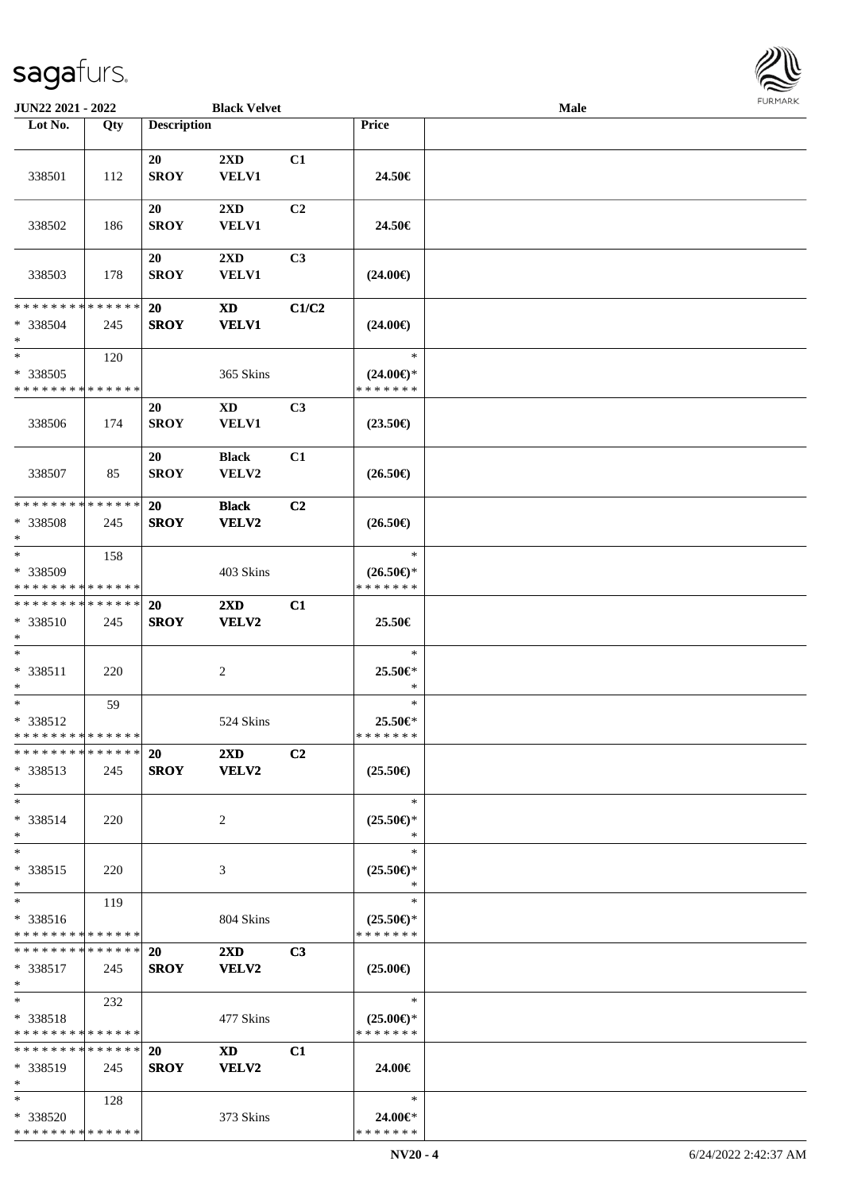

| JUN22 2021 - 2022                                 |     |                          | <b>Black Velvet</b>                        |                |                                                | <b>Male</b> |  |
|---------------------------------------------------|-----|--------------------------|--------------------------------------------|----------------|------------------------------------------------|-------------|--|
| Lot No.                                           | Qty | <b>Description</b>       |                                            |                | Price                                          |             |  |
|                                                   |     |                          |                                            |                |                                                |             |  |
| 338501                                            | 112 | 20<br><b>SROY</b>        | 2XD<br><b>VELV1</b>                        | C1             | 24.50€                                         |             |  |
| 338502                                            | 186 | 20<br><b>SROY</b>        | $2\mathbf{X}\mathbf{D}$<br><b>VELV1</b>    | C <sub>2</sub> | 24.50€                                         |             |  |
| 338503                                            | 178 | 20<br><b>SROY</b>        | $2\mathbf{X}\mathbf{D}$<br>VELV1           | C3             | $(24.00\epsilon)$                              |             |  |
| * * * * * * * * * * * * * *<br>* 338504<br>$\ast$ | 245 | <b>20</b><br><b>SROY</b> | $\boldsymbol{\mathrm{XD}}$<br><b>VELV1</b> | C1/C2          | $(24.00\epsilon)$                              |             |  |
| $\ast$<br>* 338505<br>* * * * * * * * * * * * * * | 120 |                          | 365 Skins                                  |                | $\ast$<br>$(24.00\epsilon)$ *<br>* * * * * * * |             |  |
| 338506                                            | 174 | 20<br><b>SROY</b>        | $\mathbf{X}\mathbf{D}$<br>VELV1            | C3             | $(23.50\epsilon)$                              |             |  |
| 338507                                            | 85  | 20<br><b>SROY</b>        | <b>Black</b><br>VELV2                      | C1             | $(26.50\epsilon)$                              |             |  |
| * * * * * * * * * * * * * *<br>* 338508<br>$\ast$ | 245 | <b>20</b><br><b>SROY</b> | <b>Black</b><br>VELV2                      | C <sub>2</sub> | $(26.50\epsilon)$                              |             |  |
| $\ast$<br>* 338509<br>* * * * * * * * * * * * * * | 158 |                          | 403 Skins                                  |                | $\ast$<br>$(26.50\epsilon)$ *<br>* * * * * * * |             |  |
| * * * * * * * * * * * * * *<br>* 338510<br>$*$    | 245 | <b>20</b><br><b>SROY</b> | 2XD<br>VELV2                               | C1             | 25.50€                                         |             |  |
| $\ast$<br>* 338511<br>$*$                         | 220 |                          | $\overline{c}$                             |                | $\ast$<br>25.50€*<br>*                         |             |  |
| $\ast$<br>* 338512<br>* * * * * * * * * * * * * * | 59  |                          | 524 Skins                                  |                | $\ast$<br>25.50€*<br>* * * * * * *             |             |  |
| * * * * * * * * * * * * * *<br>* 338513<br>$*$    | 245 | 20<br><b>SROY</b>        | $2\mathbf{X}\mathbf{D}$<br><b>VELV2</b>    | C <sub>2</sub> | $(25.50\epsilon)$                              |             |  |
| $*$<br>* 338514<br>$*$                            | 220 |                          | 2                                          |                | $\ast$<br>$(25.50\epsilon)$ *<br>∗             |             |  |
| $\ast$<br>* 338515<br>$*$                         | 220 |                          | 3                                          |                | $\ast$<br>$(25.50\epsilon)$ *<br>$\ast$        |             |  |
| $\ast$<br>* 338516<br>* * * * * * * * * * * * * * | 119 |                          | 804 Skins                                  |                | $\ast$<br>$(25.50 \in )^*$<br>* * * * * * *    |             |  |
| * * * * * * * * * * * * * * *<br>* 338517<br>$*$  | 245 | 20<br><b>SROY</b>        | $2\mathbf{X}\mathbf{D}$<br>VELV2           | C <sub>3</sub> | $(25.00\epsilon)$                              |             |  |
| $*$<br>* 338518<br>* * * * * * * * * * * * * *    | 232 |                          | 477 Skins                                  |                | $\ast$<br>$(25.00\epsilon)$ *<br>* * * * * * * |             |  |
| * * * * * * * * * * * * * *<br>* 338519<br>$*$    | 245 | 20<br><b>SROY</b>        | <b>XD</b><br>VELV2                         | C1             | 24.00€                                         |             |  |
| $*$<br>* 338520<br>* * * * * * * * * * * * * *    | 128 |                          | 373 Skins                                  |                | $\ast$<br>24.00€*<br>* * * * * * *             |             |  |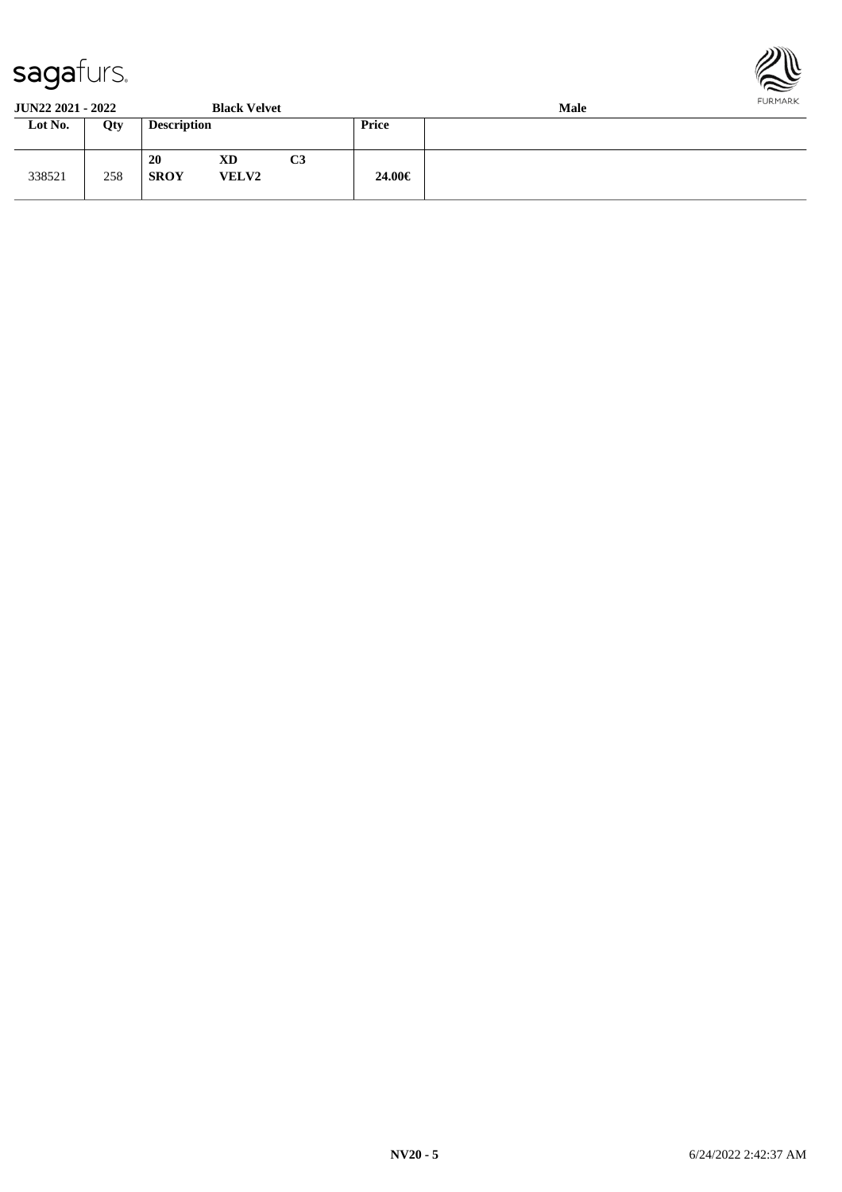

| <b>JUN22 2021 - 2022</b><br><b>Black Velvet</b> |     |                          |                    |    | <b>Male</b>  |  |  |  |  |
|-------------------------------------------------|-----|--------------------------|--------------------|----|--------------|--|--|--|--|
| Lot No.                                         | Qty | <b>Description</b>       |                    |    | <b>Price</b> |  |  |  |  |
| 338521                                          | 258 | <b>20</b><br><b>SROY</b> | XD<br><b>VELV2</b> | C3 | 24.00€       |  |  |  |  |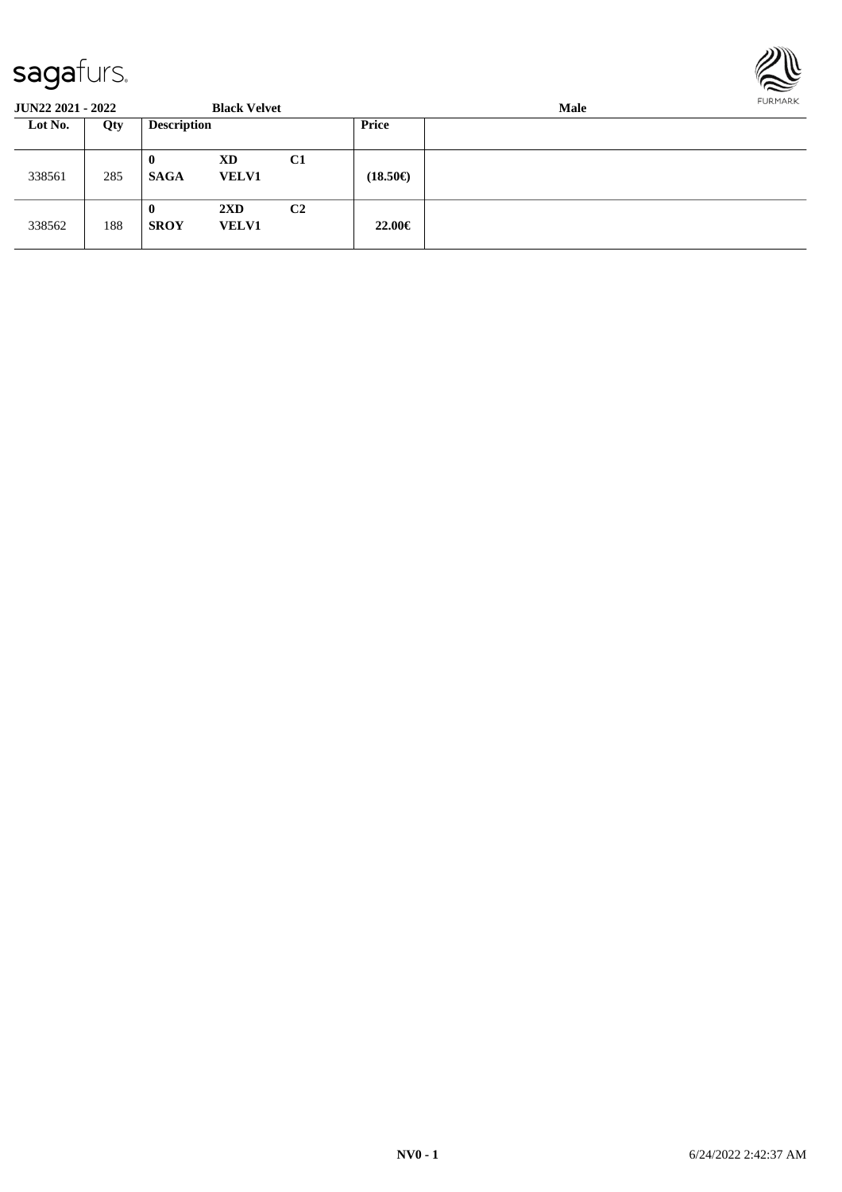

| <b>JUN22 2021 - 2022</b> |     |                         | <b>Black Velvet</b>                     |                |                   | FURMARK |  |
|--------------------------|-----|-------------------------|-----------------------------------------|----------------|-------------------|---------|--|
| Lot No.                  | Qty | <b>Description</b>      |                                         |                | <b>Price</b>      |         |  |
| 338561                   | 285 | $\bf{0}$<br><b>SAGA</b> | XD<br><b>VELV1</b>                      | C <sub>1</sub> | $(18.50\epsilon)$ |         |  |
| 338562                   | 188 | $\bf{0}$<br><b>SROY</b> | $2\mathbf{X}\mathbf{D}$<br><b>VELV1</b> | C <sub>2</sub> | 22.00€            |         |  |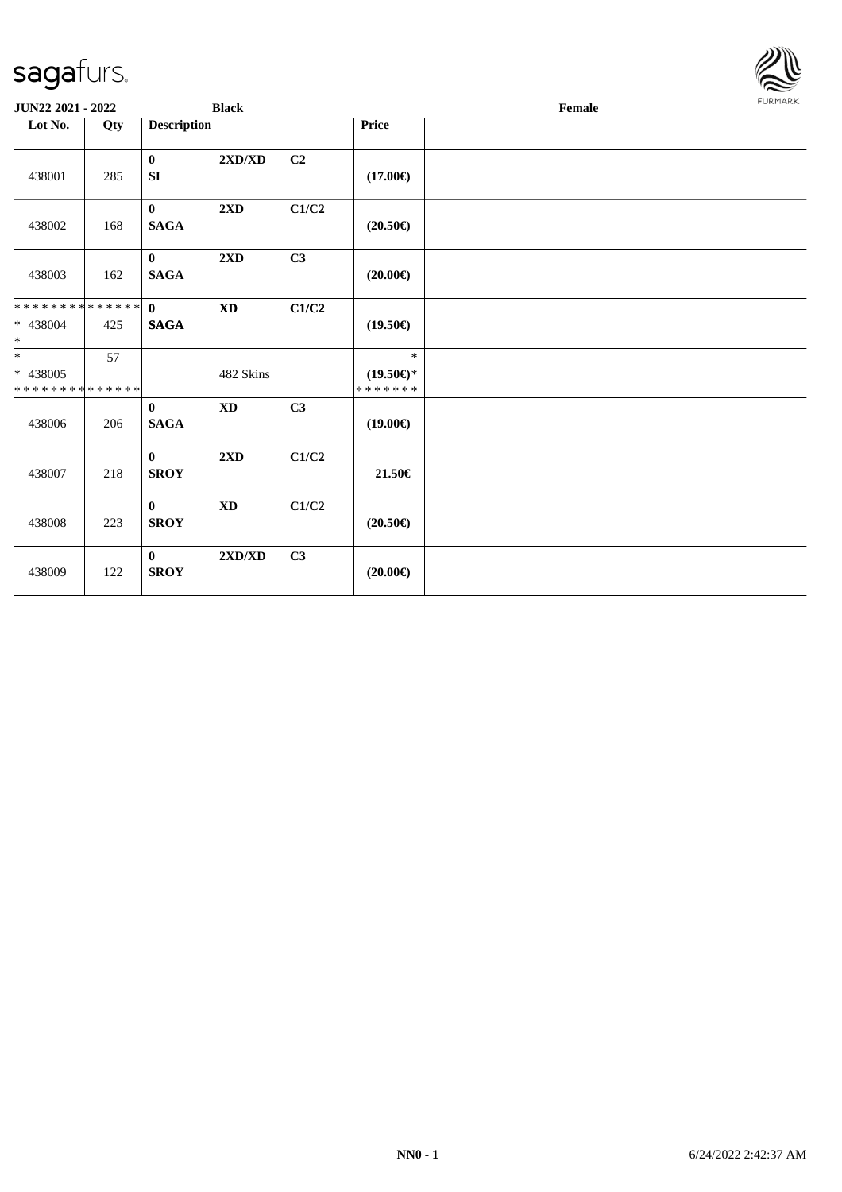| <b>JUN22 2021 - 2022</b>                                      |     |                                 | <b>Black</b>                     |       |                                                | Female | <b>FURMARK</b> |
|---------------------------------------------------------------|-----|---------------------------------|----------------------------------|-------|------------------------------------------------|--------|----------------|
| Lot No.                                                       | Qty | <b>Description</b>              |                                  |       | Price                                          |        |                |
| 438001                                                        | 285 | $\bf{0}$<br>SI                  | $2{\bf X}{\bf D}/{\bf X}{\bf D}$ | C2    | $(17.00\epsilon)$                              |        |                |
| 438002                                                        | 168 | $\mathbf{0}$<br><b>SAGA</b>     | 2XD                              | C1/C2 | $(20.50\epsilon)$                              |        |                |
| 438003                                                        | 162 | $\mathbf{0}$<br><b>SAGA</b>     | 2XD                              | C3    | $(20.00\epsilon)$                              |        |                |
| * * * * * * * * <mark>* * * * * * *</mark><br>* 438004<br>$*$ | 425 | $\mathbf{0}$<br><b>SAGA</b>     | $\mathbf{X}\mathbf{D}$           | C1/C2 | $(19.50\epsilon)$                              |        |                |
| $*$<br>* 438005<br>* * * * * * * * * * * * * *                | 57  |                                 | 482 Skins                        |       | $\ast$<br>$(19.50\epsilon)$ *<br>* * * * * * * |        |                |
| 438006                                                        | 206 | $\mathbf{0}$<br>$\mathbf{SAGA}$ | $\mathbf{X}\mathbf{D}$           | C3    | $(19.00\epsilon)$                              |        |                |
| 438007                                                        | 218 | $\mathbf{0}$<br><b>SROY</b>     | 2XD                              | C1/C2 | 21.50€                                         |        |                |
| 438008                                                        | 223 | $\mathbf{0}$<br><b>SROY</b>     | $\mathbf{X}\mathbf{D}$           | C1/C2 | $(20.50\epsilon)$                              |        |                |
| 438009                                                        | 122 | $\mathbf{0}$<br><b>SROY</b>     | $2{\bf X}{\bf D}/{\bf X}{\bf D}$ | C3    | $(20.00\epsilon)$                              |        |                |

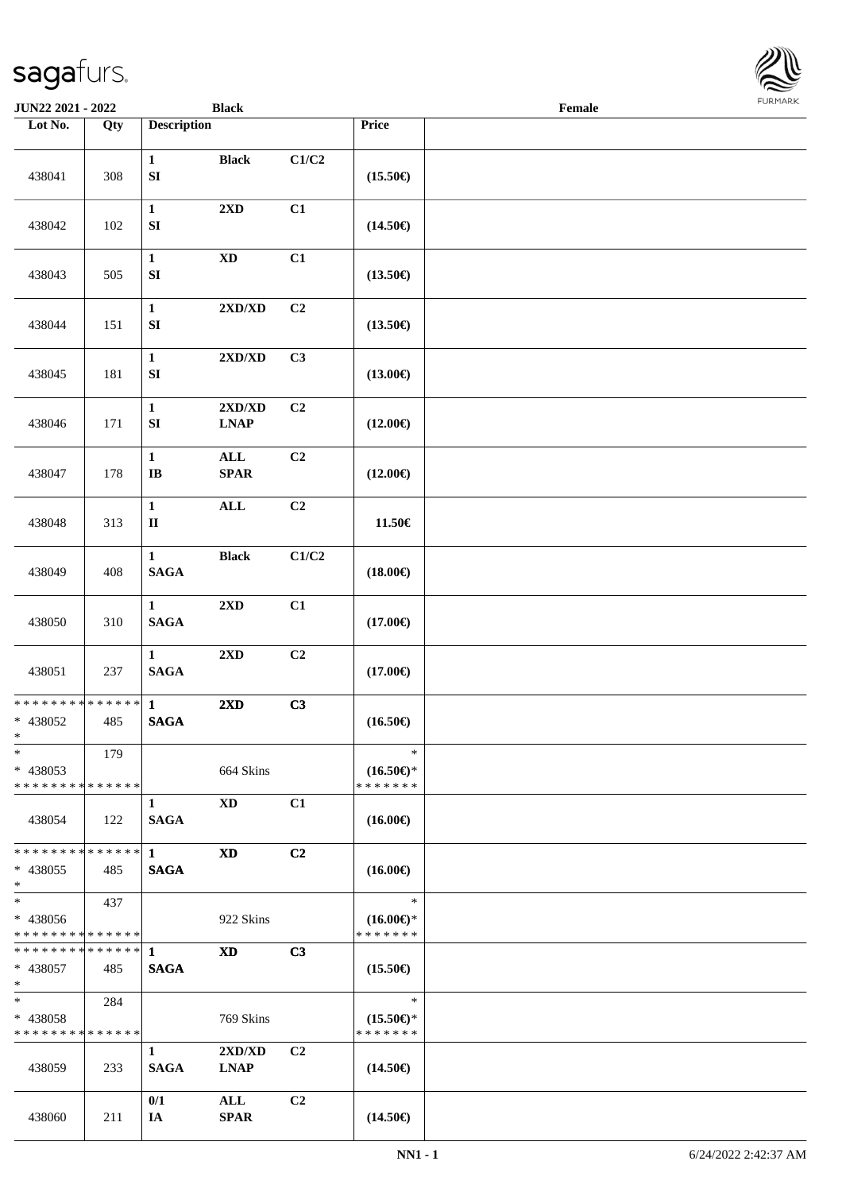| <b>JUN22 2021 - 2022</b>                                         |                    |                                  | <b>Black</b>                                    |                |                                                | Female |  |
|------------------------------------------------------------------|--------------------|----------------------------------|-------------------------------------------------|----------------|------------------------------------------------|--------|--|
| Lot No.                                                          | Qty                | <b>Description</b>               |                                                 |                | Price                                          |        |  |
| 438041                                                           | 308                | $\mathbf{1}$<br>${\bf S}{\bf I}$ | <b>Black</b>                                    | C1/C2          | $(15.50\epsilon)$                              |        |  |
| 438042                                                           | 102                | $\mathbf{1}$<br>${\bf S}{\bf I}$ | 2XD                                             | C1             | $(14.50\epsilon)$                              |        |  |
| 438043                                                           | 505                | $\mathbf{1}$<br>${\bf S}{\bf I}$ | $\mathbf{X}\mathbf{D}$                          | C1             | $(13.50\epsilon)$                              |        |  |
| 438044                                                           | 151                | $\mathbf{1}$<br>${\bf S}{\bf I}$ | $2{\bf X}{\bf D}/{\bf X}{\bf D}$                | C2             | $(13.50\epsilon)$                              |        |  |
| 438045                                                           | 181                | $\mathbf{1}$<br>${\bf S}{\bf I}$ | 2XD/XD                                          | C3             | $(13.00\epsilon)$                              |        |  |
| 438046                                                           | 171                | $\mathbf{1}$<br>${\bf S}{\bf I}$ | $2{\bf X}{\bf D}/{\bf X}{\bf D}$<br><b>LNAP</b> | C <sub>2</sub> | $(12.00\epsilon)$                              |        |  |
| 438047                                                           | 178                | $\mathbf{1}$<br>$\bf IB$         | $\mathbf{ALL}$<br><b>SPAR</b>                   | C2             | $(12.00\epsilon)$                              |        |  |
| 438048                                                           | 313                | $\mathbf{1}$<br>$\rm II$         | $\mathbf{ALL}$                                  | C2             | 11.50€                                         |        |  |
| 438049                                                           | 408                | $\mathbf{1}$<br><b>SAGA</b>      | <b>Black</b>                                    | C1/C2          | $(18.00\epsilon)$                              |        |  |
| 438050                                                           | 310                | $\mathbf{1}$<br>$\mathbf{SAGA}$  | $2{\bf X}{\bf D}$                               | C1             | $(17.00\epsilon)$                              |        |  |
| 438051                                                           | 237                | $\mathbf{1}$<br>$\mathbf{SAGA}$  | $2{\bf X}{\bf D}$                               | C2             | $(17.00\epsilon)$                              |        |  |
| * * * * * * * * * * * * * * <mark>*</mark><br>* 438052<br>$\ast$ | 485                | $\mathbf{1}$<br><b>SAGA</b>      | $2\mathbf{X}\mathbf{D}$                         | C3             | $(16.50\epsilon)$                              |        |  |
| $\ast$<br>* 438053<br>* * * * * * * * <mark>* * * * * * *</mark> | 179                |                                  | 664 Skins                                       |                | $\ast$<br>$(16.50\epsilon)$ *<br>* * * * * * * |        |  |
| 438054                                                           | 122                | $\mathbf{1}$<br><b>SAGA</b>      | XD                                              | C1             | $(16.00\epsilon)$                              |        |  |
| * * * * * * * *<br>* 438055<br>$\ast$                            | * * * * * *<br>485 | $\mathbf{1}$<br><b>SAGA</b>      | XD                                              | C <sub>2</sub> | $(16.00\epsilon)$                              |        |  |
| $*$<br>* 438056<br>* * * * * * * * <mark>* * * * * *</mark> *    | 437                |                                  | 922 Skins                                       |                | $\ast$<br>$(16.00\epsilon)$ *<br>* * * * * * * |        |  |
| ******** <mark>******</mark> 1<br>* 438057<br>$*$                | 485                | <b>SAGA</b>                      | <b>XD</b>                                       | C3             | $(15.50\epsilon)$                              |        |  |
| $*$ $*$<br>* 438058<br>* * * * * * * * * * * * * * *             | 284                |                                  | 769 Skins                                       |                | $\ast$<br>$(15.50\epsilon)$ *<br>* * * * * * * |        |  |
| 438059                                                           | 233                | $\mathbf{1}$<br><b>SAGA</b>      | 2XD/XD<br><b>LNAP</b>                           | C <sub>2</sub> | $(14.50\epsilon)$                              |        |  |
| 438060                                                           | 211                | 0/1<br>IA                        | $\mathbf{ALL}$<br><b>SPAR</b>                   | C2             | $(14.50\epsilon)$                              |        |  |

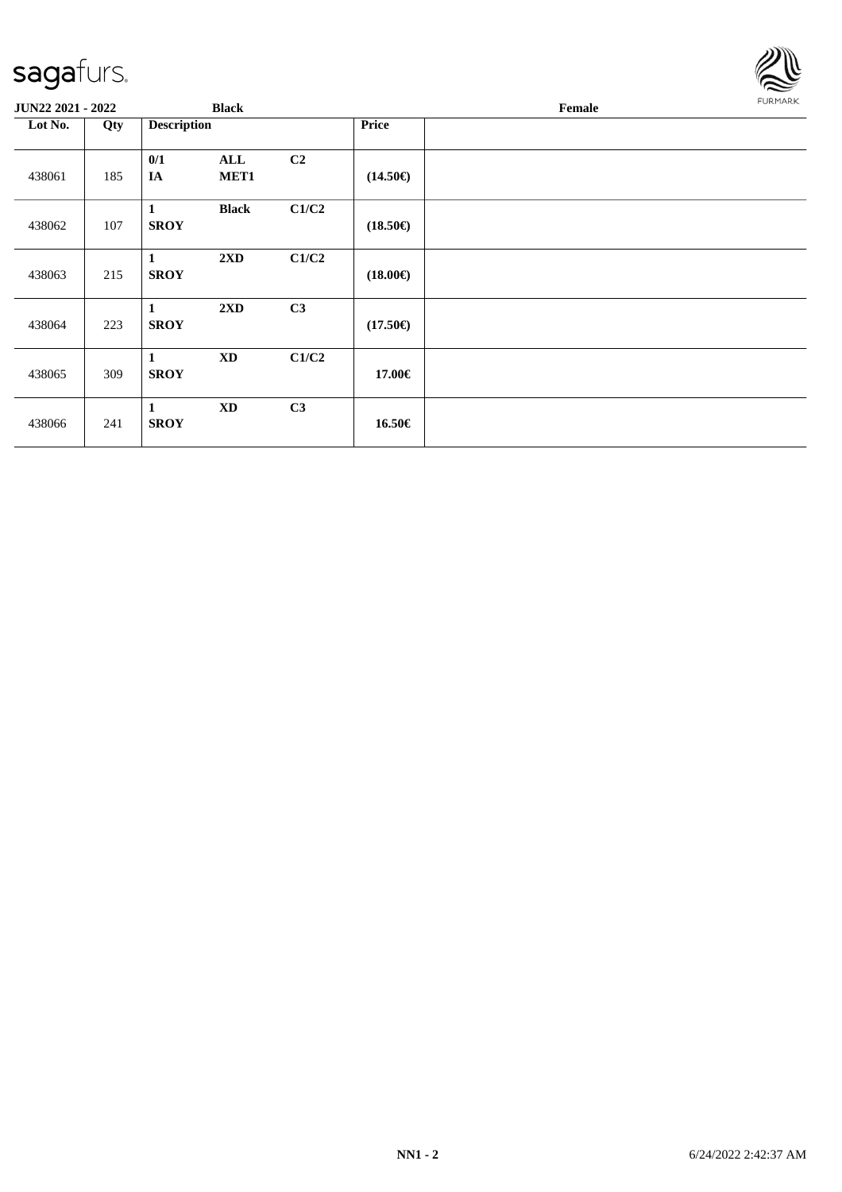438061 185

438062 | 107

438063 215

438064 223

438065 309

438066 241

**JUN22 2021 - 2022 Black** 

**Lot No. Qty Description Price**

**0/1 ALL C2**

**1 Black C1/C2**

**1 2XD C1/C2**

**1 2XD C3**

**1 XD C1/C2**

**1 XD C3**

**IA MET1 (14.50€)**

**SROY (18.50€)**

**SROY (18.00€)**

**SROY (17.50€)**

**SROY 17.00€**

**SROY 16.50€**

| Female | <b>FURMARK</b> |
|--------|----------------|
|        |                |
|        |                |
|        |                |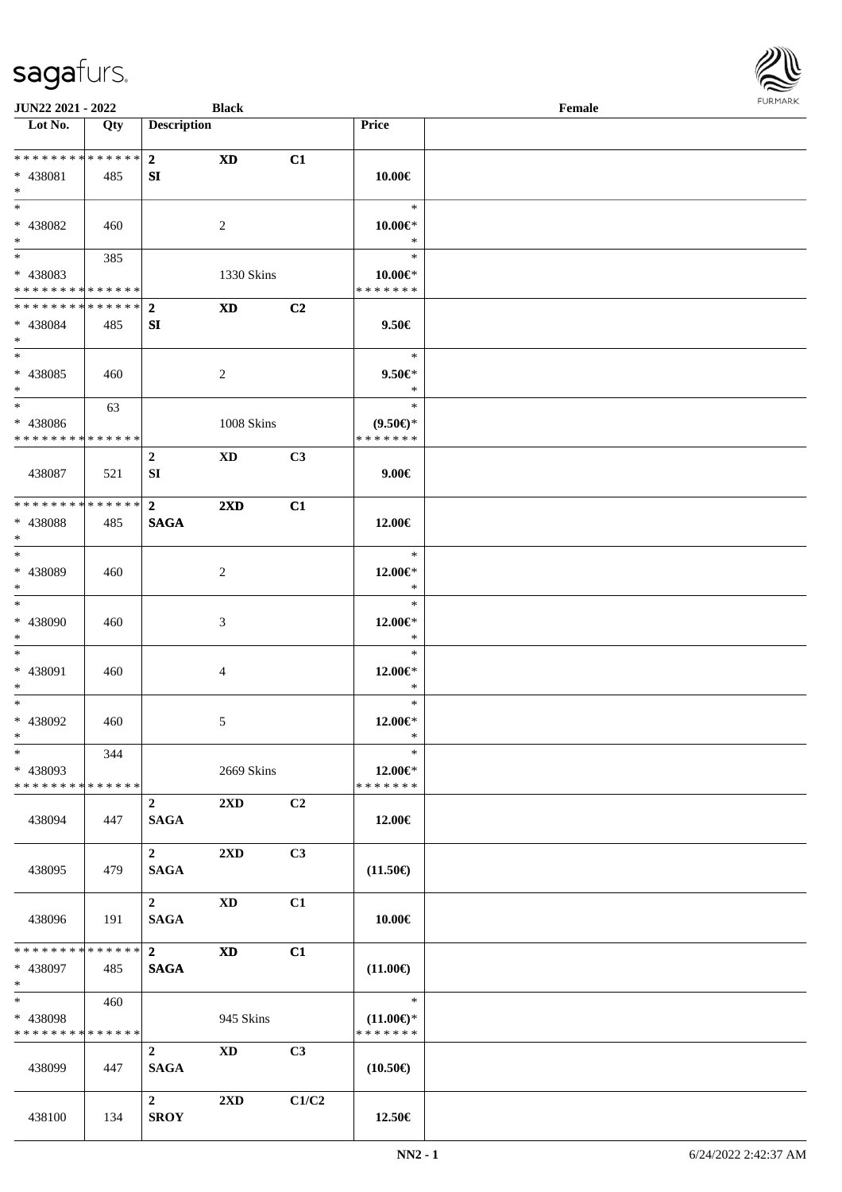| <b>JUN22 2021 - 2022</b>                               |     |                         | <b>Black</b>            |                |                                | Female |  |
|--------------------------------------------------------|-----|-------------------------|-------------------------|----------------|--------------------------------|--------|--|
| Lot No.                                                | Qty | <b>Description</b>      |                         |                | Price                          |        |  |
|                                                        |     |                         |                         |                |                                |        |  |
| **************                                         |     | 2 <sup>1</sup>          | <b>XD</b>               | C1             |                                |        |  |
| * 438081                                               | 485 | SI                      |                         |                | 10.00€                         |        |  |
| $\ast$                                                 |     |                         |                         |                |                                |        |  |
| $*$                                                    |     |                         |                         |                | $\ast$                         |        |  |
| * 438082                                               | 460 |                         | $\overline{2}$          |                | $10.00 \in$ *                  |        |  |
| $*$                                                    |     |                         |                         |                | $\ast$<br>$\ast$               |        |  |
|                                                        | 385 |                         |                         |                |                                |        |  |
| * 438083<br>* * * * * * * * <mark>* * * * * * *</mark> |     |                         | 1330 Skins              |                | $10.00 \in$ *<br>* * * * * * * |        |  |
| ******** <mark>******</mark>                           |     | $\overline{2}$          | <b>XD</b>               | C2             |                                |        |  |
| * 438084                                               | 485 | SI                      |                         |                | 9.50€                          |        |  |
| $*$                                                    |     |                         |                         |                |                                |        |  |
| $*$                                                    |     |                         |                         |                | $\ast$                         |        |  |
| * 438085                                               | 460 |                         | $\overline{2}$          |                | $9.50 \in$                     |        |  |
| $\ast$                                                 |     |                         |                         |                | $\ast$                         |        |  |
| $*$                                                    | 63  |                         |                         |                | $\ast$                         |        |  |
| * 438086                                               |     |                         | 1008 Skins              |                | $(9.50 \in )^*$                |        |  |
| * * * * * * * * * * * * * * *                          |     |                         |                         |                | * * * * * * *                  |        |  |
|                                                        |     | $\boldsymbol{2}$        | $\mathbf{X}\mathbf{D}$  | C3             |                                |        |  |
| 438087                                                 | 521 | SI                      |                         |                | $9.00 \in$                     |        |  |
|                                                        |     |                         |                         |                |                                |        |  |
| * * * * * * * * * * * * * * *                          |     | $\mathbf{2}$            | $2\mathbf{X}\mathbf{D}$ | C1             |                                |        |  |
| * 438088                                               | 485 | <b>SAGA</b>             |                         |                | 12.00€                         |        |  |
| $\ast$                                                 |     |                         |                         |                |                                |        |  |
| $*$                                                    |     |                         |                         |                | $\ast$                         |        |  |
| * 438089                                               | 460 |                         | $\overline{2}$          |                | 12.00€*                        |        |  |
| $*$                                                    |     |                         |                         |                | $\ast$                         |        |  |
| $*$                                                    |     |                         |                         |                | $\ast$                         |        |  |
| * 438090                                               | 460 |                         | 3                       |                | 12.00 $\in$ *                  |        |  |
| $*$                                                    |     |                         |                         |                | $\ast$                         |        |  |
| $*$                                                    |     |                         |                         |                | $\ast$                         |        |  |
| * 438091                                               | 460 |                         | 4                       |                | 12.00€*                        |        |  |
| $\ast$                                                 |     |                         |                         |                | $\ast$<br>$\ast$               |        |  |
| $*$                                                    |     |                         |                         |                |                                |        |  |
| * 438092<br>$*$                                        | 460 |                         | $\mathfrak{S}$          |                | 12.00€*<br>$\ast$              |        |  |
| $\ast$                                                 |     |                         |                         |                | $\ast$                         |        |  |
| * 438093                                               | 344 |                         | 2669 Skins              |                | $12.00 \in$ *                  |        |  |
| * * * * * * * * <mark>* * * * * *</mark>               |     |                         |                         |                | * * * * * * *                  |        |  |
|                                                        |     | $\overline{2}$          | $2\mathbf{X}\mathbf{D}$ | C2             |                                |        |  |
| 438094                                                 | 447 | <b>SAGA</b>             |                         |                | 12.00€                         |        |  |
|                                                        |     |                         |                         |                |                                |        |  |
|                                                        |     | $\mathbf{2}$            | $2\mathbf{X}\mathbf{D}$ | C3             |                                |        |  |
| 438095                                                 | 479 | <b>SAGA</b>             |                         |                | $(11.50\epsilon)$              |        |  |
|                                                        |     |                         |                         |                |                                |        |  |
|                                                        |     | $\overline{\mathbf{2}}$ | $\mathbf{X}\mathbf{D}$  | C1             |                                |        |  |
| 438096                                                 | 191 | <b>SAGA</b>             |                         |                | 10.00€                         |        |  |
|                                                        |     |                         |                         |                |                                |        |  |
| ******** <mark>******</mark> 2                         |     |                         | <b>XD</b>               | C1             |                                |        |  |
| * 438097                                               | 485 | <b>SAGA</b>             |                         |                | $(11.00\epsilon)$              |        |  |
| $*$ $-$                                                |     |                         |                         |                |                                |        |  |
| $*$ and $*$                                            | 460 |                         |                         |                | $\ast$                         |        |  |
| * 438098                                               |     |                         | 945 Skins               |                | $(11.00\epsilon)$ *            |        |  |
| * * * * * * * * * * * * * *                            |     |                         |                         |                | * * * * * * *                  |        |  |
|                                                        |     | $\overline{2}$          | <b>XD</b>               | C <sub>3</sub> |                                |        |  |
| 438099                                                 | 447 | <b>SAGA</b>             |                         |                | $(10.50\epsilon)$              |        |  |
|                                                        |     |                         |                         |                |                                |        |  |
|                                                        |     | $\overline{2}$          | 2XD                     | C1/C2          |                                |        |  |
| 438100                                                 | 134 | <b>SROY</b>             |                         |                | 12.50€                         |        |  |

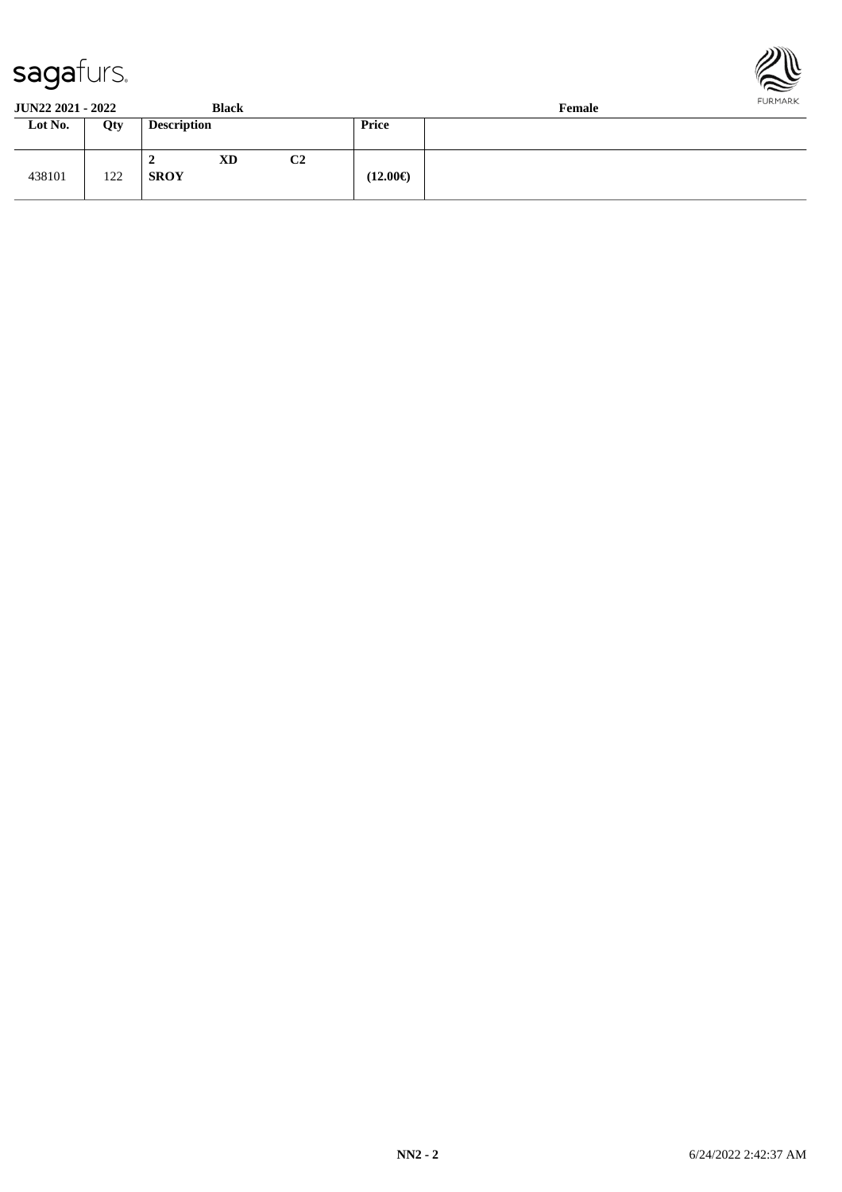



| <b>JUN22 2021 - 2022</b> |     |                    | <b>Black</b> |    | .<br>Female       |  |  |  |  |
|--------------------------|-----|--------------------|--------------|----|-------------------|--|--|--|--|
| Lot No.                  | Qty | <b>Description</b> |              |    | Price             |  |  |  |  |
| 438101                   | 122 | ∸<br><b>SROY</b>   | <b>XD</b>    | C2 | $(12.00\epsilon)$ |  |  |  |  |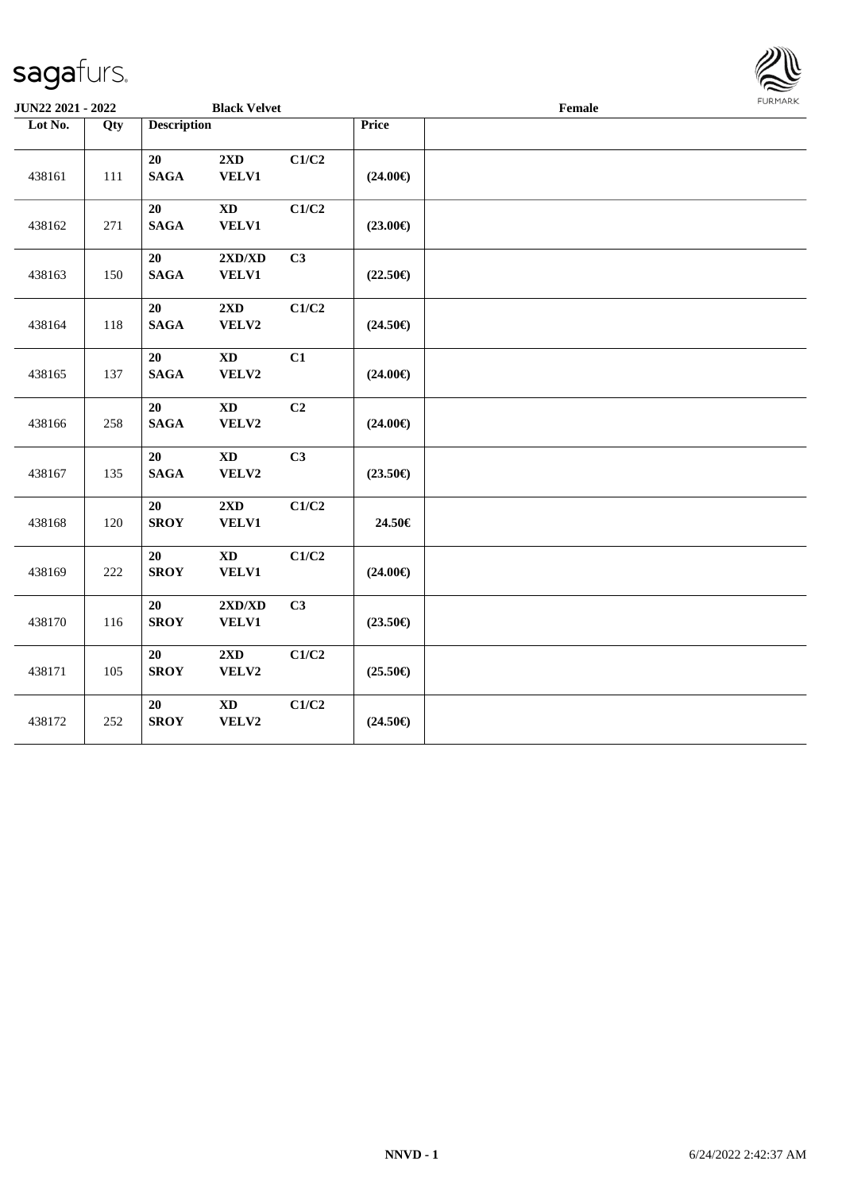438169 222

438170 116

438171 | 105

438172 252

**20 XD C1/C2**

**20 2XD/XD C3**

**20 2XD C1/C2**

**20 XD C1/C2**

**SROY VELV1 (24.00€)**

**SROY VELV1 (23.50€)**

**SROY VELV2 (25.50€)**

**SROY VELV2 (24.50€)**

**JUN22 2021 - 2022 Black Velvet Female**

| agafurs.         |     |                    |                                           |                |                   |  |        |                |
|------------------|-----|--------------------|-------------------------------------------|----------------|-------------------|--|--------|----------------|
| JN22 2021 - 2022 |     |                    | <b>Black Velvet</b>                       |                |                   |  | Female | <b>FURMARK</b> |
| Lot No.          | Qty | <b>Description</b> |                                           |                | Price             |  |        |                |
| 438161           | 111 | 20<br><b>SAGA</b>  | 2XD<br>VELV1                              | C1/C2          | $(24.00\epsilon)$ |  |        |                |
| 438162           | 271 | 20<br><b>SAGA</b>  | <b>XD</b><br>VELV1                        | C1/C2          | $(23.00\epsilon)$ |  |        |                |
| 438163           | 150 | 20<br><b>SAGA</b>  | $2{\bf X}{\bf D}/{\bf X}{\bf D}$<br>VELV1 | C <sub>3</sub> | $(22.50\epsilon)$ |  |        |                |
| 438164           | 118 | 20<br><b>SAGA</b>  | 2XD<br>VELV2                              | C1/C2          | $(24.50\epsilon)$ |  |        |                |
| 438165           | 137 | 20<br><b>SAGA</b>  | $\mathbf{X}\mathbf{D}$<br>VELV2           | C1             | $(24.00\epsilon)$ |  |        |                |
| 438166           | 258 | 20<br><b>SAGA</b>  | $\mathbf{X}\mathbf{D}$<br>VELV2           | C <sub>2</sub> | $(24.00\epsilon)$ |  |        |                |
| 438167           | 135 | 20<br><b>SAGA</b>  | $\mathbf{X}\mathbf{D}$<br>VELV2           | C3             | $(23.50\epsilon)$ |  |        |                |
| 438168           | 120 | 20<br><b>SROY</b>  | 2XD<br>VELV1                              | C1/C2          | 24.50€            |  |        |                |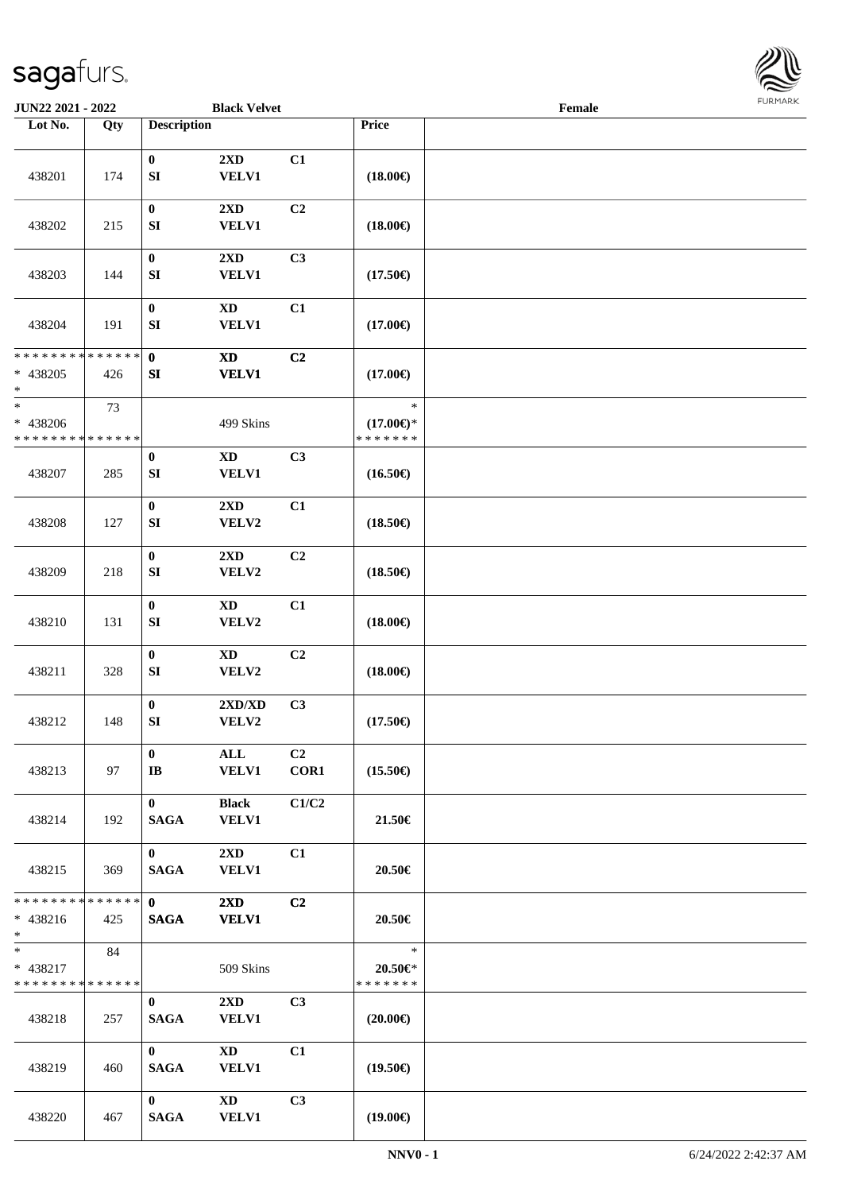

| JUN22 2021 - 2022                                          |     |                                      | <b>Black Velvet</b>                        |                |                                                | Female |  |
|------------------------------------------------------------|-----|--------------------------------------|--------------------------------------------|----------------|------------------------------------------------|--------|--|
| Lot No.                                                    | Qty | <b>Description</b>                   |                                            |                | Price                                          |        |  |
| 438201                                                     | 174 | $\bf{0}$<br>SI                       | 2XD<br><b>VELV1</b>                        | C1             | $(18.00\epsilon)$                              |        |  |
| 438202                                                     | 215 | $\boldsymbol{0}$<br>SI               | 2XD<br><b>VELV1</b>                        | C <sub>2</sub> | $(18.00\epsilon)$                              |        |  |
| 438203                                                     | 144 | $\boldsymbol{0}$<br>SI               | $2{\bf X}{\bf D}$<br>VELV1                 | C <sub>3</sub> | $(17.50\epsilon)$                              |        |  |
| 438204                                                     | 191 | $\boldsymbol{0}$<br>${\bf S}{\bf I}$ | $\mathbf{X}\mathbf{D}$<br>VELV1            | C1             | $(17.00\epsilon)$                              |        |  |
| * * * * * * * * * * * * * *<br>$* 438205$<br>$\ast$        | 426 | $\mathbf{0}$<br>SI                   | $\boldsymbol{\mathrm{XD}}$<br><b>VELV1</b> | C <sub>2</sub> | $(17.00\epsilon)$                              |        |  |
| $\ast$<br>* 438206<br>* * * * * * * * * * * * * *          | 73  |                                      | 499 Skins                                  |                | $\ast$<br>$(17.00\epsilon)$ *<br>* * * * * * * |        |  |
| 438207                                                     | 285 | $\bf{0}$<br>${\bf S}{\bf I}$         | <b>XD</b><br>VELV1                         | C3             | $(16.50\epsilon)$                              |        |  |
| 438208                                                     | 127 | $\boldsymbol{0}$<br>SI               | 2XD<br>VELV2                               | C1             | $(18.50\epsilon)$                              |        |  |
| 438209                                                     | 218 | $\pmb{0}$<br>SI                      | 2XD<br>VELV2                               | C2             | $(18.50\epsilon)$                              |        |  |
| 438210                                                     | 131 | $\boldsymbol{0}$<br>${\bf S}{\bf I}$ | $\mathbf{X}\mathbf{D}$<br>VELV2            | C1             | $(18.00\epsilon)$                              |        |  |
| 438211                                                     | 328 | $\pmb{0}$<br>SI                      | $\mathbf{X}\mathbf{D}$<br>VELV2            | C <sub>2</sub> | $(18.00\epsilon)$                              |        |  |
| 438212                                                     | 148 | $\pmb{0}$<br>${\bf SI}$              | 2XD/XD<br>VELV2                            | C <sub>3</sub> | $(17.50\epsilon)$                              |        |  |
| 438213                                                     | 97  | $\bf{0}$<br>$\mathbf{I} \mathbf{B}$  | ALL<br><b>VELV1</b>                        | C2<br>COR1     | $(15.50\epsilon)$                              |        |  |
| 438214                                                     | 192 | $\mathbf{0}$<br><b>SAGA</b>          | <b>Black</b><br><b>VELV1</b>               | C1/C2          | 21.50€                                         |        |  |
| 438215                                                     | 369 | $\mathbf{0}$<br><b>SAGA</b>          | $2\mathbf{X}\mathbf{D}$<br><b>VELV1</b>    | C1             | 20.50€                                         |        |  |
| * * * * * * * * * * * * * * *<br>$* 438216$<br>$*$ and $*$ | 425 | $\mathbf{0}$<br><b>SAGA</b>          | $2\mathbf{X}\mathbf{D}$<br><b>VELV1</b>    | C2             | 20.50€                                         |        |  |
| $*$ and $*$<br>* 438217<br>* * * * * * * * * * * * * * *   | 84  |                                      | 509 Skins                                  |                | $\ast$<br>$20.50 \in$ *<br>* * * * * * *       |        |  |
| 438218                                                     | 257 | $\bf{0}$<br><b>SAGA</b>              | $2\mathbf{X}\mathbf{D}$<br><b>VELV1</b>    | C <sub>3</sub> | $(20.00\epsilon)$                              |        |  |
| 438219                                                     | 460 | $\mathbf{0}$<br><b>SAGA</b>          | $\mathbf{X}\mathbf{D}$<br><b>VELV1</b>     | C1             | $(19.50\epsilon)$                              |        |  |
| 438220                                                     | 467 | $\mathbf{0}$<br><b>SAGA</b>          | $\mathbf{X}\mathbf{D}$<br><b>VELV1</b>     | C3             | $(19.00\epsilon)$                              |        |  |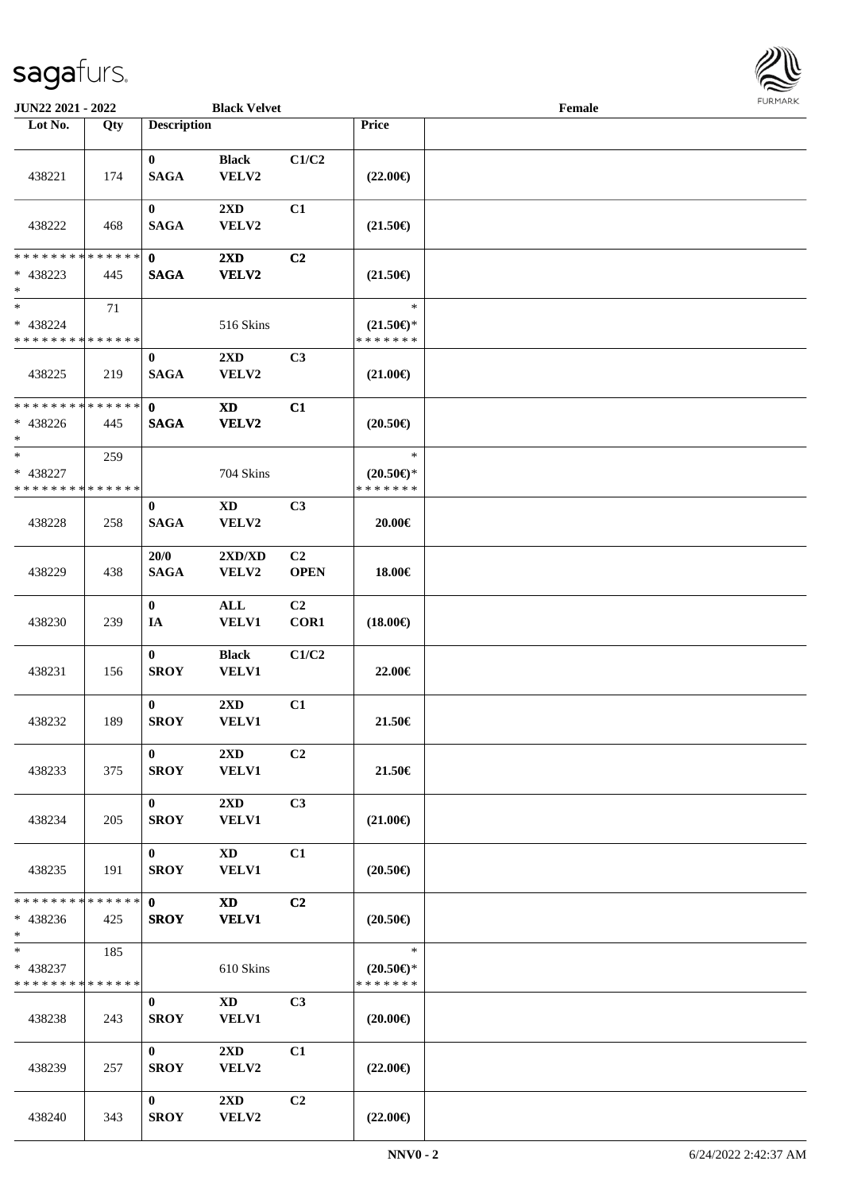

| JUN22 2021 - 2022                                 |     |                             | <b>Black Velvet</b>                    |                               |                                                | Female |  |
|---------------------------------------------------|-----|-----------------------------|----------------------------------------|-------------------------------|------------------------------------------------|--------|--|
| Lot No.                                           | Qty | <b>Description</b>          |                                        |                               | Price                                          |        |  |
| 438221                                            | 174 | $\bf{0}$<br><b>SAGA</b>     | <b>Black</b><br>VELV2                  | C1/C2                         | $(22.00\epsilon)$                              |        |  |
| 438222                                            | 468 | $\bf{0}$<br><b>SAGA</b>     | 2XD<br>VELV2                           | C1                            | $(21.50\epsilon)$                              |        |  |
| * * * * * * * * * * * * * *                       |     | $\mathbf 0$                 | $2{\bf X}{\bf D}$                      | C <sub>2</sub>                |                                                |        |  |
| * 438223<br>$*$                                   | 445 | <b>SAGA</b>                 | VELV2                                  |                               | $(21.50\epsilon)$                              |        |  |
| $\ast$<br>* 438224<br>* * * * * * * * * * * * * * | 71  |                             | 516 Skins                              |                               | $\ast$<br>$(21.50\epsilon)$ *<br>* * * * * * * |        |  |
| 438225                                            | 219 | $\bf{0}$<br><b>SAGA</b>     | $2\mathbf{X}\mathbf{D}$<br>VELV2       | C3                            | $(21.00\epsilon)$                              |        |  |
| * * * * * * * * * * * * * *<br>$* 438226$<br>$*$  | 445 | $\mathbf 0$<br><b>SAGA</b>  | <b>XD</b><br><b>VELV2</b>              | C1                            | $(20.50\epsilon)$                              |        |  |
| $\ast$<br>* 438227<br>* * * * * * * * * * * * * * | 259 |                             | 704 Skins                              |                               | $\ast$<br>$(20.50 \in )^*$<br>* * * * * * *    |        |  |
| 438228                                            | 258 | $\bf{0}$<br><b>SAGA</b>     | $\mathbf{X}\mathbf{D}$<br>VELV2        | C3                            | 20.00€                                         |        |  |
| 438229                                            | 438 | 20/0<br><b>SAGA</b>         | 2XD/XD<br>VELV2                        | C <sub>2</sub><br><b>OPEN</b> | 18.00€                                         |        |  |
| 438230                                            | 239 | $\bf{0}$<br>IA              | $\mathbf{ALL}$<br>VELV1                | C <sub>2</sub><br>COR1        | $(18.00\epsilon)$                              |        |  |
| 438231                                            | 156 | $\bf{0}$<br><b>SROY</b>     | <b>Black</b><br><b>VELV1</b>           | C1/C2                         | 22.00€                                         |        |  |
| 438232                                            | 189 | $\bf{0}$<br><b>SROY</b>     | $2{\bf X}{\bf D}$<br><b>VELV1</b>      | C1                            | 21.50€                                         |        |  |
| 438233                                            | 375 | $\mathbf{0}$<br><b>SROY</b> | 2XD<br><b>VELV1</b>                    | C2                            | 21.50€                                         |        |  |
| 438234                                            | 205 | $\mathbf{0}$<br><b>SROY</b> | 2XD<br><b>VELV1</b>                    | C3                            | $(21.00\epsilon)$                              |        |  |
| 438235                                            | 191 | $\bf{0}$<br><b>SROY</b>     | XD<br>VELV1                            | C1                            | $(20.50\epsilon)$                              |        |  |
| * * * * * * * * * * * * * *<br>$* 438236$<br>$*$  | 425 | $\mathbf{0}$<br><b>SROY</b> | <b>XD</b><br><b>VELV1</b>              | C2                            | $(20.50\epsilon)$                              |        |  |
| $*$<br>* 438237<br>* * * * * * * * * * * * * *    | 185 |                             | 610 Skins                              |                               | $\ast$<br>$(20.50\epsilon)$ *<br>* * * * * * * |        |  |
| 438238                                            | 243 | $\bf{0}$<br><b>SROY</b>     | $\mathbf{X}\mathbf{D}$<br><b>VELV1</b> | C <sub>3</sub>                | $(20.00\epsilon)$                              |        |  |
| 438239                                            | 257 | $\mathbf{0}$<br><b>SROY</b> | $2\mathbf{X}\mathbf{D}$<br>VELV2       | C1                            | $(22.00\epsilon)$                              |        |  |
| 438240                                            | 343 | $\bf{0}$<br><b>SROY</b>     | 2XD<br>VELV2                           | C <sub>2</sub>                | $(22.00\epsilon)$                              |        |  |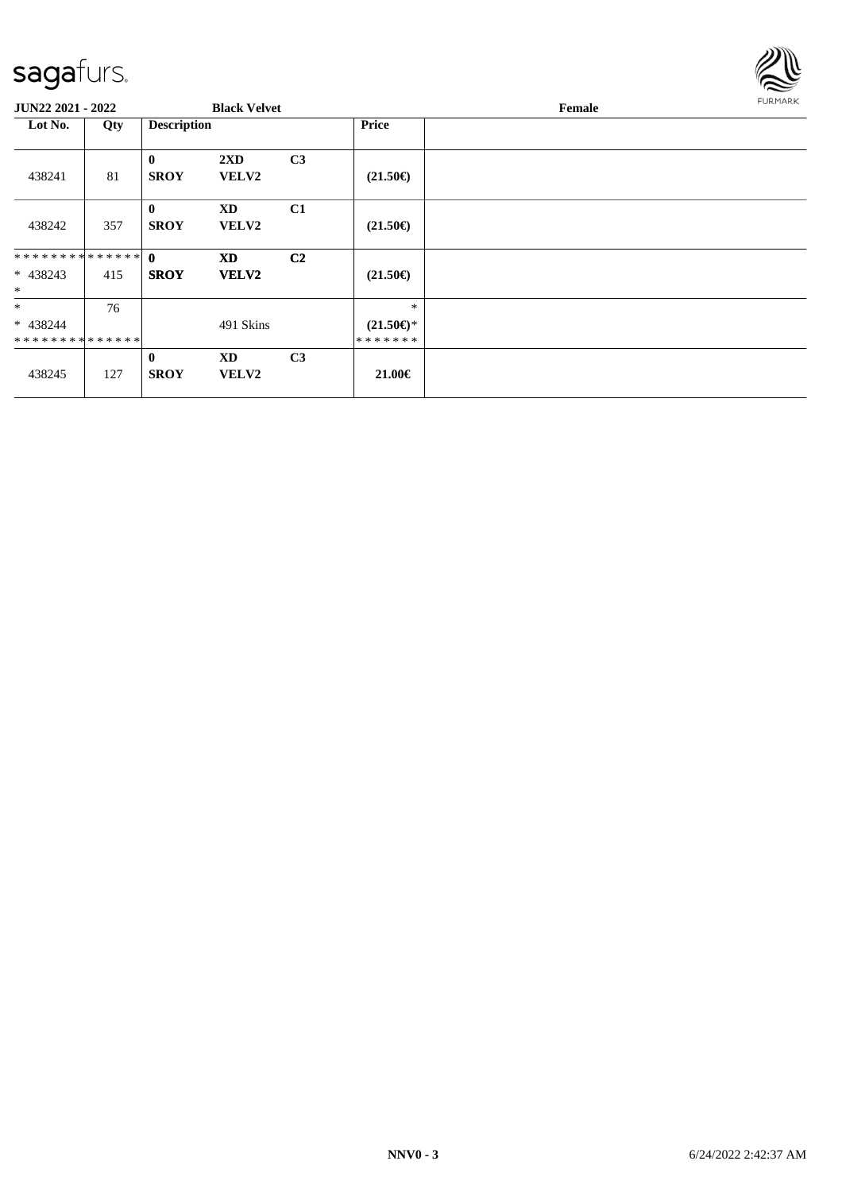

| JUN22 2021 - 2022    |     |                             | <b>Black Velvet</b>                     |                |                     | <b>FURMARK</b><br>Female |  |  |
|----------------------|-----|-----------------------------|-----------------------------------------|----------------|---------------------|--------------------------|--|--|
| Lot No.              | Qty | <b>Description</b>          |                                         |                | <b>Price</b>        |                          |  |  |
| 438241               | 81  | $\mathbf{0}$<br><b>SROY</b> | $2\mathbf{X}\mathbf{D}$<br><b>VELV2</b> | C <sub>3</sub> | $(21.50\epsilon)$   |                          |  |  |
| 438242               | 357 | $\mathbf{0}$<br><b>SROY</b> | <b>XD</b><br><b>VELV2</b>               | C1             | $(21.50\epsilon)$   |                          |  |  |
| ************** 0     |     |                             | <b>XD</b>                               | C <sub>2</sub> |                     |                          |  |  |
| $* 438243$<br>$\ast$ | 415 | <b>SROY</b>                 | VELV2                                   |                | $(21.50\epsilon)$   |                          |  |  |
| $\ast$               | 76  |                             |                                         |                | $\ast$              |                          |  |  |
| * 438244             |     |                             | 491 Skins                               |                | $(21.50\epsilon)$ * |                          |  |  |
| **************       |     |                             |                                         |                | *******             |                          |  |  |
| 438245               | 127 | $\mathbf{0}$<br><b>SROY</b> | <b>XD</b><br><b>VELV2</b>               | C <sub>3</sub> | 21.00€              |                          |  |  |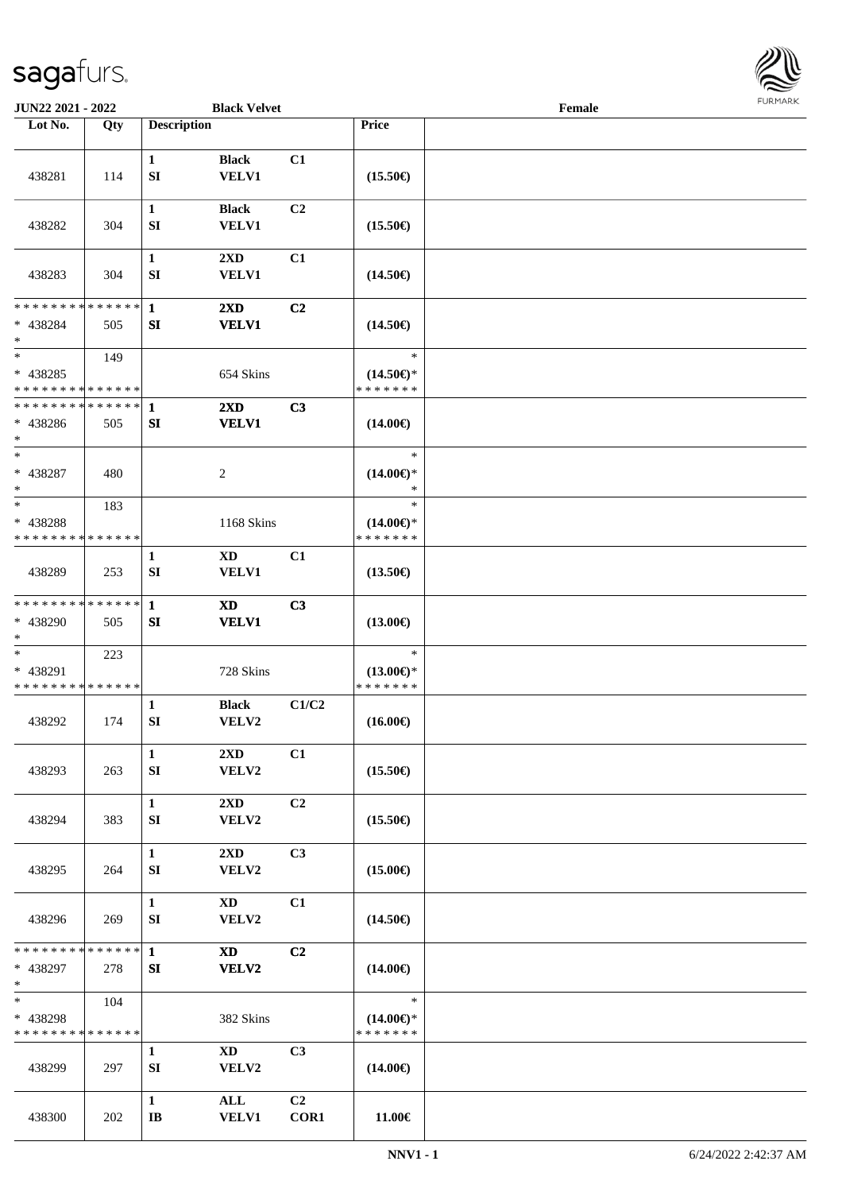

| <b>JUN22 2021 - 2022</b>                          |     |                                        | <b>Black Velvet</b>                     |                        |                                                | Female |  |
|---------------------------------------------------|-----|----------------------------------------|-----------------------------------------|------------------------|------------------------------------------------|--------|--|
| Lot No.                                           | Qty | <b>Description</b>                     |                                         |                        | <b>Price</b>                                   |        |  |
| 438281                                            | 114 | $\mathbf{1}$<br>${\bf S}{\bf I}$       | <b>Black</b><br><b>VELV1</b>            | C1                     | $(15.50\epsilon)$                              |        |  |
| 438282                                            | 304 | $\mathbf{1}$<br>SI                     | <b>Black</b><br><b>VELV1</b>            | C <sub>2</sub>         | $(15.50\epsilon)$                              |        |  |
| 438283                                            | 304 | 1<br>SI                                | $2\mathbf{X}\mathbf{D}$<br><b>VELV1</b> | C1                     | $(14.50\epsilon)$                              |        |  |
| * * * * * * * * * * * * * *<br>* 438284<br>$\ast$ | 505 | $\mathbf{1}$<br>${\bf SI}$             | $2\mathbf{X}\mathbf{D}$<br><b>VELV1</b> | C <sub>2</sub>         | $(14.50\epsilon)$                              |        |  |
| $\ast$<br>* 438285<br>* * * * * * * * * * * * * * | 149 |                                        | 654 Skins                               |                        | $\ast$<br>$(14.50\epsilon)$ *<br>* * * * * * * |        |  |
| * * * * * * * * * * * * * *<br>* 438286<br>$\ast$ | 505 | 1<br>SI                                | $2\mathbf{X}\mathbf{D}$<br><b>VELV1</b> | C3                     | $(14.00\epsilon)$                              |        |  |
| $\ast$<br>$* 438287$<br>$\ast$                    | 480 |                                        | 2                                       |                        | $\ast$<br>$(14.00\epsilon)$ *<br>$\ast$        |        |  |
| $\ast$<br>* 438288<br>* * * * * * * * * * * * * * | 183 |                                        | 1168 Skins                              |                        | $\ast$<br>$(14.00\epsilon)$ *<br>* * * * * * * |        |  |
| 438289                                            | 253 | 1<br>SI                                | XD<br><b>VELV1</b>                      | C1                     | $(13.50\epsilon)$                              |        |  |
| * * * * * * * * * * * * * *<br>* 438290<br>$*$    | 505 | $\mathbf{1}$<br>SI                     | XD<br><b>VELV1</b>                      | C3                     | $(13.00\epsilon)$                              |        |  |
| $\ast$<br>* 438291<br>* * * * * * * * * * * * * * | 223 |                                        | 728 Skins                               |                        | $\ast$<br>$(13.00\epsilon)$ *<br>* * * * * * * |        |  |
| 438292                                            | 174 | 1<br>${\bf SI}$                        | <b>Black</b><br>VELV2                   | C1/C2                  | $(16.00\epsilon)$                              |        |  |
| 438293                                            | 263 | $\mathbf{1}$<br>SI                     | 2XD<br>VELV2                            | C1                     | $(15.50\epsilon)$                              |        |  |
| 438294                                            | 383 | $\mathbf{1}$<br>SI                     | 2XD<br>VELV2                            | C <sub>2</sub>         | $(15.50\epsilon)$                              |        |  |
| 438295                                            | 264 | $\mathbf{1}$<br>SI                     | $2\mathbf{X}\mathbf{D}$<br>VELV2        | C <sub>3</sub>         | $(15.00\epsilon)$                              |        |  |
| 438296                                            | 269 | $\mathbf{1}$<br>${\bf SI}$             | XD<br>VELV2                             | C1                     | $(14.50\epsilon)$                              |        |  |
| * * * * * * * * * * * * * * *<br>* 438297<br>$*$  | 278 | $\mathbf{1}$<br>SI                     | <b>XD</b><br>VELV2                      | C2                     | $(14.00\epsilon)$                              |        |  |
| $*$<br>* 438298<br>* * * * * * * * * * * * * *    | 104 |                                        | 382 Skins                               |                        | $\ast$<br>$(14.00\epsilon)$ *<br>* * * * * * * |        |  |
| 438299                                            | 297 | $\mathbf{1}$<br>SI                     | $\mathbf{X}\mathbf{D}$<br>VELV2         | C <sub>3</sub>         | $(14.00\epsilon)$                              |        |  |
| 438300                                            | 202 | $\mathbf{1}$<br>$\mathbf{I}\mathbf{B}$ | <b>ALL</b><br><b>VELV1</b>              | C <sub>2</sub><br>COR1 | 11.00€                                         |        |  |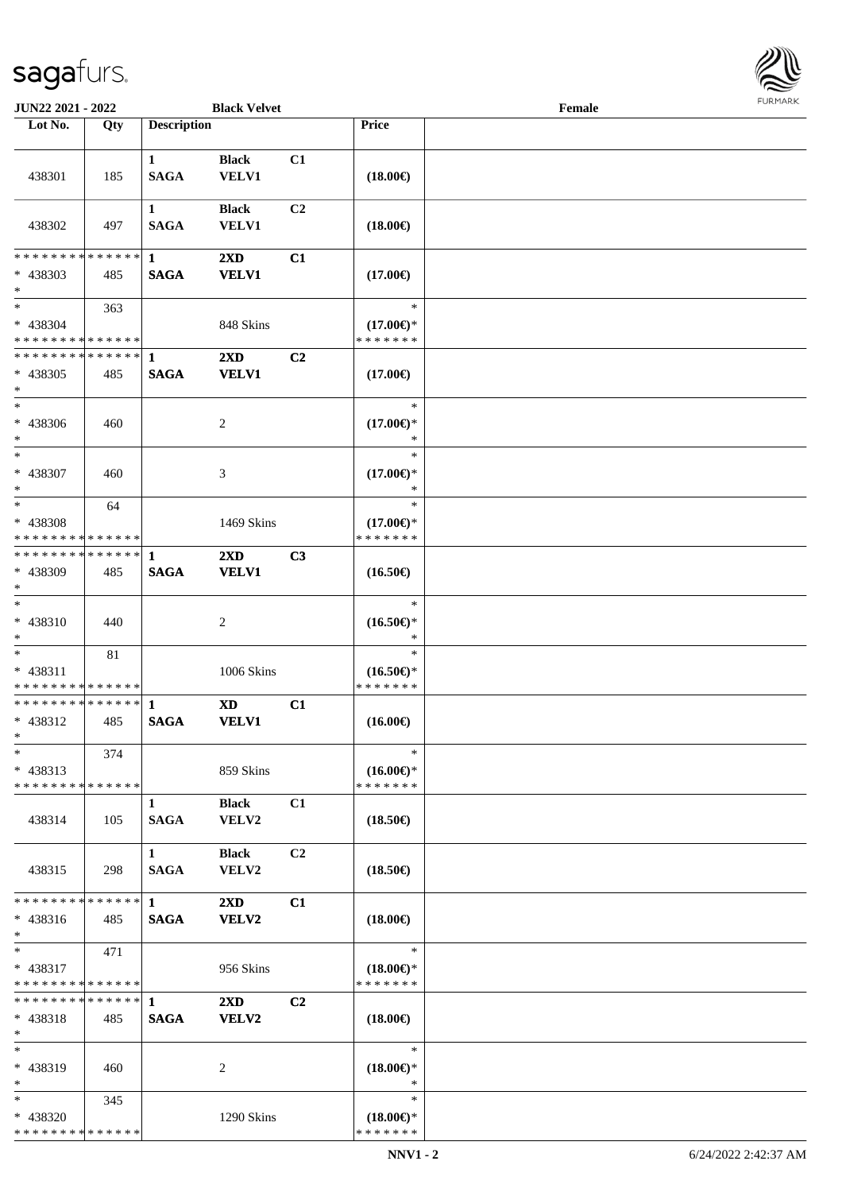

| <b>JUN22 2021 - 2022</b>                                     |     |                    | <b>Black Velvet</b>     |                |                                                              | Female |  |
|--------------------------------------------------------------|-----|--------------------|-------------------------|----------------|--------------------------------------------------------------|--------|--|
| Lot No.                                                      | Qty | <b>Description</b> |                         |                | Price                                                        |        |  |
|                                                              |     |                    |                         |                |                                                              |        |  |
|                                                              |     | $\mathbf{1}$       | <b>Black</b>            | C1             |                                                              |        |  |
| 438301                                                       | 185 | <b>SAGA</b>        | <b>VELV1</b>            |                | $(18.00\epsilon)$                                            |        |  |
|                                                              |     |                    |                         |                |                                                              |        |  |
|                                                              |     | $\mathbf{1}$       | <b>Black</b>            | C2             |                                                              |        |  |
| 438302                                                       | 497 | <b>SAGA</b>        | <b>VELV1</b>            |                | $(18.00\epsilon)$                                            |        |  |
|                                                              |     |                    |                         |                |                                                              |        |  |
| * * * * * * * * * * * * * * *                                |     | 1                  | $2\mathbf{X}\mathbf{D}$ | C1             |                                                              |        |  |
| * 438303                                                     | 485 | <b>SAGA</b>        | <b>VELV1</b>            |                | $(17.00\epsilon)$                                            |        |  |
| $*$                                                          |     |                    |                         |                |                                                              |        |  |
| $*$                                                          | 363 |                    |                         |                | $\ast$                                                       |        |  |
| * 438304                                                     |     |                    | 848 Skins               |                | $(17.00\epsilon)$ *                                          |        |  |
| * * * * * * * * * * * * * *                                  |     |                    |                         |                | * * * * * * *                                                |        |  |
| * * * * * * * * * * * * * * *                                |     | 1                  | $2\mathbf{X}\mathbf{D}$ | C2             |                                                              |        |  |
| * 438305                                                     | 485 | <b>SAGA</b>        | <b>VELV1</b>            |                | $(17.00\epsilon)$                                            |        |  |
| $\ast$                                                       |     |                    |                         |                |                                                              |        |  |
| $*$                                                          |     |                    |                         |                | $\ast$                                                       |        |  |
| $* 438306$                                                   | 460 |                    | 2                       |                | $(17.00\epsilon)$ *                                          |        |  |
| $*$                                                          |     |                    |                         |                | $\ast$                                                       |        |  |
| $*$                                                          |     |                    |                         |                | $\ast$                                                       |        |  |
| * 438307                                                     | 460 |                    | 3                       |                | $(17.00\epsilon)$ *                                          |        |  |
| $*$                                                          |     |                    |                         |                | $\ast$                                                       |        |  |
| $*$                                                          | 64  |                    |                         |                | $\ast$                                                       |        |  |
| * 438308                                                     |     |                    | 1469 Skins              |                | $(17.00\epsilon)$ *                                          |        |  |
| * * * * * * * * * * * * * *<br>* * * * * * * * * * * * * * * |     |                    |                         |                | * * * * * * *                                                |        |  |
|                                                              |     | -1                 | $2\mathbf{X}\mathbf{D}$ | C3             |                                                              |        |  |
| * 438309<br>$*$                                              | 485 | <b>SAGA</b>        | <b>VELV1</b>            |                | $(16.50\epsilon)$                                            |        |  |
| $*$                                                          |     |                    |                         |                | $\ast$                                                       |        |  |
| * 438310                                                     |     |                    |                         |                |                                                              |        |  |
| $*$                                                          | 440 |                    | 2                       |                | $(16.50\mathnormal{\in}\mathcal{)^{\! \! \times}}$<br>$\ast$ |        |  |
| $*$                                                          | 81  |                    |                         |                | $\ast$                                                       |        |  |
| * 438311                                                     |     |                    | 1006 Skins              |                | $(16.50\epsilon)$ *                                          |        |  |
| * * * * * * * * * * * * * *                                  |     |                    |                         |                | * * * * * * *                                                |        |  |
| * * * * * * * * * * * * * * *                                |     | $\mathbf 1$        | <b>XD</b>               | C1             |                                                              |        |  |
| * 438312                                                     | 485 | <b>SAGA</b>        | <b>VELV1</b>            |                | $(16.00\epsilon)$                                            |        |  |
| $*$                                                          |     |                    |                         |                |                                                              |        |  |
| $\ast$                                                       | 374 |                    |                         |                | $\ast$                                                       |        |  |
| * 438313                                                     |     |                    | 859 Skins               |                | $(16.00\epsilon)$ *                                          |        |  |
| * * * * * * * * * * * * * *                                  |     |                    |                         |                | * * * * * * *                                                |        |  |
|                                                              |     | $\mathbf{1}$       | <b>Black</b>            | C1             |                                                              |        |  |
| 438314                                                       | 105 | <b>SAGA</b>        | VELV2                   |                | $(18.50\epsilon)$                                            |        |  |
|                                                              |     |                    |                         |                |                                                              |        |  |
|                                                              |     | $\mathbf{1}$       | <b>Black</b>            | C <sub>2</sub> |                                                              |        |  |
| 438315                                                       | 298 | <b>SAGA</b>        | VELV2                   |                | $(18.50\epsilon)$                                            |        |  |
|                                                              |     |                    |                         |                |                                                              |        |  |
| * * * * * * * * * * * * * * *                                |     | $\mathbf 1$        | $2\mathbf{X}\mathbf{D}$ | C1             |                                                              |        |  |
| * 438316                                                     | 485 | <b>SAGA</b>        | VELV2                   |                | $(18.00\epsilon)$                                            |        |  |
| $*$                                                          |     |                    |                         |                |                                                              |        |  |
| $*$                                                          | 471 |                    |                         |                | $\ast$                                                       |        |  |
| * 438317                                                     |     |                    | 956 Skins               |                | $(18.00\epsilon)$ *                                          |        |  |
| * * * * * * * * * * * * * *                                  |     |                    |                         |                | * * * * * * *                                                |        |  |
| * * * * * * * * * * * * * * *                                |     | $\mathbf{1}$       | $2\mathbf{X}\mathbf{D}$ | C <sub>2</sub> |                                                              |        |  |
| * 438318                                                     | 485 | <b>SAGA</b>        | VELV2                   |                | $(18.00\epsilon)$                                            |        |  |
| $*$                                                          |     |                    |                         |                |                                                              |        |  |
| $*$                                                          |     |                    |                         |                | $\ast$                                                       |        |  |
| * 438319                                                     | 460 |                    | 2                       |                | $(18.00\epsilon)$ *                                          |        |  |
| $*$                                                          |     |                    |                         |                | $\ast$                                                       |        |  |
| $*$                                                          | 345 |                    |                         |                | $\ast$                                                       |        |  |
| * 438320                                                     |     |                    | 1290 Skins              |                | $(18.00\epsilon)$ *                                          |        |  |
| * * * * * * * * * * * * * *                                  |     |                    |                         |                | * * * * * * *                                                |        |  |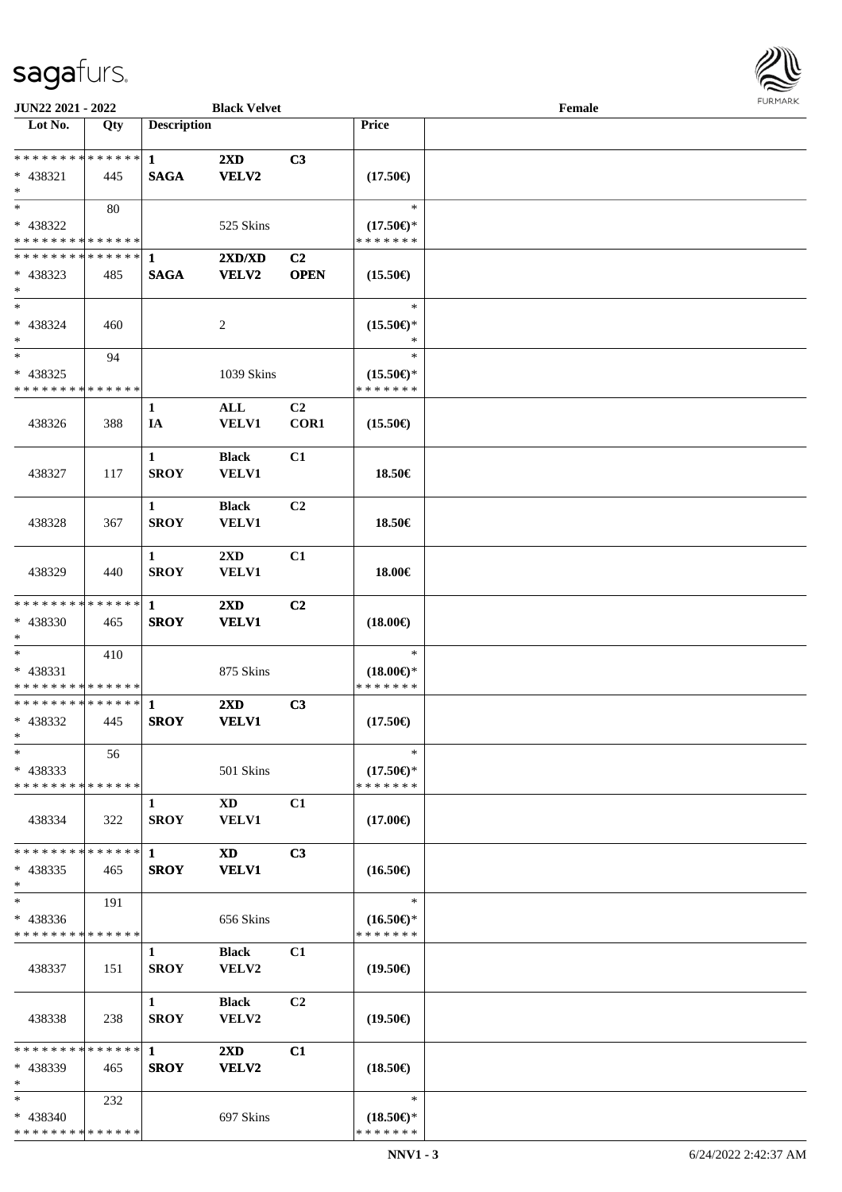

| JUN22 2021 - 2022                          |     |                    | <b>Black Velvet</b>     |                |                                      | Female |  |
|--------------------------------------------|-----|--------------------|-------------------------|----------------|--------------------------------------|--------|--|
| Lot No.                                    | Qty | <b>Description</b> |                         |                | <b>Price</b>                         |        |  |
|                                            |     |                    |                         |                |                                      |        |  |
| * * * * * * * * * * * * * *                |     | $\mathbf{1}$       | $2\mathbf{X}\mathbf{D}$ | C3             |                                      |        |  |
| $* 438321$                                 | 445 | <b>SAGA</b>        | <b>VELV2</b>            |                | $(17.50\epsilon)$                    |        |  |
| $\ast$                                     |     |                    |                         |                |                                      |        |  |
| $\ast$                                     | 80  |                    |                         |                | $\ast$                               |        |  |
| * 438322                                   |     |                    |                         |                |                                      |        |  |
| * * * * * * * * * * * * * *                |     |                    | 525 Skins               |                | $(17.50\epsilon)$ *<br>* * * * * * * |        |  |
|                                            |     |                    |                         |                |                                      |        |  |
| * * * * * * * * * * * * * * *              |     | 1                  | 2XD/XD                  | C <sub>2</sub> |                                      |        |  |
| $* 438323$                                 | 485 | <b>SAGA</b>        | <b>VELV2</b>            | <b>OPEN</b>    | $(15.50\epsilon)$                    |        |  |
| $\ast$                                     |     |                    |                         |                |                                      |        |  |
| $\ast$                                     |     |                    |                         |                | $\ast$                               |        |  |
| * 438324                                   | 460 |                    | $\overline{c}$          |                | $(15.50\epsilon)$ *                  |        |  |
| $\ast$                                     |     |                    |                         |                | $\ast$                               |        |  |
| $\ast$                                     | 94  |                    |                         |                | $\ast$                               |        |  |
| * 438325                                   |     |                    | 1039 Skins              |                | $(15.50\epsilon)$ *                  |        |  |
| * * * * * * * * * * * * * *                |     |                    |                         |                | * * * * * * *                        |        |  |
|                                            |     | $\mathbf{1}$       | ALL                     | C2             |                                      |        |  |
| 438326                                     | 388 | IA                 | <b>VELV1</b>            | COR1           | $(15.50\epsilon)$                    |        |  |
|                                            |     |                    |                         |                |                                      |        |  |
|                                            |     |                    |                         |                |                                      |        |  |
|                                            |     | $\mathbf{1}$       | <b>Black</b>            | C1             |                                      |        |  |
| 438327                                     | 117 | <b>SROY</b>        | VELV1                   |                | 18.50€                               |        |  |
|                                            |     |                    |                         |                |                                      |        |  |
|                                            |     | $\mathbf{1}$       | <b>Black</b>            | C2             |                                      |        |  |
| 438328                                     | 367 | <b>SROY</b>        | VELV1                   |                | 18.50€                               |        |  |
|                                            |     |                    |                         |                |                                      |        |  |
|                                            |     | $\mathbf{1}$       | $2\mathbf{X}\mathbf{D}$ | C1             |                                      |        |  |
| 438329                                     | 440 | <b>SROY</b>        | <b>VELV1</b>            |                | 18.00€                               |        |  |
|                                            |     |                    |                         |                |                                      |        |  |
| * * * * * * * * * * * * * *                |     | $\mathbf{1}$       | 2XD                     | C <sub>2</sub> |                                      |        |  |
| * 438330                                   | 465 | <b>SROY</b>        | <b>VELV1</b>            |                | $(18.00\epsilon)$                    |        |  |
| $\ast$                                     |     |                    |                         |                |                                      |        |  |
| $\ast$                                     |     |                    |                         |                | $\ast$                               |        |  |
|                                            | 410 |                    |                         |                |                                      |        |  |
| * 438331                                   |     |                    | 875 Skins               |                | $(18.00\epsilon)$ *                  |        |  |
| * * * * * * * * <mark>* * * * * * *</mark> |     |                    |                         |                | * * * * * * *                        |        |  |
| **************                             |     | $\mathbf{1}$       | 2XD                     | C3             |                                      |        |  |
| * 438332                                   | 445 | <b>SROY</b>        | <b>VELV1</b>            |                | $(17.50\epsilon)$                    |        |  |
| $*$                                        |     |                    |                         |                |                                      |        |  |
| $\ast$                                     | 56  |                    |                         |                | $\ast$                               |        |  |
| $* 438333$                                 |     |                    | 501 Skins               |                | $(17.50\epsilon)$ *                  |        |  |
| * * * * * * * * * * * * * *                |     |                    |                         |                | * * * * * * *                        |        |  |
|                                            |     | 1                  | XD                      | C1             |                                      |        |  |
| 438334                                     | 322 | <b>SROY</b>        | <b>VELV1</b>            |                | $(17.00\epsilon)$                    |        |  |
|                                            |     |                    |                         |                |                                      |        |  |
| * * * * * * * * * * * * * *                |     | $\mathbf{1}$       | XD                      | C <sub>3</sub> |                                      |        |  |
| $* 438335$                                 | 465 | <b>SROY</b>        | <b>VELV1</b>            |                | $(16.50\epsilon)$                    |        |  |
| $\ast$                                     |     |                    |                         |                |                                      |        |  |
| $\ast$                                     | 191 |                    |                         |                | $\ast$                               |        |  |
|                                            |     |                    |                         |                |                                      |        |  |
| $* 438336$                                 |     |                    | 656 Skins               |                | $(16.50\epsilon)$ *                  |        |  |
| * * * * * * * * * * * * * *                |     |                    |                         |                | * * * * * * *                        |        |  |
|                                            |     | $\mathbf{1}$       | <b>Black</b>            | C1             |                                      |        |  |
| 438337                                     | 151 | <b>SROY</b>        | <b>VELV2</b>            |                | $(19.50\epsilon)$                    |        |  |
|                                            |     |                    |                         |                |                                      |        |  |
|                                            |     | $\mathbf{1}$       | <b>Black</b>            | C <sub>2</sub> |                                      |        |  |
| 438338                                     | 238 | <b>SROY</b>        | VELV2                   |                | $(19.50\epsilon)$                    |        |  |
|                                            |     |                    |                         |                |                                      |        |  |
| * * * * * * * * * * * * * *                |     | $\mathbf{1}$       | $2\mathbf{X}\mathbf{D}$ | C1             |                                      |        |  |
| * 438339                                   | 465 | <b>SROY</b>        | <b>VELV2</b>            |                | $(18.50\epsilon)$                    |        |  |
| $\ast$                                     |     |                    |                         |                |                                      |        |  |
| $*$                                        | 232 |                    |                         |                | $\ast$                               |        |  |
| * 438340                                   |     |                    | 697 Skins               |                | $(18.50\epsilon)$ *                  |        |  |
| * * * * * * * * * * * * * *                |     |                    |                         |                | * * * * * * *                        |        |  |
|                                            |     |                    |                         |                |                                      |        |  |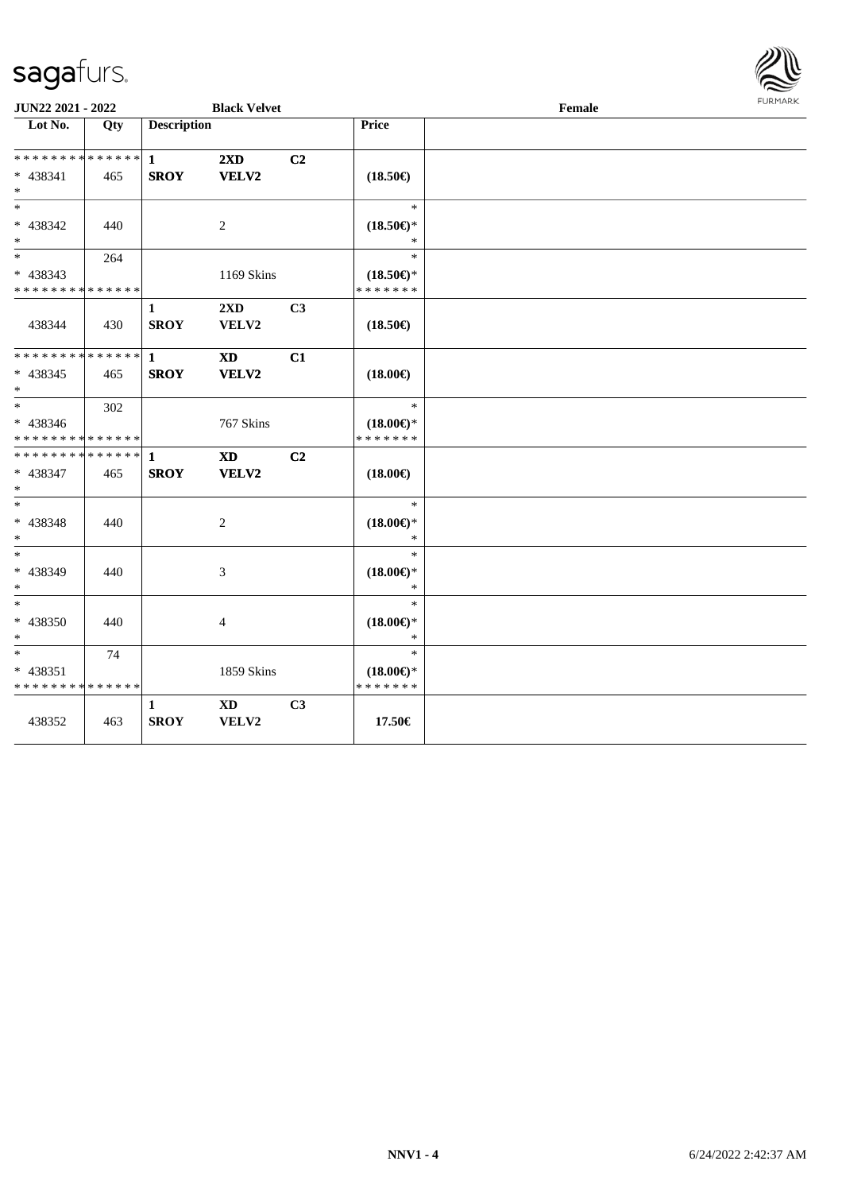

| JUN22 2021 - 2022                                  |     |                             | <b>Black Velvet</b> |                |                                                | Female | <b>FURMARK</b> |
|----------------------------------------------------|-----|-----------------------------|---------------------|----------------|------------------------------------------------|--------|----------------|
| $\overline{\phantom{1}}$ Lot No.                   | Qty | <b>Description</b>          |                     |                | Price                                          |        |                |
| * * * * * * * * * * * * * *<br>* 438341<br>$*$     | 465 | $\mathbf{1}$<br><b>SROY</b> | 2XD<br>VELV2        | C2             | $(18.50\epsilon)$                              |        |                |
| $*$<br>* 438342<br>$*$                             | 440 |                             | 2                   |                | $\ast$<br>$(18.50\epsilon)$ *<br>$\ast$        |        |                |
| $*$<br>* 438343<br>* * * * * * * * * * * * * *     | 264 |                             | 1169 Skins          |                | $\ast$<br>$(18.50\epsilon)$ *<br>* * * * * * * |        |                |
| 438344                                             | 430 | 1<br><b>SROY</b>            | 2XD<br>VELV2        | C3             | $(18.50\epsilon)$                              |        |                |
| * * * * * * * * * * * * * * *<br>$* 438345$<br>$*$ | 465 | $\mathbf{1}$<br><b>SROY</b> | <b>XD</b><br>VELV2  | C1             | $(18.00\epsilon)$                              |        |                |
| $*$<br>* 438346<br>* * * * * * * * * * * * * *     | 302 |                             | 767 Skins           |                | $\ast$<br>$(18.00\epsilon)$ *<br>* * * * * * * |        |                |
| * * * * * * * * * * * * * * *<br>* 438347<br>$*$   | 465 | $\mathbf{1}$<br><b>SROY</b> | <b>XD</b><br>VELV2  | C <sub>2</sub> | $(18.00\epsilon)$                              |        |                |
| $\ast$<br>* 438348<br>$*$                          | 440 |                             | $\overline{c}$      |                | $\ast$<br>$(18.00\epsilon)$ *<br>$\ast$        |        |                |
| $*$<br>* 438349<br>$*$                             | 440 |                             | 3                   |                | $\ast$<br>$(18.00\epsilon)$ *<br>$\ast$        |        |                |
| $*$<br>* 438350<br>$*$                             | 440 |                             | $\overline{4}$      |                | $\ast$<br>$(18.00\epsilon)$ *<br>$\ast$        |        |                |
| $\ast$<br>* 438351<br>* * * * * * * * * * * * * *  | 74  |                             | 1859 Skins          |                | $\ast$<br>$(18.00\epsilon)$ *<br>* * * * * * * |        |                |
| 438352                                             | 463 | 1<br><b>SROY</b>            | <b>XD</b><br>VELV2  | C <sub>3</sub> | 17.50€                                         |        |                |